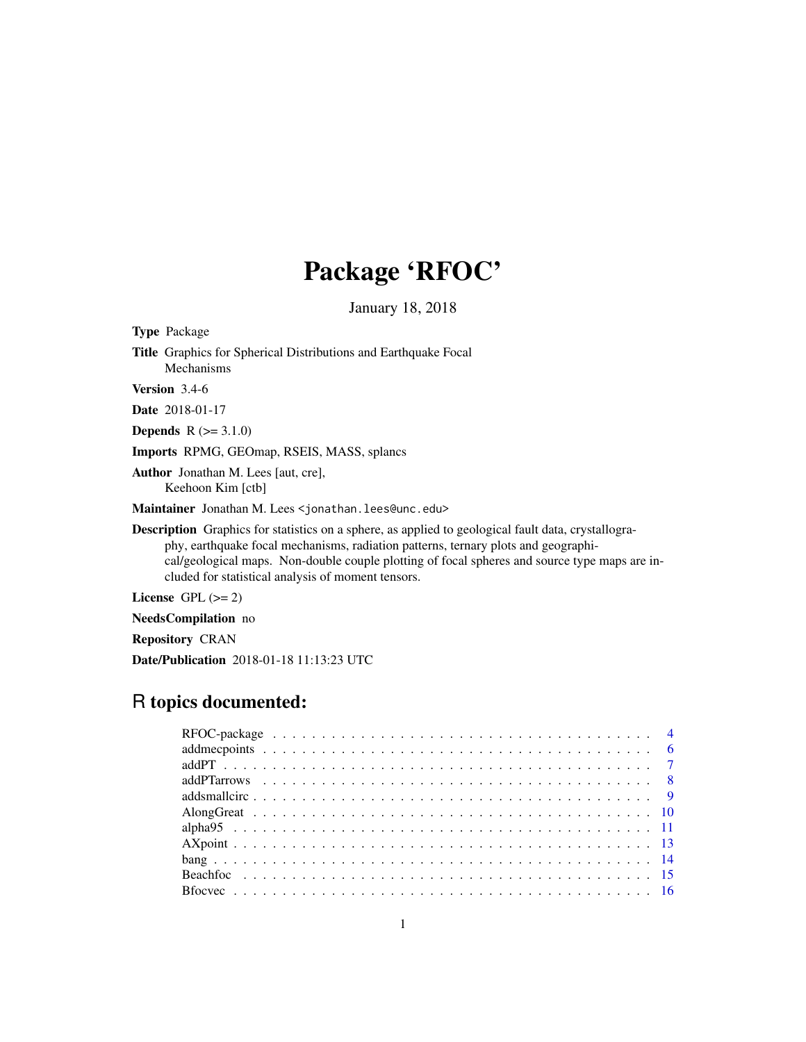# Package 'RFOC'

January 18, 2018

Type Package Title Graphics for Spherical Distributions and Earthquake Focal Mechanisms Version 3.4-6 Date 2018-01-17 **Depends**  $R (= 3.1.0)$ Imports RPMG, GEOmap, RSEIS, MASS, splancs Author Jonathan M. Lees [aut, cre], Keehoon Kim [ctb] Maintainer Jonathan M. Lees <jonathan.lees@unc.edu> Description Graphics for statistics on a sphere, as applied to geological fault data, crystallography, earthquake focal mechanisms, radiation patterns, ternary plots and geographical/geological maps. Non-double couple plotting of focal spheres and source type maps are included for statistical analysis of moment tensors. License GPL  $(>= 2)$ 

NeedsCompilation no

Repository CRAN

Date/Publication 2018-01-18 11:13:23 UTC

## R topics documented: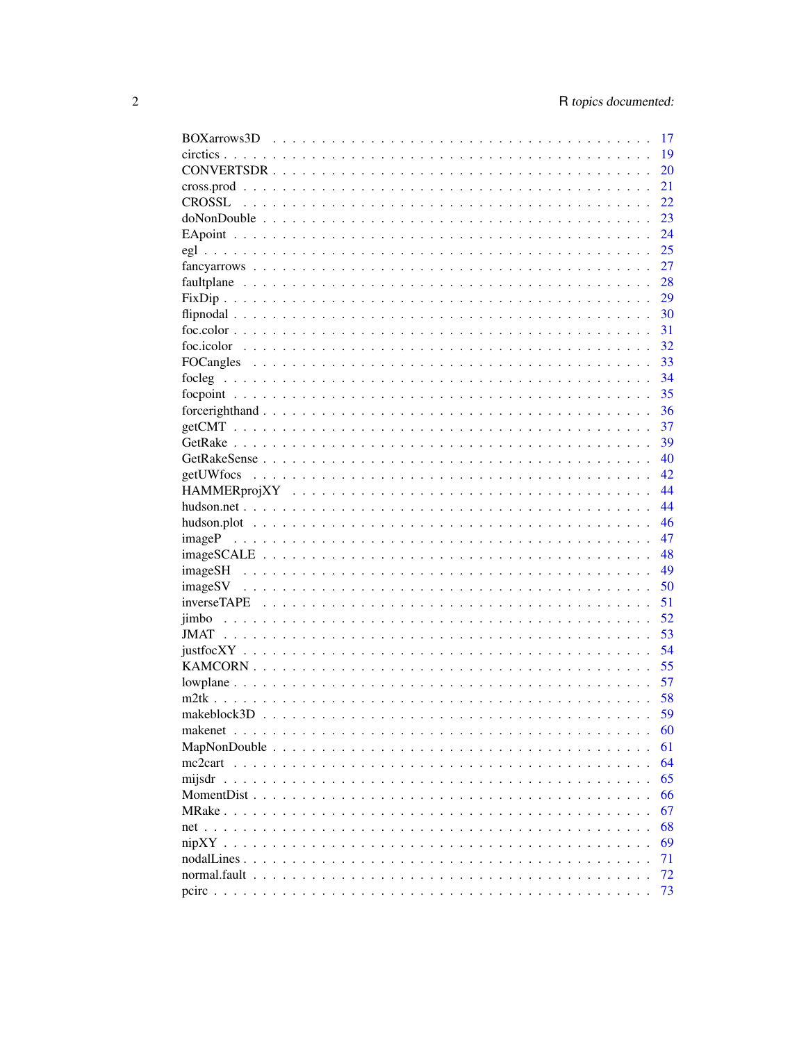|                               | 17 |
|-------------------------------|----|
|                               | 19 |
|                               | 20 |
|                               | 21 |
|                               | 22 |
|                               | 23 |
|                               | 24 |
|                               | 25 |
|                               | 27 |
|                               | 28 |
|                               | 29 |
|                               | 30 |
|                               | 31 |
|                               | 32 |
|                               | 33 |
|                               | 34 |
|                               | 35 |
|                               | 36 |
|                               | 37 |
|                               | 39 |
|                               | 40 |
|                               | 42 |
|                               |    |
|                               | 44 |
|                               | 44 |
|                               | 46 |
|                               | 47 |
|                               | 48 |
|                               | 49 |
|                               | 50 |
|                               | 51 |
|                               | 52 |
|                               | 53 |
|                               | 54 |
|                               | 55 |
|                               | 57 |
|                               | 58 |
|                               | 59 |
|                               | 60 |
| MapNonDouble<br>$\sim$ $\sim$ | 61 |
| $mc2cart \dots \dots$         | 64 |
| mijsdr                        | 65 |
| MomentDist                    | 66 |
| MRake                         | 67 |
| $net \cdot \cdot \cdot \cdot$ | 68 |
| $nipXY \dots$                 | 69 |
| nodalLines.                   | 71 |
| normal.fault                  | 72 |
|                               | 73 |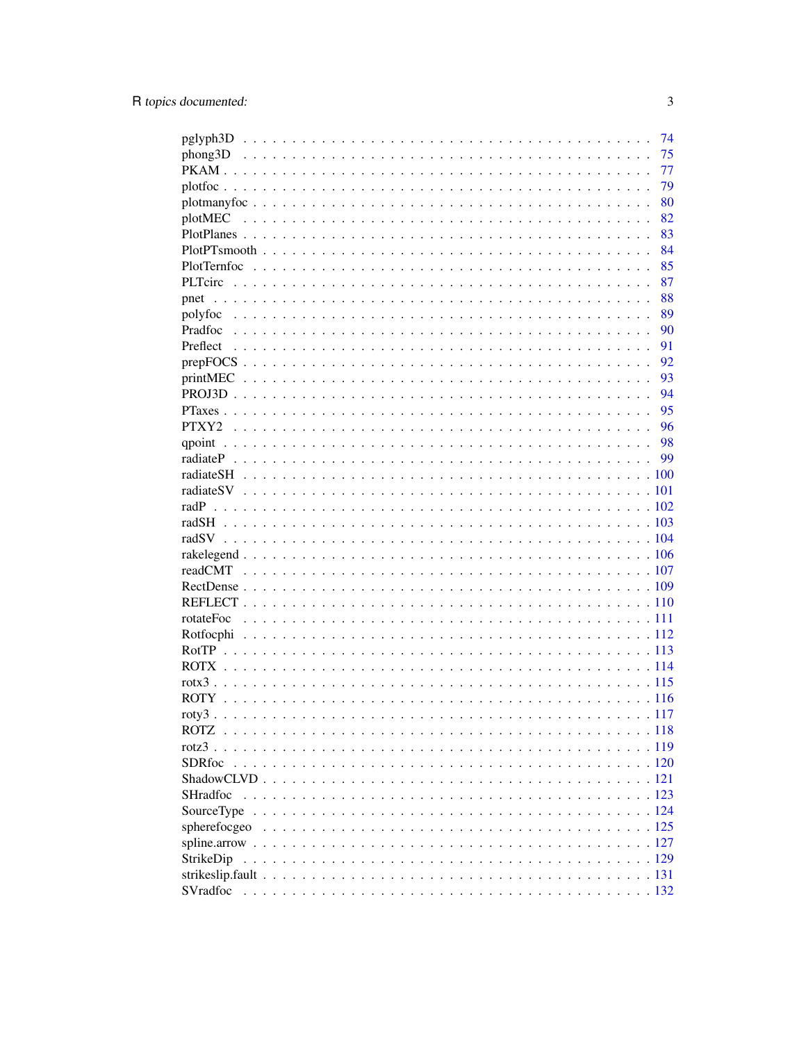|                | 74   |
|----------------|------|
|                | 75   |
|                | 77   |
|                | 79   |
|                | 80   |
|                | 82   |
|                | 83   |
|                | 84   |
|                | 85   |
| <b>PLTcirc</b> | 87   |
|                | 88   |
|                | 89   |
|                | 90   |
|                | 91   |
|                | 92   |
|                | 93   |
|                | 94   |
|                | 95   |
|                | 96   |
|                | 98   |
|                | 99   |
|                |      |
|                |      |
|                |      |
|                |      |
|                |      |
|                |      |
|                |      |
|                |      |
|                |      |
|                |      |
|                |      |
|                |      |
|                |      |
|                |      |
|                |      |
|                |      |
|                | .117 |
|                |      |
|                |      |
| <b>SDRfoc</b>  |      |
|                |      |
|                |      |
|                |      |
|                |      |
|                |      |
| StrikeDip      |      |
|                |      |
|                |      |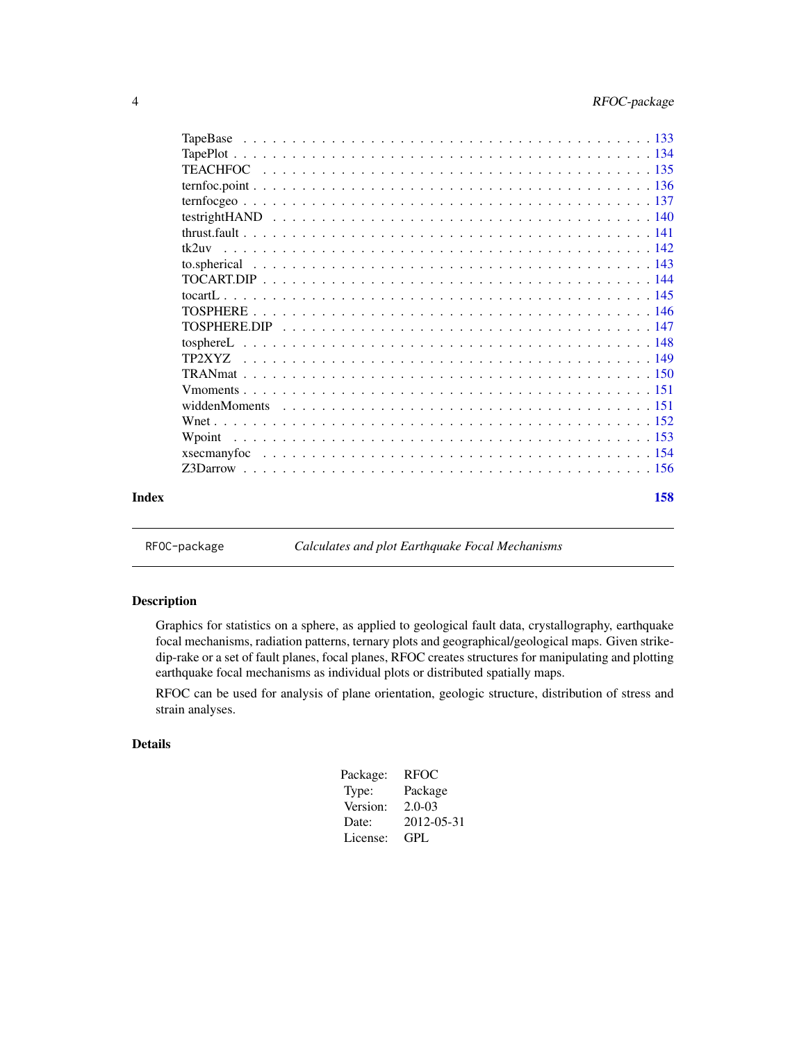<span id="page-3-0"></span>

| Index |       | 158 |
|-------|-------|-----|
|       |       |     |
|       |       |     |
|       |       |     |
|       |       |     |
|       |       |     |
|       |       |     |
|       |       |     |
|       |       |     |
|       |       |     |
|       |       |     |
|       |       |     |
|       |       |     |
|       |       |     |
|       |       |     |
|       | tk2uv |     |
|       |       |     |
|       |       |     |
|       |       |     |
|       |       |     |
|       |       |     |
|       |       |     |
|       |       |     |
|       |       |     |

RFOC-package *Calculates and plot Earthquake Focal Mechanisms*

#### Description

Graphics for statistics on a sphere, as applied to geological fault data, crystallography, earthquake focal mechanisms, radiation patterns, ternary plots and geographical/geological maps. Given strikedip-rake or a set of fault planes, focal planes, RFOC creates structures for manipulating and plotting earthquake focal mechanisms as individual plots or distributed spatially maps.

RFOC can be used for analysis of plane orientation, geologic structure, distribution of stress and strain analyses.

### Details

| Package: | <b>RFOC</b> |
|----------|-------------|
| Type:    | Package     |
| Version: | $2.0 - 0.3$ |
| Date:    | 2012-05-31  |
| License: | GPL.        |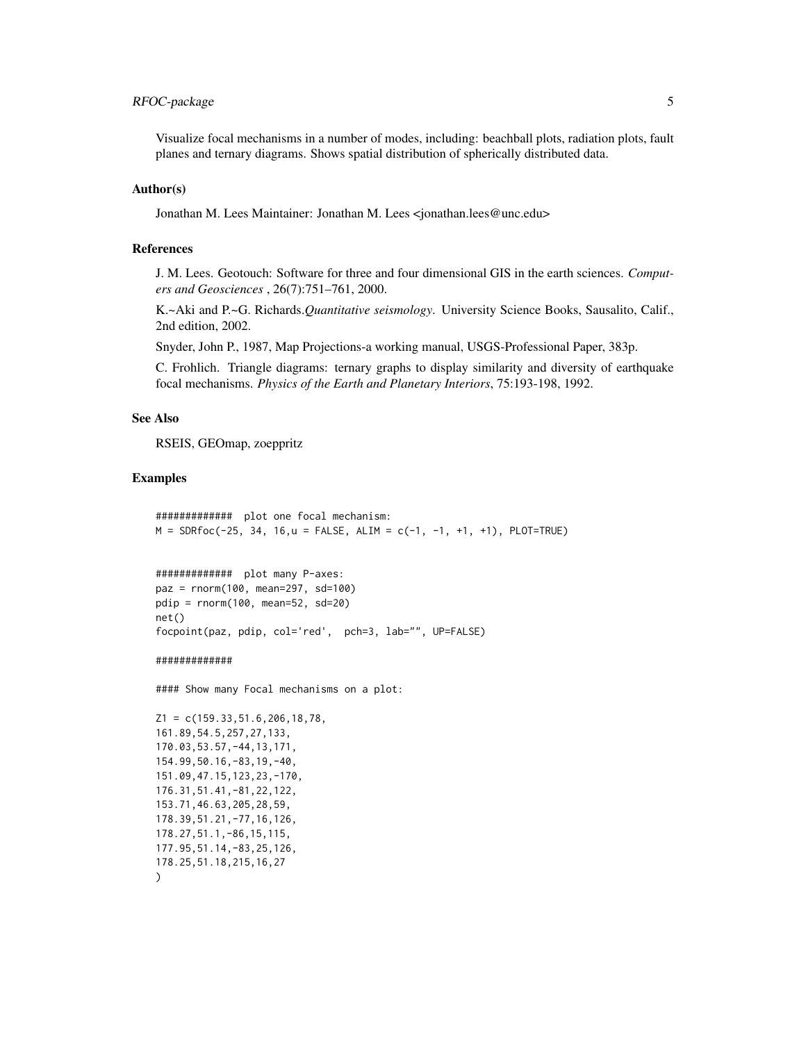### RFOC-package 5

Visualize focal mechanisms in a number of modes, including: beachball plots, radiation plots, fault planes and ternary diagrams. Shows spatial distribution of spherically distributed data.

#### Author(s)

Jonathan M. Lees Maintainer: Jonathan M. Lees <jonathan.lees@unc.edu>

#### References

J. M. Lees. Geotouch: Software for three and four dimensional GIS in the earth sciences. *Computers and Geosciences* , 26(7):751–761, 2000.

K.~Aki and P.~G. Richards.*Quantitative seismology*. University Science Books, Sausalito, Calif., 2nd edition, 2002.

Snyder, John P., 1987, Map Projections-a working manual, USGS-Professional Paper, 383p.

C. Frohlich. Triangle diagrams: ternary graphs to display similarity and diversity of earthquake focal mechanisms. *Physics of the Earth and Planetary Interiors*, 75:193-198, 1992.

#### See Also

RSEIS, GEOmap, zoeppritz

#### Examples

############# plot one focal mechanism:  $M =$  SDRfoc(-25, 34, 16,u = FALSE, ALIM = c(-1, -1, +1, +1), PLOT=TRUE)

```
############# plot many P-axes:
paz = rnorm(100, mean=297, sd=100)
pdip = rnorm(100, mean=52, sd=20)
net()
focpoint(paz, pdip, col='red', pch=3, lab="", UP=FALSE)
```
#### #############

#### Show many Focal mechanisms on a plot:

 $Z1 = c(159.33, 51.6, 206, 18, 78,$ 161.89,54.5,257,27,133, 170.03,53.57,-44,13,171, 154.99,50.16,-83,19,-40, 151.09,47.15,123,23,-170, 176.31,51.41,-81,22,122, 153.71,46.63,205,28,59, 178.39,51.21,-77,16,126, 178.27,51.1,-86,15,115, 177.95,51.14,-83,25,126, 178.25,51.18,215,16,27  $\lambda$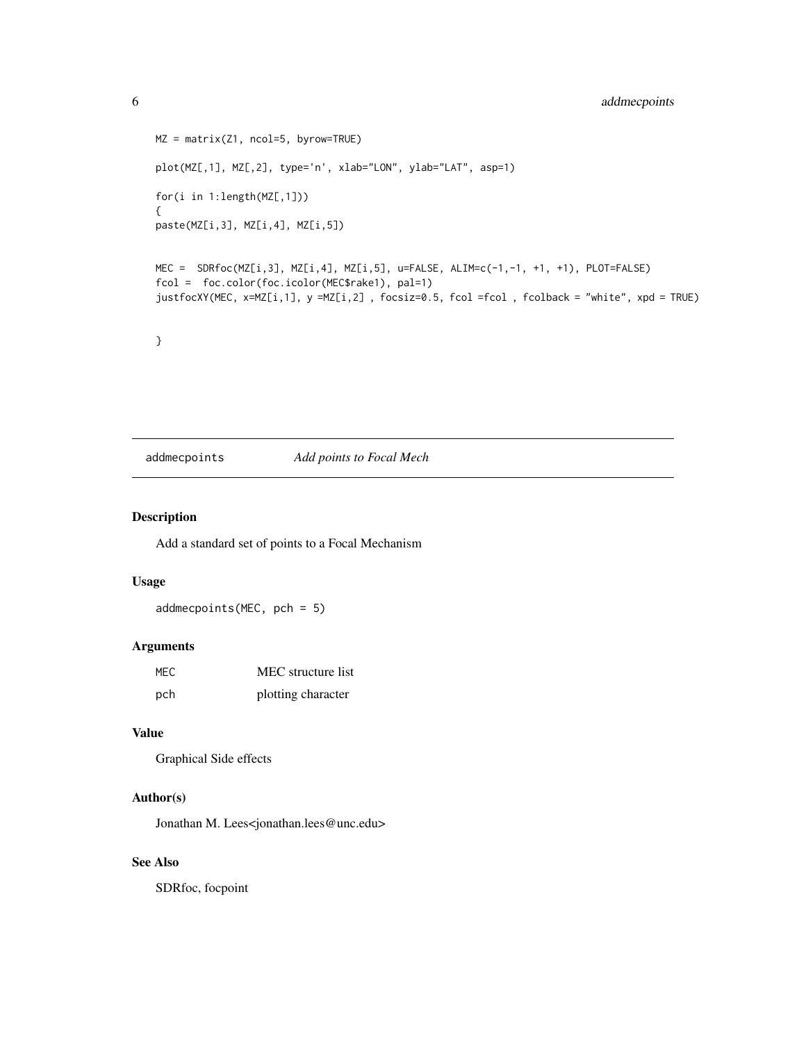```
MZ = matrix(Z1, ncol=5, byrow=TRUE)
plot(MZ[,1], MZ[,2], type='n', xlab="LON", ylab="LAT", asp=1)
for(i in 1:length(MZ[,1]))
{
paste(MZ[i,3], MZ[i,4], MZ[i,5])
MEC = SDRfoc(MZ[i,3], MZ[i,4], MZ[i,5], u=FALSE, ALIM=c(-1,-1, +1, +1), PLOT=FALSE)
fcol = foc.color(foc.icolor(MEC$rake1), pal=1)
justfocXY(MEC, x=MZ[i,1], y =MZ[i,2] , focsiz=0.5, fcol =fcol , fcolback = "white", xpd = TRUE)
}
```
addmecpoints *Add points to Focal Mech*

#### Description

Add a standard set of points to a Focal Mechanism

### Usage

addmecpoints(MEC, pch = 5)

#### Arguments

| MEC | MEC structure list |
|-----|--------------------|
| pch | plotting character |

### Value

```
Graphical Side effects
```
#### Author(s)

Jonathan M. Lees<jonathan.lees@unc.edu>

### See Also

SDRfoc, focpoint

<span id="page-5-0"></span>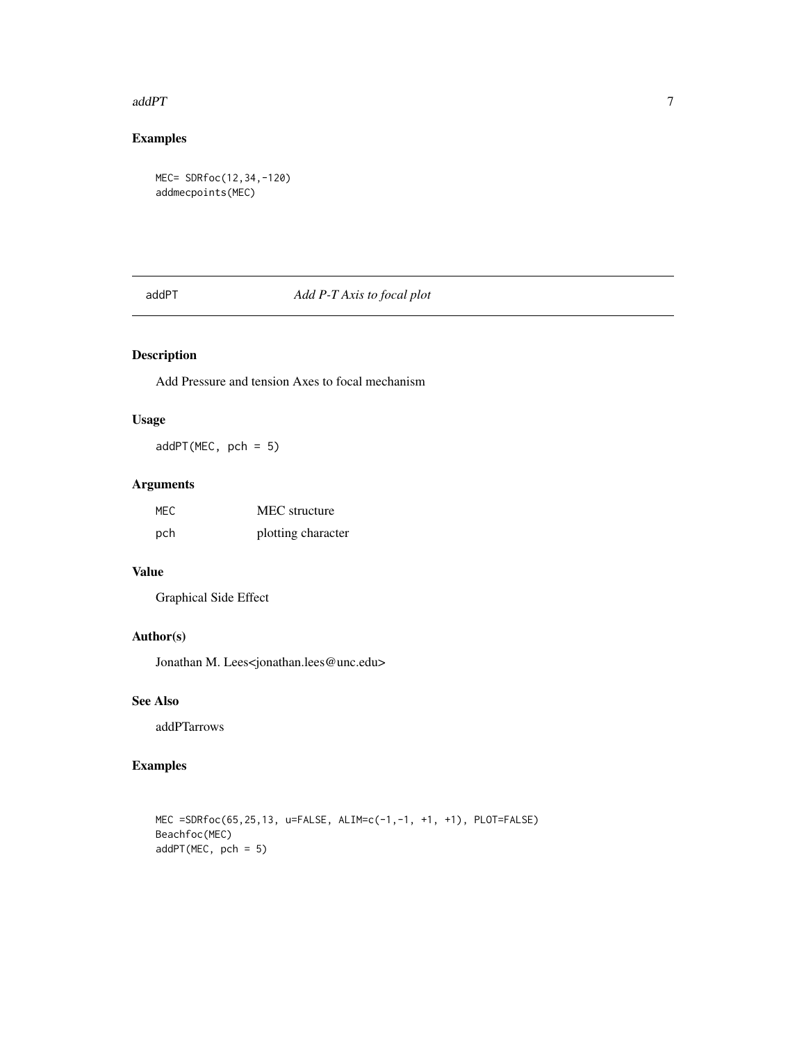#### <span id="page-6-0"></span> $a$ dd $PT$  7

### Examples

```
MEC= SDRfoc(12,34,-120)
addmecpoints(MEC)
```
### addPT *Add P-T Axis to focal plot*

### Description

Add Pressure and tension Axes to focal mechanism

### Usage

addPT(MEC, pch = 5)

### Arguments

| MEC. | MEC structure      |
|------|--------------------|
| pch  | plotting character |

### Value

Graphical Side Effect

### Author(s)

Jonathan M. Lees<jonathan.lees@unc.edu>

### See Also

addPTarrows

### Examples

MEC =SDRfoc(65,25,13, u=FALSE, ALIM=c(-1,-1, +1, +1), PLOT=FALSE) Beachfoc(MEC) addPT(MEC, pch = 5)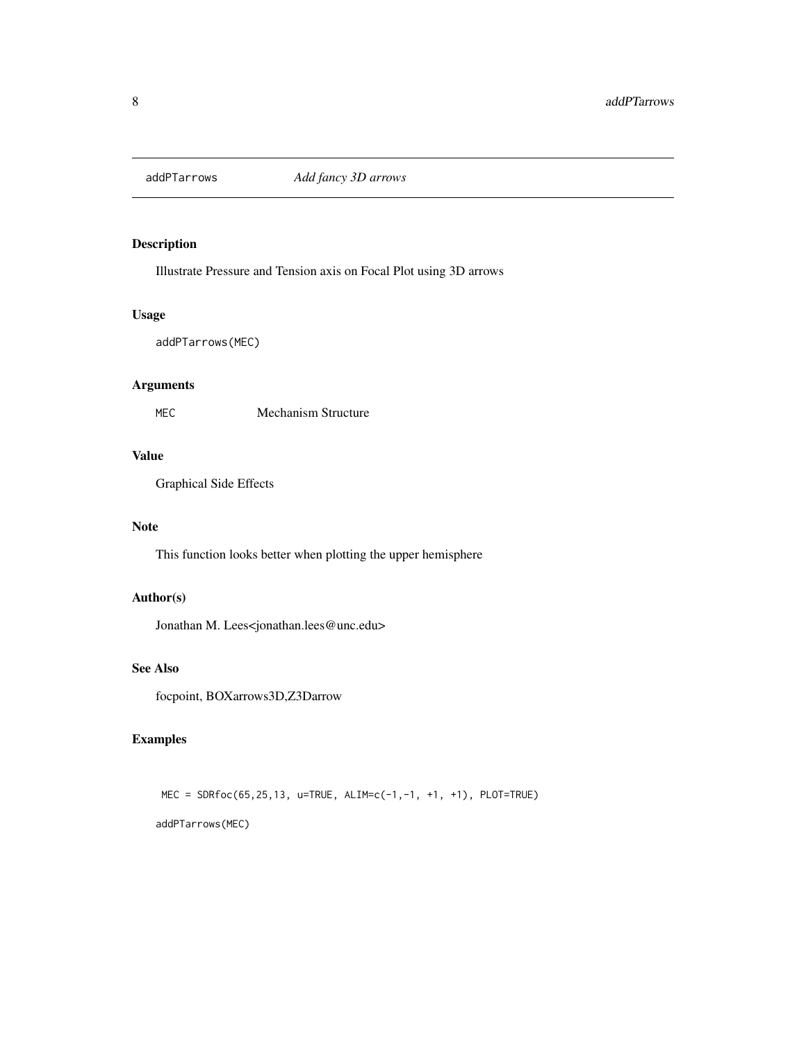<span id="page-7-0"></span>

### Description

Illustrate Pressure and Tension axis on Focal Plot using 3D arrows

#### Usage

```
addPTarrows(MEC)
```
### Arguments

MEC Mechanism Structure

### Value

Graphical Side Effects

### Note

This function looks better when plotting the upper hemisphere

### Author(s)

Jonathan M. Lees<jonathan.lees@unc.edu>

### See Also

focpoint, BOXarrows3D,Z3Darrow

### Examples

MEC = SDRfoc(65,25,13, u=TRUE, ALIM=c(-1,-1, +1, +1), PLOT=TRUE) addPTarrows(MEC)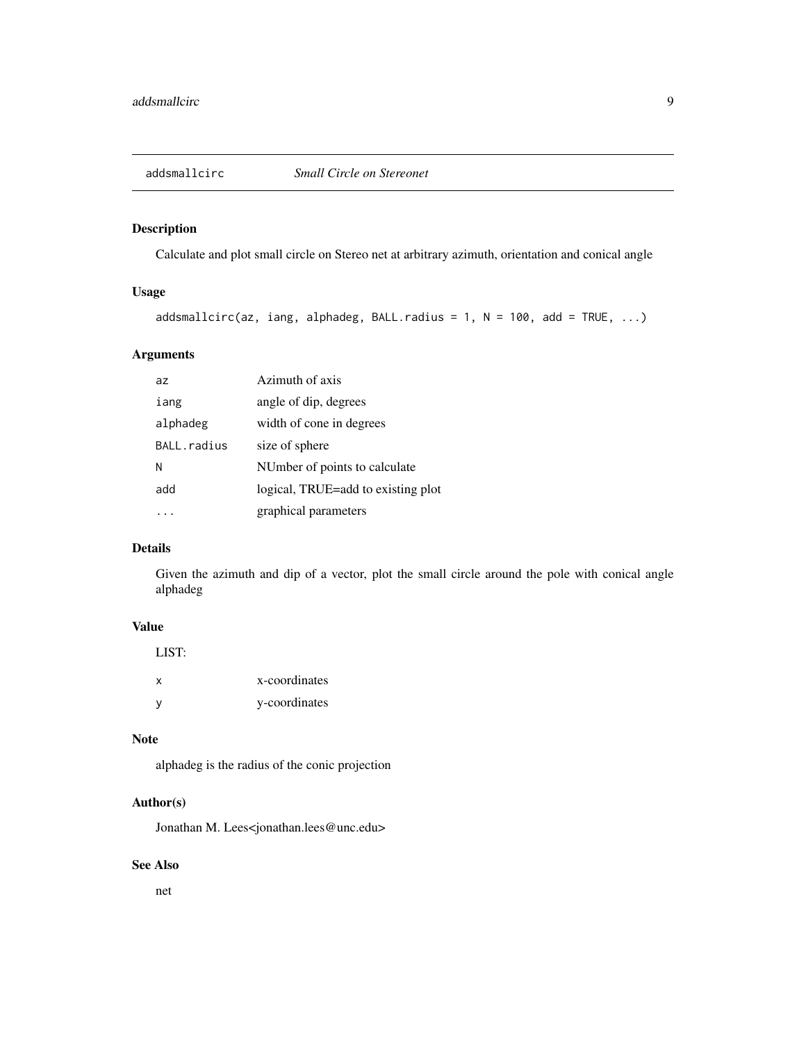### <span id="page-8-0"></span>Description

Calculate and plot small circle on Stereo net at arbitrary azimuth, orientation and conical angle

### Usage

```
addsmallcirc(az, iang, alphadeg, BALL.radius = 1, N = 100, add = TRUE, ...)
```
### Arguments

| az          | Azimuth of axis                    |
|-------------|------------------------------------|
| iang        | angle of dip, degrees              |
| alphadeg    | width of cone in degrees           |
| BALL.radius | size of sphere                     |
| N           | NUmber of points to calculate      |
| add         | logical, TRUE=add to existing plot |
|             | graphical parameters               |

#### Details

Given the azimuth and dip of a vector, plot the small circle around the pole with conical angle alphadeg

#### Value

| LIST: |               |
|-------|---------------|
| X     | x-coordinates |
| v     | y-coordinates |

### Note

alphadeg is the radius of the conic projection

### Author(s)

Jonathan M. Lees<jonathan.lees@unc.edu>

### See Also

net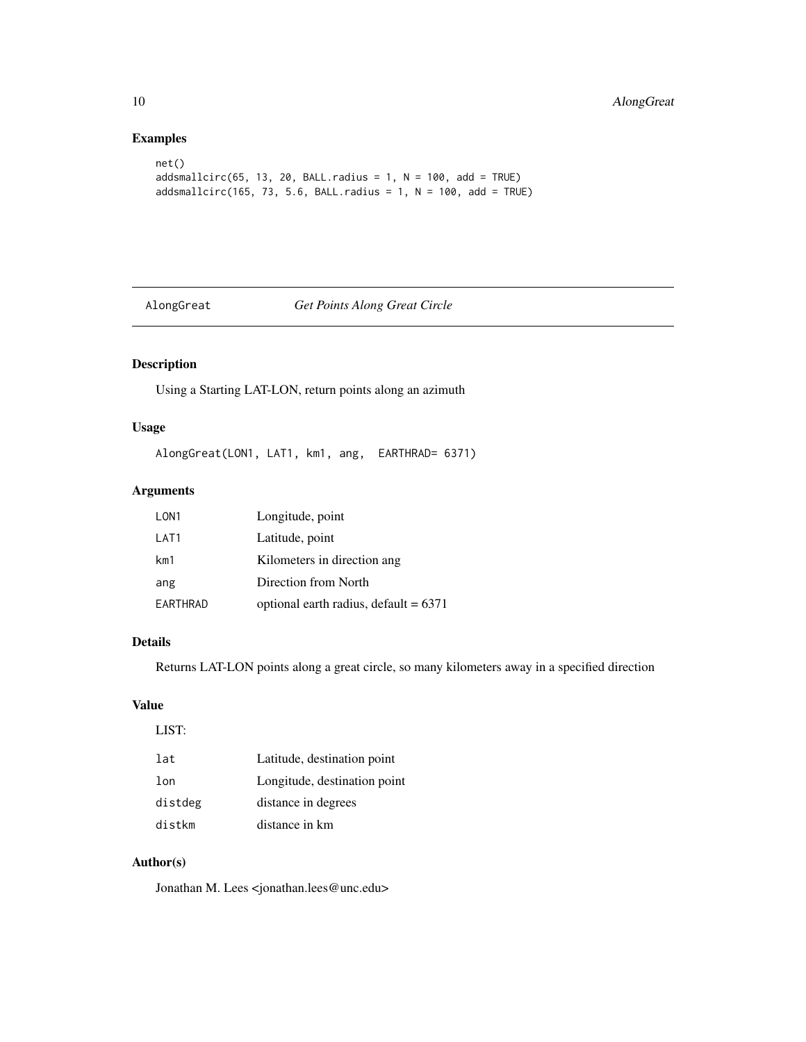### Examples

```
net()
addsmallcirc(65, 13, 20, BALL.radius = 1, N = 100, add = TRUE)addsmallcirc(165, 73, 5.6, BALL.radius = 1, N = 100, add = TRUE)
```
### AlongGreat *Get Points Along Great Circle*

### Description

Using a Starting LAT-LON, return points along an azimuth

### Usage

AlongGreat(LON1, LAT1, km1, ang, EARTHRAD= 6371)

### Arguments

| LON <sub>1</sub> | Longitude, point                        |
|------------------|-----------------------------------------|
| LAT <sub>1</sub> | Latitude, point                         |
| km1              | Kilometers in direction ang             |
| ang              | Direction from North                    |
| EARTHRAD         | optional earth radius, default $= 6371$ |
|                  |                                         |

### Details

Returns LAT-LON points along a great circle, so many kilometers away in a specified direction

### Value

LIST:

| lat             | Latitude, destination point  |
|-----------------|------------------------------|
| 1 <sub>on</sub> | Longitude, destination point |
| distdeg         | distance in degrees          |
| distkm          | distance in km               |

### Author(s)

Jonathan M. Lees <jonathan.lees@unc.edu>

<span id="page-9-0"></span>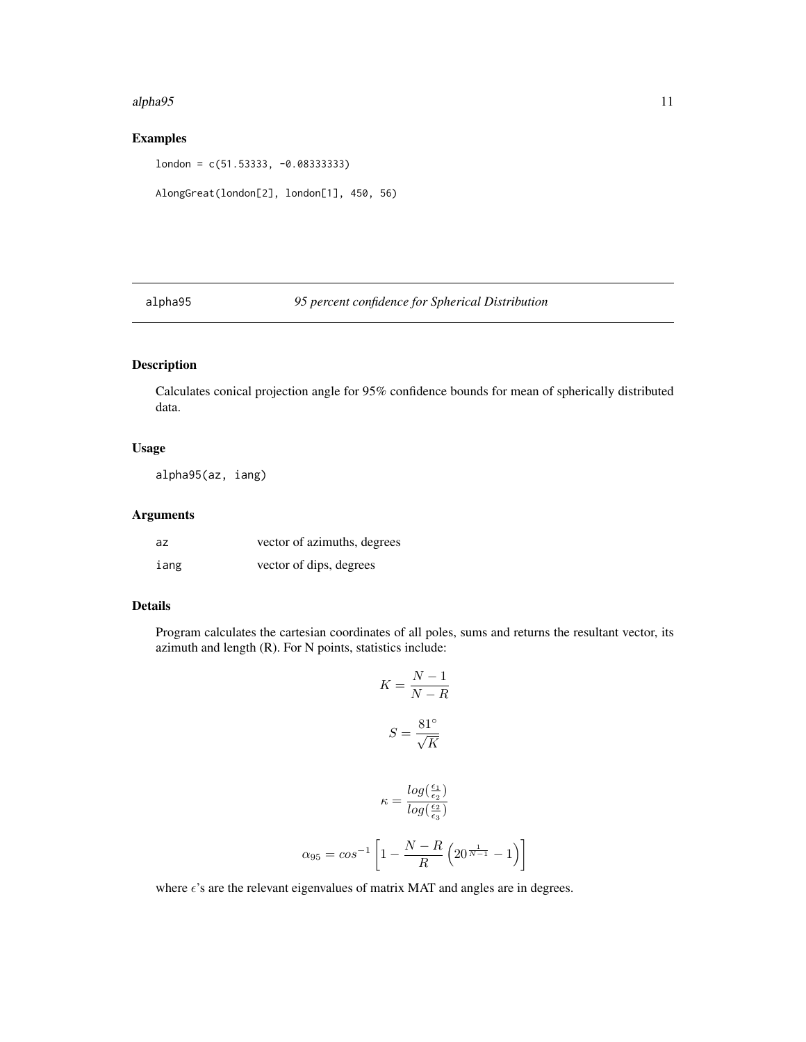#### <span id="page-10-0"></span>alpha95 11

### Examples

london = c(51.53333, -0.08333333)

```
AlongGreat(london[2], london[1], 450, 56)
```
alpha95 *95 percent confidence for Spherical Distribution*

### Description

Calculates conical projection angle for 95% confidence bounds for mean of spherically distributed data.

### Usage

alpha95(az, iang)

### Arguments

| az   | vector of azimuths, degrees |
|------|-----------------------------|
| iang | vector of dips, degrees     |

### Details

Program calculates the cartesian coordinates of all poles, sums and returns the resultant vector, its azimuth and length (R). For N points, statistics include:

$$
K = \frac{N - 1}{N - R}
$$

$$
S = \frac{81^{\circ}}{\sqrt{K}}
$$

$$
\kappa = \frac{\log(\frac{\epsilon_1}{\epsilon_2})}{\log(\frac{\epsilon_2}{\epsilon_3})}
$$

$$
\alpha_{95} = \cos^{-1}\left[1 - \frac{N - R}{R}\left(20^{\frac{1}{N - 1}} - 1\right)\right]
$$

where  $\epsilon$ 's are the relevant eigenvalues of matrix MAT and angles are in degrees.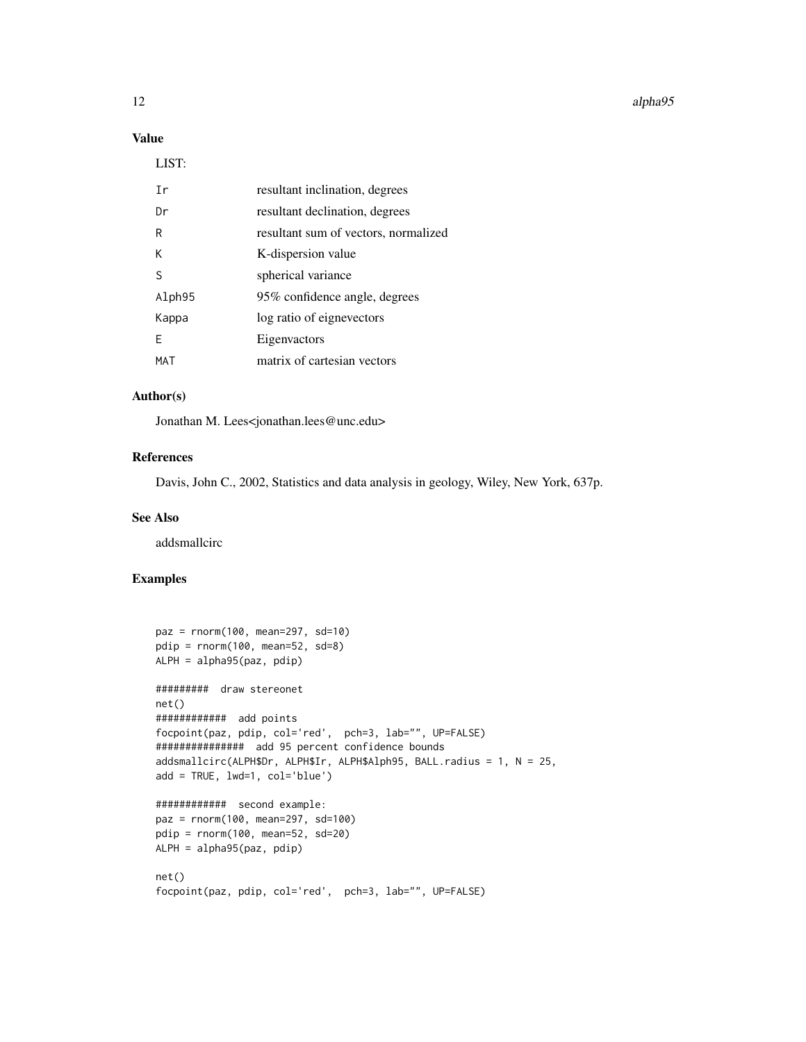#### 12 alpha95

### Value

#### LIST:

| Τr     | resultant inclination, degrees       |
|--------|--------------------------------------|
| Dr     | resultant declination, degrees       |
| R      | resultant sum of vectors, normalized |
| к      | K-dispersion value                   |
| S      | spherical variance                   |
| Alph95 | 95% confidence angle, degrees        |
| Kappa  | log ratio of eignevectors            |
| F      | Eigenvactors                         |
| MAT    | matrix of cartesian vectors          |

#### Author(s)

Jonathan M. Lees<jonathan.lees@unc.edu>

### References

Davis, John C., 2002, Statistics and data analysis in geology, Wiley, New York, 637p.

#### See Also

addsmallcirc

### Examples

```
paz = rnorm(100, mean=297, sd=10)
pdip = rnorm(100, mean=52, sd=8)
ALPH = alpha95(paz, pdip)
######### draw stereonet
net()
############ add points
focpoint(paz, pdip, col='red', pch=3, lab="", UP=FALSE)
############### add 95 percent confidence bounds
addsmallcirc(ALPH$Dr, ALPH$Ir, ALPH$Alph95, BALL.radius = 1, N = 25,
add = TRUE, lwd=1, col='blue')
############ second example:
paz = rnorm(100, mean=297, sd=100)
pdip = rnorm(100, mean=52, sd=20)
ALPH = alpha95(paz, pdip)
net()
focpoint(paz, pdip, col='red', pch=3, lab="", UP=FALSE)
```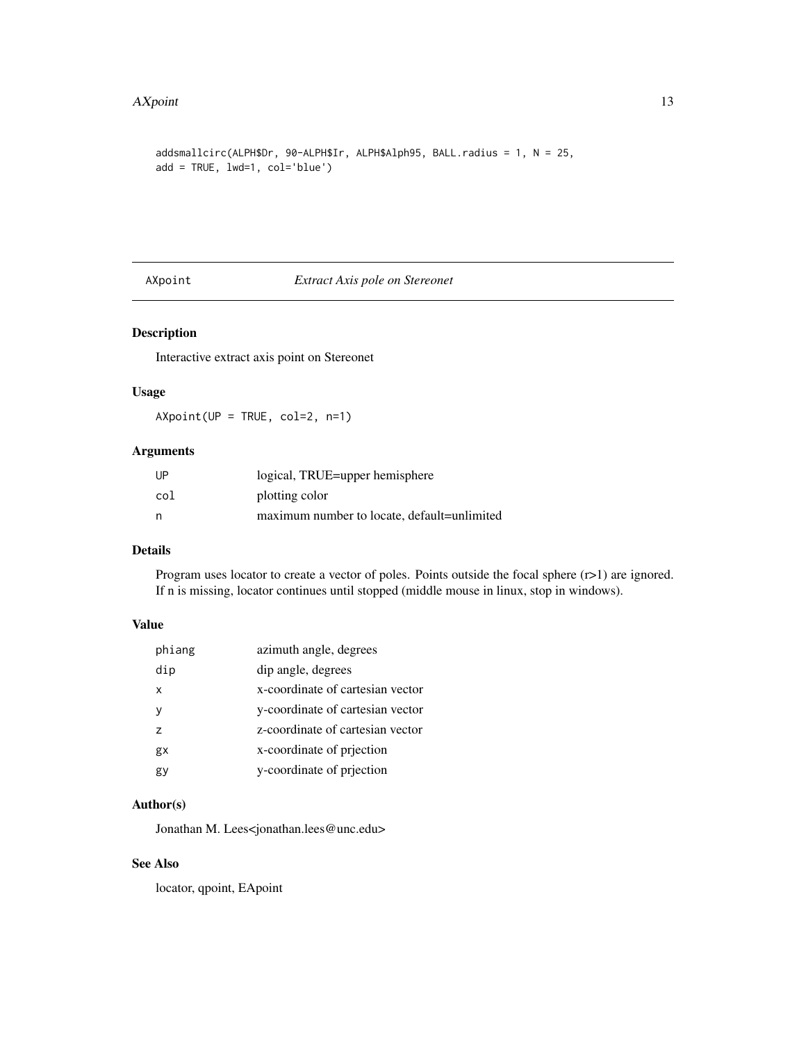#### <span id="page-12-0"></span> $\Delta X$ point  $\Delta X$

```
addsmallcirc(ALPH$Dr, 90-ALPH$Ir, ALPH$Alph95, BALL.radius = 1, N = 25,
add = TRUE, lwd=1, col='blue')
```
### AXpoint *Extract Axis pole on Stereonet*

### Description

Interactive extract axis point on Stereonet

#### Usage

AXpoint(UP = TRUE, col=2, n=1)

### Arguments

| UP  | logical, TRUE=upper hemisphere              |
|-----|---------------------------------------------|
| col | plotting color                              |
| n   | maximum number to locate, default=unlimited |

### Details

Program uses locator to create a vector of poles. Points outside the focal sphere (r>1) are ignored. If n is missing, locator continues until stopped (middle mouse in linux, stop in windows).

### Value

| phiang | azimuth angle, degrees           |
|--------|----------------------------------|
| dip    | dip angle, degrees               |
| x      | x-coordinate of cartesian vector |
| ٧      | y-coordinate of cartesian vector |
| 7      | z-coordinate of cartesian vector |
| gx     | x-coordinate of prjection        |
| gy     | y-coordinate of priection        |

### Author(s)

Jonathan M. Lees<jonathan.lees@unc.edu>

### See Also

locator, qpoint, EApoint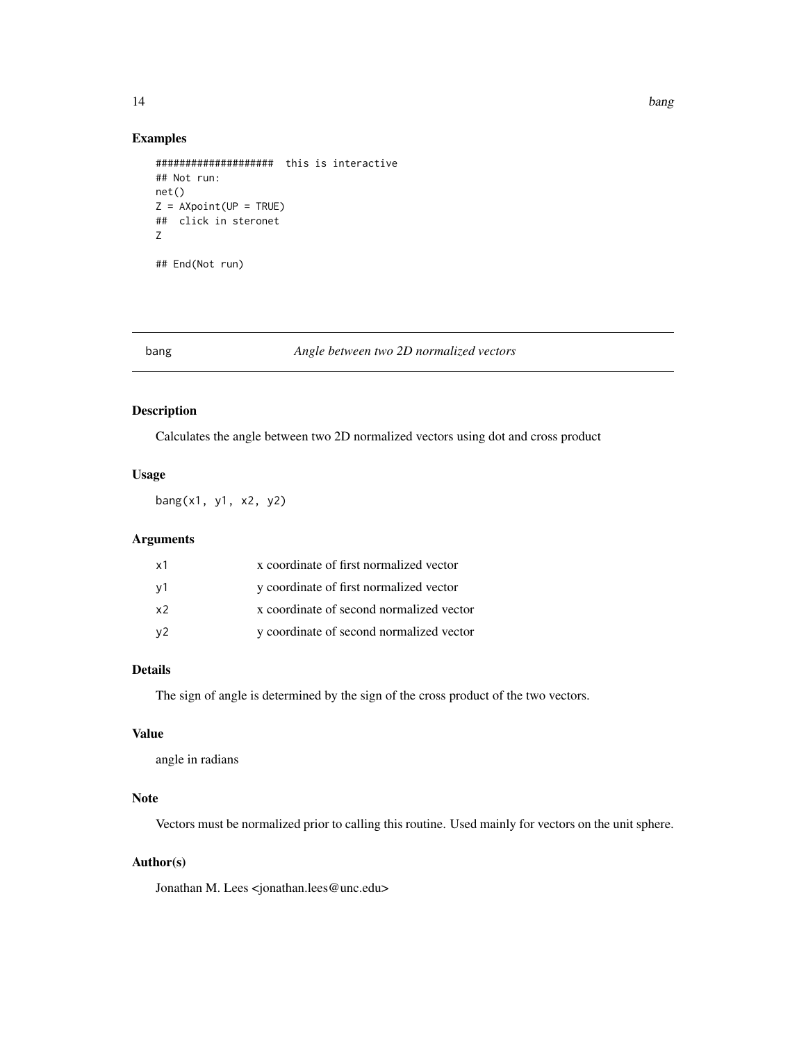#### <span id="page-13-0"></span>14 bang pandahan kalendar di kacamatan ing kabupatèn Kabupatèn Bang Pangalungan Kabupatèn Bang

#### Examples

```
#################### this is interactive
## Not run:
net()
Z = A X point (UP = TRUE)## click in steronet
Z
```
## End(Not run)

#### bang *Angle between two 2D normalized vectors*

### Description

Calculates the angle between two 2D normalized vectors using dot and cross product

### Usage

bang(x1, y1, x2, y2)

### Arguments

| х1 | x coordinate of first normalized vector  |
|----|------------------------------------------|
| ν1 | y coordinate of first normalized vector  |
| x2 | x coordinate of second normalized vector |
| ν2 | y coordinate of second normalized vector |

### Details

The sign of angle is determined by the sign of the cross product of the two vectors.

### Value

angle in radians

### Note

Vectors must be normalized prior to calling this routine. Used mainly for vectors on the unit sphere.

### Author(s)

Jonathan M. Lees <jonathan.lees@unc.edu>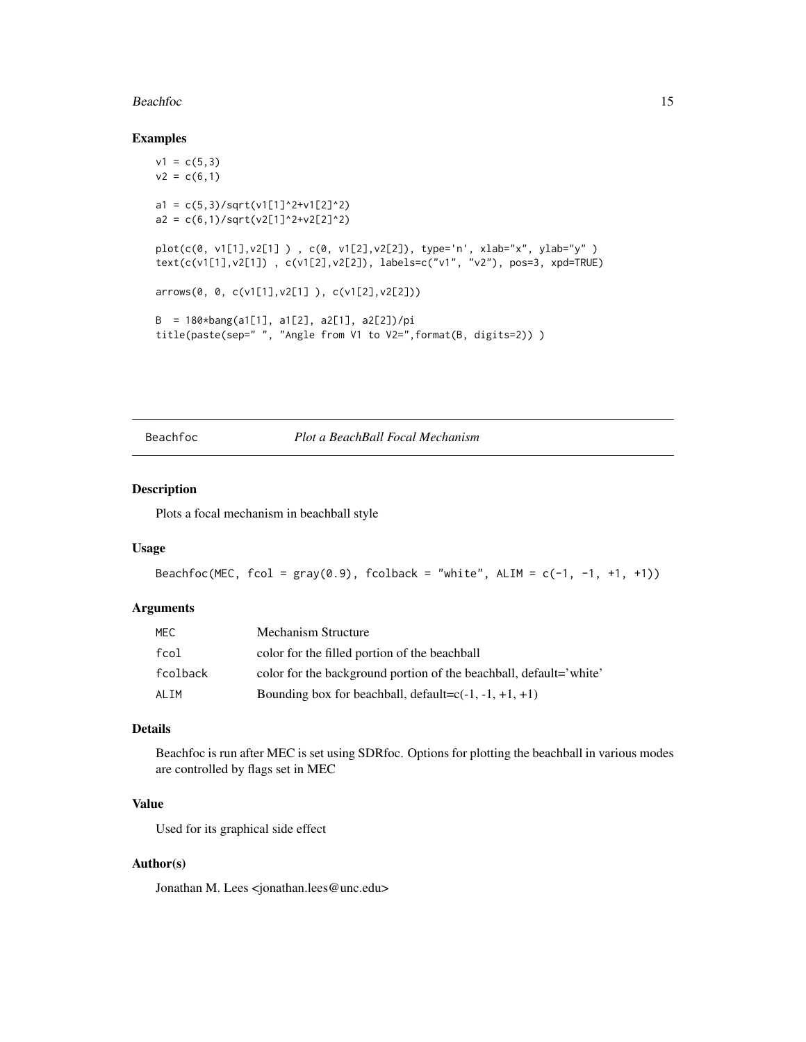#### <span id="page-14-0"></span>Beachfoc 15

#### Examples

```
v1 = c(5,3)v2 = c(6,1)a1 = c(5,3)/sqrt(v1[1]^2+v1[2]^2)a2 = c(6,1)/sqrt(v2[1]^2+v2[2]^2)plot(c(0, v1[1],v2[1] ) , c(0, v1[2],v2[2]), type='n', xlab="x", ylab="y" )
text(c(v1[1],v2[1]) , c(v1[2],v2[2]), labels=c("v1", "v2"), pos=3, xpd=TRUE)
arrows(0, 0, c(v1[1],v2[1] ), c(v1[2],v2[2]))
B = 180*bang(a1[1], a1[2], a2[1], a2[2])/pi
title(paste(sep=" ", "Angle from V1 to V2=",format(B, digits=2)) )
```
Beachfoc *Plot a BeachBall Focal Mechanism*

#### Description

Plots a focal mechanism in beachball style

#### Usage

```
Beachfoc(MEC, fcol = gray(0.9), fcolback = "white", ALIM = c(-1, -1, +1, +1))
```
### Arguments

| MEC.     | Mechanism Structure                                                |
|----------|--------------------------------------------------------------------|
| fcol     | color for the filled portion of the beachball                      |
| fcolback | color for the background portion of the beachball, default='white' |
| AI TM    | Bounding box for beachball, default= $c(-1, -1, +1, +1)$           |

#### Details

Beachfoc is run after MEC is set using SDRfoc. Options for plotting the beachball in various modes are controlled by flags set in MEC

### Value

Used for its graphical side effect

#### Author(s)

Jonathan M. Lees <jonathan.lees@unc.edu>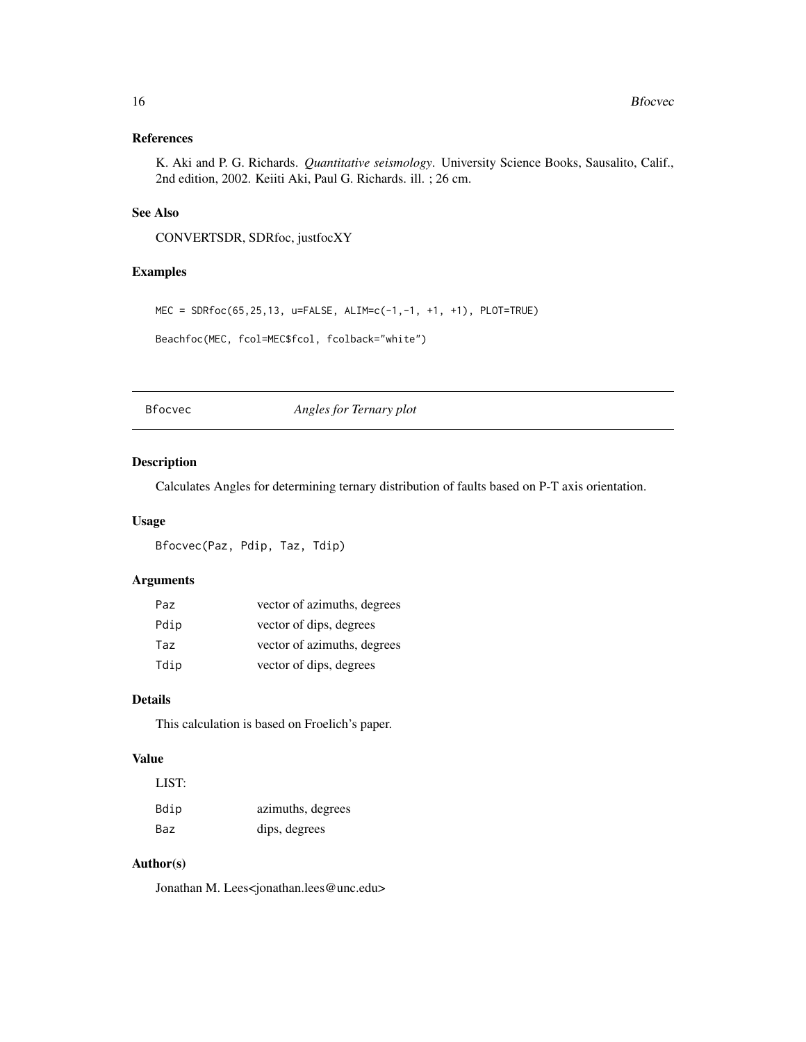### <span id="page-15-0"></span>References

K. Aki and P. G. Richards. *Quantitative seismology*. University Science Books, Sausalito, Calif., 2nd edition, 2002. Keiiti Aki, Paul G. Richards. ill. ; 26 cm.

### See Also

CONVERTSDR, SDRfoc, justfocXY

### Examples

MEC = SDRfoc(65,25,13, u=FALSE, ALIM=c(-1,-1, +1, +1), PLOT=TRUE)

Beachfoc(MEC, fcol=MEC\$fcol, fcolback="white")

Bfocvec *Angles for Ternary plot*

### Description

Calculates Angles for determining ternary distribution of faults based on P-T axis orientation.

### Usage

Bfocvec(Paz, Pdip, Taz, Tdip)

### Arguments

| Paz. | vector of azimuths, degrees |
|------|-----------------------------|
| Pdip | vector of dips, degrees     |
| Taz  | vector of azimuths, degrees |
| Tdip | vector of dips, degrees     |

### Details

This calculation is based on Froelich's paper.

### Value

L<sub>IOT</sub>

| LIO I : |                   |
|---------|-------------------|
| Bdip    | azimuths, degrees |
| Baz     | dips, degrees     |

### Author(s)

Jonathan M. Lees<jonathan.lees@unc.edu>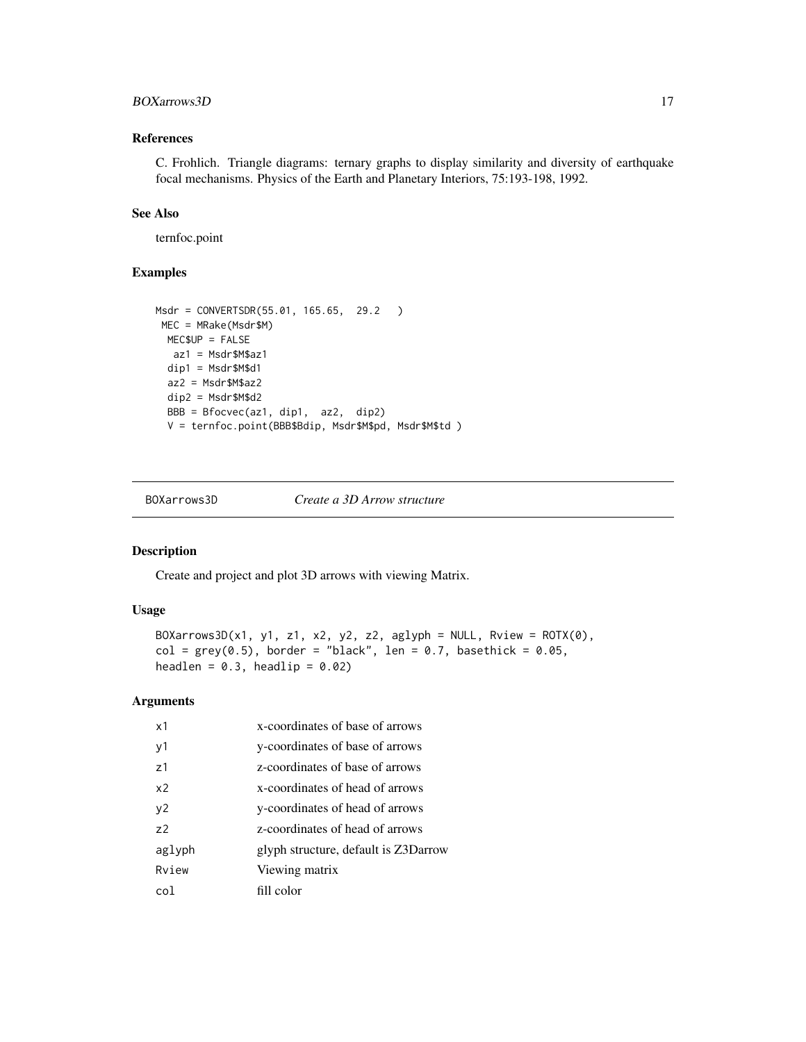### <span id="page-16-0"></span>BOXarrows3D 17

### References

C. Frohlich. Triangle diagrams: ternary graphs to display similarity and diversity of earthquake focal mechanisms. Physics of the Earth and Planetary Interiors, 75:193-198, 1992.

### See Also

ternfoc.point

### Examples

```
Msdr = CONVERTSDR(55.01, 165.65, 29.2 )
MEC = MRake(Msdr$M)
 MEC$UP = FALSE
  az1 = Msdr$M$az1
 dip1 = Msdr$M$d1
 az2 = Msdr$M$az2
 dip2 = Msdr$M$d2
 BBB = Bfocvec(az1, dip1, az2, dip2)
 V = ternfoc.point(BBB$Bdip, Msdr$M$pd, Msdr$M$td )
```
BOXarrows3D *Create a 3D Arrow structure*

### Description

Create and project and plot 3D arrows with viewing Matrix.

### Usage

```
BOXarrows3D(x1, y1, z1, x2, y2, z2, aglyph = NULL, Rview = ROTX(0),
col = grey(0.5), border = "black", len = 0.7, basethick = 0.05,
headlen = 0.3, headlip = 0.02)
```
### Arguments

| x1             | x-coordinates of base of arrows      |
|----------------|--------------------------------------|
| y1             | y-coordinates of base of arrows      |
| 71             | z-coordinates of base of arrows      |
| x <sub>2</sub> | x-coordinates of head of arrows      |
| y2             | y-coordinates of head of arrows      |
| 72             | z-coordinates of head of arrows      |
| aglyph         | glyph structure, default is Z3Darrow |
| Rview          | Viewing matrix                       |
| col            | fill color                           |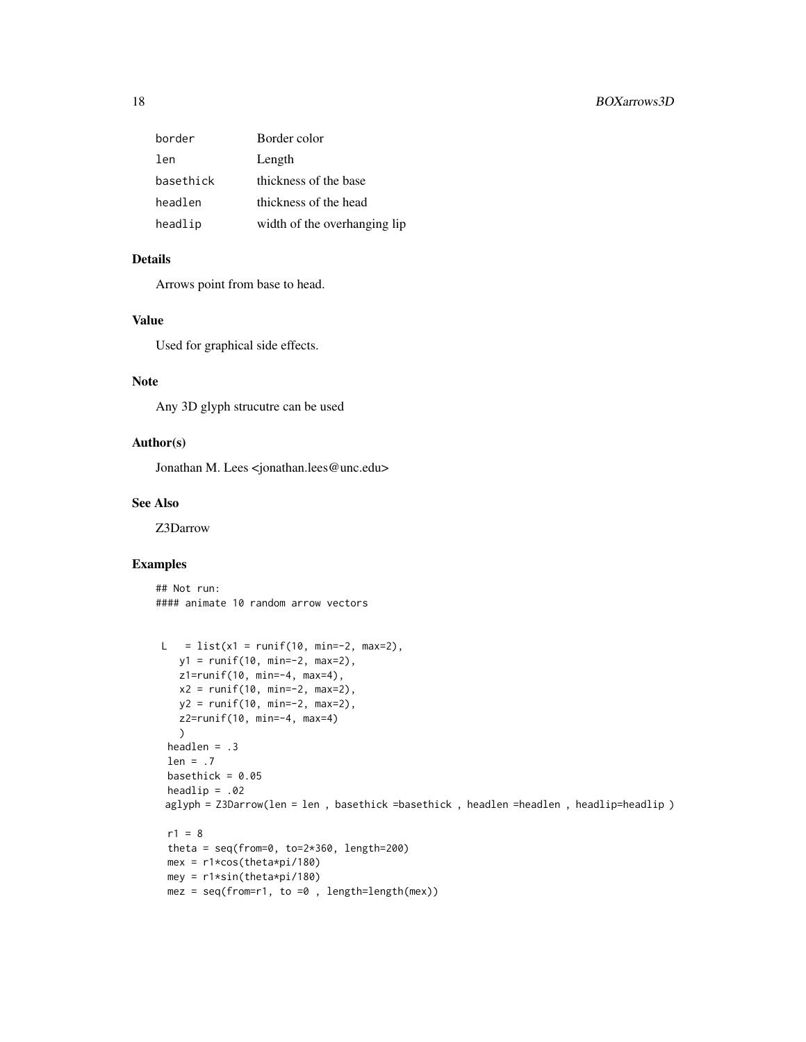| Border color                 |
|------------------------------|
| Length                       |
| thickness of the base        |
| thickness of the head        |
| width of the overhanging lip |
|                              |

### Details

Arrows point from base to head.

### Value

Used for graphical side effects.

#### Note

Any 3D glyph strucutre can be used

### Author(s)

Jonathan M. Lees <jonathan.lees@unc.edu>

#### See Also

Z3Darrow

### Examples

## Not run: #### animate 10 random arrow vectors

```
L = list(x1 = runif(10, min=-2, max=2),y1 = runif(10, min=-2, max=2),
  z1=runif(10, min=-4, max=4),
  x2 = runif(10, min=-2, max=2),
  y2 = runif(10, min=-2, max=2),
  z2=runif(10, min=-4, max=4)
  )
 headlen = .3
 len = .7
 basethick = 0.05headlip = .02
aglyph = Z3Darrow(len = len , basethick =basethick , headlen =headlen , headlip=headlip )
 r1 = 8theta = seq(from=0, to=2*360, length=200)
 mex = r1*cos(theta*pi/180)
 mey = r1*sin(theta*pi/180)
 mez = seq(from=r1, to =0, length=length(mex))
```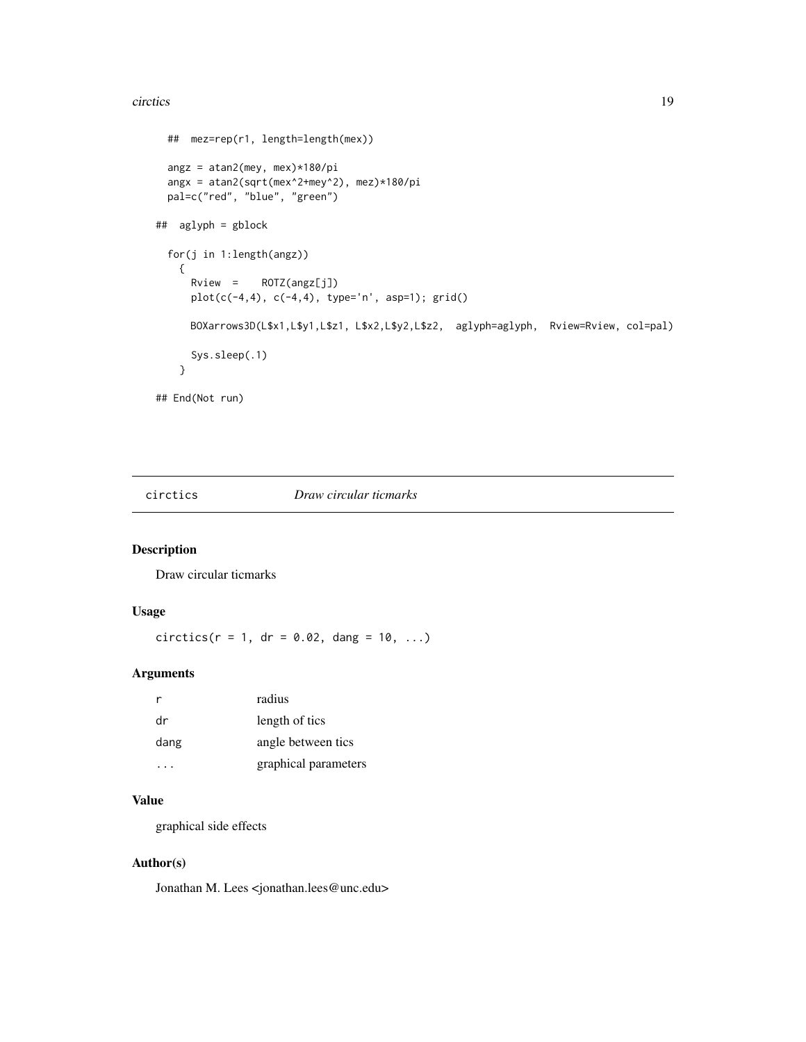#### <span id="page-18-0"></span>circtics and the control of the control of the control of the control of the control of the control of the control of the control of the control of the control of the control of the control of the control of the control of

```
## mez=rep(r1, length=length(mex))
 angz = atan2(mey, mex)*180/pi
 angx = atan2(sqrt(mex^2+mey^2), mez)*180/pi
 pal=c("red", "blue", "green")
## aglyph = gblock
 for(j in 1:length(angz))
   {
     Rview = ROTZ(angz[j])
     plot(c(-4, 4), c(-4, 4), type='n', asp=1); grid()BOXarrows3D(L$x1,L$y1,L$z1, L$x2,L$y2,L$z2, aglyph=aglyph, Rview=Rview, col=pal)
     Sys.sleep(.1)
   }
## End(Not run)
```
circtics *Draw circular ticmarks*

### Description

Draw circular ticmarks

### Usage

 $circ tics(r = 1, dr = 0.02, dang = 10, ...)$ 

### Arguments

| r    | radius               |
|------|----------------------|
| dr   | length of tics       |
| dang | angle between tics   |
|      | graphical parameters |

### Value

graphical side effects

### Author(s)

Jonathan M. Lees <jonathan.lees@unc.edu>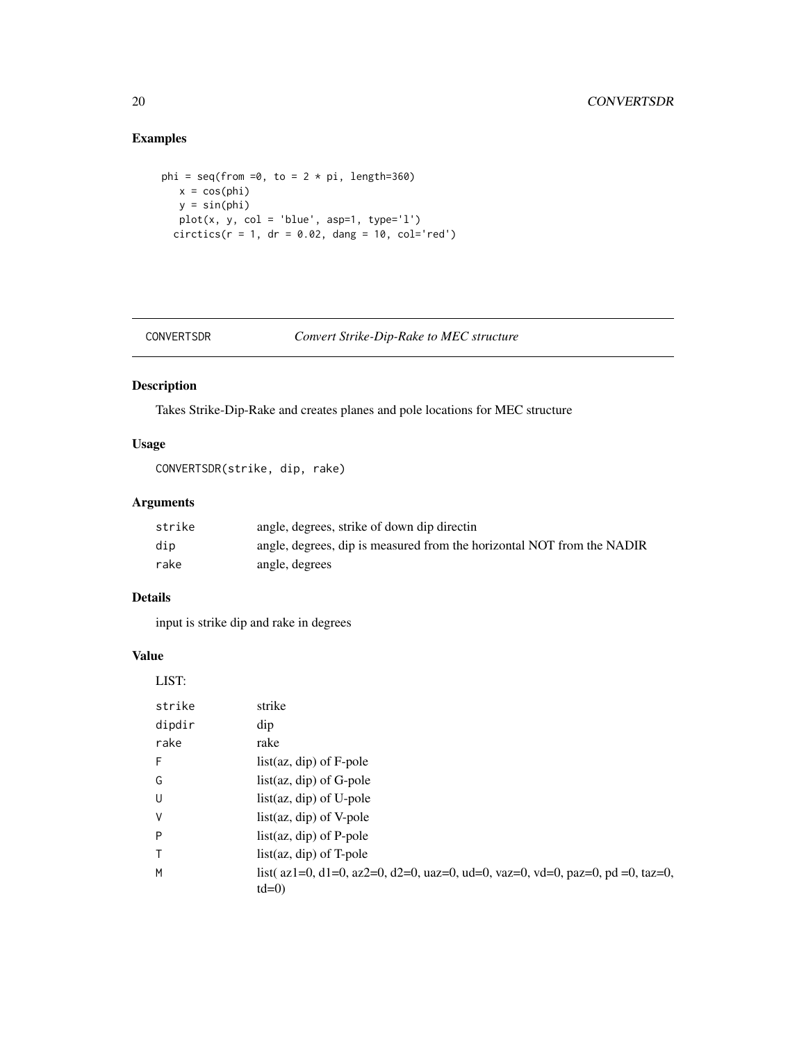### Examples

```
phi = seq(from =0, to = 2 * pi, length=360)
  x = cos(\pi h i)y = sin(phi)
  plot(x, y, col = 'blue', asp=1, type='l')circics(r = 1, dr = 0.02, dang = 10, col='red')
```

```
CONVERTSDR Convert Strike-Dip-Rake to MEC structure
```
#### Description

Takes Strike-Dip-Rake and creates planes and pole locations for MEC structure

### Usage

CONVERTSDR(strike, dip, rake)

### Arguments

| strike | angle, degrees, strike of down dip directin                            |
|--------|------------------------------------------------------------------------|
| dip    | angle, degrees, dip is measured from the horizontal NOT from the NADIR |
| rake   | angle, degrees                                                         |

### Details

input is strike dip and rake in degrees

#### Value

LIST:

| strike       | strike                                                                                                                   |
|--------------|--------------------------------------------------------------------------------------------------------------------------|
| dipdir       | dip                                                                                                                      |
| rake         | rake                                                                                                                     |
| F            | $list(az, dip)$ of F-pole                                                                                                |
| G            | $list(az, dip)$ of G-pole                                                                                                |
| U            | $list(az, dip)$ of U-pole                                                                                                |
| V            | $list(az, dip)$ of V-pole                                                                                                |
| P            | $list(az, dip)$ of P-pole                                                                                                |
| $\mathsf{T}$ | $list(az, dip)$ of T-pole                                                                                                |
| M            | list( $az1=0$ , $d1=0$ , $az2=0$ , $d2=0$ , $uaz=0$ , $ud=0$ , $vaz=0$ , $vd=0$ , $paz=0$ , $pd=0$ , $taz=0$ ,<br>$td=0$ |

<span id="page-19-0"></span>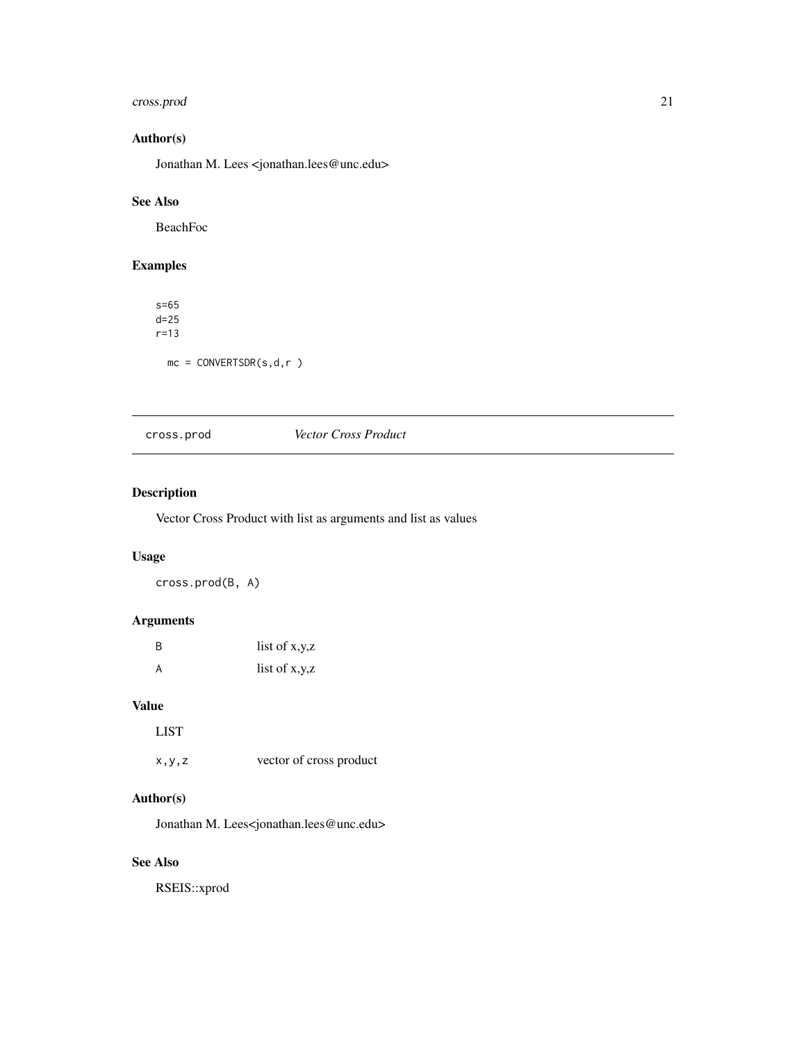### <span id="page-20-0"></span>cross.prod 21

### Author(s)

Jonathan M. Lees <jonathan.lees@unc.edu>

### See Also

BeachFoc

### Examples

s=65 d=25 r=13  $mc = CONVERTSDR(s, d, r)$ 

### cross.prod *Vector Cross Product*

### Description

Vector Cross Product with list as arguments and list as values

### Usage

cross.prod(B, A)

### Arguments

| B | list of $x,y,z$ |
|---|-----------------|
| A | list of $x,y,z$ |

### Value

LIST

x,y,z vector of cross product

### Author(s)

Jonathan M. Lees<jonathan.lees@unc.edu>

### See Also

RSEIS::xprod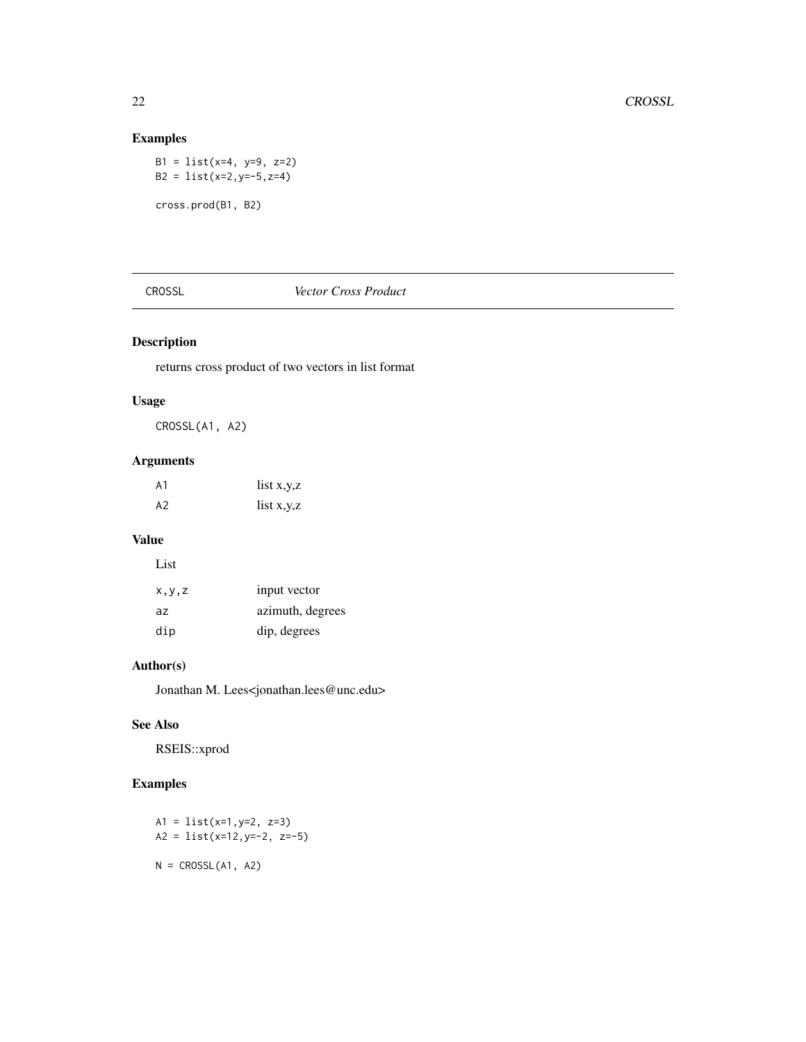### Examples

B1 = list(x=4, y=9, z=2) B2 = list(x=2,y=-5,z=4) cross.prod(B1, B2)

### CROSSL *Vector Cross Product*

### Description

returns cross product of two vectors in list format

### Usage

CROSSL(A1, A2)

### Arguments

| A1 | list $x,y,z$ |
|----|--------------|
| A2 | list $x,y,z$ |

### Value

| List    |                  |
|---------|------------------|
| x, y, z | input vector     |
| az      | azimuth, degrees |
| dip     | dip, degrees     |

### Author(s)

Jonathan M. Lees<jonathan.lees@unc.edu>

### See Also

RSEIS::xprod

### Examples

```
A1 = list(x=1,y=2, z=3)
A2 = list(x=12,y=-2, z=-5)
N = CROSSL(A1, A2)
```
<span id="page-21-0"></span>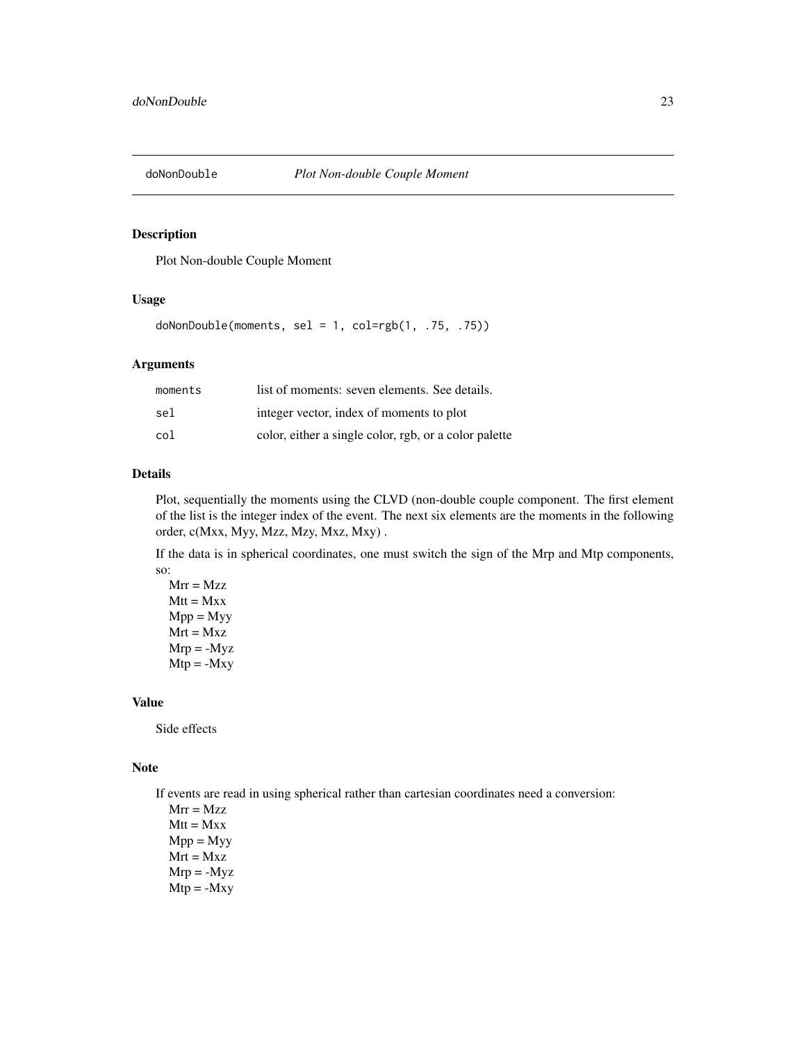<span id="page-22-0"></span>

### Description

Plot Non-double Couple Moment

#### Usage

doNonDouble(moments, sel = 1, col=rgb(1, .75, .75))

#### Arguments

| moments | list of moments: seven elements. See details.         |
|---------|-------------------------------------------------------|
| sel     | integer vector, index of moments to plot              |
| col     | color, either a single color, rgb, or a color palette |

### Details

Plot, sequentially the moments using the CLVD (non-double couple component. The first element of the list is the integer index of the event. The next six elements are the moments in the following order, c(Mxx, Myy, Mzz, Mzy, Mxz, Mxy) .

If the data is in spherical coordinates, one must switch the sign of the Mrp and Mtp components, so:

 $Mrr = Mzz$  $Mtt = Mxx$  $Mpp = Myy$  $Mrt = Mxz$  $Mrp = -Myz$  $Mtp = -Mxy$ 

### Value

Side effects

#### Note

If events are read in using spherical rather than cartesian coordinates need a conversion:

 $Mrr = Mzz$  $Mtt = Mxx$  $Mpp = Myy$  $Mrt = Mxz$  $Mrp = -Myz$  $Mtp = -Mxy$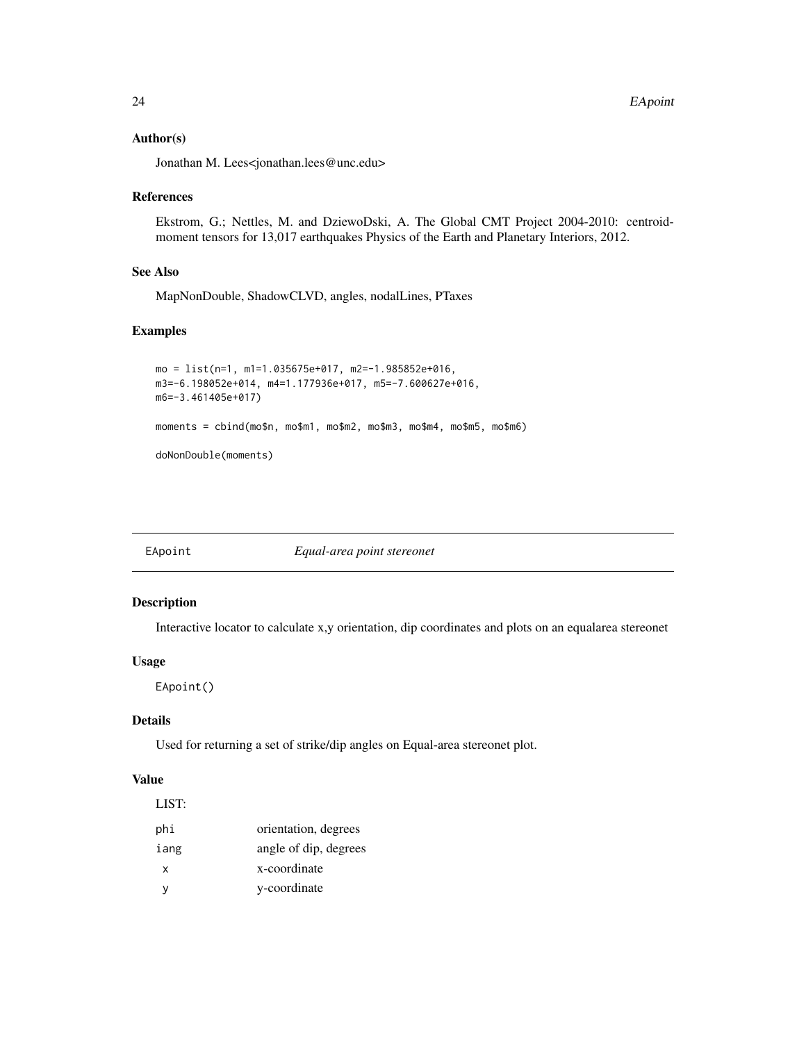#### <span id="page-23-0"></span>Author(s)

Jonathan M. Lees<jonathan.lees@unc.edu>

#### References

Ekstrom, G.; Nettles, M. and DziewoDski, A. The Global CMT Project 2004-2010: centroidmoment tensors for 13,017 earthquakes Physics of the Earth and Planetary Interiors, 2012.

#### See Also

MapNonDouble, ShadowCLVD, angles, nodalLines, PTaxes

### Examples

```
mo = list(n=1, m1=1.035675e+017, m2=-1.985852e+016,
m3=-6.198052e+014, m4=1.177936e+017, m5=-7.600627e+016,
m6=-3.461405e+017)
moments = cbind(mo$n, mo$m1, mo$m2, mo$m3, mo$m4, mo$m5, mo$m6)
doNonDouble(moments)
```
EApoint *Equal-area point stereonet*

### Description

Interactive locator to calculate x,y orientation, dip coordinates and plots on an equalarea stereonet

#### Usage

EApoint()

### Details

Used for returning a set of strike/dip angles on Equal-area stereonet plot.

### Value

| LIST: |                       |
|-------|-----------------------|
| phi   | orientation, degrees  |
| iang  | angle of dip, degrees |
| x     | x-coordinate          |
| ν     | y-coordinate          |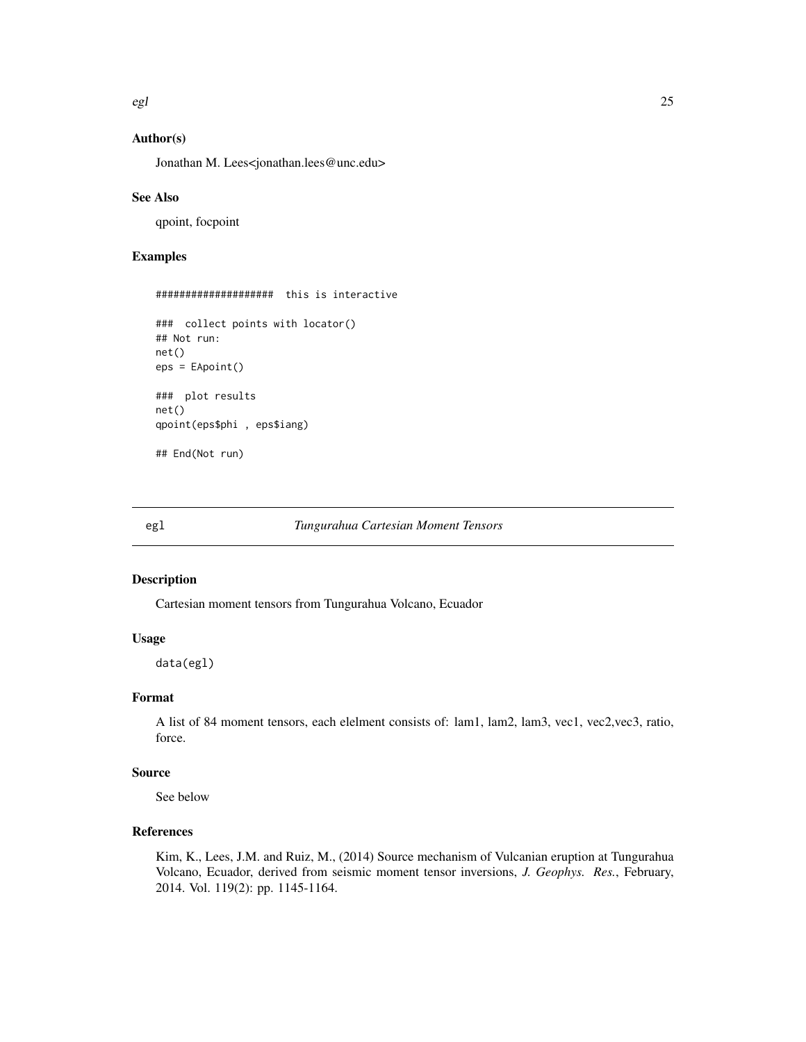<span id="page-24-0"></span>egl 25

### Author(s)

Jonathan M. Lees<jonathan.lees@unc.edu>

#### See Also

qpoint, focpoint

### Examples

```
#################### this is interactive
### collect points with locator()
## Not run:
net()
eps = EApoint()
### plot results
net()
qpoint(eps$phi , eps$iang)
## End(Not run)
```
egl *Tungurahua Cartesian Moment Tensors*

### Description

Cartesian moment tensors from Tungurahua Volcano, Ecuador

#### Usage

data(egl)

#### Format

A list of 84 moment tensors, each elelment consists of: lam1, lam2, lam3, vec1, vec2,vec3, ratio, force.

### Source

See below

### References

Kim, K., Lees, J.M. and Ruiz, M., (2014) Source mechanism of Vulcanian eruption at Tungurahua Volcano, Ecuador, derived from seismic moment tensor inversions, *J. Geophys. Res.*, February, 2014. Vol. 119(2): pp. 1145-1164.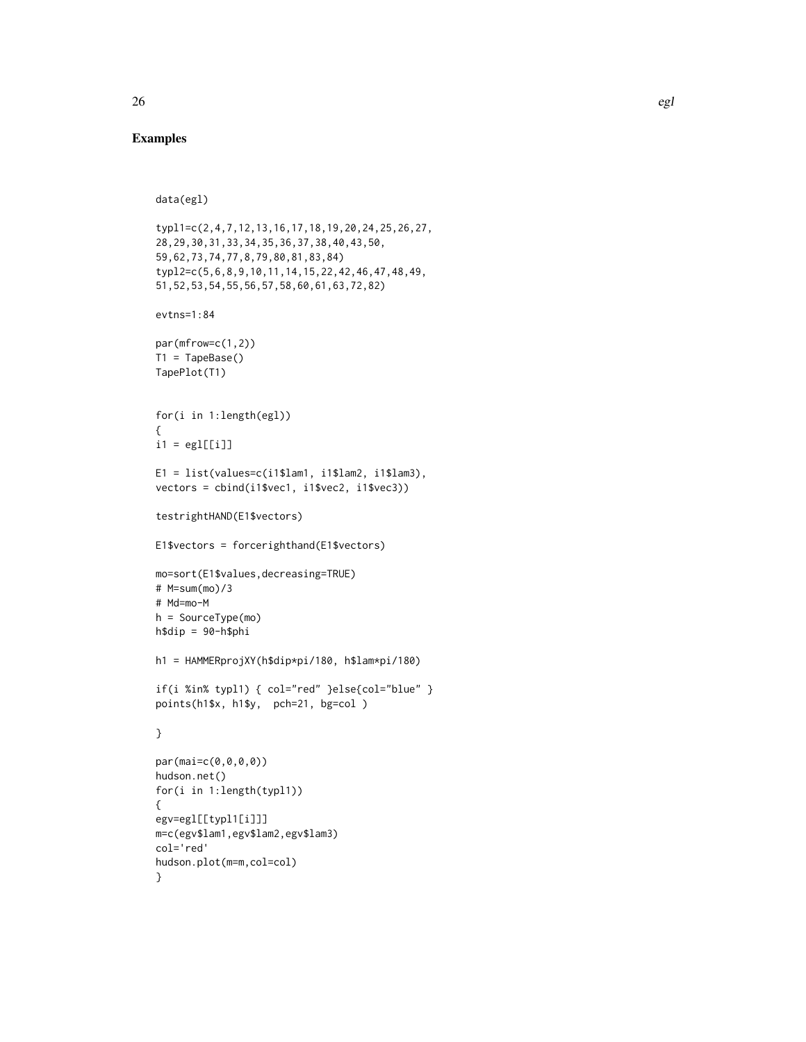### Examples

```
data(egl)
typl1=c(2,4,7,12,13,16,17,18,19,20,24,25,26,27,
28,29,30,31,33,34,35,36,37,38,40,43,50,
59,62,73,74,77,8,79,80,81,83,84)
typl2=c(5,6,8,9,10,11,14,15,22,42,46,47,48,49,
51,52,53,54,55,56,57,58,60,61,63,72,82)
```
evtns=1:84

```
par(mfrow=c(1,2))
T1 = TapeBase()TapePlot(T1)
```

```
for(i in 1:length(egl))
{
i1 = \text{eg}1[[i]]
```

```
E1 = list(values=c(i1$lam1, i1$lam2, i1$lam3),
vectors = cbind(i1$vec1, i1$vec2, i1$vec3))
```

```
testrightHAND(E1$vectors)
```

```
E1$vectors = forcerighthand(E1$vectors)
```

```
mo=sort(E1$values,decreasing=TRUE)
# M=sum(mo)/3
# Md=mo-M
h = SourceType(mo)
```

```
h$dip = 90-h$phi
```
h1 = HAMMERprojXY(h\$dip\*pi/180, h\$lam\*pi/180)

```
if(i %in% typl1) { col="red" }else{col="blue" }
points(h1$x, h1$y, pch=21, bg=col )
```
#### }

```
par(mai=c(0,0,0,0))
hudson.net()
for(i in 1:length(typl1))
{
egv=egl[[typl1[i]]]
m=c(egv$lam1,egv$lam2,egv$lam3)
col='red'
hudson.plot(m=m,col=col)
}
```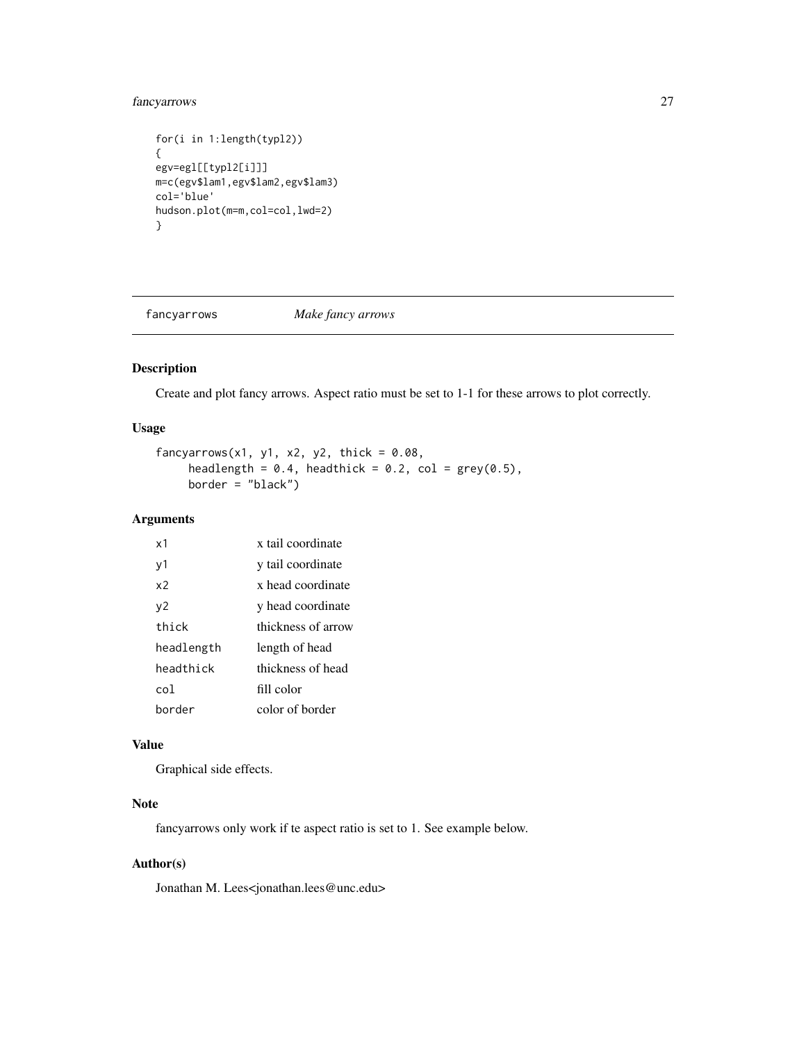### <span id="page-26-0"></span>fancyarrows 27

```
for(i in 1:length(typl2))
{
egv=egl[[typl2[i]]]
m=c(egv$lam1,egv$lam2,egv$lam3)
col='blue'
hudson.plot(m=m,col=col,lwd=2)
}
```
fancyarrows *Make fancy arrows*

### Description

Create and plot fancy arrows. Aspect ratio must be set to 1-1 for these arrows to plot correctly.

### Usage

```
fancyarrows(x1, y1, x2, y2, thick = 0.08,
     headlength = 0.4, headthick = 0.2, col = grey(0.5),
     border = "black")
```
### Arguments

| х1         | x tail coordinate  |
|------------|--------------------|
| y1         | y tail coordinate  |
| x2         | x head coordinate  |
| ν2         | y head coordinate  |
| thick      | thickness of arrow |
| headlength | length of head     |
| headthick  | thickness of head  |
| co1        | fill color         |
| border     | color of border    |

### Value

Graphical side effects.

## Note

fancyarrows only work if te aspect ratio is set to 1. See example below.

### Author(s)

Jonathan M. Lees<jonathan.lees@unc.edu>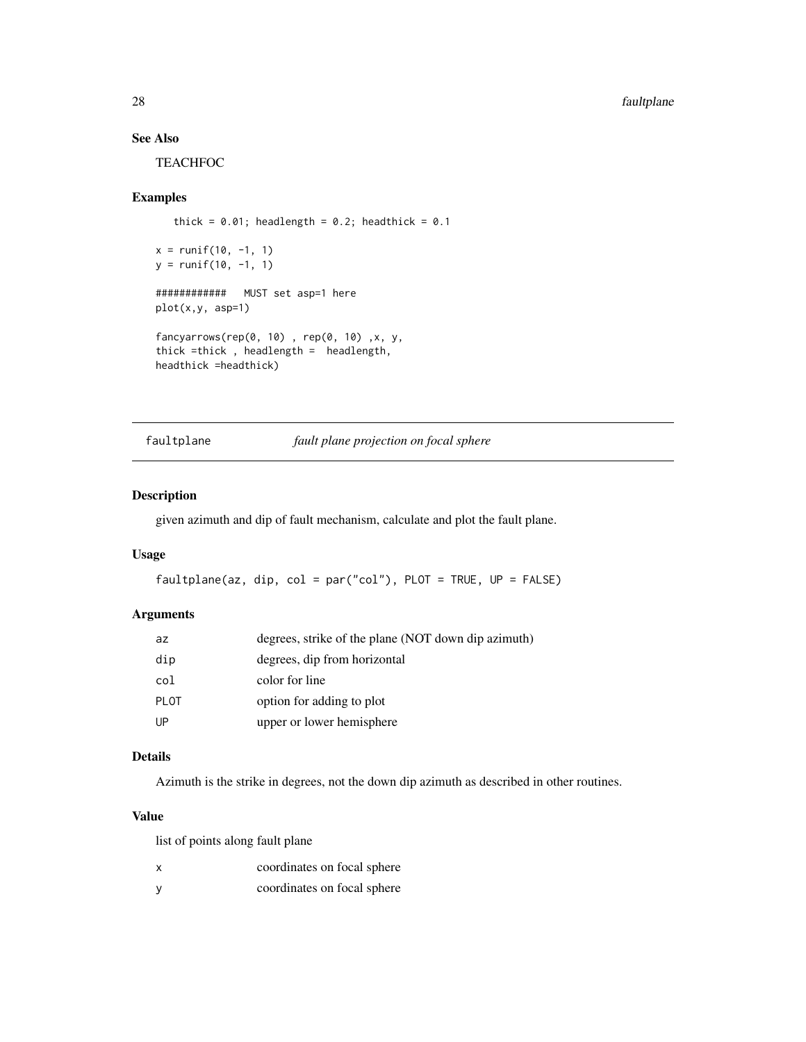### See Also

**TEACHFOC** 

#### Examples

```
thick = 0.01; headlength = 0.2; headthick = 0.1x = runif(10, -1, 1)y = runif(10, -1, 1)############ MUST set asp=1 here
plot(x,y, asp=1)
fancyarrows(rep(0, 10) , rep(0, 10) ,x, y,
thick =thick , headlength = headlength,
headthick =headthick)
```
faultplane *fault plane projection on focal sphere*

### Description

given azimuth and dip of fault mechanism, calculate and plot the fault plane.

### Usage

```
faultplane(az, dip, col = par("col"), PLOT = TRUE, UP = FALSE)
```
### Arguments

| az          | degrees, strike of the plane (NOT down dip azimuth) |
|-------------|-----------------------------------------------------|
| dip         | degrees, dip from horizontal                        |
| col         | color for line                                      |
| <b>PLOT</b> | option for adding to plot                           |
| UP          | upper or lower hemisphere                           |

#### Details

Azimuth is the strike in degrees, not the down dip azimuth as described in other routines.

#### Value

list of points along fault plane

| x | coordinates on focal sphere |  |
|---|-----------------------------|--|
| V | coordinates on focal sphere |  |

<span id="page-27-0"></span>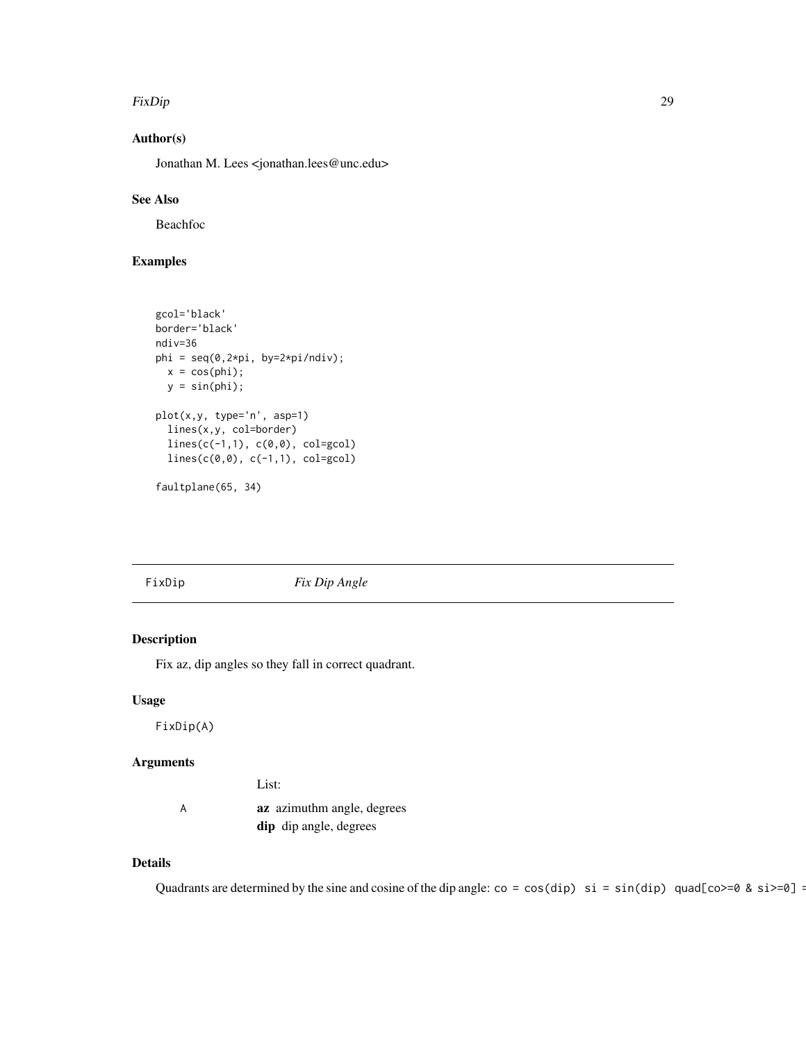#### <span id="page-28-0"></span>FixDip 29

### Author(s)

Jonathan M. Lees <jonathan.lees@unc.edu>

### See Also

Beachfoc

### Examples

```
gcol='black'
border='black'
ndiv=36
phi = seq(0, 2*pi, 100);
 x = cos(\pi i);y = sin(phi);plot(x,y, type='n', asp=1)
  lines(x,y, col=border)
  lines(c(-1,1), c(0,0), col=gcol)
  lines(c(0,0), c(-1,1), col=gcol)
```
faultplane(65, 34)

FixDip *Fix Dip Angle*

### Description

Fix az, dip angles so they fall in correct quadrant.

### Usage

FixDip(A)

### Arguments

|   | List:                         |
|---|-------------------------------|
| A | az azimuthm angle, degrees    |
|   | <b>dip</b> dip angle, degrees |

### Details

Quadrants are determined by the sine and cosine of the dip angle:  $\cos = \cos(\text{dip}) \text{ si } = \sin(\text{dip}) \text{ quad}[\cos \theta - \sin \theta] = 3$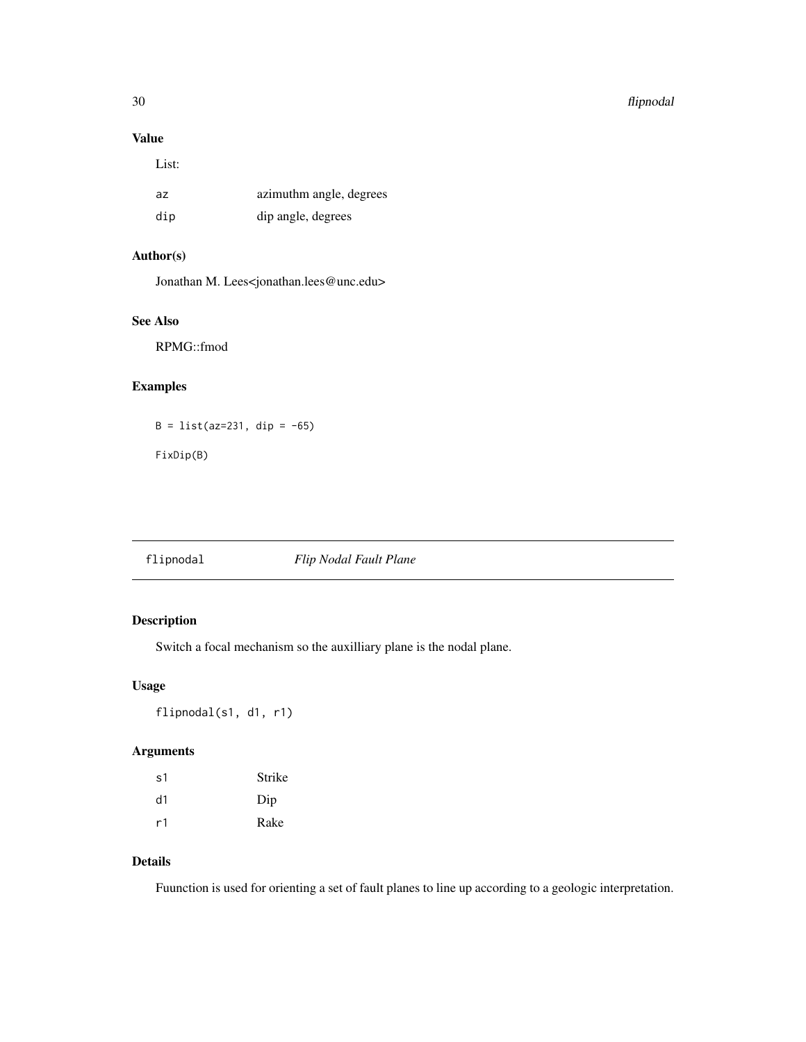#### <span id="page-29-0"></span>30 flipnodal and the set of the set of the set of the set of the set of the set of the set of the set of the set of the set of the set of the set of the set of the set of the set of the set of the set of the set of the set

### Value

List:

| az  | azimuthm angle, degrees |
|-----|-------------------------|
| dip | dip angle, degrees      |

### Author(s)

Jonathan M. Lees<jonathan.lees@unc.edu>

### See Also

RPMG::fmod

### Examples

 $B = list(az=231, dip = -65)$ 

FixDip(B)

### flipnodal *Flip Nodal Fault Plane*

### Description

Switch a focal mechanism so the auxilliary plane is the nodal plane.

### Usage

flipnodal(s1, d1, r1)

### Arguments

| s1 | Strike |
|----|--------|
| d1 | Dip    |
| r1 | Rake   |

### Details

Fuunction is used for orienting a set of fault planes to line up according to a geologic interpretation.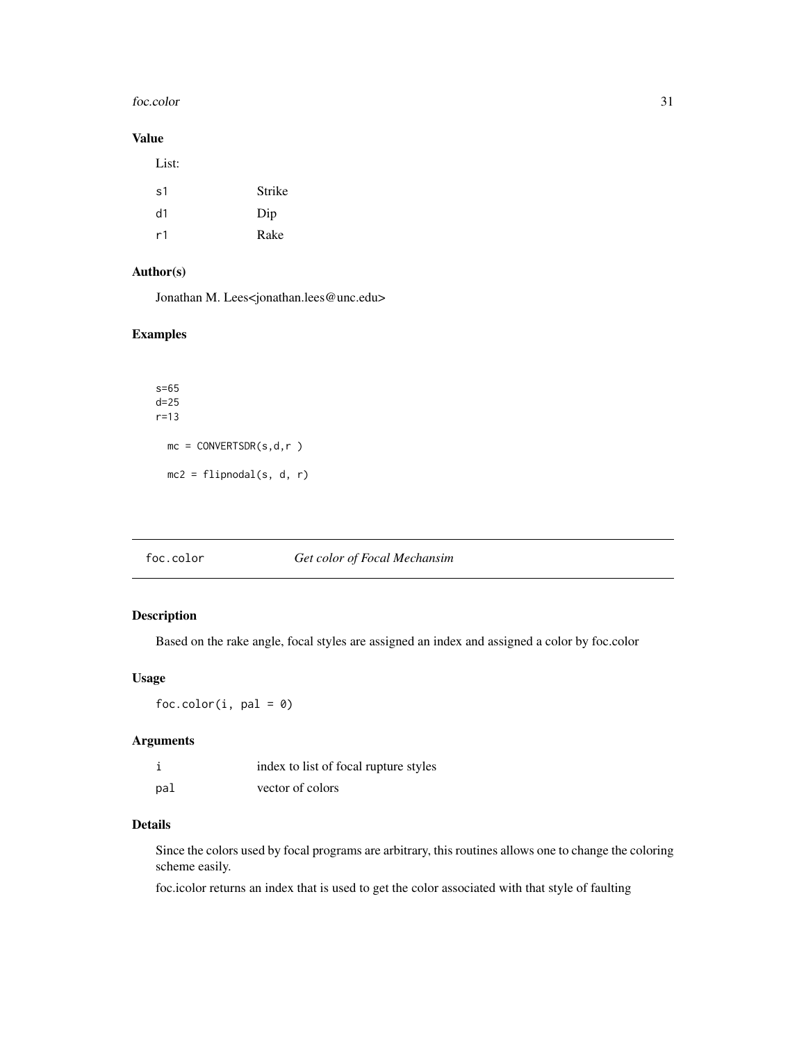#### <span id="page-30-0"></span>foc.color 31

### Value

| List: |        |
|-------|--------|
| s1    | Strike |
| d1    | Dip    |
| r1    | Rake   |

### Author(s)

Jonathan M. Lees<jonathan.lees@unc.edu>

### Examples

```
s=65
d=25
r=13
 mc = CONVERTSDR(s, d, r)mc2 = filipnodal(s, d, r)
```
### foc.color *Get color of Focal Mechansim*

### Description

Based on the rake angle, focal styles are assigned an index and assigned a color by foc.color

### Usage

 $foc.color(i, pal = 0)$ 

#### Arguments

|     | index to list of focal rupture styles |
|-----|---------------------------------------|
| pal | vector of colors                      |

### Details

Since the colors used by focal programs are arbitrary, this routines allows one to change the coloring scheme easily.

foc.icolor returns an index that is used to get the color associated with that style of faulting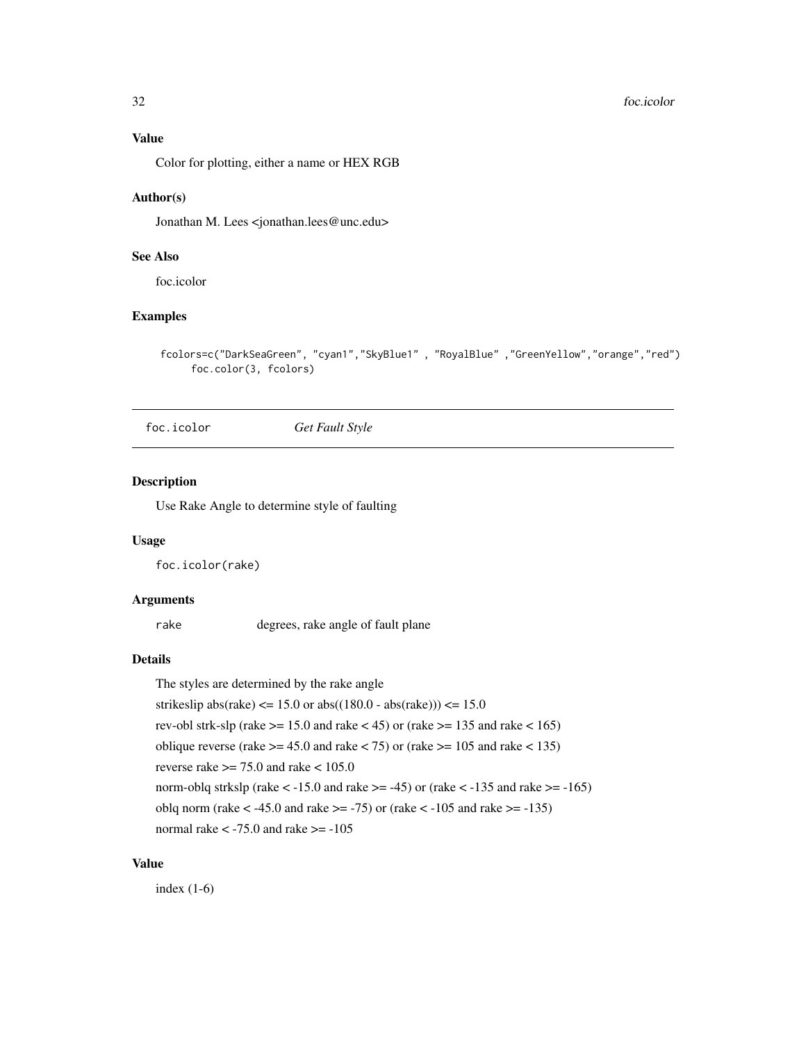#### <span id="page-31-0"></span>Value

Color for plotting, either a name or HEX RGB

#### Author(s)

Jonathan M. Lees <jonathan.lees@unc.edu>

### See Also

foc.icolor

### Examples

```
fcolors=c("DarkSeaGreen", "cyan1","SkyBlue1" , "RoyalBlue" ,"GreenYellow","orange","red")
     foc.color(3, fcolors)
```
foc.icolor *Get Fault Style*

### Description

Use Rake Angle to determine style of faulting

### Usage

foc.icolor(rake)

### Arguments

rake degrees, rake angle of fault plane

### Details

The styles are determined by the rake angle strikeslip abs(rake)  $\leq$  15.0 or abs((180.0 - abs(rake)))  $\leq$  15.0 rev-obl strk-slp (rake  $> = 15.0$  and rake  $< 45$ ) or (rake  $> = 135$  and rake  $< 165$ ) oblique reverse (rake  $>= 45.0$  and rake  $< 75$ ) or (rake  $>= 105$  and rake  $< 135$ ) reverse rake  $>= 75.0$  and rake  $< 105.0$ norm-oblq strkslp (rake  $\lt$  -15.0 and rake  $\gt$  = -45) or (rake  $\lt$  -135 and rake  $\gt$  = -165) oblq norm (rake  $\lt$  -45.0 and rake  $\gt$  = -75) or (rake  $\lt$  -105 and rake  $\gt$  = -135) normal rake  $< -75.0$  and rake  $>= -105$ 

#### Value

index (1-6)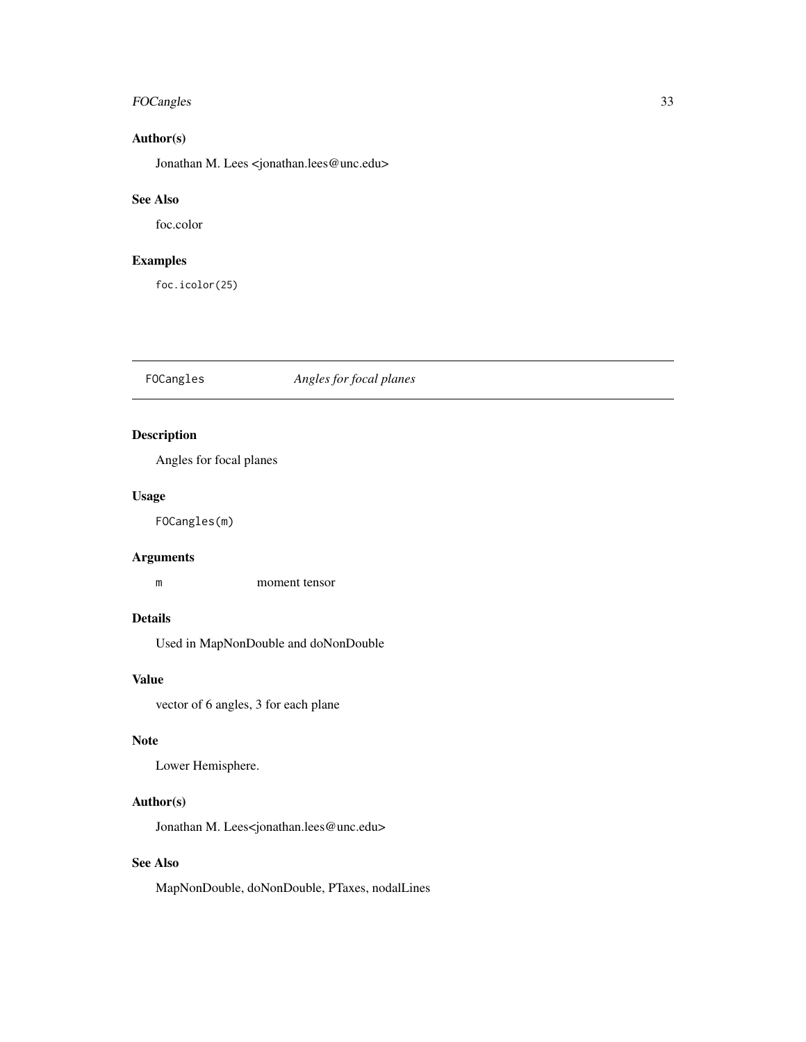### <span id="page-32-0"></span>FOCangles 33

### Author(s)

Jonathan M. Lees <jonathan.lees@unc.edu>

### See Also

foc.color

### Examples

foc.icolor(25)

### FOCangles *Angles for focal planes*

### Description

Angles for focal planes

#### Usage

FOCangles(m)

### Arguments

m moment tensor

### Details

Used in MapNonDouble and doNonDouble

### Value

vector of 6 angles, 3 for each plane

#### Note

Lower Hemisphere.

### Author(s)

Jonathan M. Lees<jonathan.lees@unc.edu>

### See Also

MapNonDouble, doNonDouble, PTaxes, nodalLines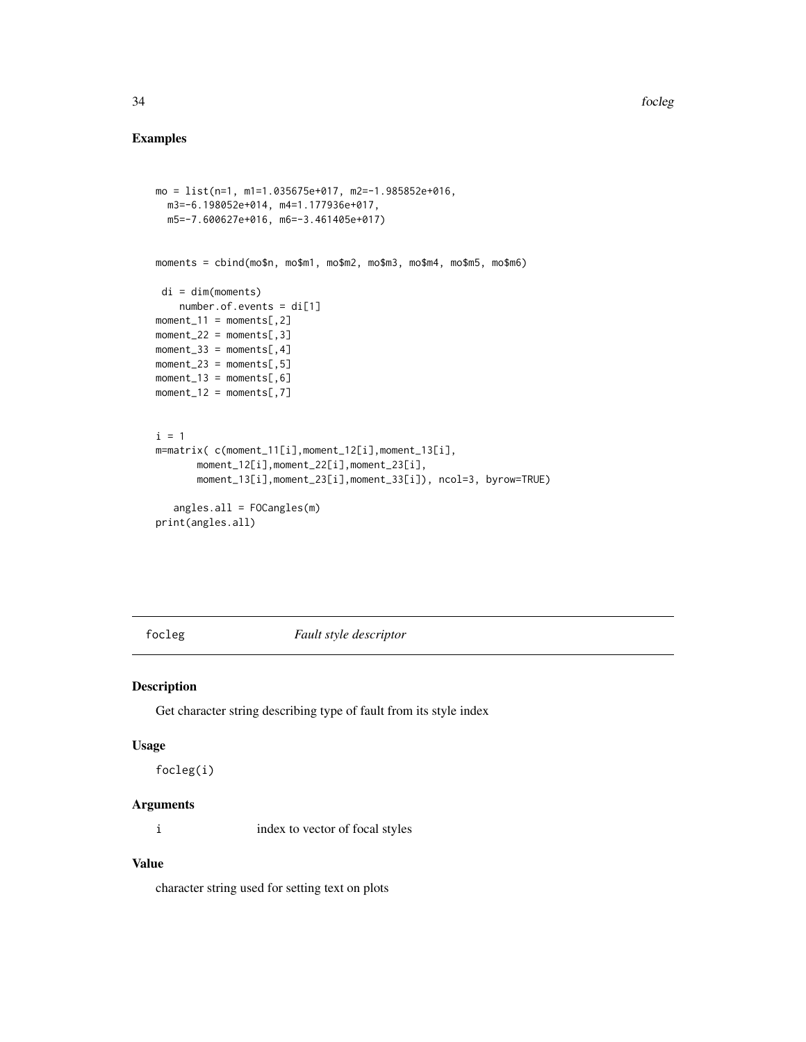### Examples

```
mo = list(n=1, m1=1.035675e+017, m2=-1.985852e+016,
 m3=-6.198052e+014, m4=1.177936e+017,
  m5=-7.600627e+016, m6=-3.461405e+017)
moments = cbind(mo$n, mo$m1, mo$m2, mo$m3, mo$m4, mo$m5, mo$m6)
 di = dim(moments)
   number.of.events = di[1]
moment_11 = moments[ ,2]moment_22 = moments[, 3]moment_33 = moments[,4]moment_23 = moments[, 5]
moment_13 = moments[, 6]
moment_12 = moments[, 7]i = 1m=matrix( c(moment_11[i],moment_12[i],moment_13[i],
       moment_12[i],moment_22[i],moment_23[i],
       moment_13[i],moment_23[i],moment_33[i]), ncol=3, byrow=TRUE)
   angles.all = FOCangles(m)
print(angles.all)
```
focleg *Fault style descriptor*

### Description

Get character string describing type of fault from its style index

#### Usage

```
focleg(i)
```
### Arguments

i index to vector of focal styles

### Value

character string used for setting text on plots

<span id="page-33-0"></span>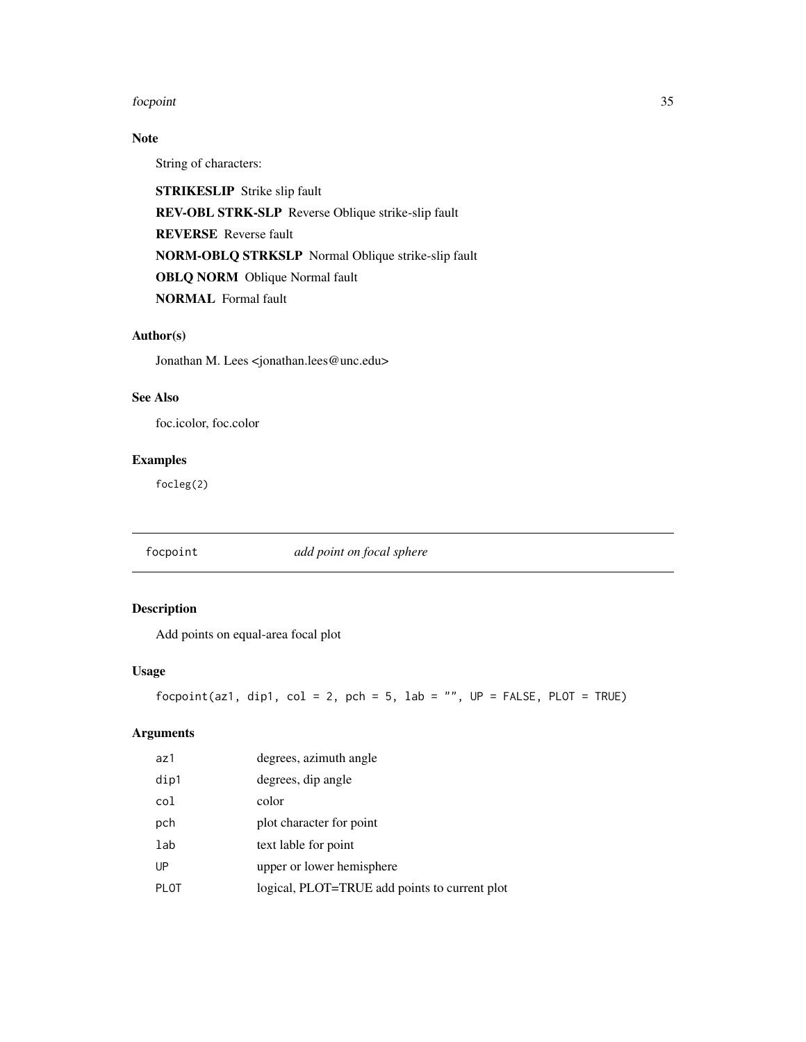#### <span id="page-34-0"></span>focpoint 35

### Note

String of characters:

STRIKESLIP Strike slip fault REV-OBL STRK-SLP Reverse Oblique strike-slip fault REVERSE Reverse fault NORM-OBLQ STRKSLP Normal Oblique strike-slip fault OBLQ NORM Oblique Normal fault NORMAL Formal fault

#### Author(s)

Jonathan M. Lees <jonathan.lees@unc.edu>

### See Also

foc.icolor, foc.color

### Examples

focleg(2)

focpoint *add point on focal sphere*

### Description

Add points on equal-area focal plot

### Usage

focpoint(az1, dip1, col = 2, pch = 5, lab = "",  $UP = FALSE$ , PLOT = TRUE)

#### Arguments

| az1         | degrees, azimuth angle                        |
|-------------|-----------------------------------------------|
| dip1        | degrees, dip angle                            |
| col         | color                                         |
| pch         | plot character for point                      |
| lab         | text lable for point                          |
| UP          | upper or lower hemisphere                     |
| <b>PLOT</b> | logical, PLOT=TRUE add points to current plot |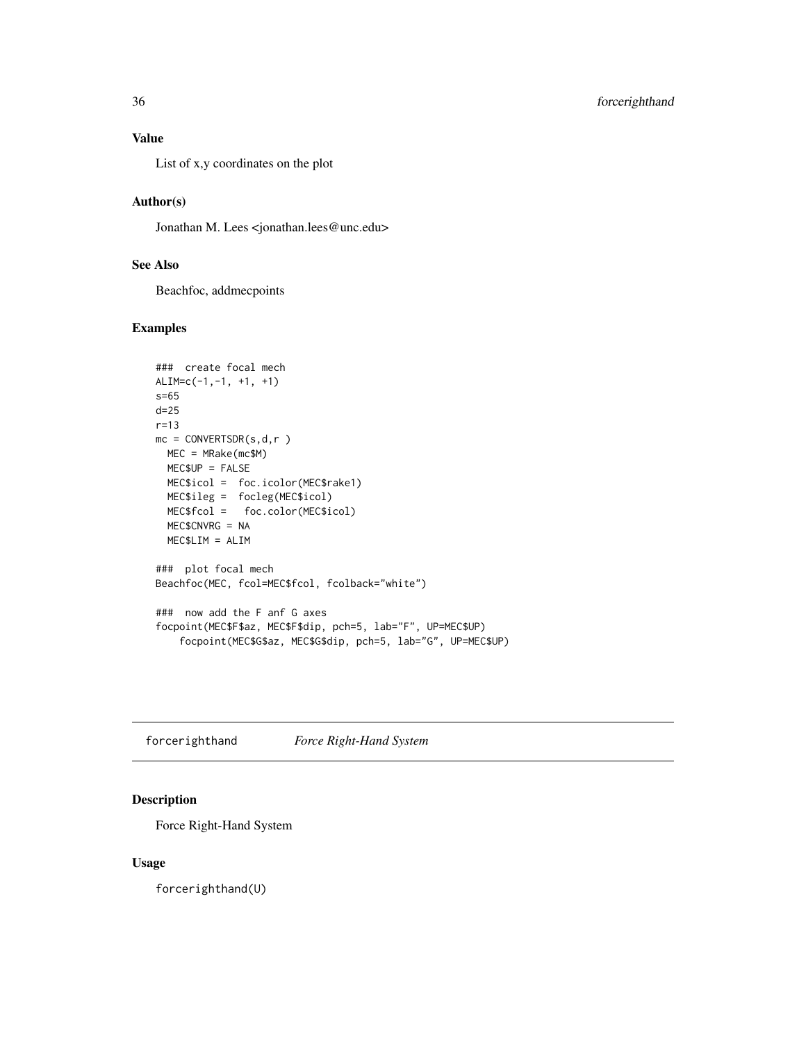### <span id="page-35-0"></span>Value

List of x,y coordinates on the plot

### Author(s)

Jonathan M. Lees <jonathan.lees@unc.edu>

### See Also

Beachfoc, addmecpoints

### Examples

```
### create focal mech
ALIM=c(-1,-1, +1, +1)
s=65
d=25
r=13
mc = CONVERTSDR(s,d,r )
 MEC = MRake(mc$M)
 MEC$UP = FALSE
 MEC$icol = foc.icolor(MEC$rake1)
 MEC$ileg = focleg(MEC$icol)
 MEC$fcol = foc.color(MEC$icol)
 MEC$CNVRG = NA
 MEC$LIM = ALIM
### plot focal mech
Beachfoc(MEC, fcol=MEC$fcol, fcolback="white")
### now add the F anf G axes
focpoint(MEC$F$az, MEC$F$dip, pch=5, lab="F", UP=MEC$UP)
    focpoint(MEC$G$az, MEC$G$dip, pch=5, lab="G", UP=MEC$UP)
```
forcerighthand *Force Right-Hand System*

### Description

Force Right-Hand System

#### Usage

forcerighthand(U)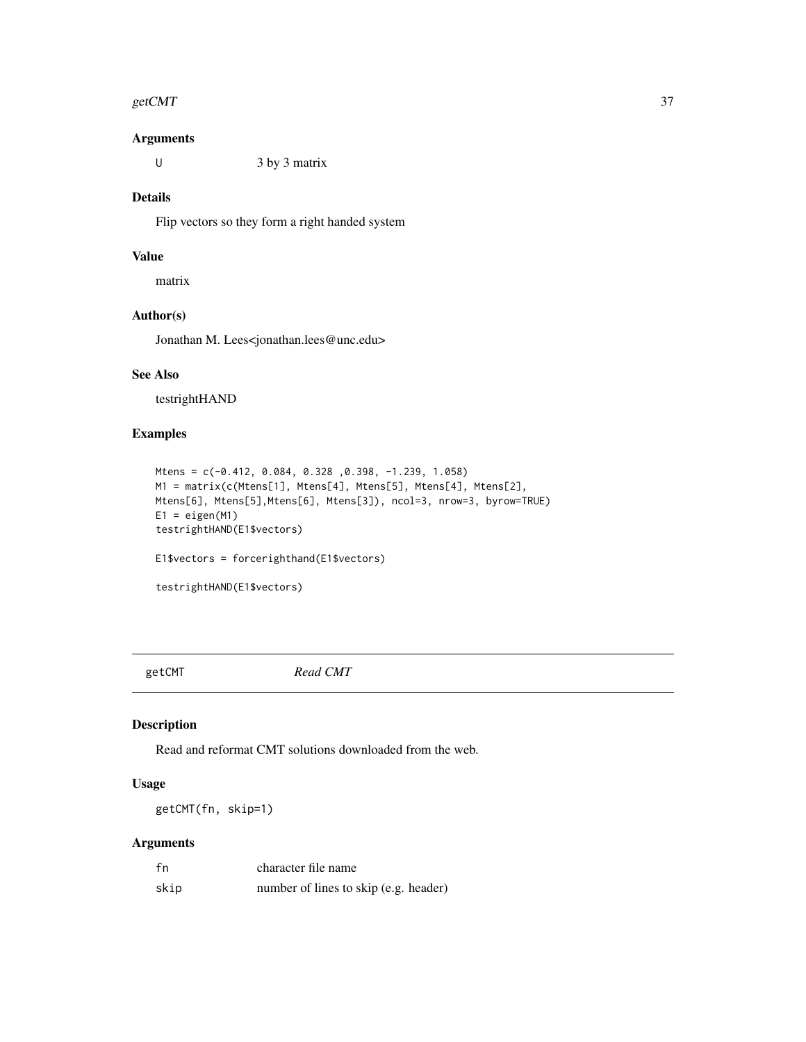#### getCMT  $\sim$  37

## Arguments

U  $3$  by  $3$  matrix

# Details

Flip vectors so they form a right handed system

# Value

matrix

## Author(s)

Jonathan M. Lees<jonathan.lees@unc.edu>

#### See Also

testrightHAND

# Examples

```
Mtens = c(-0.412, 0.084, 0.328 ,0.398, -1.239, 1.058)
M1 = matrix(c(Mtens[1], Mtens[4], Mtens[5], Mtens[4], Mtens[2],
Mtens[6], Mtens[5],Mtens[6], Mtens[3]), ncol=3, nrow=3, byrow=TRUE)
E1 = eigen(M1)testrightHAND(E1$vectors)
E1$vectors = forcerighthand(E1$vectors)
testrightHAND(E1$vectors)
```
getCMT *Read CMT*

# Description

Read and reformat CMT solutions downloaded from the web.

# Usage

getCMT(fn, skip=1)

## Arguments

| fn   | character file name                   |
|------|---------------------------------------|
| skip | number of lines to skip (e.g. header) |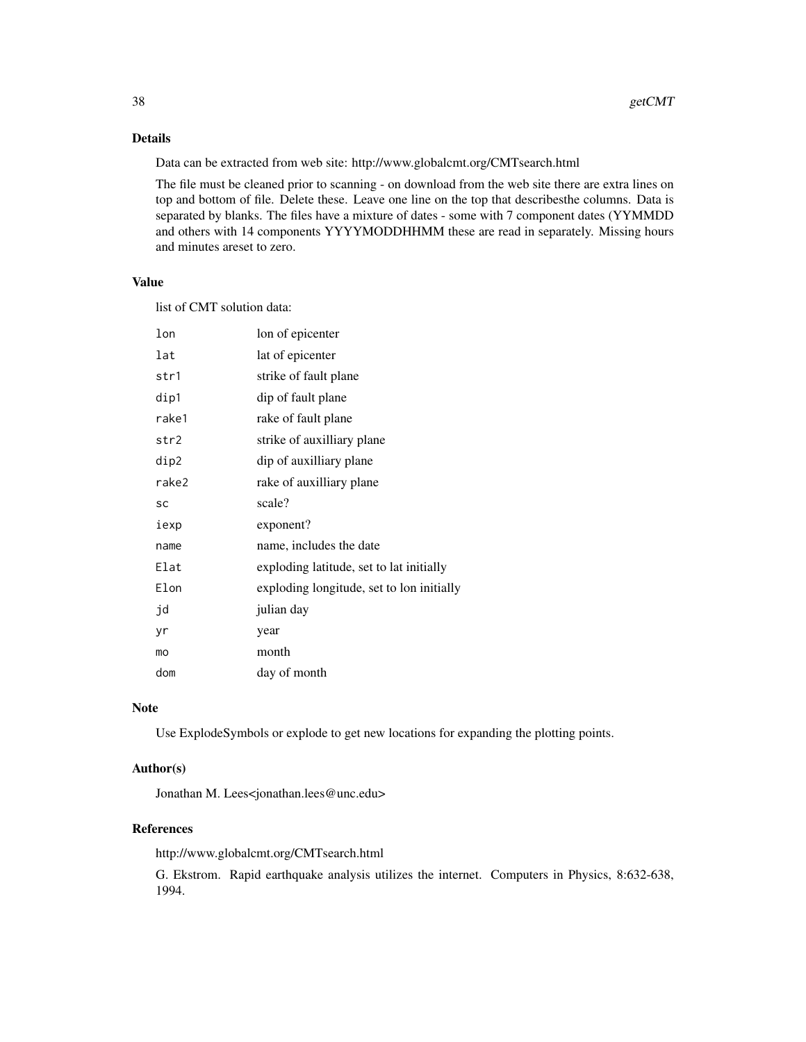# Details

Data can be extracted from web site: http://www.globalcmt.org/CMTsearch.html

The file must be cleaned prior to scanning - on download from the web site there are extra lines on top and bottom of file. Delete these. Leave one line on the top that describesthe columns. Data is separated by blanks. The files have a mixture of dates - some with 7 component dates (YYMMDD and others with 14 components YYYYMODDHHMM these are read in separately. Missing hours and minutes areset to zero.

# Value

list of CMT solution data:

| lon   | lon of epicenter                          |
|-------|-------------------------------------------|
| lat   | lat of epicenter                          |
| str1  | strike of fault plane                     |
| dip1  | dip of fault plane                        |
| rake1 | rake of fault plane                       |
| str2  | strike of auxilliary plane                |
| dip2  | dip of auxilliary plane                   |
| rake2 | rake of auxilliary plane                  |
| SC    | scale?                                    |
| iexp  | exponent?                                 |
| name  | name, includes the date                   |
| Elat  | exploding latitude, set to lat initially  |
| Elon  | exploding longitude, set to lon initially |
| jd    | julian day                                |
| yr    | year                                      |
| mo    | month                                     |
| dom   | day of month                              |

#### Note

Use ExplodeSymbols or explode to get new locations for expanding the plotting points.

## Author(s)

Jonathan M. Lees<jonathan.lees@unc.edu>

## References

http://www.globalcmt.org/CMTsearch.html

G. Ekstrom. Rapid earthquake analysis utilizes the internet. Computers in Physics, 8:632-638, 1994.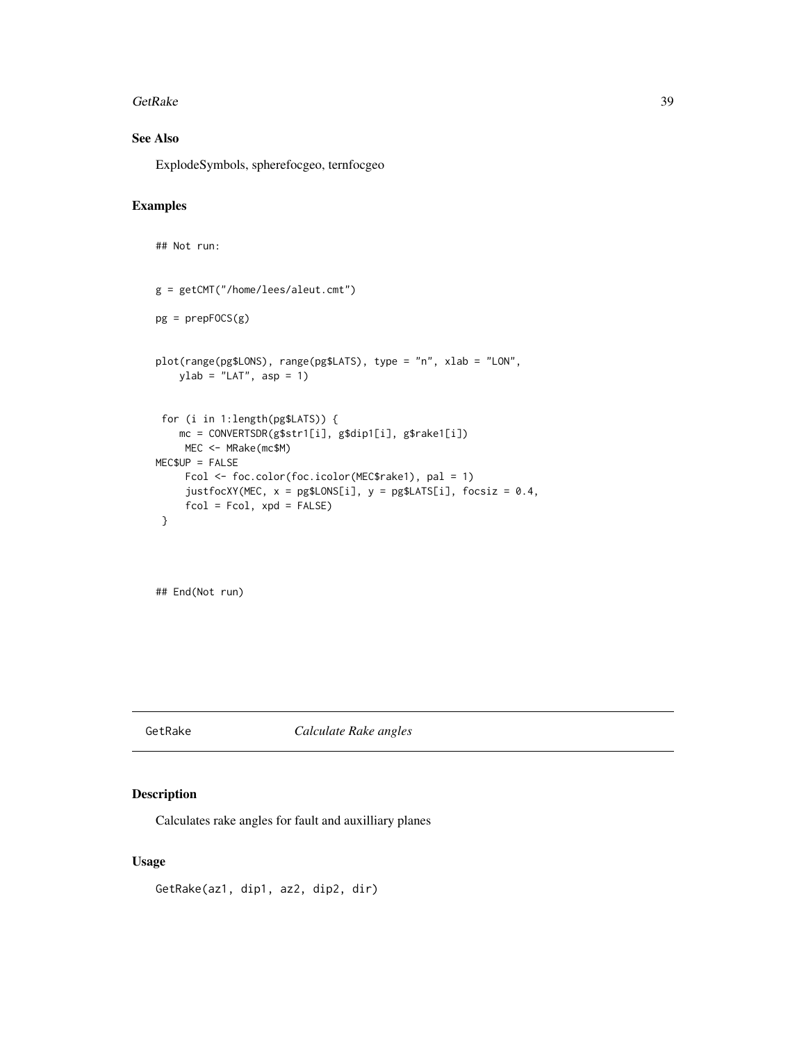#### GetRake 39

# See Also

ExplodeSymbols, spherefocgeo, ternfocgeo

# Examples

```
## Not run:
g = getCMT("/home/lees/aleut.cmt")
pg = prepFOCS(g)plot(range(pg$LONS), range(pg$LATS), type = "n", xlab = "LON",
   ylab = "LAT", asp = 1)for (i in 1:length(pg$LATS)) {
   mc = CONVERTSDR(g$str1[i], g$dip1[i], g$rake1[i])
    MEC <- MRake(mc$M)
MEC$UP = FALSE
    Fcol <- foc.color(foc.icolor(MEC$rake1), pal = 1)
     justfocXY(MEC, x = pg$LONS[i], y = pg$LATS[i], focsiz = 0.4,fcol = Fcol, xpd = FALSE}
```
## End(Not run)

# GetRake *Calculate Rake angles*

### Description

Calculates rake angles for fault and auxilliary planes

## Usage

GetRake(az1, dip1, az2, dip2, dir)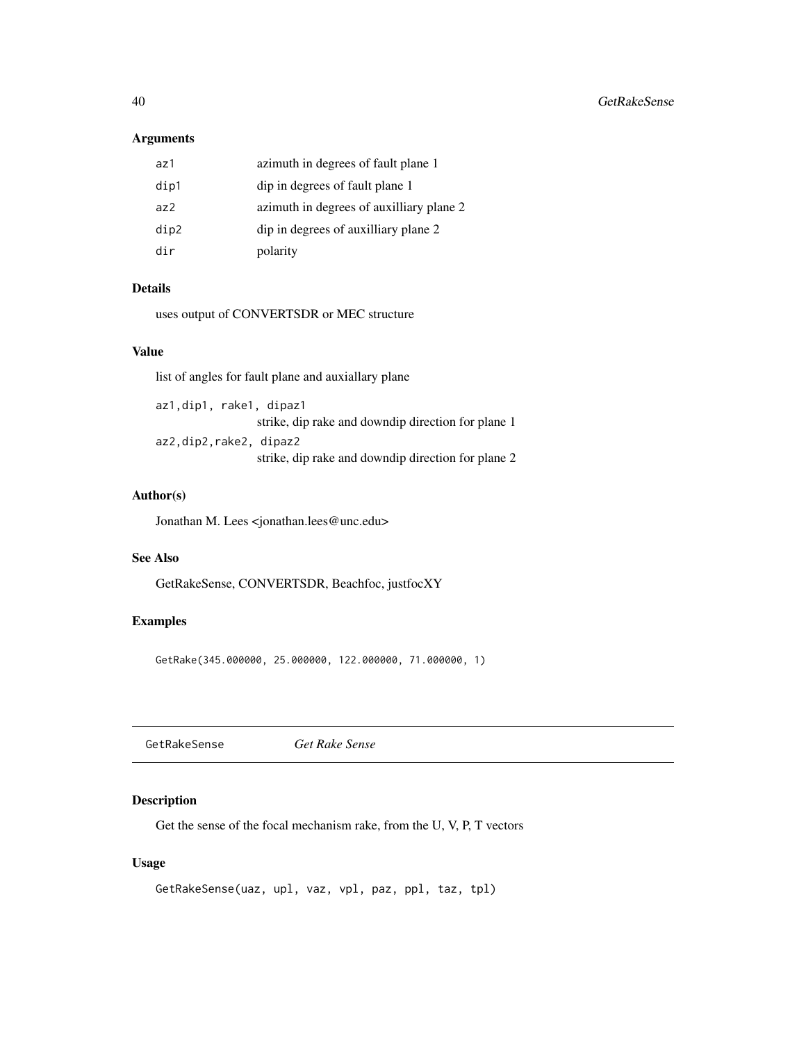## Arguments

| az1  | azimuth in degrees of fault plane 1      |
|------|------------------------------------------|
| dip1 | dip in degrees of fault plane 1          |
| az2  | azimuth in degrees of auxilliary plane 2 |
| dip2 | dip in degrees of auxilliary plane 2     |
| dir  | polarity                                 |

# Details

uses output of CONVERTSDR or MEC structure

### Value

list of angles for fault plane and auxiallary plane

az1,dip1, rake1, dipaz1 strike, dip rake and downdip direction for plane 1 az2,dip2,rake2, dipaz2 strike, dip rake and downdip direction for plane 2

#### Author(s)

Jonathan M. Lees <jonathan.lees@unc.edu>

# See Also

GetRakeSense, CONVERTSDR, Beachfoc, justfocXY

## Examples

GetRake(345.000000, 25.000000, 122.000000, 71.000000, 1)

GetRakeSense *Get Rake Sense*

## Description

Get the sense of the focal mechanism rake, from the U, V, P, T vectors

## Usage

```
GetRakeSense(uaz, upl, vaz, vpl, paz, ppl, taz, tpl)
```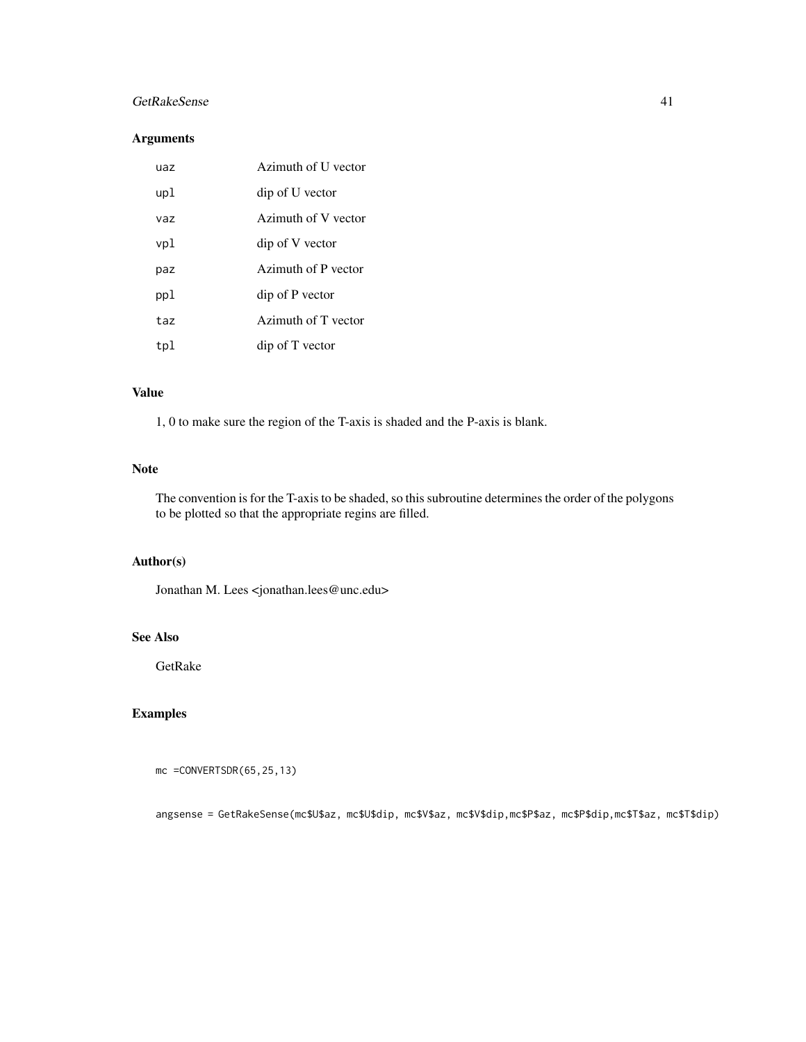### GetRakeSense 41

# Arguments

| uaz | Azimuth of U vector |
|-----|---------------------|
| upl | dip of U vector     |
| vaz | Azimuth of V vector |
| vpl | dip of V vector     |
| paz | Azimuth of P vector |
| ppl | dip of P vector     |
| taz | Azimuth of T vector |
| tpl | dip of T vector     |

### Value

1, 0 to make sure the region of the T-axis is shaded and the P-axis is blank.

### Note

The convention is for the T-axis to be shaded, so this subroutine determines the order of the polygons to be plotted so that the appropriate regins are filled.

# Author(s)

Jonathan M. Lees <jonathan.lees@unc.edu>

## See Also

GetRake

# Examples

```
mc =CONVERTSDR(65,25,13)
```
angsense = GetRakeSense(mc\$U\$az, mc\$U\$dip, mc\$V\$az, mc\$V\$dip,mc\$P\$az, mc\$P\$dip,mc\$T\$az, mc\$T\$dip)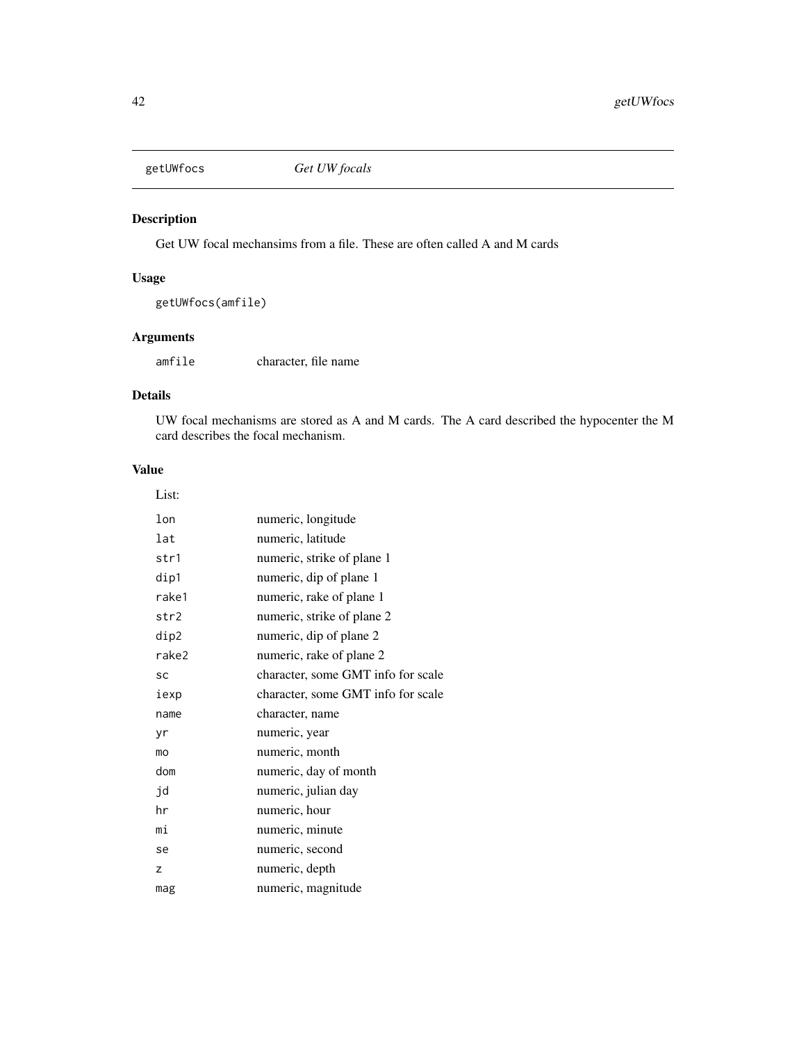Get UW focal mechansims from a file. These are often called A and M cards

# Usage

getUWfocs(amfile)

# Arguments

amfile character, file name

# Details

UW focal mechanisms are stored as A and M cards. The A card described the hypocenter the M card describes the focal mechanism.

# Value

| List: |                                    |
|-------|------------------------------------|
| lon   | numeric, longitude                 |
| lat   | numeric, latitude                  |
| str1  | numeric, strike of plane 1         |
| dip1  | numeric, dip of plane 1            |
| rake1 | numeric, rake of plane 1           |
| str2  | numeric, strike of plane 2         |
| dip2  | numeric, dip of plane 2            |
| rake2 | numeric, rake of plane 2           |
| SC    | character, some GMT info for scale |
| iexp  | character, some GMT info for scale |
| name  | character, name                    |
| yr    | numeric, year                      |
| mo    | numeric, month                     |
| dom   | numeric, day of month              |
| jd    | numeric, julian day                |
| hr    | numeric, hour                      |
| mi    | numeric, minute                    |
| se    | numeric, second                    |
| z     | numeric, depth                     |
| mag   | numeric, magnitude                 |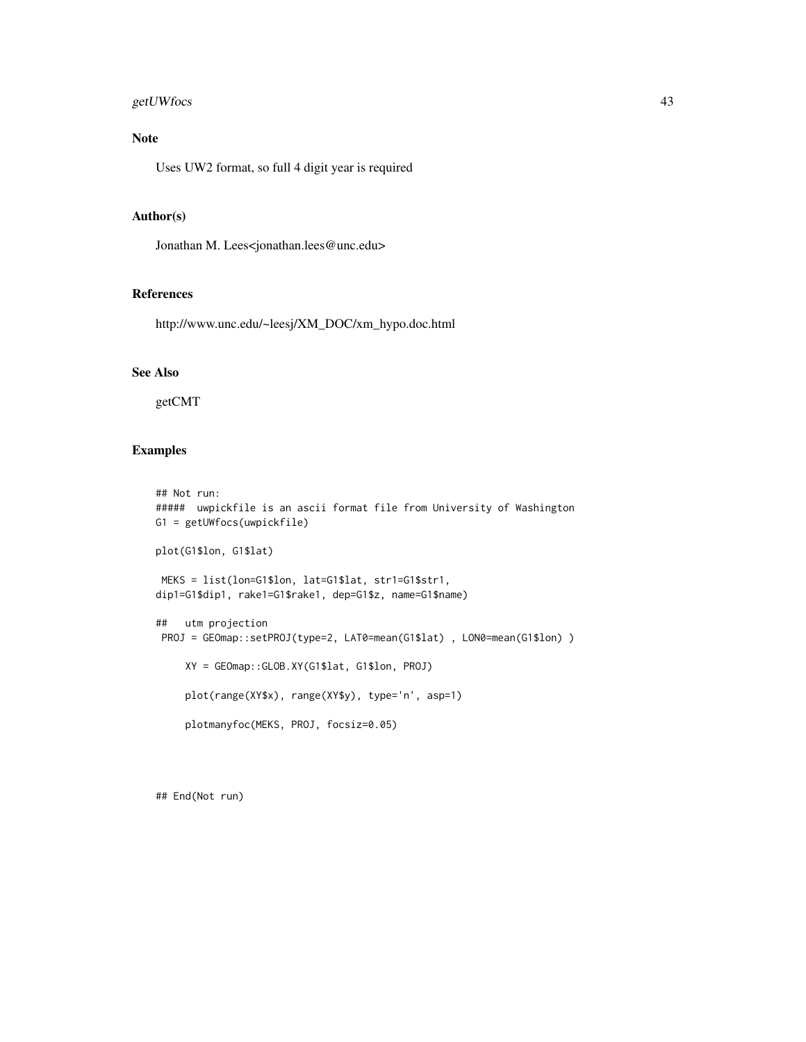# getUWfocs 43

# Note

Uses UW2 format, so full 4 digit year is required

# Author(s)

Jonathan M. Lees<jonathan.lees@unc.edu>

#### References

http://www.unc.edu/~leesj/XM\_DOC/xm\_hypo.doc.html

#### See Also

getCMT

# Examples

```
## Not run:
##### uwpickfile is an ascii format file from University of Washington
G1 = getUWfocs(uwpickfile)
plot(G1$lon, G1$lat)
MEKS = list(lon=G1$lon, lat=G1$lat, str1=G1$str1,
dip1=G1$dip1, rake1=G1$rake1, dep=G1$z, name=G1$name)
## utm projection
PROJ = GEOmap::setPROJ(type=2, LAT0=mean(G1$lat), LON0=mean(G1$lon))
     XY = GEOmap::GLOB.XY(G1$lat, G1$lon, PROJ)
     plot(range(XY$x), range(XY$y), type='n', asp=1)
     plotmanyfoc(MEKS, PROJ, focsiz=0.05)
```
## End(Not run)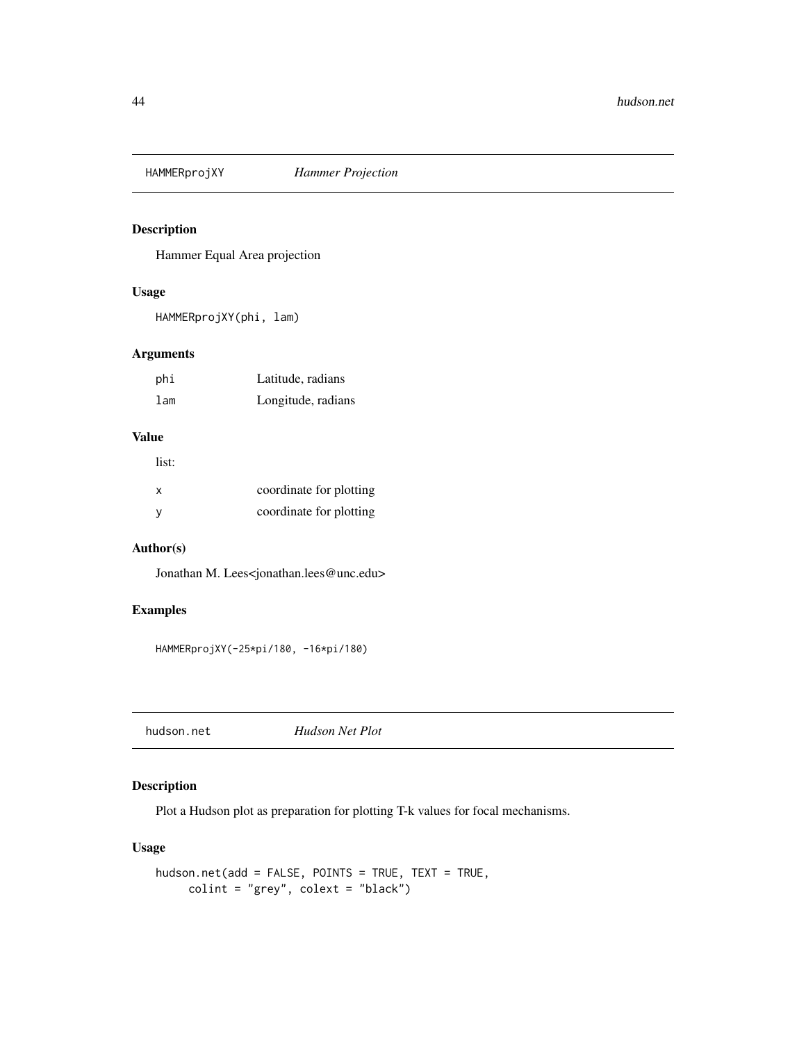Hammer Equal Area projection

### Usage

HAMMERprojXY(phi, lam)

# Arguments

| phi | Latitude, radians  |
|-----|--------------------|
| lam | Longitude, radians |

#### Value

| list: |                         |
|-------|-------------------------|
| x     | coordinate for plotting |
| -V    | coordinate for plotting |

### Author(s)

Jonathan M. Lees<jonathan.lees@unc.edu>

### Examples

HAMMERprojXY(-25\*pi/180, -16\*pi/180)

hudson.net *Hudson Net Plot*

# Description

Plot a Hudson plot as preparation for plotting T-k values for focal mechanisms.

# Usage

```
hudson.net(add = FALSE, POINTS = TRUE, TEXT = TRUE,
    colint = "grey", colext = "black")
```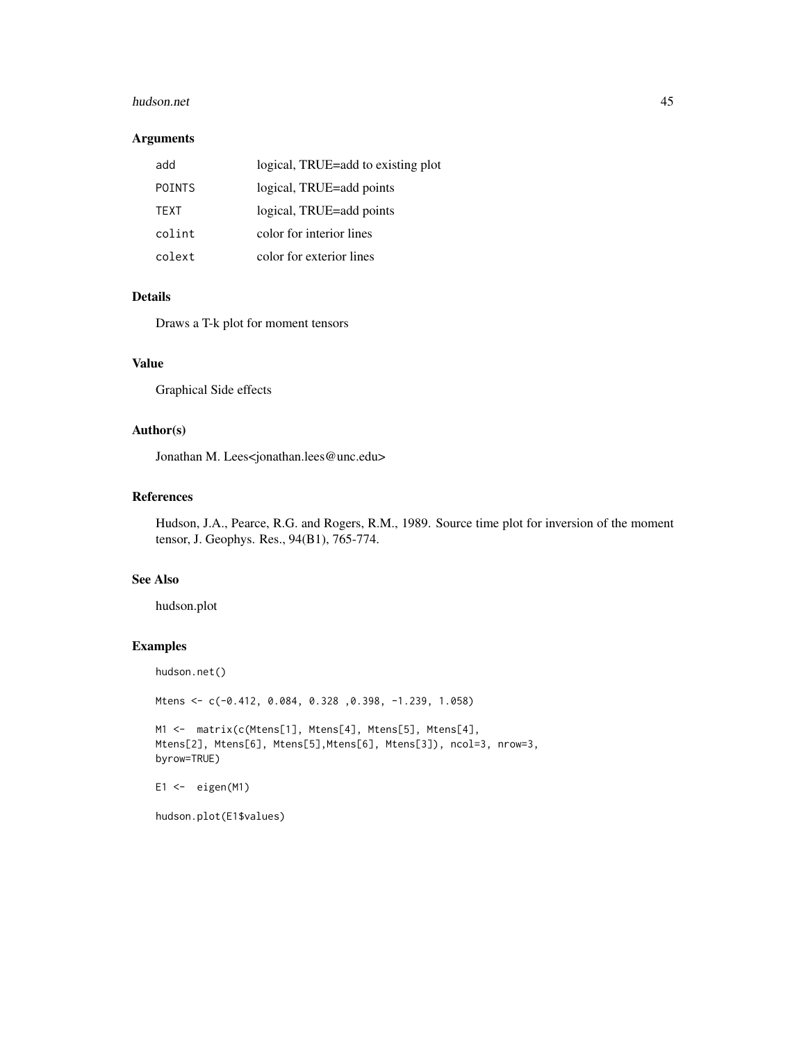#### hudson.net 45

### Arguments

| add           | logical, TRUE=add to existing plot |
|---------------|------------------------------------|
| <b>POINTS</b> | logical, TRUE=add points           |
| <b>TFXT</b>   | logical, TRUE=add points           |
| colint        | color for interior lines           |
| colext        | color for exterior lines           |

# Details

Draws a T-k plot for moment tensors

## Value

Graphical Side effects

#### Author(s)

Jonathan M. Lees<jonathan.lees@unc.edu>

# References

Hudson, J.A., Pearce, R.G. and Rogers, R.M., 1989. Source time plot for inversion of the moment tensor, J. Geophys. Res., 94(B1), 765-774.

# See Also

hudson.plot

### Examples

hudson.net()

```
Mtens <- c(-0.412, 0.084, 0.328 ,0.398, -1.239, 1.058)
```

```
M1 <- matrix(c(Mtens[1], Mtens[4], Mtens[5], Mtens[4],
Mtens[2], Mtens[6], Mtens[5],Mtens[6], Mtens[3]), ncol=3, nrow=3,
byrow=TRUE)
```

```
E1 \leftarrow eigen(M1)
```
hudson.plot(E1\$values)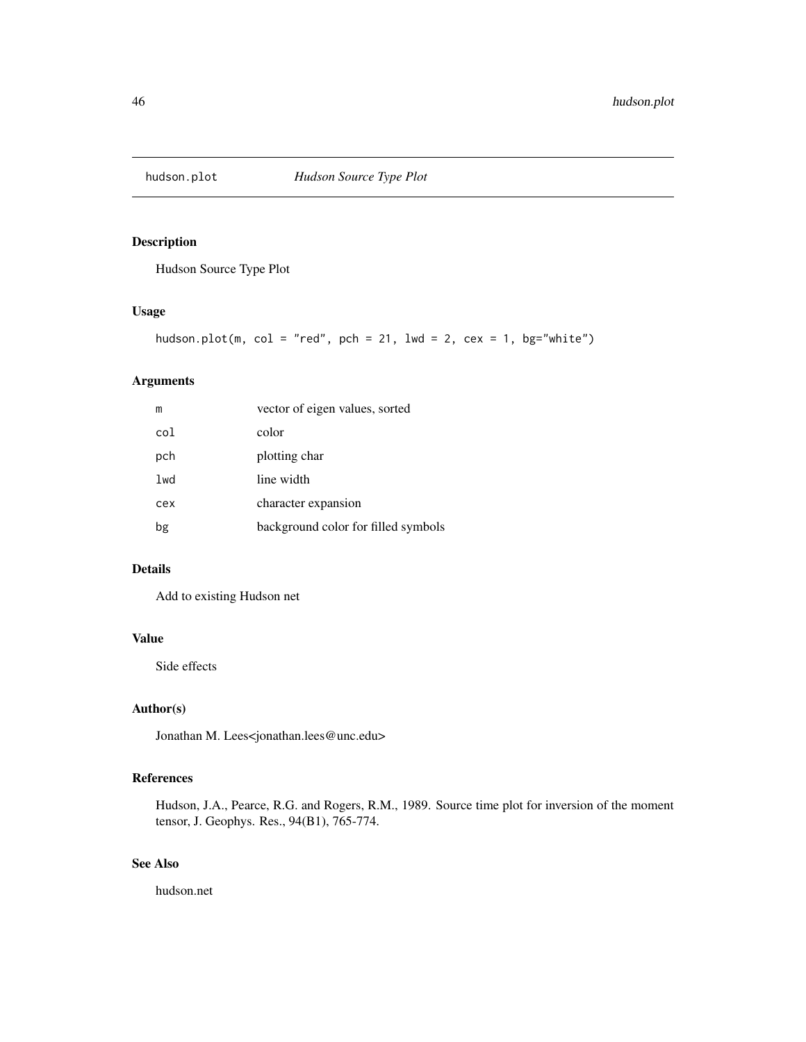Hudson Source Type Plot

# Usage

```
hudson.plot(m, col = "red", pch = 21, lwd = 2, cex = 1, bg='white")
```
#### Arguments

| m   | vector of eigen values, sorted      |
|-----|-------------------------------------|
| col | color                               |
| pch | plotting char                       |
| lwd | line width                          |
| cex | character expansion                 |
| bg  | background color for filled symbols |

# Details

Add to existing Hudson net

#### Value

Side effects

# Author(s)

Jonathan M. Lees<jonathan.lees@unc.edu>

# References

Hudson, J.A., Pearce, R.G. and Rogers, R.M., 1989. Source time plot for inversion of the moment tensor, J. Geophys. Res., 94(B1), 765-774.

# See Also

hudson.net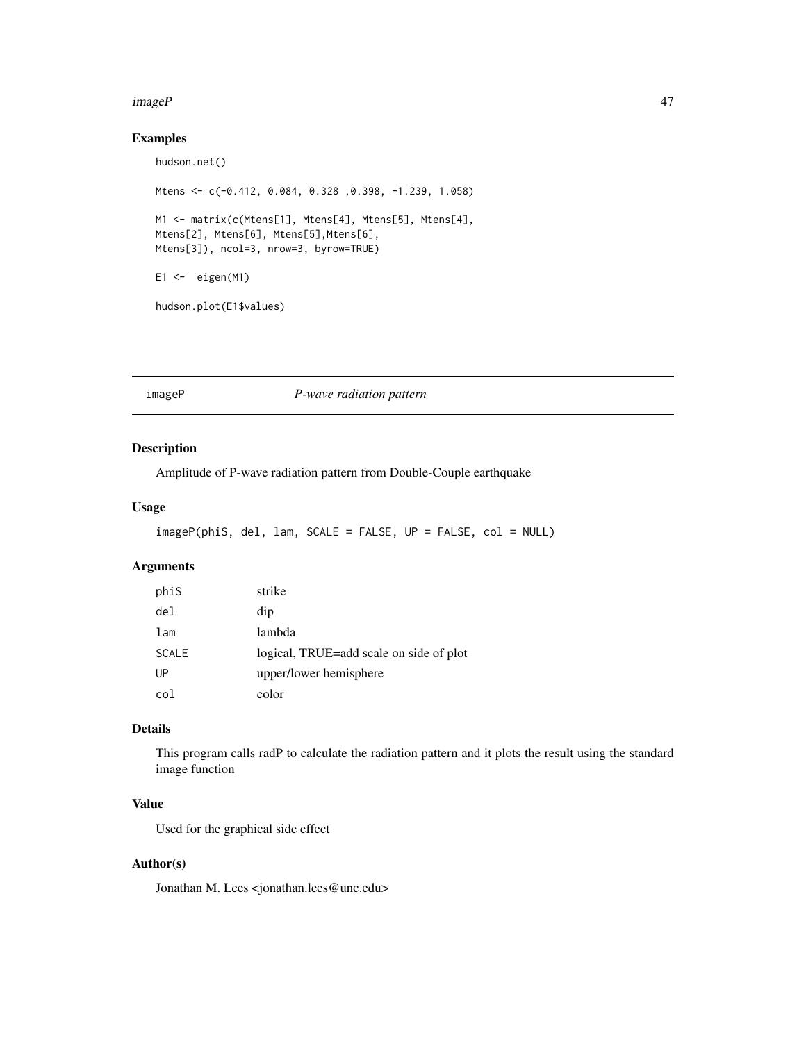#### imageP 47

# Examples

```
hudson.net()
Mtens <- c(-0.412, 0.084, 0.328 ,0.398, -1.239, 1.058)
M1 <- matrix(c(Mtens[1], Mtens[4], Mtens[5], Mtens[4],
Mtens[2], Mtens[6], Mtens[5],Mtens[6],
Mtens[3]), ncol=3, nrow=3, byrow=TRUE)
E1 \leftarrow eigen(M1)
```
hudson.plot(E1\$values)

imageP *P-wave radiation pattern*

# Description

Amplitude of P-wave radiation pattern from Double-Couple earthquake

## Usage

```
imageP(phiS, del, lam, SCALE = FALSE, UP = FALSE, col = NULL)
```
## Arguments

| phiS            | strike                                  |
|-----------------|-----------------------------------------|
| de <sub>l</sub> | dip                                     |
| lam             | lambda                                  |
| <b>SCALE</b>    | logical, TRUE=add scale on side of plot |
| UP              | upper/lower hemisphere                  |
| col             | color                                   |

#### Details

This program calls radP to calculate the radiation pattern and it plots the result using the standard image function

# Value

Used for the graphical side effect

# Author(s)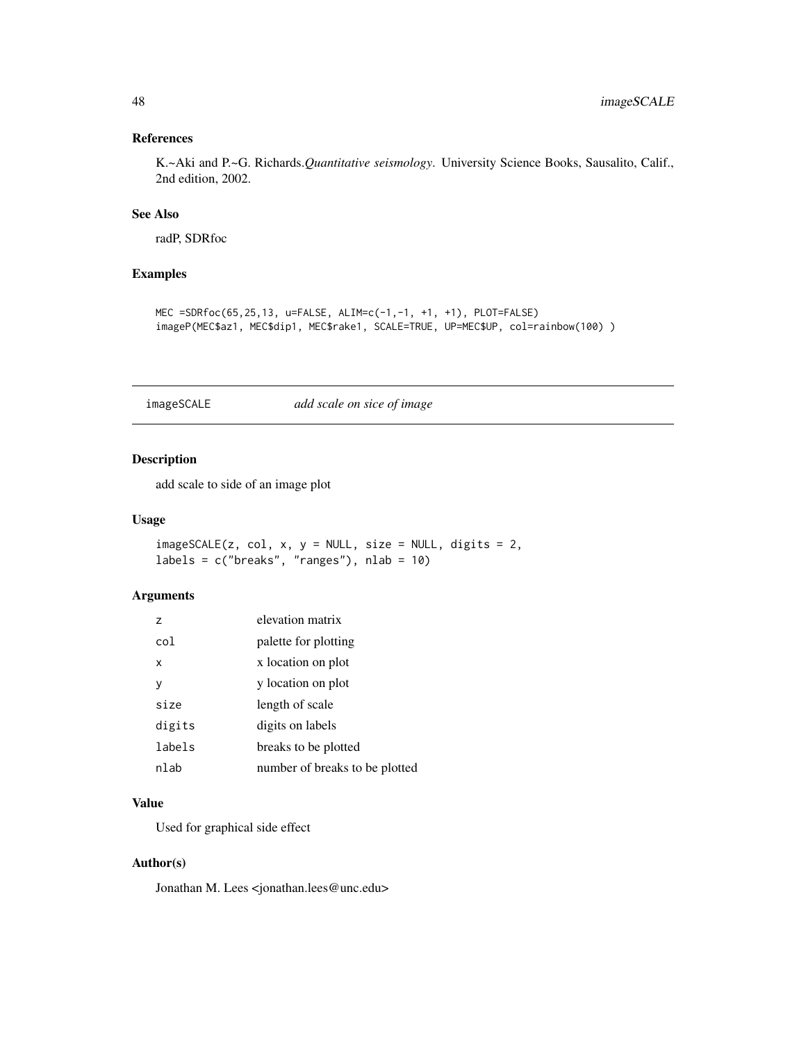# References

K.~Aki and P.~G. Richards.*Quantitative seismology*. University Science Books, Sausalito, Calif., 2nd edition, 2002.

# See Also

radP, SDRfoc

# Examples

```
MEC =SDRfoc(65,25,13, u=FALSE, ALIM=c(-1,-1, +1, +1), PLOT=FALSE)
imageP(MEC$az1, MEC$dip1, MEC$rake1, SCALE=TRUE, UP=MEC$UP, col=rainbow(100) )
```
# imageSCALE *add scale on sice of image*

# Description

add scale to side of an image plot

#### Usage

 $imagesCALE(z, col, x, y = NULL, size = NULL, digits = 2,$  $labels = c("breaks", "ranges"), nlab = 10)$ 

### Arguments

| $\overline{z}$ | elevation matrix               |
|----------------|--------------------------------|
| col            | palette for plotting           |
| x              | x location on plot             |
| у              | y location on plot             |
| size           | length of scale                |
| digits         | digits on labels               |
| labels         | breaks to be plotted           |
| nlab           | number of breaks to be plotted |

### Value

Used for graphical side effect

#### Author(s)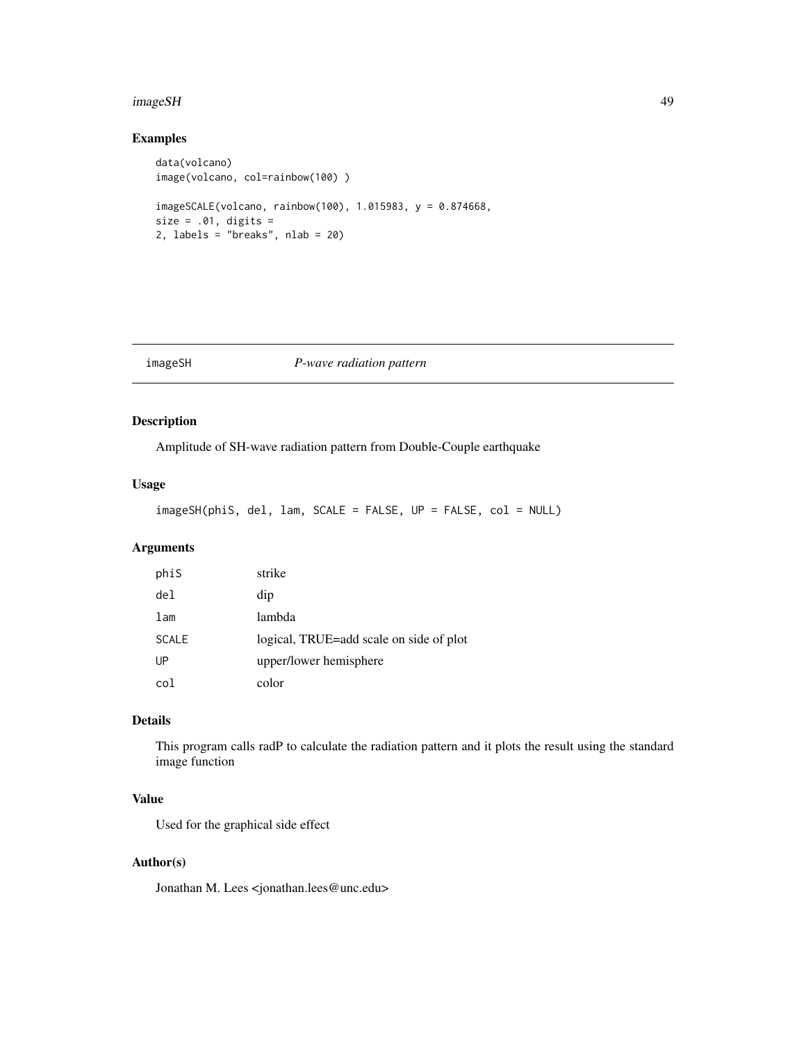#### imageSH 49

# Examples

```
data(volcano)
image(volcano, col=rainbow(100) )
imageSCALE(volcano, rainbow(100), 1.015983, y = 0.874668,
size = .01, digits =2, labels = "breaks", nlab = 20)
```
#### imageSH *P-wave radiation pattern*

# Description

Amplitude of SH-wave radiation pattern from Double-Couple earthquake

## Usage

imageSH(phiS, del, lam, SCALE = FALSE, UP = FALSE, col = NULL)

### Arguments

| phiS            | strike                                  |
|-----------------|-----------------------------------------|
| de <sub>l</sub> | dip                                     |
| lam             | lambda                                  |
| <b>SCALE</b>    | logical, TRUE=add scale on side of plot |
| UP              | upper/lower hemisphere                  |
| col             | color                                   |

# Details

This program calls radP to calculate the radiation pattern and it plots the result using the standard image function

#### Value

Used for the graphical side effect

# Author(s)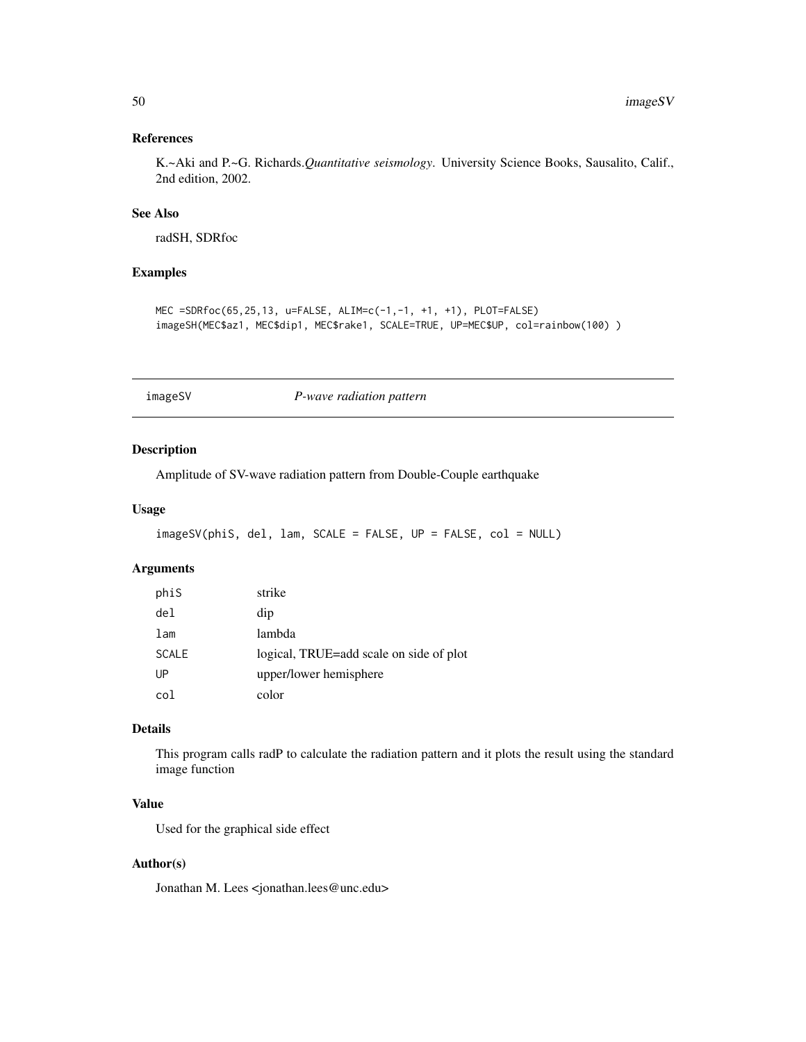# References

K.~Aki and P.~G. Richards.*Quantitative seismology*. University Science Books, Sausalito, Calif., 2nd edition, 2002.

# See Also

radSH, SDRfoc

# Examples

```
MEC =SDRfoc(65,25,13, u=FALSE, ALIM=c(-1,-1, +1, +1), PLOT=FALSE)
imageSH(MEC$az1, MEC$dip1, MEC$rake1, SCALE=TRUE, UP=MEC$UP, col=rainbow(100) )
```
imageSV *P-wave radiation pattern*

### Description

Amplitude of SV-wave radiation pattern from Double-Couple earthquake

## Usage

```
imageSV(phiS, del, lam, SCALE = FALSE, UP = FALSE, col = NULL)
```
## Arguments

| phiS            | strike                                  |
|-----------------|-----------------------------------------|
| de <sub>l</sub> | dip                                     |
| lam             | lambda                                  |
| <b>SCALE</b>    | logical, TRUE=add scale on side of plot |
| UP              | upper/lower hemisphere                  |
| col             | color                                   |

#### Details

This program calls radP to calculate the radiation pattern and it plots the result using the standard image function

# Value

Used for the graphical side effect

# Author(s)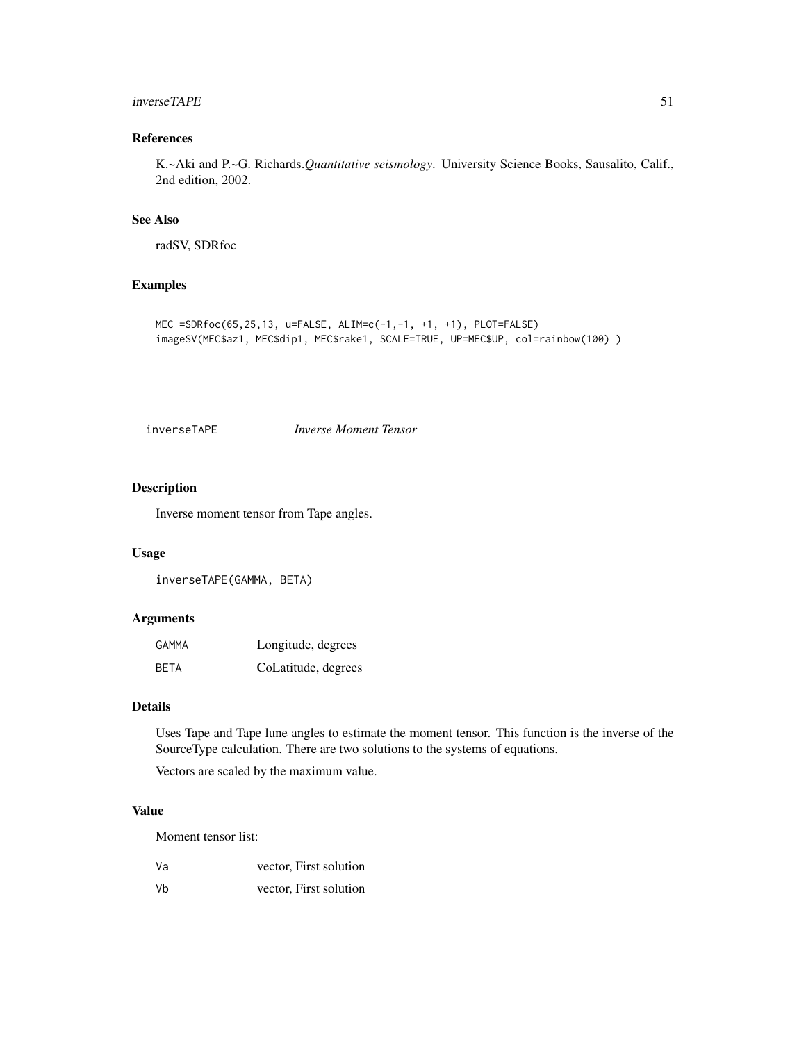#### inverseTAPE 51

# References

K.~Aki and P.~G. Richards.*Quantitative seismology*. University Science Books, Sausalito, Calif., 2nd edition, 2002.

#### See Also

radSV, SDRfoc

#### Examples

```
MEC =SDRfoc(65,25,13, u=FALSE, ALIM=c(-1,-1, +1, +1), PLOT=FALSE)
imageSV(MEC$az1, MEC$dip1, MEC$rake1, SCALE=TRUE, UP=MEC$UP, col=rainbow(100) )
```
#### inverseTAPE *Inverse Moment Tensor*

### Description

Inverse moment tensor from Tape angles.

#### Usage

inverseTAPE(GAMMA, BETA)

#### Arguments

| GAMMA       | Longitude, degrees  |
|-------------|---------------------|
| <b>BETA</b> | CoLatitude, degrees |

### Details

Uses Tape and Tape lune angles to estimate the moment tensor. This function is the inverse of the SourceType calculation. There are two solutions to the systems of equations.

Vectors are scaled by the maximum value.

# Value

Moment tensor list:

| Va | vector, First solution |
|----|------------------------|
|----|------------------------|

Vb vector, First solution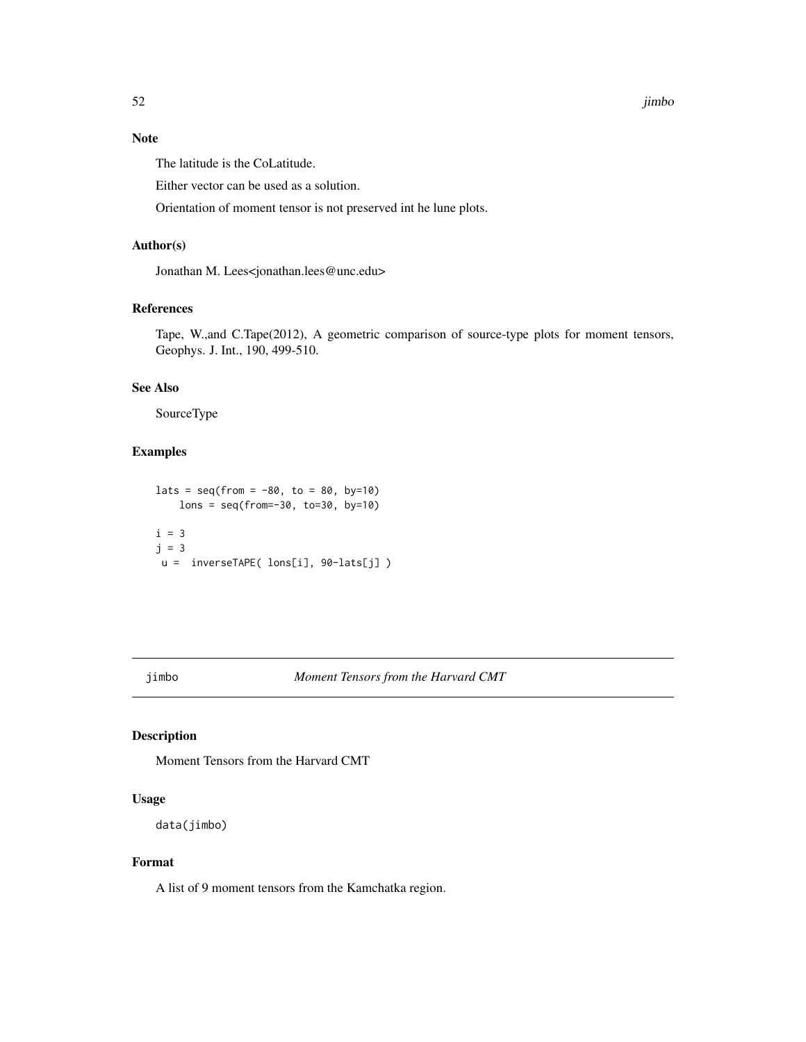# Note

The latitude is the CoLatitude.

Either vector can be used as a solution.

Orientation of moment tensor is not preserved int he lune plots.

### Author(s)

Jonathan M. Lees<jonathan.lees@unc.edu>

#### References

Tape, W.,and C.Tape(2012), A geometric comparison of source-type plots for moment tensors, Geophys. J. Int., 190, 499-510.

#### See Also

SourceType

#### Examples

```
\text{lats} = \text{seq}(\text{from} = -80, \text{to} = 80, \text{by=10})lons = seq(from=-30, to=30, by=10)
i = 3j = 3u = inverseTAPE( lons[i], 90-lats[j] )
```
jimbo *Moment Tensors from the Harvard CMT*

## Description

Moment Tensors from the Harvard CMT

#### Usage

data(jimbo)

#### Format

A list of 9 moment tensors from the Kamchatka region.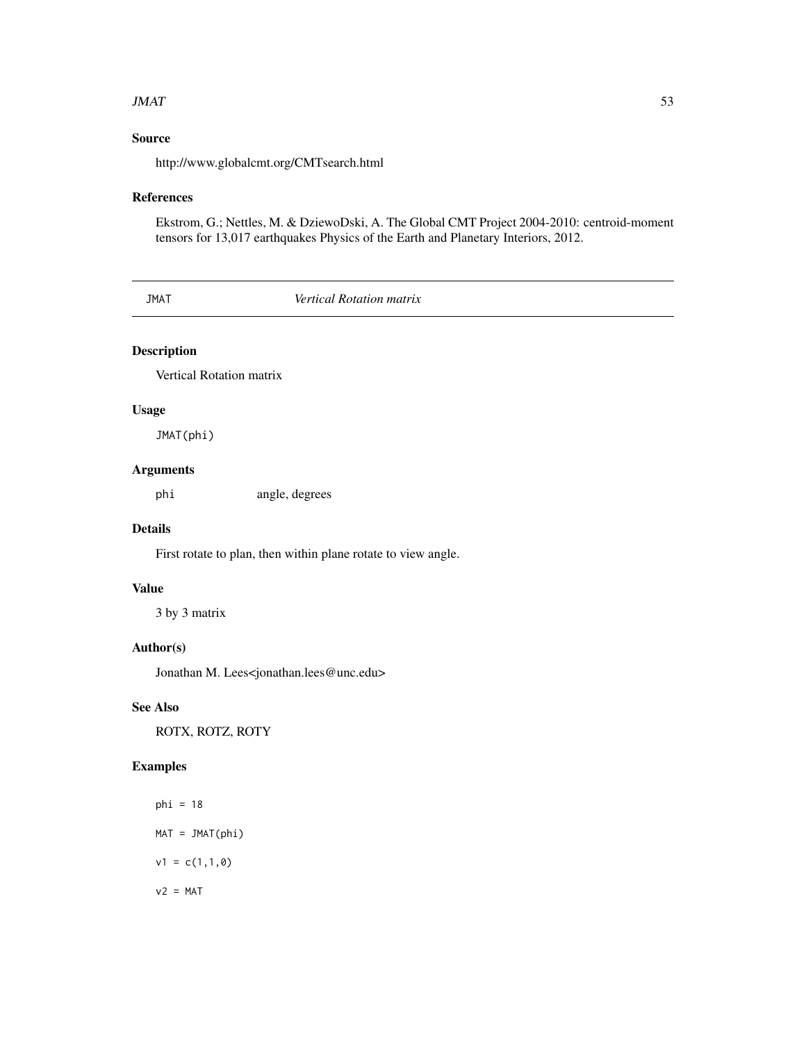#### $JMAT$  53

# Source

http://www.globalcmt.org/CMTsearch.html

#### References

Ekstrom, G.; Nettles, M. & DziewoDski, A. The Global CMT Project 2004-2010: centroid-moment tensors for 13,017 earthquakes Physics of the Earth and Planetary Interiors, 2012.

JMAT *Vertical Rotation matrix*

# Description

Vertical Rotation matrix

#### Usage

JMAT(phi)

# Arguments

phi angle, degrees

# Details

First rotate to plan, then within plane rotate to view angle.

#### Value

3 by 3 matrix

# Author(s)

Jonathan M. Lees<jonathan.lees@unc.edu>

# See Also

ROTX, ROTZ, ROTY

# Examples

phi = 18 MAT = JMAT(phi)  $v1 = c(1,1,0)$  $v2 = MAT$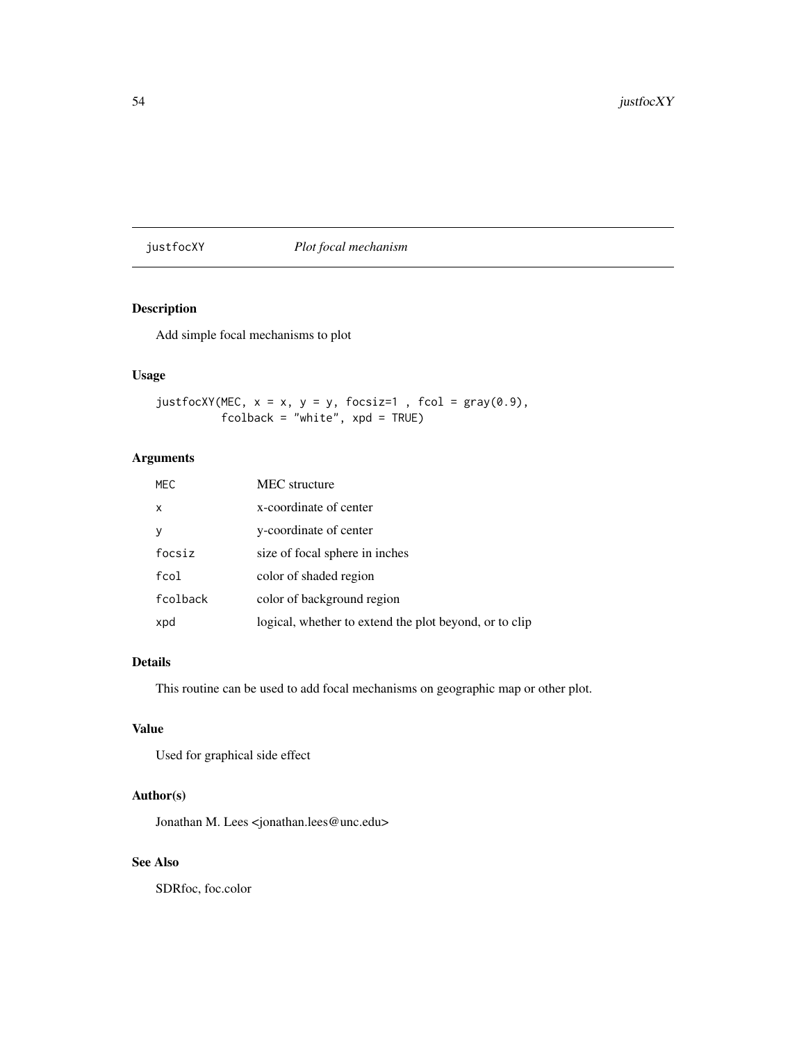# justfocXY *Plot focal mechanism*

# Description

Add simple focal mechanisms to plot

# Usage

```
justfocXY(MEC, x = x, y = y, focsiz=1, fcol = gray(0.9),
         fcolback = "white", xpd = TRUE)
```
# Arguments

| <b>MEC</b>   | <b>MEC</b> structure                                   |
|--------------|--------------------------------------------------------|
| $\mathsf{x}$ | x-coordinate of center                                 |
|              | y-coordinate of center                                 |
| focsiz       | size of focal sphere in inches                         |
| $f$ col      | color of shaded region                                 |
| fcolback     | color of background region                             |
| xpd          | logical, whether to extend the plot beyond, or to clip |
|              |                                                        |

# Details

This routine can be used to add focal mechanisms on geographic map or other plot.

# Value

Used for graphical side effect

# Author(s)

Jonathan M. Lees <jonathan.lees@unc.edu>

## See Also

SDRfoc, foc.color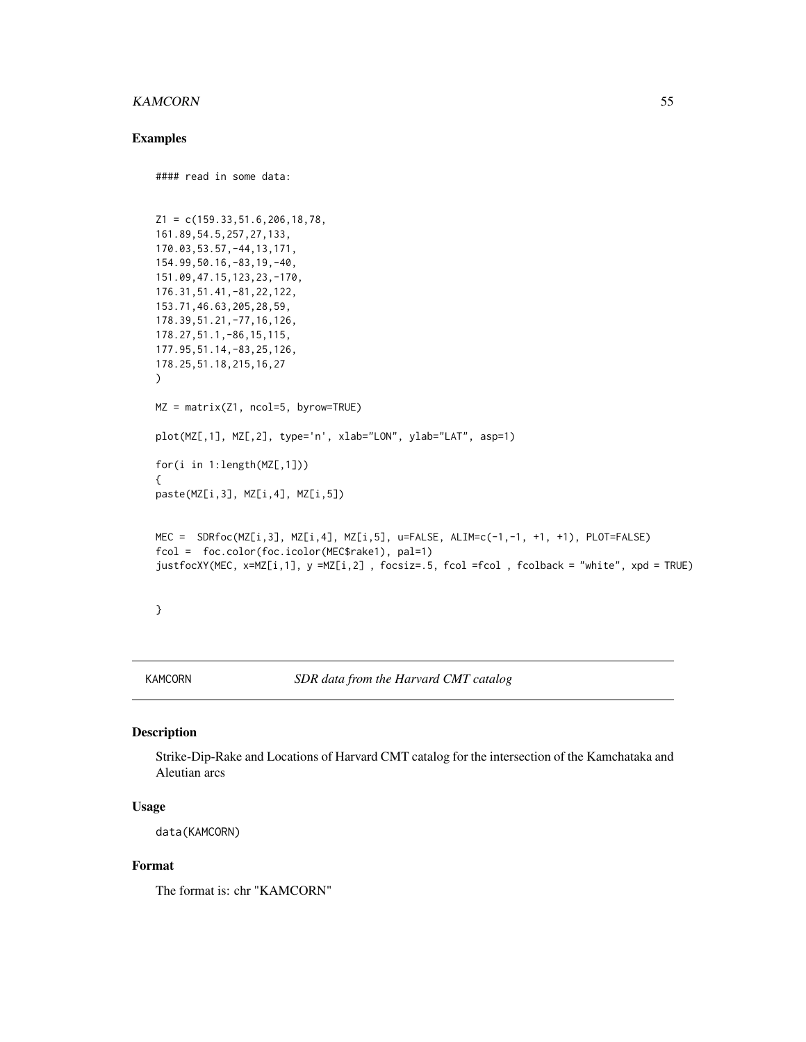#### KAMCORN 55

#### Examples

```
#### read in some data:
Z1 = c(159.33, 51.6, 206, 18, 78,161.89,54.5,257,27,133,
170.03,53.57,-44,13,171,
154.99,50.16,-83,19,-40,
151.09,47.15,123,23,-170,
176.31,51.41,-81,22,122,
153.71,46.63,205,28,59,
178.39,51.21,-77,16,126,
178.27,51.1,-86,15,115,
177.95,51.14,-83,25,126,
178.25,51.18,215,16,27
)
MZ = matrix(Z1, ncol=5, byrow=TRUE)
plot(MZ[,1], MZ[,2], type='n', xlab="LON", ylab="LAT", asp=1)
for(i in 1:length(MZ[,1]))
{
paste(MZ[i,3], MZ[i,4], MZ[i,5])
MEC = SDRfoc(MZ[i,3], MZ[i,4], MZ[i,5], u=FALSE, ALIM=c(-1,-1, +1, +1), PLOT=FALSE)
fcol = foc.color(foc.icolor(MEC$rake1), pal=1)
justfocXY(MEC, x=MZ[i,1], y =MZ[i,2] , focsiz=.5, fcol =fcol , fcolback = "white", xpd = TRUE)
}
```
KAMCORN *SDR data from the Harvard CMT catalog*

## Description

Strike-Dip-Rake and Locations of Harvard CMT catalog for the intersection of the Kamchataka and Aleutian arcs

### Usage

data(KAMCORN)

#### Format

The format is: chr "KAMCORN"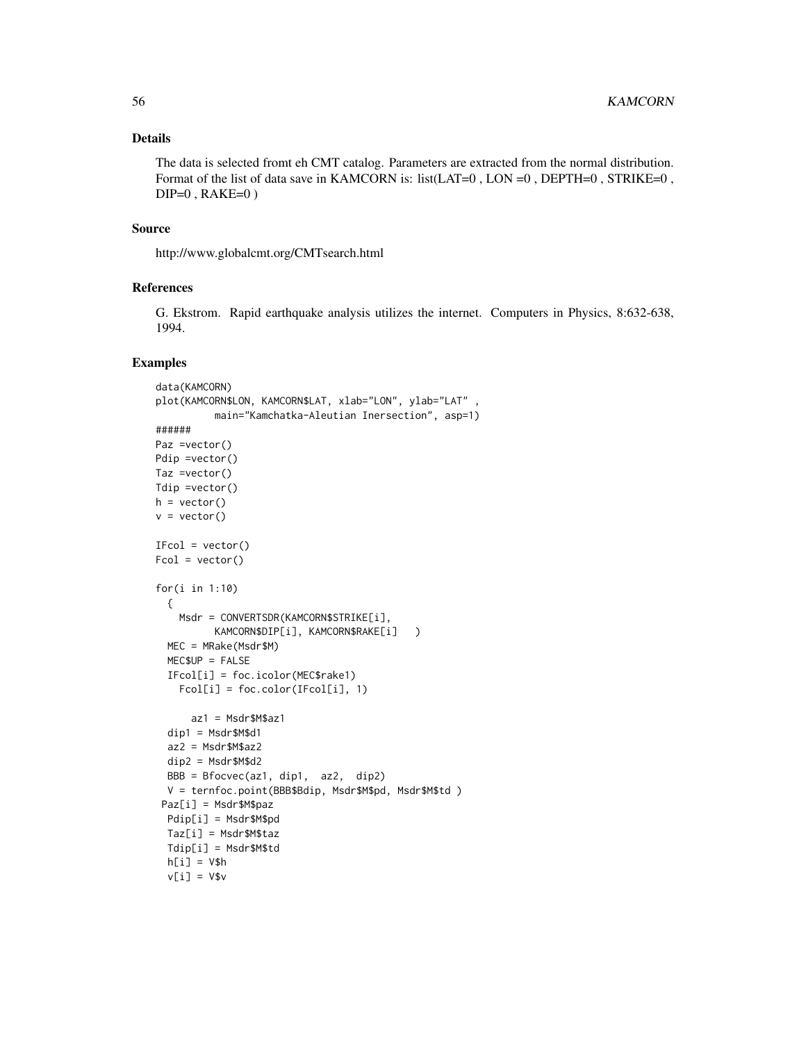### Details

The data is selected fromt eh CMT catalog. Parameters are extracted from the normal distribution. Format of the list of data save in KAMCORN is: list(LAT=0, LON =0, DEPTH=0, STRIKE=0,  $DIP=0$ ,  $RAKE=0$ )

#### Source

http://www.globalcmt.org/CMTsearch.html

#### References

G. Ekstrom. Rapid earthquake analysis utilizes the internet. Computers in Physics, 8:632-638, 1994.

#### Examples

```
data(KAMCORN)
plot(KAMCORN$LON, KAMCORN$LAT, xlab="LON", ylab="LAT"
         main="Kamchatka-Aleutian Inersection", asp=1)
######
Paz =vector()
Pdip =vector()
Taz =vector()
Tdip =vector()
h = vector()v = vector()IFcol = vector()Fcol = vector()for(i in 1:10)
  {
   Msdr = CONVERTSDR(KAMCORN$STRIKE[i],
         KAMCORN$DIP[i], KAMCORN$RAKE[i] )
  MEC = MRake(Msdr$M)
  MEC$UP = FALSE
  IFcol[i] = foc.icolor(MEC$rake1)
   Fcol[i] = foc.color(IFcol[i], 1)
      az1 = Msdr$M$az1
  dip1 = Msdr$M$d1
  az2 = Msdr$M$az2
  dip2 = Msdr$M$d2
  BBB = Bfocvec(az1, dip1, az2, dip2)
  V = ternfoc.point(BBB$Bdip, Msdr$M$pd, Msdr$M$td )
 Paz[i] = Msdr$M$paz
  Pdip[i] = Msdr$M$pd
  Taz[i] = Msdr$M$taz
  Tdip[i] = Msdr$M$td
  h[i] = V$hv[i] = V$v
```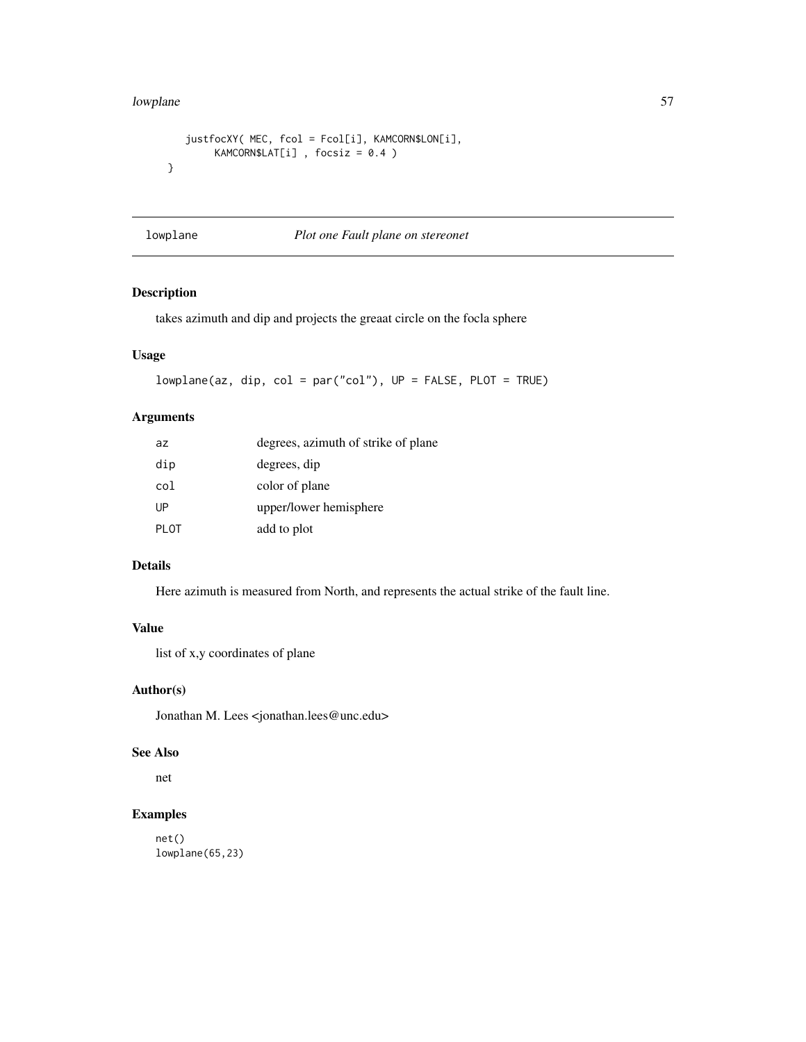#### lowplane 57

```
justfocXY( MEC, fcol = Fcol[i], KAMCORN$LON[i],
       KAMCORN$LAT[i] , focsiz = 0.4 )
}
```
lowplane *Plot one Fault plane on stereonet*

# Description

takes azimuth and dip and projects the greaat circle on the focla sphere

# Usage

```
lowplane(az, dip, col = par("col"), UP = FALSE, PLOT = TRUE)
```
# Arguments

| az          | degrees, azimuth of strike of plane |
|-------------|-------------------------------------|
| dip         | degrees, dip                        |
| col         | color of plane                      |
| UP          | upper/lower hemisphere              |
| <b>PLOT</b> | add to plot                         |

# Details

Here azimuth is measured from North, and represents the actual strike of the fault line.

### Value

list of x,y coordinates of plane

# Author(s)

Jonathan M. Lees <jonathan.lees@unc.edu>

#### See Also

net

# Examples

net() lowplane(65,23)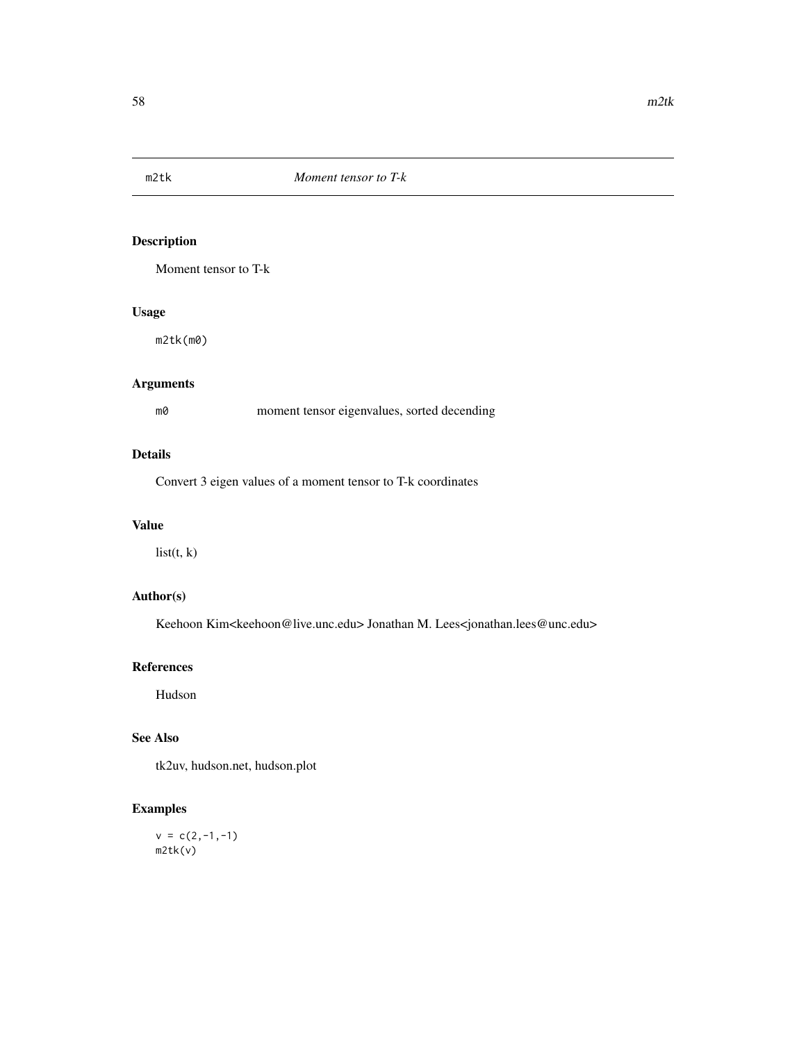Moment tensor to T-k

# Usage

m2tk(m0)

# Arguments

m0 moment tensor eigenvalues, sorted decending

#### Details

Convert 3 eigen values of a moment tensor to T-k coordinates

#### Value

list(t, k)

# Author(s)

Keehoon Kim<keehoon@live.unc.edu> Jonathan M. Lees<jonathan.lees@unc.edu>

## References

Hudson

# See Also

tk2uv, hudson.net, hudson.plot

# Examples

 $v = c(2,-1,-1)$ m2tk(v)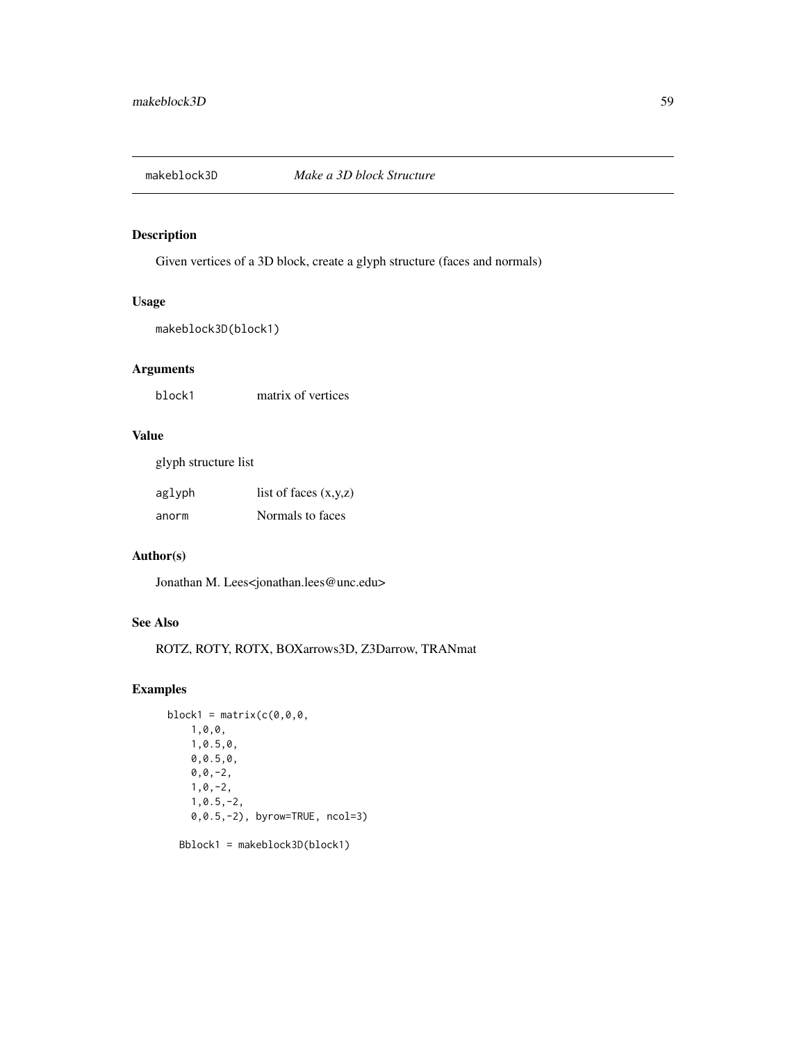Given vertices of a 3D block, create a glyph structure (faces and normals)

#### Usage

makeblock3D(block1)

# Arguments

block1 matrix of vertices

# Value

glyph structure list

| aglyph | list of faces $(x,y,z)$ |
|--------|-------------------------|
| anorm  | Normals to faces        |

# Author(s)

Jonathan M. Lees<jonathan.lees@unc.edu>

# See Also

ROTZ, ROTY, ROTX, BOXarrows3D, Z3Darrow, TRANmat

# Examples

```
block1 = matrix(c(0,0,0,1,0,0,
    1,0.5,0,
   0,0.5,0,
    0, 0, -2,1,0,-2,
    1,0.5,-2,
    0,0.5,-2), byrow=TRUE, ncol=3)
  Bblock1 = makeblock3D(block1)
```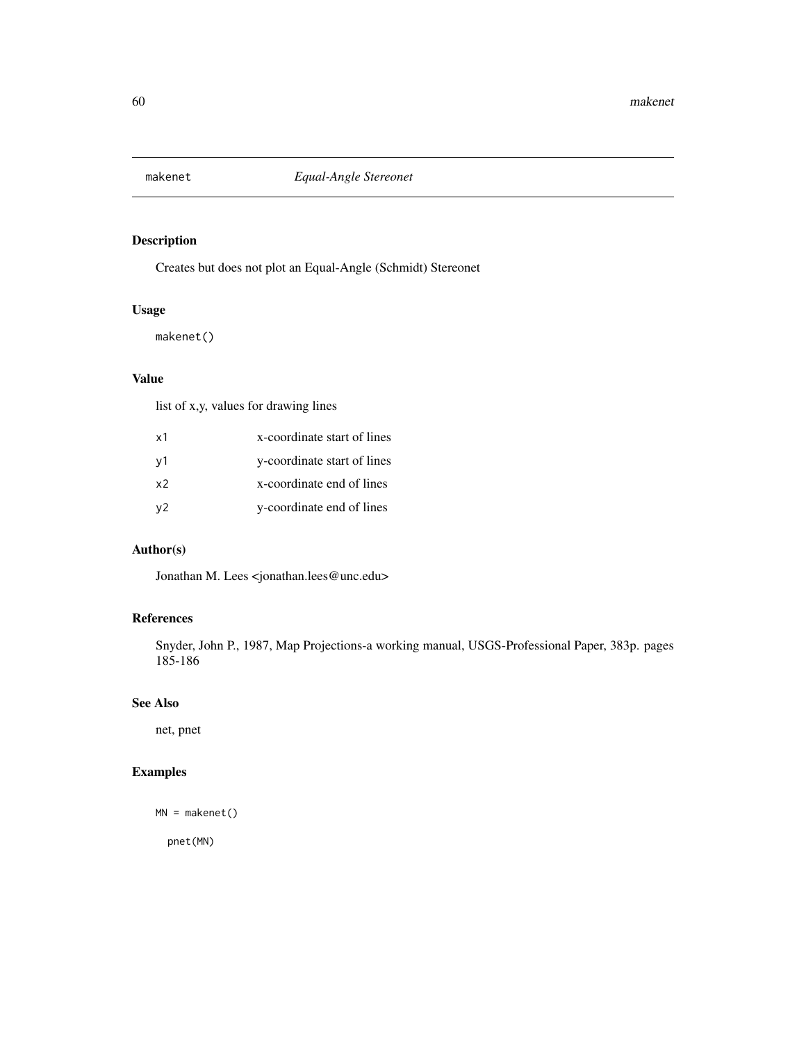Creates but does not plot an Equal-Angle (Schmidt) Stereonet

# Usage

makenet()

## Value

list of x,y, values for drawing lines

| x1             | x-coordinate start of lines |
|----------------|-----------------------------|
| v1             | y-coordinate start of lines |
| x <sub>2</sub> | x-coordinate end of lines   |
| v <sub>2</sub> | y-coordinate end of lines   |

# Author(s)

Jonathan M. Lees <jonathan.lees@unc.edu>

# References

Snyder, John P., 1987, Map Projections-a working manual, USGS-Professional Paper, 383p. pages 185-186

# See Also

net, pnet

# Examples

```
MN = makenet()
```
pnet(MN)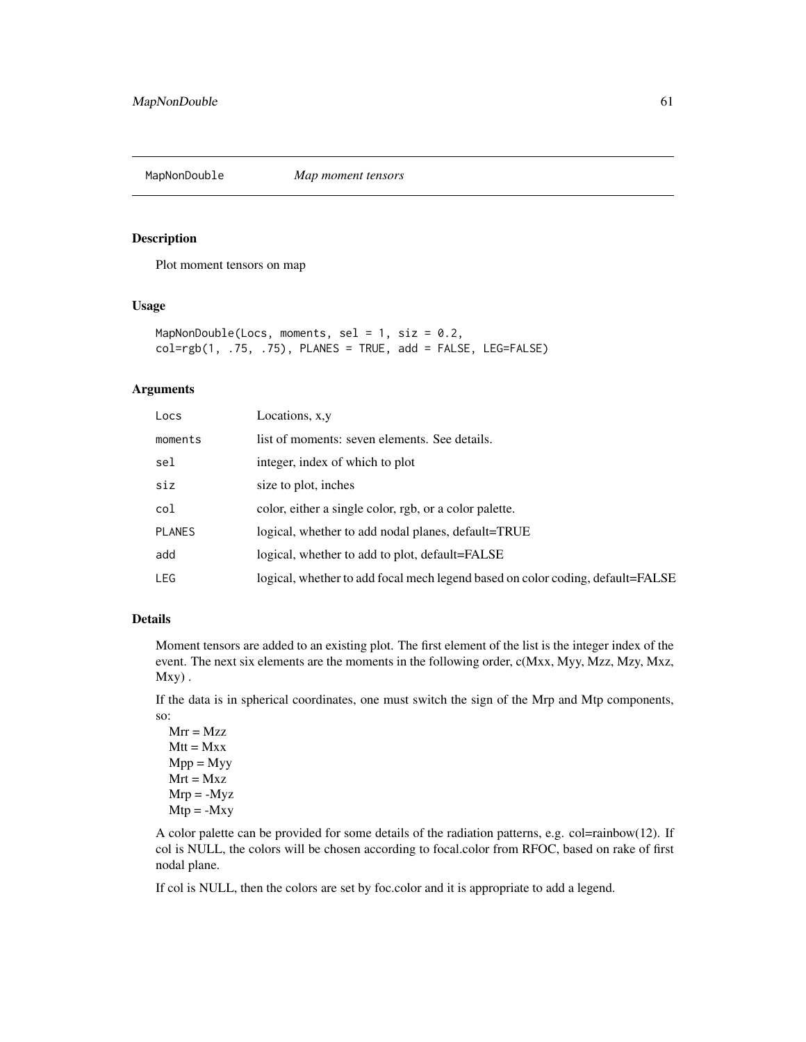Plot moment tensors on map

#### Usage

```
MapNonDouble(Locs, moments, sel = 1, siz = 0.2,
col=rgb(1, .75, .75), PLANES = TRUE, add = FALSE, LEG=FALSE)
```
## Arguments

| Locs          | Locations, x, y                                                                |
|---------------|--------------------------------------------------------------------------------|
| moments       | list of moments: seven elements. See details.                                  |
| sel           | integer, index of which to plot                                                |
| siz           | size to plot, inches                                                           |
| col           | color, either a single color, rgb, or a color palette.                         |
| <b>PLANES</b> | logical, whether to add nodal planes, default=TRUE                             |
| add           | logical, whether to add to plot, default=FALSE                                 |
| LEG           | logical, whether to add focal mech legend based on color coding, default=FALSE |

#### Details

Moment tensors are added to an existing plot. The first element of the list is the integer index of the event. The next six elements are the moments in the following order, c(Mxx, Myy, Mzz, Mzy, Mxz,  $Mxy$ ).

If the data is in spherical coordinates, one must switch the sign of the Mrp and Mtp components, so:

 $Mrr = Mzz$  $Mtt = Mxx$  $Mpp = Myy$  $Mrt = Mxz$  $Mrp = -Myz$  $Mtp = -Mxy$ 

A color palette can be provided for some details of the radiation patterns, e.g. col=rainbow(12). If col is NULL, the colors will be chosen according to focal.color from RFOC, based on rake of first nodal plane.

If col is NULL, then the colors are set by foc.color and it is appropriate to add a legend.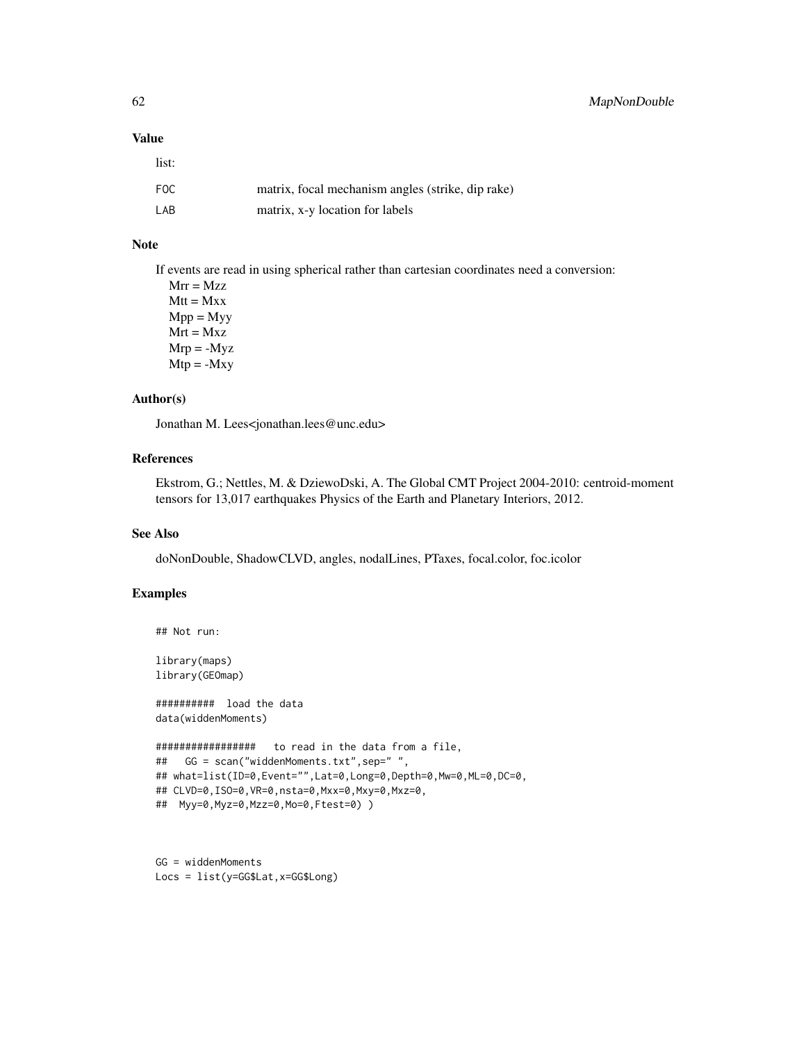### Value

list:

| FOC | matrix, focal mechanism angles (strike, dip rake) |
|-----|---------------------------------------------------|
| LAB | matrix, x-y location for labels                   |

# Note

If events are read in using spherical rather than cartesian coordinates need a conversion:

 $Mrr = Mzz$  $Mtt = Mxx$  $Mpp = Myy$  $Mrt = Mxz$  $Mrp = -Myz$  $Mtp = -Mxy$ 

### Author(s)

Jonathan M. Lees<jonathan.lees@unc.edu>

# References

Ekstrom, G.; Nettles, M. & DziewoDski, A. The Global CMT Project 2004-2010: centroid-moment tensors for 13,017 earthquakes Physics of the Earth and Planetary Interiors, 2012.

### See Also

doNonDouble, ShadowCLVD, angles, nodalLines, PTaxes, focal.color, foc.icolor

# Examples

```
## Not run:
```
library(maps) library(GEOmap)

########## load the data data(widdenMoments)

```
################# to read in the data from a file,
## GG = scan("widdenMoments.txt",sep=" ",
## what=list(ID=0,Event="",Lat=0,Long=0,Depth=0,Mw=0,ML=0,DC=0,
## CLVD=0,ISO=0,VR=0,nsta=0,Mxx=0,Mxy=0,Mxz=0,
## Myy=0,Myz=0,Mzz=0,Mo=0,Ftest=0) )
```
GG = widdenMoments Locs = list(y=GG\$Lat,x=GG\$Long)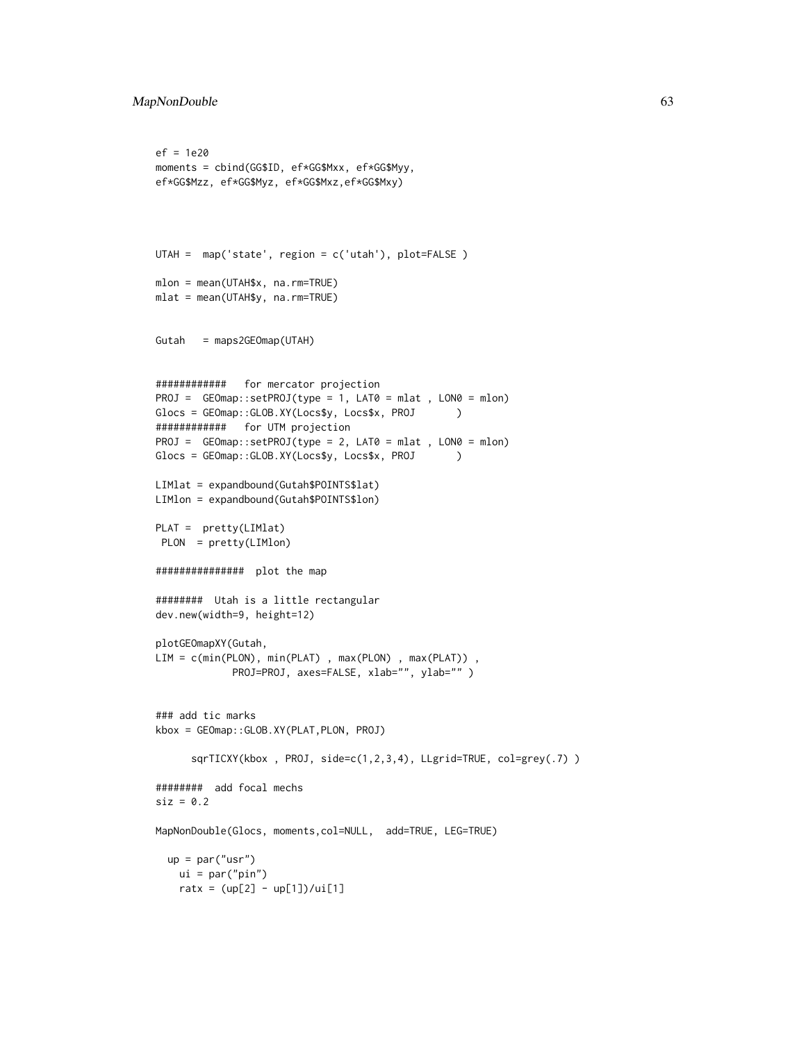```
ef = 1e20
moments = cbind(GG$ID, ef*GG$Mxx, ef*GG$Myy,
ef*GG$Mzz, ef*GG$Myz, ef*GG$Mxz,ef*GG$Mxy)
UTAH = map('state', region = c('utah'), plot=FALSE )
mlon = mean(UTAH$x, na.rm=TRUE)
mlat = mean(UTAH$y, na.rm=TRUE)
Gutah = maps2GEOmap(UTAH)
############ for mercator projection
PROJ = GEOmap::setPROJ(type = 1, LAT0 = mlat , LON0 = mlon)
Glocs = GEOmap::GLOB.XY(Locs$y, Locs$x, PROJ )
############ for UTM projection
PROJ = GEOmap::setPROJ(type = 2, LAT0 = mlat , LON0 = mlon)
Glocs = GEOmap::GLOB.XY(Locs$y, Locs$x, PROJ )
LIMlat = expandbound(Gutah$POINTS$lat)
LIMlon = expandbound(Gutah$POINTS$lon)
PLAT = pretty(LIMlat)
PLON = pretty(LIMlon)
############### plot the map
######## Utah is a little rectangular
dev.new(width=9, height=12)
plotGEOmapXY(Gutah,
LIM = c(min(PLON), min(PLAT), max(PLON), max(PLAT)),
            PROJ=PROJ, axes=FALSE, xlab="", ylab="" )
### add tic marks
kbox = GEOmap::GLOB.XY(PLAT,PLON, PROJ)
      sqrTICXY(kbox , PROJ, side=c(1,2,3,4), LLgrid=TRUE, col=grey(.7) )
######## add focal mechs
\text{size} = 0.2MapNonDouble(Glocs, moments,col=NULL, add=TRUE, LEG=TRUE)
 up = par("usr")
   ui = par("pin")ratx = (up[2] - up[1])/ui[1]
```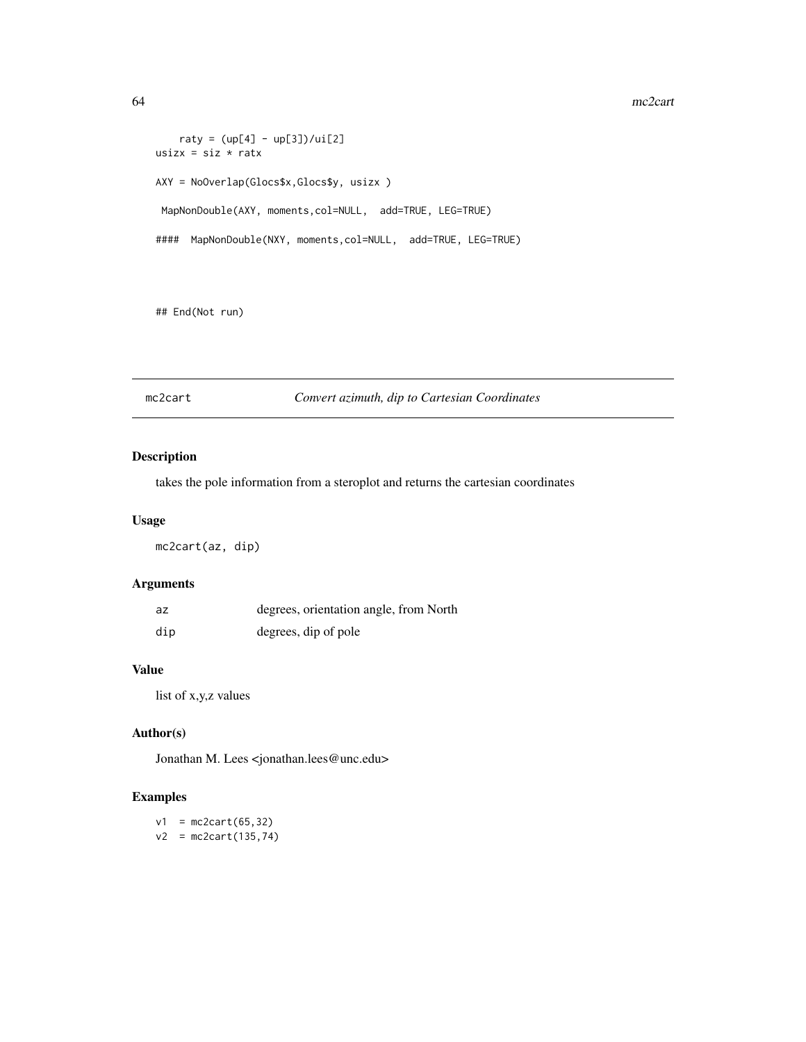#### 64 mc2cart

```
raty = (up[4] - up[3])/ui[2]usizx = siz * ratx
AXY = NoOverlap(Glocs$x,Glocs$y, usizx )
MapNonDouble(AXY, moments,col=NULL, add=TRUE, LEG=TRUE)
#### MapNonDouble(NXY, moments,col=NULL, add=TRUE, LEG=TRUE)
```
## End(Not run)

# mc2cart *Convert azimuth, dip to Cartesian Coordinates*

# Description

takes the pole information from a steroplot and returns the cartesian coordinates

#### Usage

mc2cart(az, dip)

# Arguments

| az  | degrees, orientation angle, from North |  |  |
|-----|----------------------------------------|--|--|
| dip | degrees, dip of pole                   |  |  |

#### Value

list of x,y,z values

## Author(s)

Jonathan M. Lees <jonathan.lees@unc.edu>

## Examples

 $v1 = mc2cart(65, 32)$  $v2 = mc2cart(135, 74)$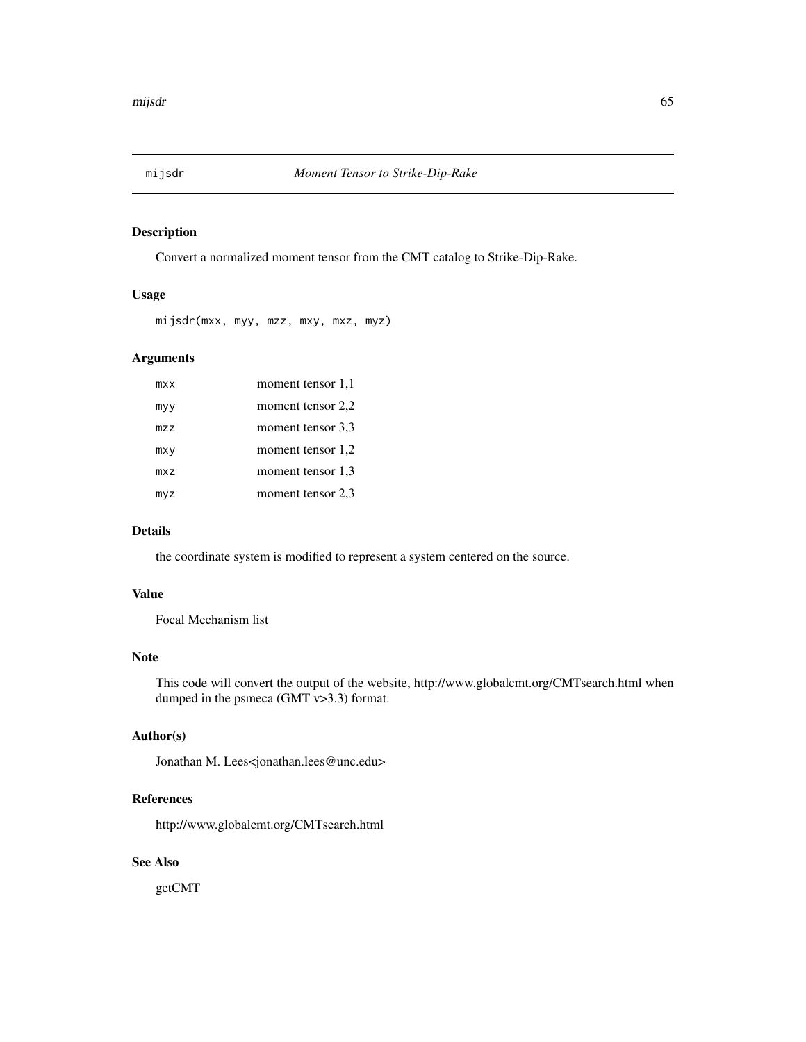Convert a normalized moment tensor from the CMT catalog to Strike-Dip-Rake.

#### Usage

```
mijsdr(mxx, myy, mzz, mxy, mxz, myz)
```
# Arguments

| <b>MXX</b> | moment tensor 1,1 |
|------------|-------------------|
| myy        | moment tensor 2,2 |
| mzz        | moment tensor 3.3 |
| mxy        | moment tensor 1,2 |
| mxz        | moment tensor 1.3 |
| myz        | moment tensor 2,3 |

### Details

the coordinate system is modified to represent a system centered on the source.

#### Value

Focal Mechanism list

# Note

This code will convert the output of the website, http://www.globalcmt.org/CMTsearch.html when dumped in the psmeca (GMT v>3.3) format.

## Author(s)

Jonathan M. Lees<jonathan.lees@unc.edu>

#### References

http://www.globalcmt.org/CMTsearch.html

# See Also

getCMT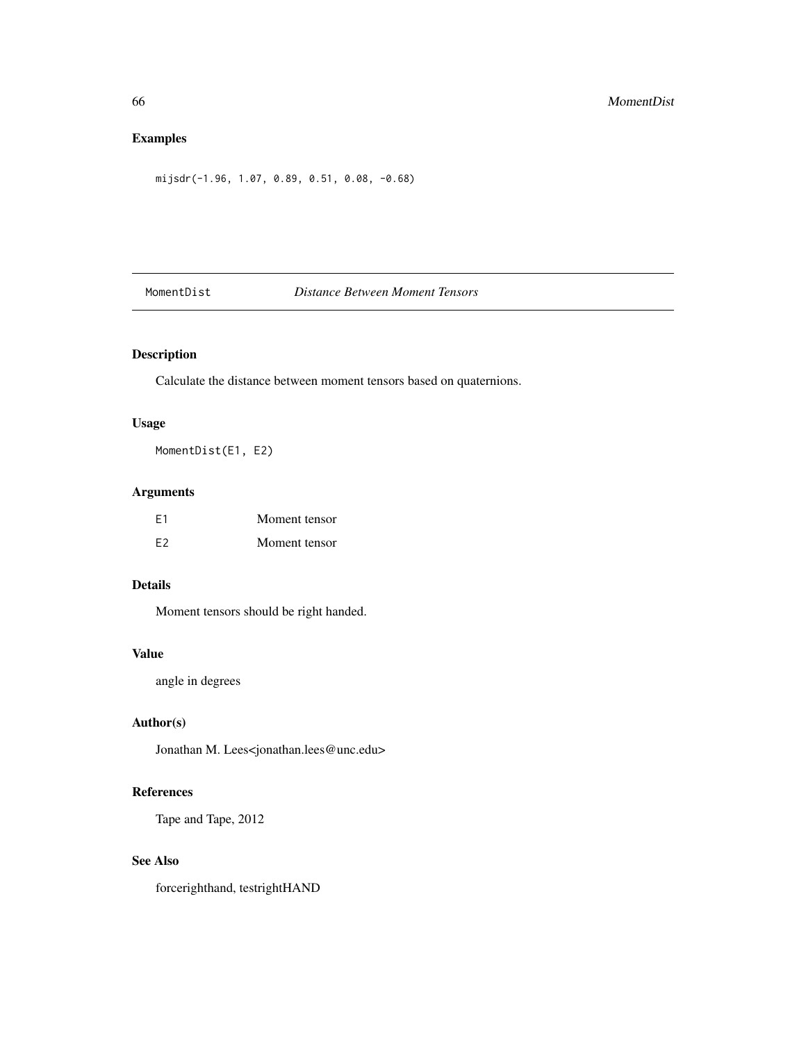# Examples

mijsdr(-1.96, 1.07, 0.89, 0.51, 0.08, -0.68)

# MomentDist *Distance Between Moment Tensors*

# Description

Calculate the distance between moment tensors based on quaternions.

# Usage

MomentDist(E1, E2)

# Arguments

| F <sub>1</sub> | Moment tensor |
|----------------|---------------|
| F <sub>2</sub> | Moment tensor |

## Details

Moment tensors should be right handed.

#### Value

angle in degrees

# Author(s)

Jonathan M. Lees<jonathan.lees@unc.edu>

### References

Tape and Tape, 2012

# See Also

forcerighthand, testrightHAND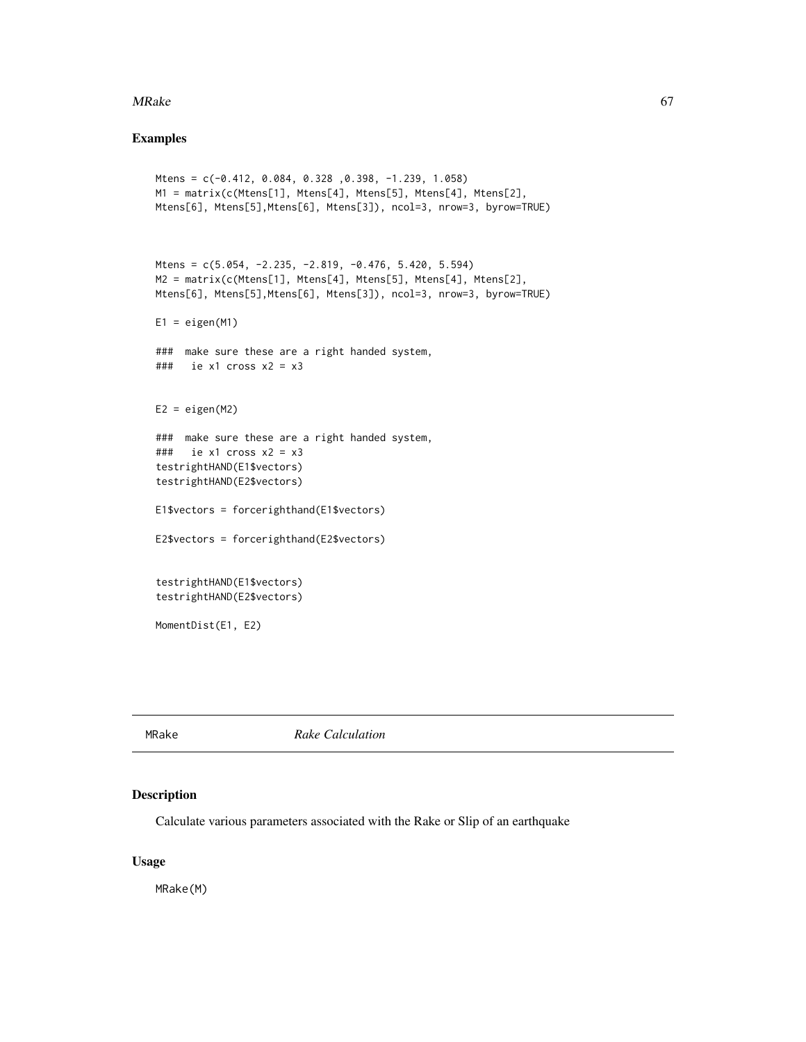#### MRake 67

#### Examples

```
Mtens = c(-0.412, 0.084, 0.328 ,0.398, -1.239, 1.058)
M1 = matrix(c(Mtens[1], Mtens[4], Mtens[5], Mtens[4], Mtens[2],
Mtens[6], Mtens[5],Mtens[6], Mtens[3]), ncol=3, nrow=3, byrow=TRUE)
Mtens = c(5.054, -2.235, -2.819, -0.476, 5.420, 5.594)
M2 = matrix(c(Mtens[1], Mtens[4], Mtens[5], Mtens[4], Mtens[2],
Mtens[6], Mtens[5],Mtens[6], Mtens[3]), ncol=3, nrow=3, byrow=TRUE)
E1 = eigen(M1)### make sure these are a right handed system,
### ie x1 cross x2 = x3
E2 = eigenv(M2)### make sure these are a right handed system,
\# \# \# ie x1 cross x2 = x3
testrightHAND(E1$vectors)
testrightHAND(E2$vectors)
E1$vectors = forcerighthand(E1$vectors)
E2$vectors = forcerighthand(E2$vectors)
testrightHAND(E1$vectors)
testrightHAND(E2$vectors)
MomentDist(E1, E2)
```
MRake *Rake Calculation*

#### Description

Calculate various parameters associated with the Rake or Slip of an earthquake

## Usage

MRake(M)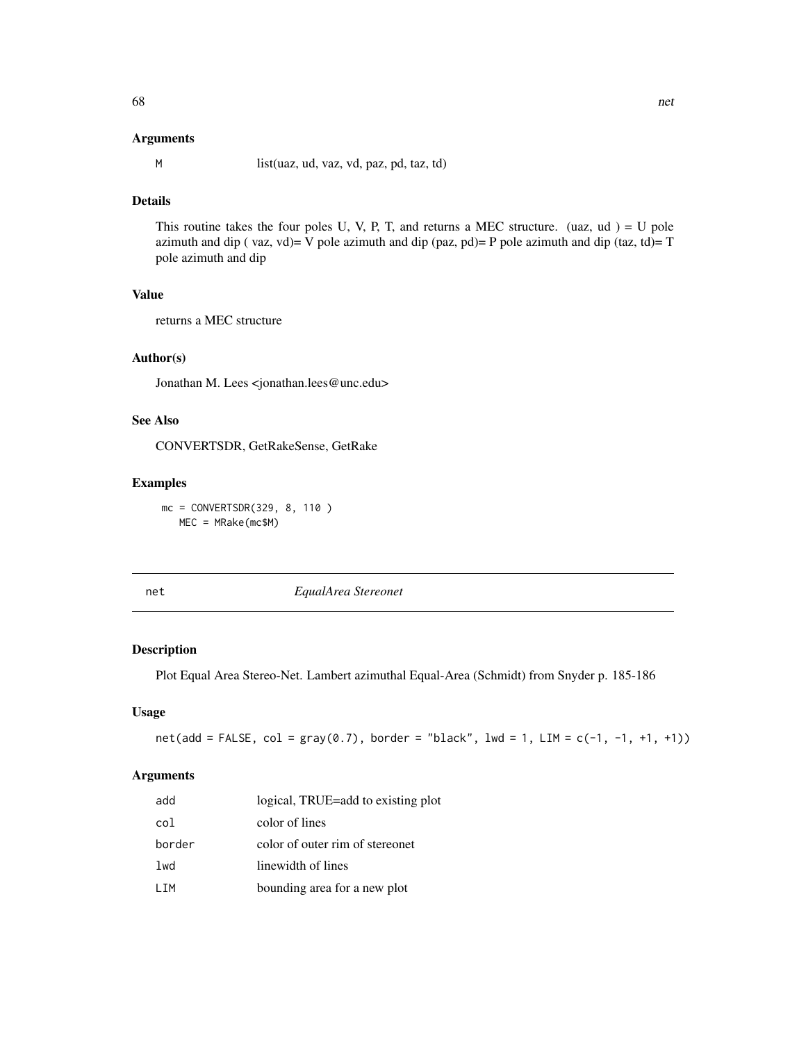#### Arguments

M list(uaz, ud, vaz, vd, paz, pd, taz, td)

## Details

This routine takes the four poles U, V, P, T, and returns a MEC structure. (uaz,  $ud$ ) = U pole azimuth and dip ( $\text{vaz}, \text{vd}$ ) = V pole azimuth and dip ( $\text{paz}, \text{pd}$ ) = P pole azimuth and dip (taz, td) = T pole azimuth and dip

#### Value

returns a MEC structure

#### Author(s)

Jonathan M. Lees <jonathan.lees@unc.edu>

# See Also

CONVERTSDR, GetRakeSense, GetRake

#### Examples

mc = CONVERTSDR(329, 8, 110 ) MEC = MRake(mc\$M)

net *EqualArea Stereonet*

# Description

Plot Equal Area Stereo-Net. Lambert azimuthal Equal-Area (Schmidt) from Snyder p. 185-186

#### Usage

 $net(add = FALSE, col = gray(0.7), border = "black", lw = 1, LIM = c(-1, -1, +1, +1))$ 

### Arguments

| add    | logical, TRUE=add to existing plot |
|--------|------------------------------------|
| col    | color of lines                     |
| border | color of outer rim of stereonet    |
| lwd    | linewidth of lines                 |
| LIM    | bounding area for a new plot       |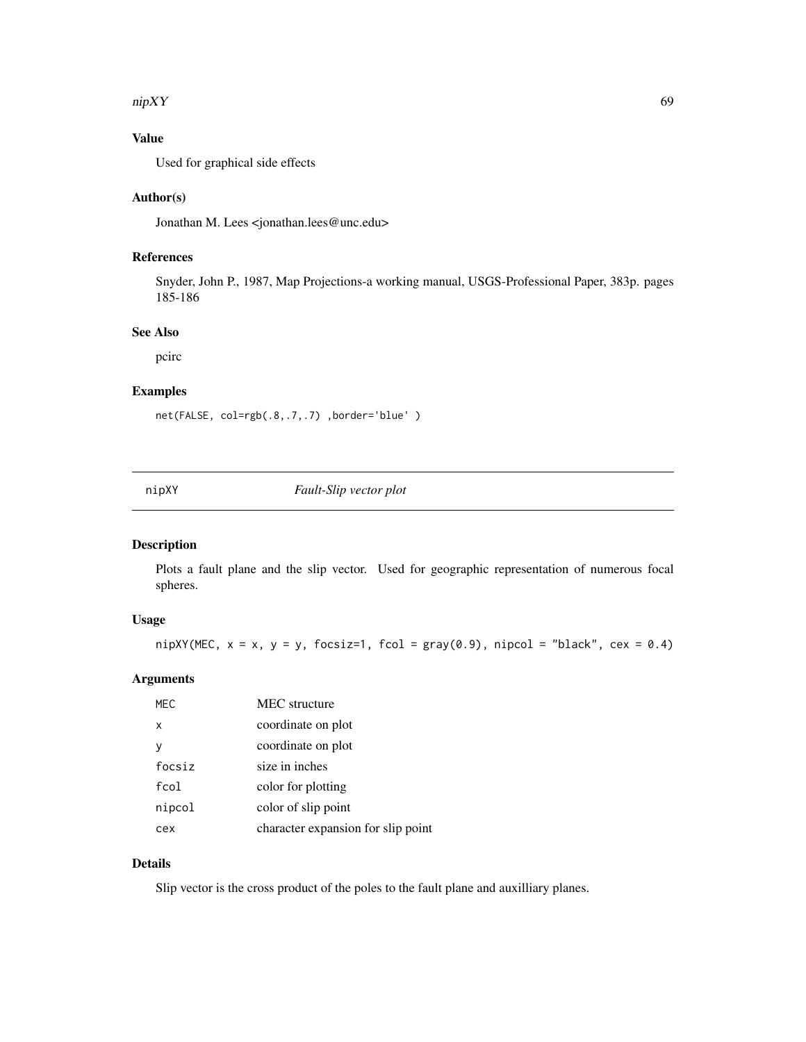#### $\eta$ nipXY 69

# Value

Used for graphical side effects

#### Author(s)

Jonathan M. Lees <jonathan.lees@unc.edu>

# References

Snyder, John P., 1987, Map Projections-a working manual, USGS-Professional Paper, 383p. pages 185-186

## See Also

pcirc

## Examples

net(FALSE, col=rgb(.8,.7,.7) ,border='blue' )

nipXY *Fault-Slip vector plot*

# Description

Plots a fault plane and the slip vector. Used for geographic representation of numerous focal spheres.

# Usage

```
nipXY(MEC, x = x, y = y, focsiz=1, fcol = gray(0.9), nipcol = "black", cex = 0.4)
```
# Arguments

| MEC    | <b>MEC</b> structure               |
|--------|------------------------------------|
| x      | coordinate on plot                 |
| ٧      | coordinate on plot                 |
| focsiz | size in inches                     |
| fcol   | color for plotting                 |
| nipcol | color of slip point                |
| cex    | character expansion for slip point |

# Details

Slip vector is the cross product of the poles to the fault plane and auxilliary planes.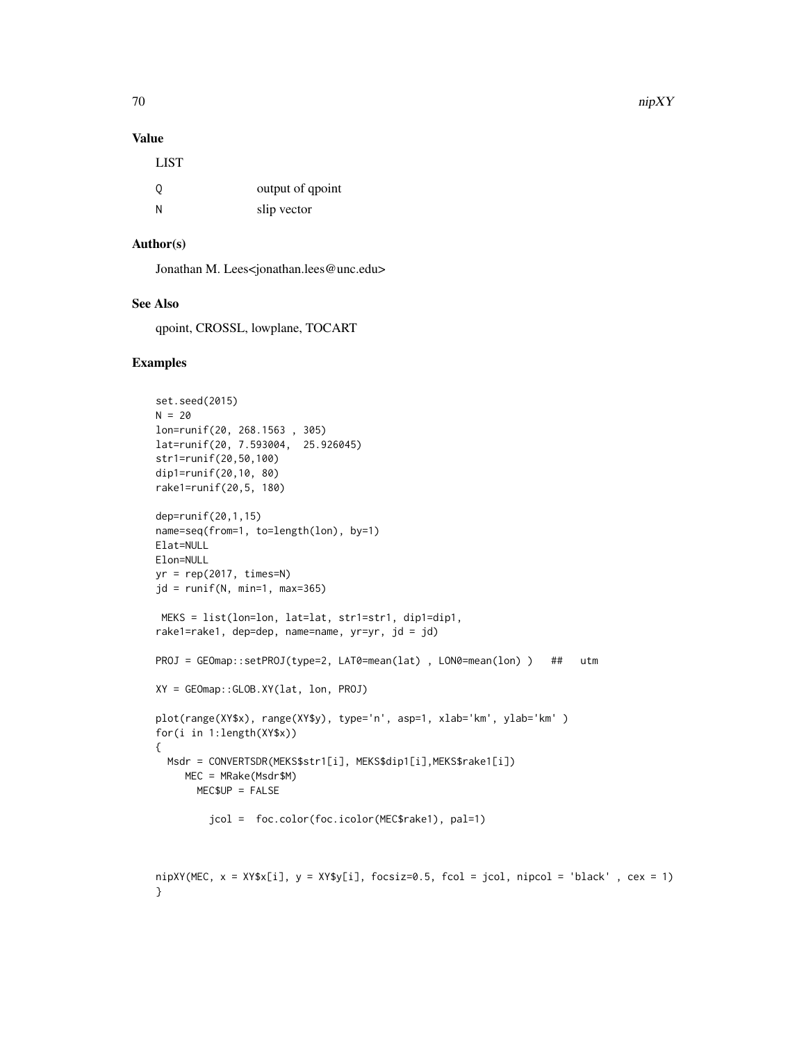## Value

| <b>LIST</b> |                  |
|-------------|------------------|
| O           | output of qpoint |
| N           | slip vector      |

## Author(s)

Jonathan M. Lees<jonathan.lees@unc.edu>

## See Also

qpoint, CROSSL, lowplane, TOCART

#### Examples

```
set.seed(2015)
N = 20lon=runif(20, 268.1563 , 305)
lat=runif(20, 7.593004, 25.926045)
str1=runif(20,50,100)
dip1=runif(20,10, 80)
rake1=runif(20,5, 180)
dep=runif(20,1,15)
name=seq(from=1, to=length(lon), by=1)
Elat=NULL
Elon=NULL
yr = rep(2017, times=N)
jd = runif(N, min=1, max=365)MEKS = list(lon=lon, lat=lat, str1=str1, dip1=dip1,
rake1=rake1, dep=dep, name=name, yr=yr, jd = jd)
PROJ = GEOmap::setPROJ(type=2, LAT0=mean(lat) , LON0=mean(lon) ) ## utm
XY = GEOmap::GLOB.XY(lat, lon, PROJ)
plot(range(XY$x), range(XY$y), type='n', asp=1, xlab='km', ylab='km' )
for(i in 1:length(XY$x))
{
  Msdr = CONVERTSDR(MEKS$str1[i], MEKS$dip1[i],MEKS$rake1[i])
    MEC = MRake(Msdr$M)
      MEC$UP = FALSE
         jcol = foc.color(foc.icolor(MEC$rake1), pal=1)
```

```
nipXY(MEC, x = XY$x[i], y = XY$y[i], focsiz=0.5, fcol = jcol, nipcol = 'black', cex = 1)
}
```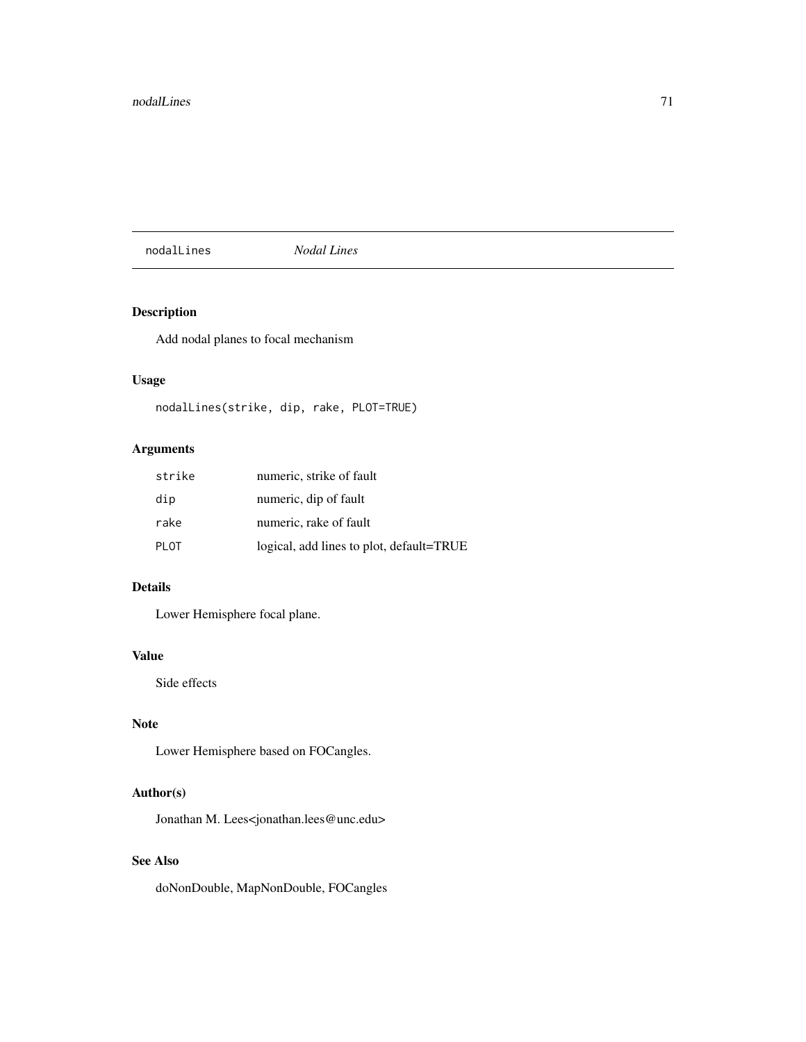#### nodalLines *Nodal Lines*

# Description

Add nodal planes to focal mechanism

# Usage

nodalLines(strike, dip, rake, PLOT=TRUE)

# Arguments

| strike | numeric, strike of fault                 |
|--------|------------------------------------------|
| dip    | numeric, dip of fault                    |
| rake   | numeric, rake of fault                   |
| PLOT   | logical, add lines to plot, default=TRUE |

# Details

Lower Hemisphere focal plane.

#### Value

Side effects

# Note

Lower Hemisphere based on FOCangles.

# Author(s)

Jonathan M. Lees<jonathan.lees@unc.edu>

# See Also

doNonDouble, MapNonDouble, FOCangles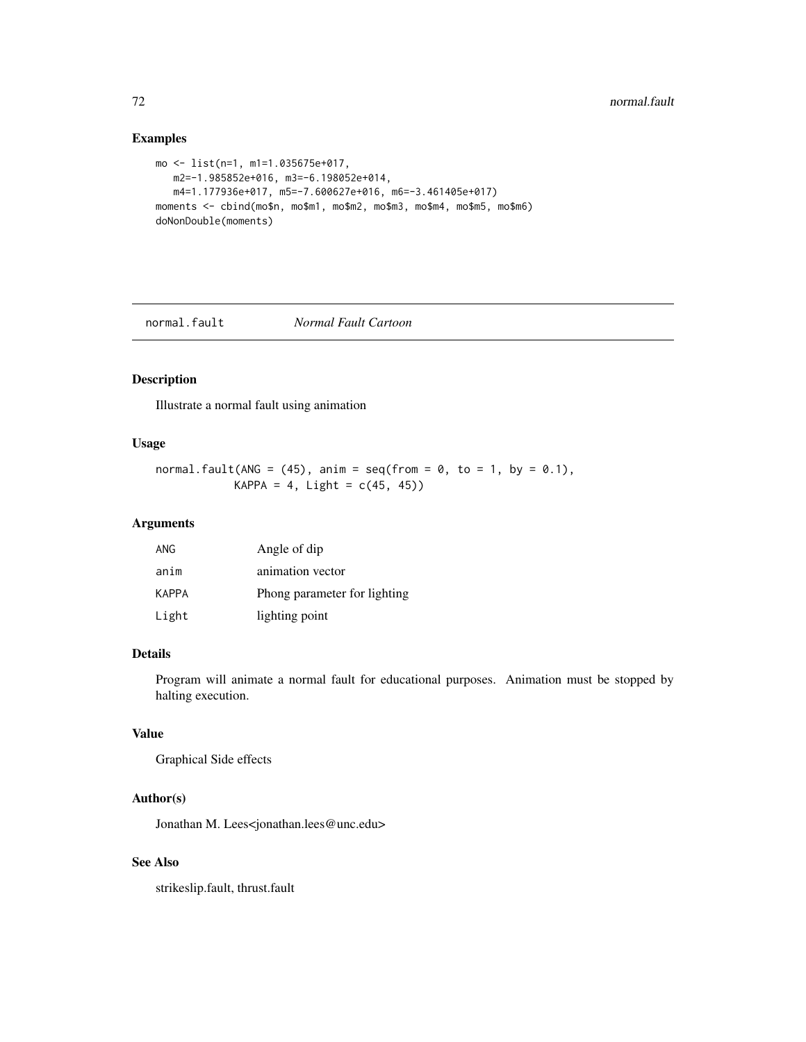# Examples

```
mo <- list(n=1, m1=1.035675e+017,
  m2=-1.985852e+016, m3=-6.198052e+014,
  m4=1.177936e+017, m5=-7.600627e+016, m6=-3.461405e+017)
moments <- cbind(mo$n, mo$m1, mo$m2, mo$m3, mo$m4, mo$m5, mo$m6)
doNonDouble(moments)
```
normal.fault *Normal Fault Cartoon*

# Description

Illustrate a normal fault using animation

### Usage

```
normal.fault(ANG = (45), anim = seq(from = 0, to = 1, by = 0.1),
            KAPPA = 4, Light = c(45, 45))
```
## Arguments

| ANG   | Angle of dip                 |
|-------|------------------------------|
| anim  | animation vector             |
| KAPPA | Phong parameter for lighting |
| Light | lighting point               |

#### Details

Program will animate a normal fault for educational purposes. Animation must be stopped by halting execution.

# Value

Graphical Side effects

#### Author(s)

Jonathan M. Lees<jonathan.lees@unc.edu>

# See Also

strikeslip.fault, thrust.fault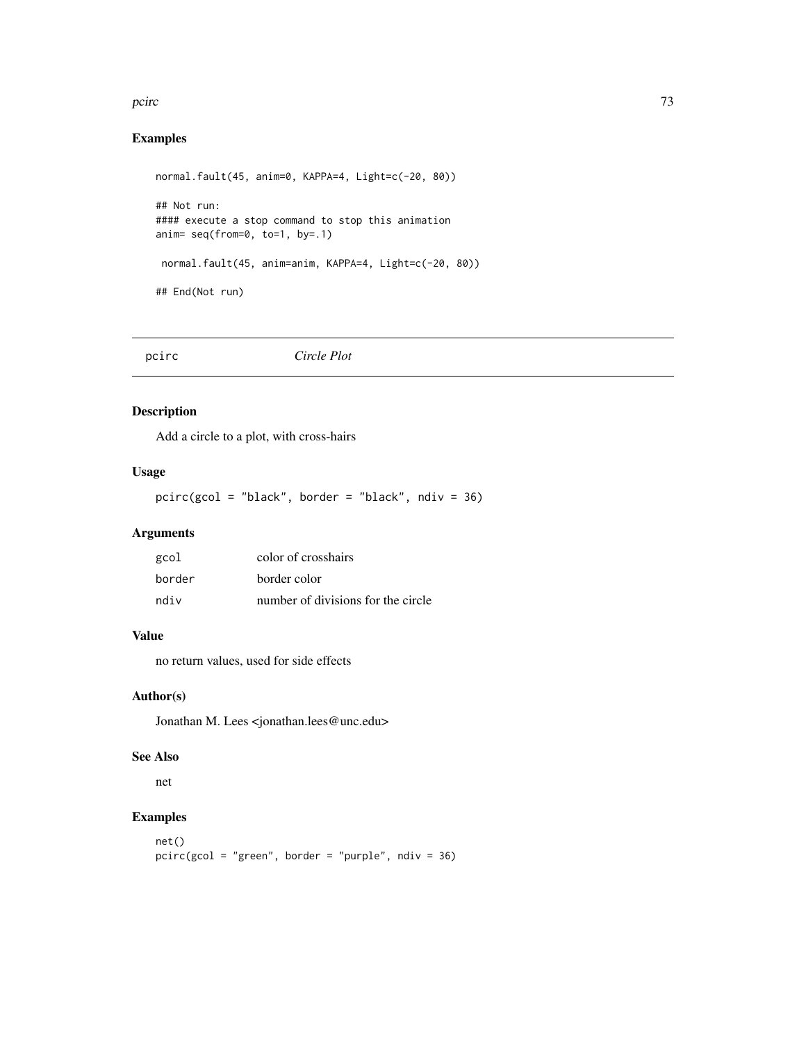#### pcirc that the contract of the contract of the contract of the contract of the contract of the contract of the contract of the contract of the contract of the contract of the contract of the contract of the contract of the

# Examples

```
normal.fault(45, anim=0, KAPPA=4, Light=c(-20, 80))
## Not run:
#### execute a stop command to stop this animation
anim= seq(from=0, to=1, by=.1)
 normal.fault(45, anim=anim, KAPPA=4, Light=c(-20, 80))
## End(Not run)
```
pcirc *Circle Plot*

## Description

Add a circle to a plot, with cross-hairs

## Usage

pcirc(gcol = "black", border = "black", ndiv = 36)

## Arguments

| gcol   | color of crosshairs                |
|--------|------------------------------------|
| border | border color                       |
| ndiv   | number of divisions for the circle |

# Value

no return values, used for side effects

### Author(s)

Jonathan M. Lees <jonathan.lees@unc.edu>

## See Also

net

```
net()
pcirc(gcol = "green", border = "purple", ndiv = 36)
```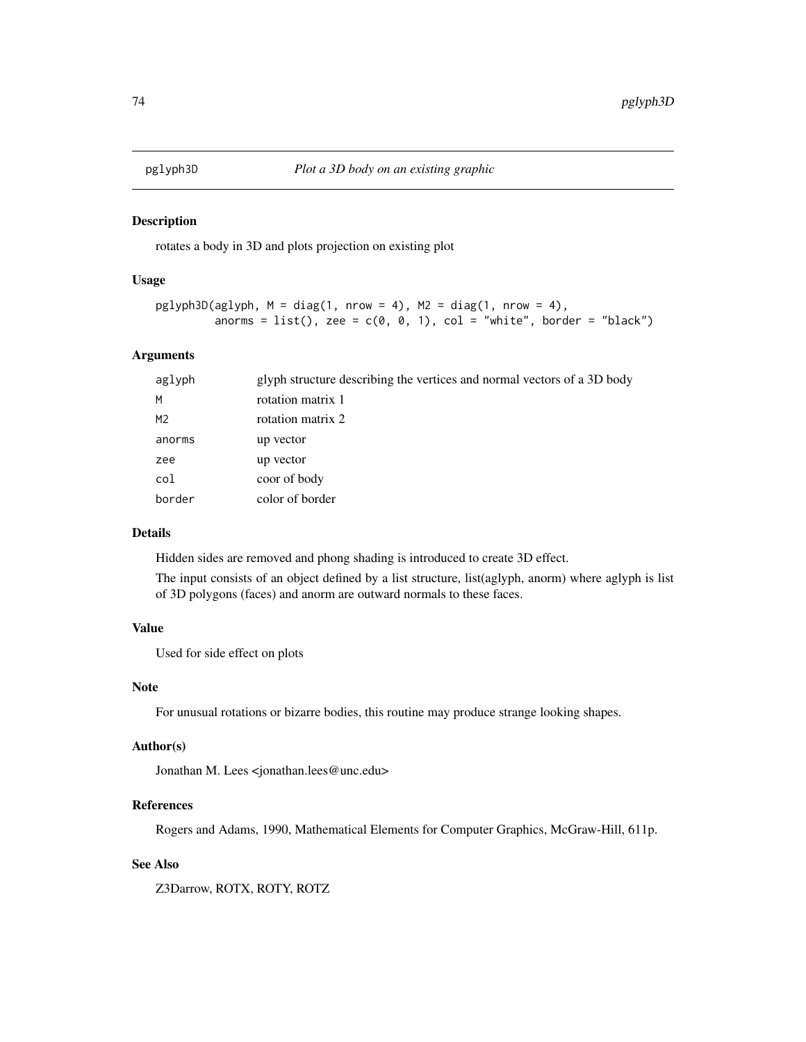#### Description

rotates a body in 3D and plots projection on existing plot

### Usage

```
pglyph3D(aglyph, M = diag(1, nrow = 4), M2 = diag(1, nrow = 4),anorms = list(), zee = c(0, 0, 1), col = "white", border = "black")
```
# Arguments

| aglyph         | glyph structure describing the vertices and normal vectors of a 3D body |
|----------------|-------------------------------------------------------------------------|
| M              | rotation matrix 1                                                       |
| M <sub>2</sub> | rotation matrix 2                                                       |
| anorms         | up vector                                                               |
| zee            | up vector                                                               |
| col            | coor of body                                                            |
| border         | color of border                                                         |

### Details

Hidden sides are removed and phong shading is introduced to create 3D effect.

The input consists of an object defined by a list structure, list(aglyph, anorm) where aglyph is list of 3D polygons (faces) and anorm are outward normals to these faces.

#### Value

Used for side effect on plots

#### Note

For unusual rotations or bizarre bodies, this routine may produce strange looking shapes.

#### Author(s)

Jonathan M. Lees <jonathan.lees@unc.edu>

### References

Rogers and Adams, 1990, Mathematical Elements for Computer Graphics, McGraw-Hill, 611p.

### See Also

Z3Darrow, ROTX, ROTY, ROTZ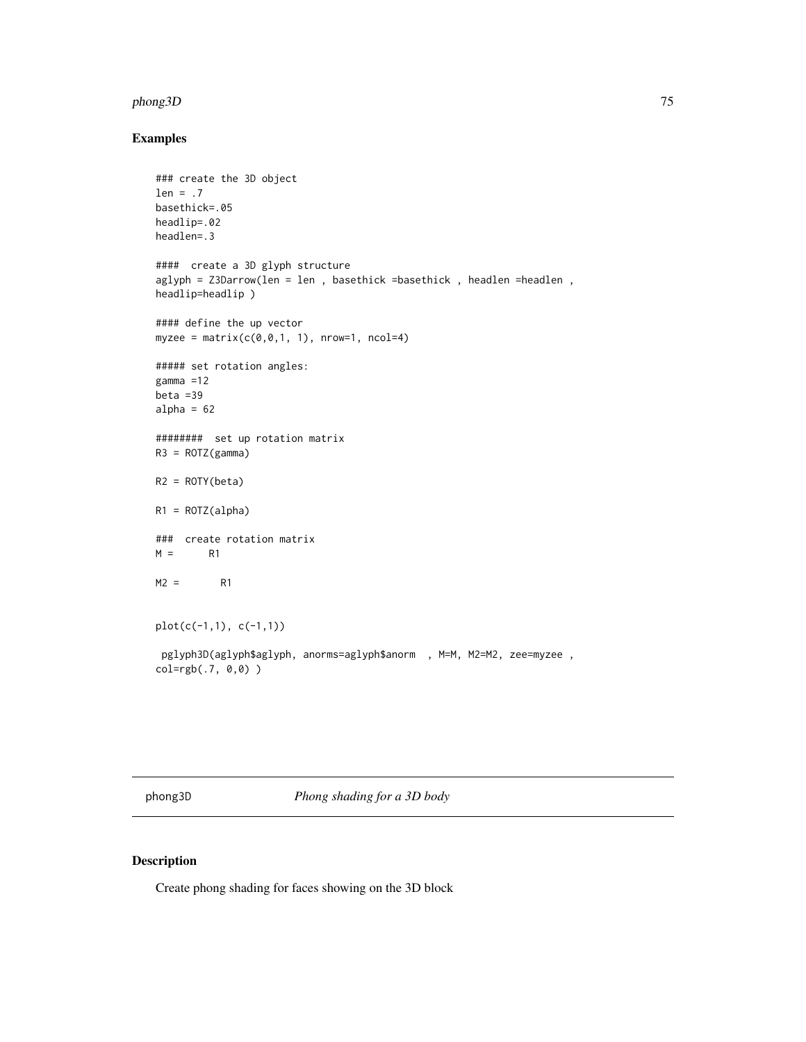#### phong3D 75

# Examples

```
### create the 3D object
len = .7
basethick=.05
headlip=.02
headlen=.3
#### create a 3D glyph structure
aglyph = Z3Darrow(len = len , basethick =basethick , headlen =headlen ,
headlip=headlip )
#### define the up vector
myzee = matrix(c(0, 0, 1, 1), nrow=1, ncol=4)##### set rotation angles:
gamma =12
beta =39
alpha = 62######## set up rotation matrix
R3 = ROTZ(gamma)R2 = ROTY(beta)R1 = ROTZ(alpha)### create rotation matrix
M = R1M2 = R1plot(c(-1,1), c(-1,1))
pglyph3D(aglyph$aglyph, anorms=aglyph$anorm , M=M, M2=M2, zee=myzee ,
col=rgb(.7, 0,0) )
```
phong3D *Phong shading for a 3D body*

## Description

Create phong shading for faces showing on the 3D block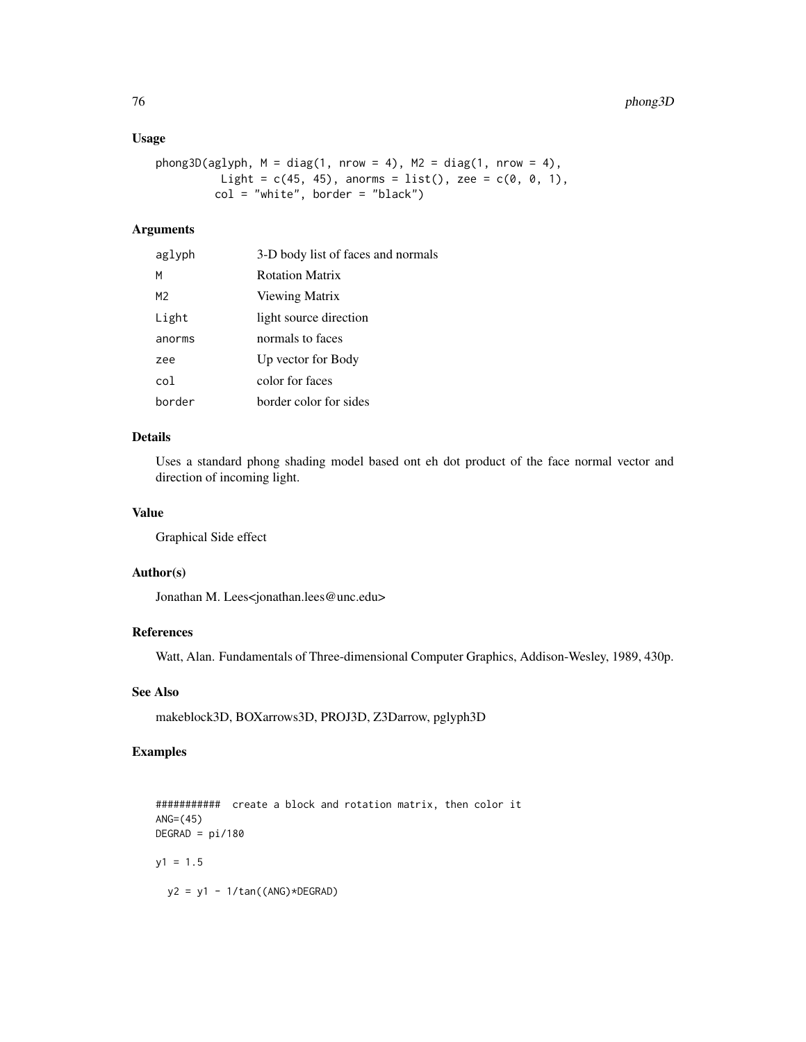### Usage

```
phong3D(aglyph, M = diag(1, nrow = 4), M2 = diag(1, nrow = 4),
          Light = c(45, 45), anorms = list(), zee = c(0, 0, 1),
         col = "white", border = "black")
```
### Arguments

| aglyph          | 3-D body list of faces and normals |
|-----------------|------------------------------------|
| М               | <b>Rotation Matrix</b>             |
| M <sub>2</sub>  | Viewing Matrix                     |
| Light           | light source direction             |
| anorms          | normals to faces                   |
| zee             | Up vector for Body                 |
| co <sub>1</sub> | color for faces                    |
| border          | border color for sides             |

## Details

Uses a standard phong shading model based ont eh dot product of the face normal vector and direction of incoming light.

### Value

Graphical Side effect

#### Author(s)

Jonathan M. Lees<jonathan.lees@unc.edu>

### References

Watt, Alan. Fundamentals of Three-dimensional Computer Graphics, Addison-Wesley, 1989, 430p.

# See Also

makeblock3D, BOXarrows3D, PROJ3D, Z3Darrow, pglyph3D

## Examples

########### create a block and rotation matrix, then color it ANG=(45)  $DEGRAD = pi/180$  $y1 = 1.5$  $y2 = y1 - 1/tan((ANG) * DEGRAD)$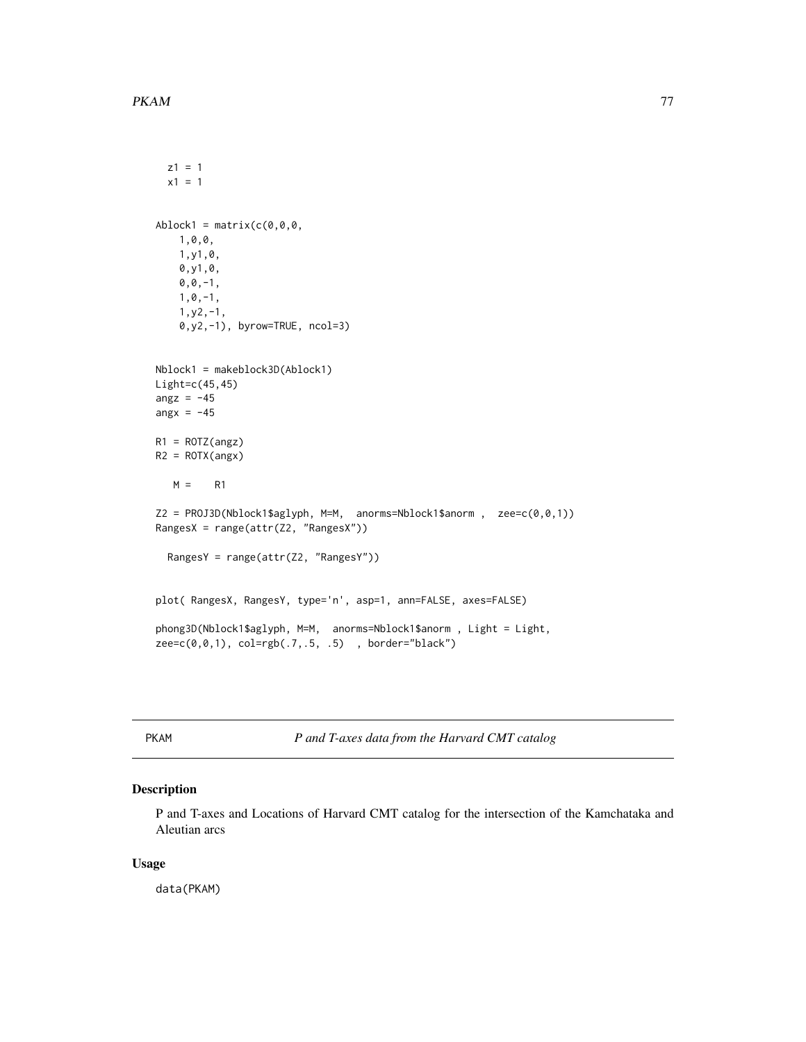$z1 = 1$ 

```
x1 = 1Ablock1 = matrix(c(0, 0, 0, 0, 0))1,0,0,
   1,y1,0,
   0,y1,0,
   0, 0, -1,1,0,-1,
    1,y2,-1,
    0,y2,-1), byrow=TRUE, ncol=3)
Nblock1 = makeblock3D(Ablock1)
Light=c(45,45)
angz = -45angx = -45R1 = ROTZ(angz)R2 = ROTX(angx)M = R1Z2 = PROJ3D(Nblock1$aglyph, M=M, anorms=Nblock1$anorm, zee=c(0,0,1))RangesX = range(attr(Z2, "RangesX"))
  RangesY = range(attr(Z2, "RangesY"))
plot( RangesX, RangesY, type='n', asp=1, ann=FALSE, axes=FALSE)
phong3D(Nblock1$aglyph, M=M, anorms=Nblock1$anorm, Light = Light,
zee=c(0,0,1), col=rgb(.7,.5, .5) , border="black")
```
PKAM *P and T-axes data from the Harvard CMT catalog*

## Description

P and T-axes and Locations of Harvard CMT catalog for the intersection of the Kamchataka and Aleutian arcs

#### Usage

data(PKAM)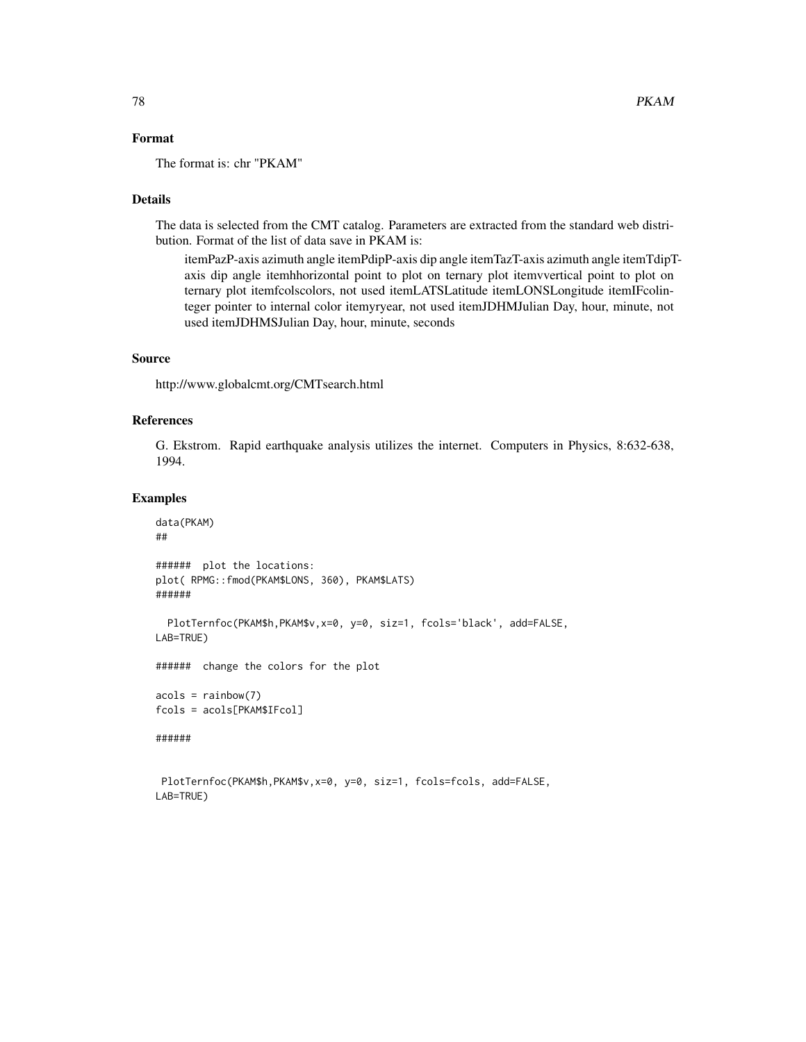## Format

The format is: chr "PKAM"

## Details

The data is selected from the CMT catalog. Parameters are extracted from the standard web distribution. Format of the list of data save in PKAM is:

itemPazP-axis azimuth angle itemPdipP-axis dip angle itemTazT-axis azimuth angle itemTdipTaxis dip angle itemhhorizontal point to plot on ternary plot itemvvertical point to plot on ternary plot itemfcolscolors, not used itemLATSLatitude itemLONSLongitude itemIFcolinteger pointer to internal color itemyryear, not used itemJDHMJulian Day, hour, minute, not used itemJDHMSJulian Day, hour, minute, seconds

#### Source

http://www.globalcmt.org/CMTsearch.html

## References

G. Ekstrom. Rapid earthquake analysis utilizes the internet. Computers in Physics, 8:632-638, 1994.

### Examples

LAB=TRUE)

```
data(PKAM)
##
###### plot the locations:
plot( RPMG::fmod(PKAM$LONS, 360), PKAM$LATS)
######
 PlotTernfoc(PKAM$h,PKAM$v,x=0, y=0, siz=1, fcols='black', add=FALSE,
LAB=TRUE)
###### change the colors for the plot
acols = rainbow(7)
fcols = acols[PKAM$IFcol]
######
PlotTernfoc(PKAM$h,PKAM$v,x=0, y=0, siz=1, fcols=fcols, add=FALSE,
```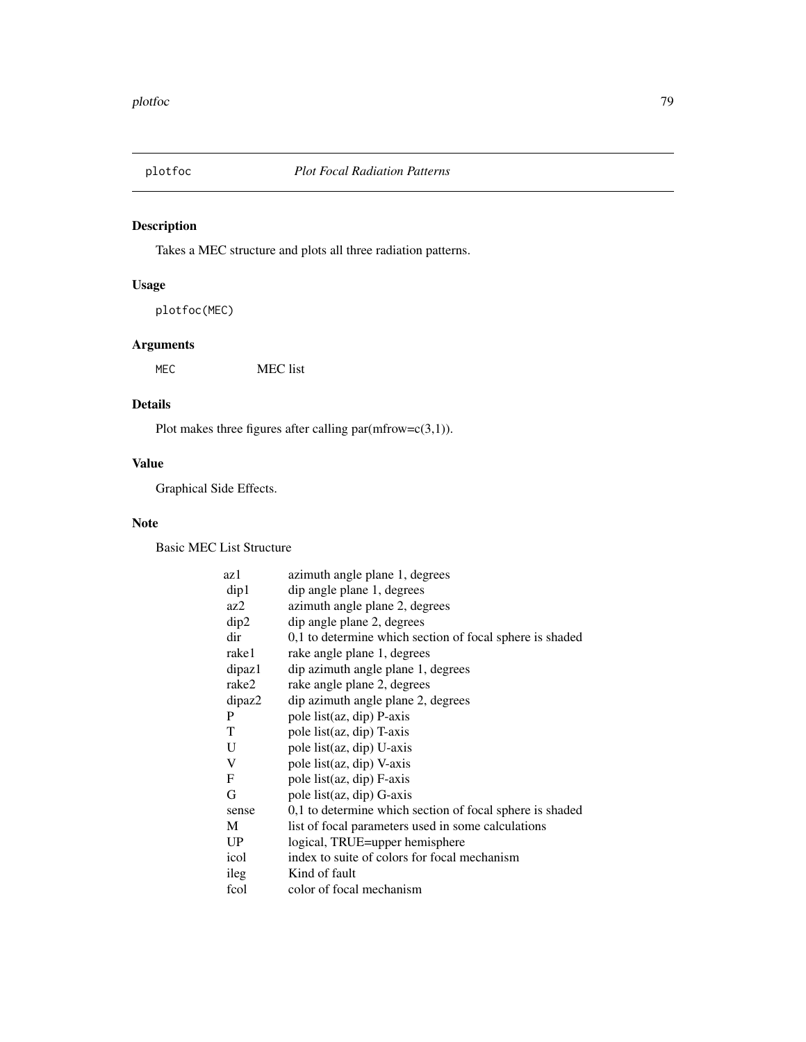# Description

Takes a MEC structure and plots all three radiation patterns.

# Usage

plotfoc(MEC)

# Arguments

MEC MEC list

# Details

Plot makes three figures after calling  $par(mfrow=c(3,1)).$ 

# Value

Graphical Side Effects.

# Note

Basic MEC List Structure

| az 1   | azimuth angle plane 1, degrees                           |
|--------|----------------------------------------------------------|
| dip1   | dip angle plane 1, degrees                               |
| az2    | azimuth angle plane 2, degrees                           |
| dip2   | dip angle plane 2, degrees                               |
| dir    | 0,1 to determine which section of focal sphere is shaded |
| rake1  | rake angle plane 1, degrees                              |
| dipaz1 | dip azimuth angle plane 1, degrees                       |
| rake2  | rake angle plane 2, degrees                              |
| dipaz2 | dip azimuth angle plane 2, degrees                       |
| P      | pole list(az, dip) P-axis                                |
| T      | pole list(az, dip) T-axis                                |
| U      | pole list(az, dip) U-axis                                |
| V      | pole list(az, dip) V-axis                                |
| F      | pole list(az, dip) F-axis                                |
| G      | pole list(az, dip) G-axis                                |
| sense  | 0,1 to determine which section of focal sphere is shaded |
| М      | list of focal parameters used in some calculations       |
| UP     | logical, TRUE=upper hemisphere                           |
| icol   | index to suite of colors for focal mechanism             |
| ileg   | Kind of fault                                            |
| fcol   | color of focal mechanism                                 |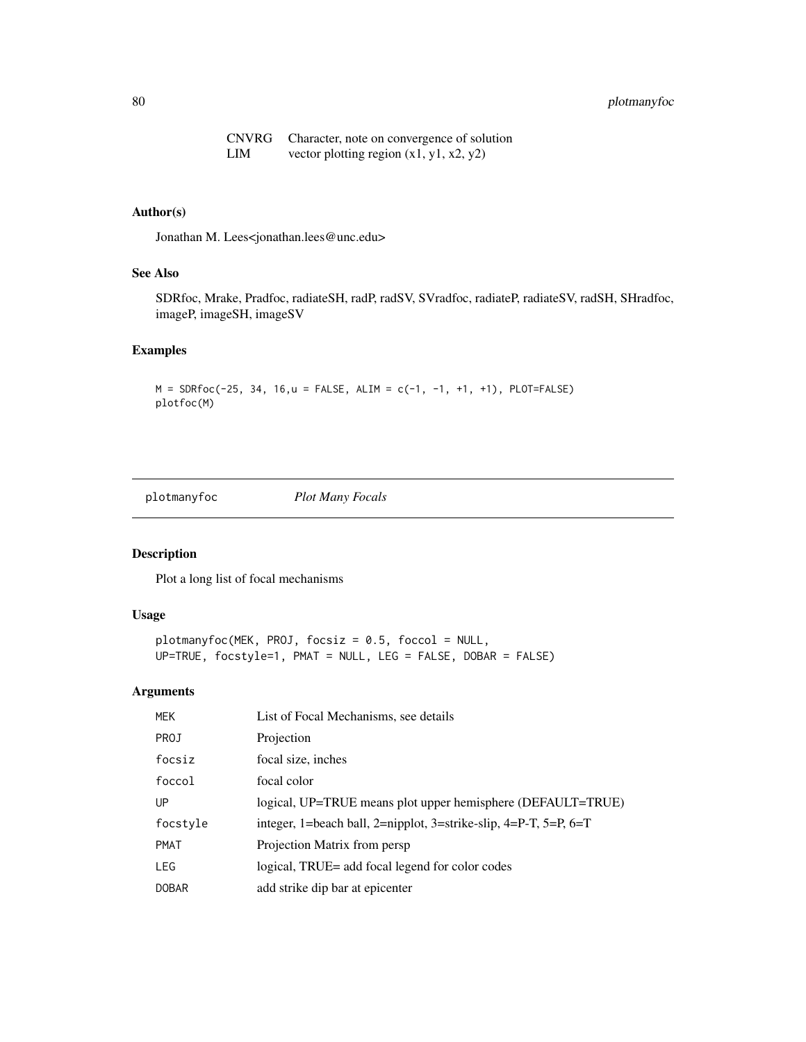## 80 plotmanyfoc

CNVRG Character, note on convergence of solution LIM vector plotting region  $(x1, y1, x2, y2)$ 

## Author(s)

Jonathan M. Lees<jonathan.lees@unc.edu>

## See Also

SDRfoc, Mrake, Pradfoc, radiateSH, radP, radSV, SVradfoc, radiateP, radiateSV, radSH, SHradfoc, imageP, imageSH, imageSV

### Examples

 $M = SDRfoc(-25, 34, 16, u = FALSE, ALIM = c(-1, -1, +1, +1), PLOT=FALSE)$ plotfoc(M)

plotmanyfoc *Plot Many Focals*

# Description

Plot a long list of focal mechanisms

## Usage

```
plotmanyfoc(MEK, PROJ, focsiz = 0.5, foccol = NULL,
UP=TRUE, focstyle=1, PMAT = NULL, LEG = FALSE, DOBAR = FALSE)
```
### Arguments

| <b>MEK</b>   | List of Focal Mechanisms, see details                            |
|--------------|------------------------------------------------------------------|
| PROJ         | Projection                                                       |
| focsiz       | focal size, inches                                               |
| foccol       | focal color                                                      |
| UP           | logical, UP=TRUE means plot upper hemisphere (DEFAULT=TRUE)      |
| focstyle     | integer, 1=beach ball, 2=nipplot, 3=strike-slip, 4=P-T, 5=P, 6=T |
| <b>PMAT</b>  | Projection Matrix from persp.                                    |
| <b>LEG</b>   | logical, TRUE= add focal legend for color codes                  |
| <b>DOBAR</b> | add strike dip bar at epicenter                                  |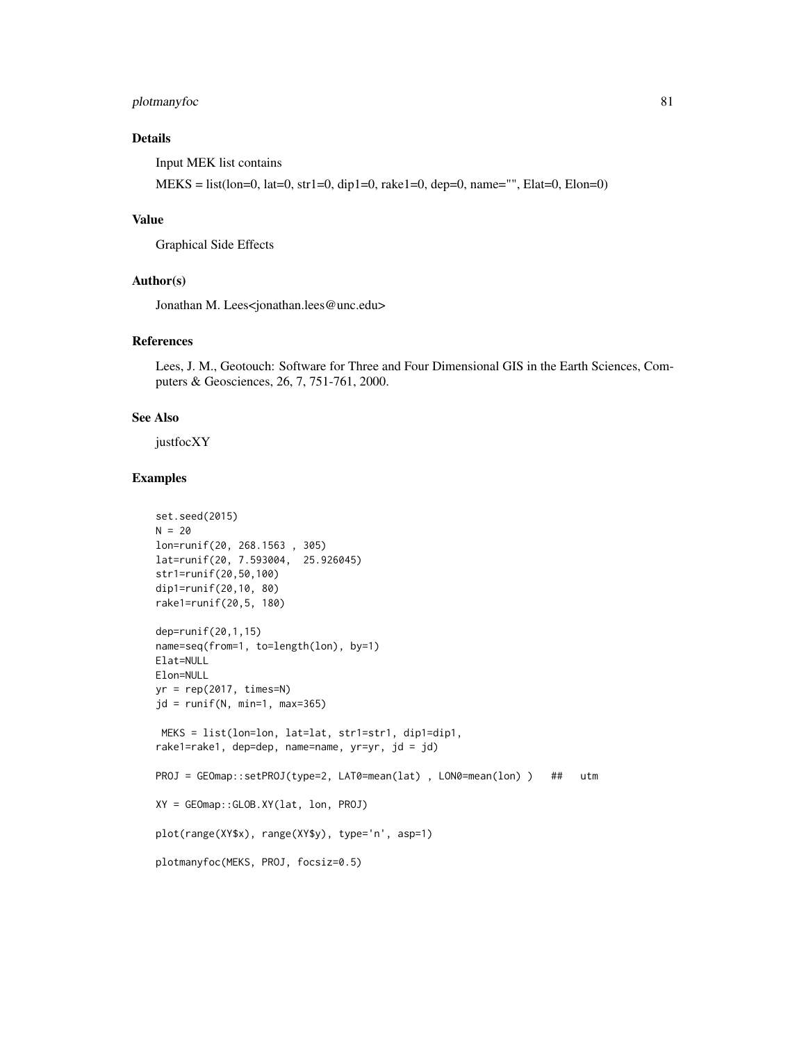## plotmanyfoc 81

## Details

Input MEK list contains

MEKS = list(lon=0, lat=0, str1=0, dip1=0, rake1=0, dep=0, name="", Elat=0, Elon=0)

## Value

Graphical Side Effects

#### Author(s)

Jonathan M. Lees<jonathan.lees@unc.edu>

## References

Lees, J. M., Geotouch: Software for Three and Four Dimensional GIS in the Earth Sciences, Computers & Geosciences, 26, 7, 751-761, 2000.

#### See Also

justfocXY

```
set.seed(2015)
N = 20lon=runif(20, 268.1563 , 305)
lat=runif(20, 7.593004, 25.926045)
str1=runif(20,50,100)
dip1=runif(20,10, 80)
rake1=runif(20,5, 180)
dep=runif(20,1,15)
name=seq(from=1, to=length(lon), by=1)
Elat=NULL
Elon=NULL
yr = rep(2017, times=N)
jd = runif(N, min=1, max=365)MEKS = list(lon=lon, lat=lat, str1=str1, dip1=dip1,
rake1=rake1, dep=dep, name=name, yr=yr, jd = jd)
PROJ = GEOmap::setPROJ(type=2, LAT0=mean(lat) , LON0=mean(lon) ) ## utm
XY = GEOmap::GLOB.XY(lat, lon, PROJ)
plot(range(XY$x), range(XY$y), type='n', asp=1)
plotmanyfoc(MEKS, PROJ, focsiz=0.5)
```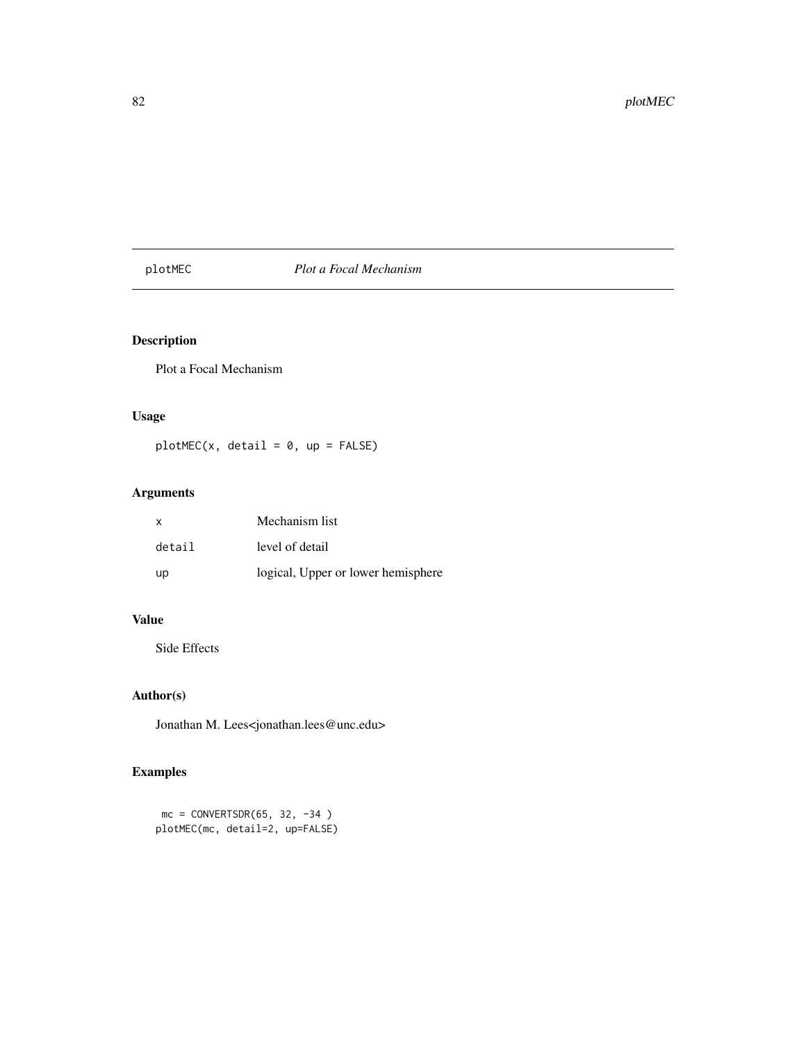# plotMEC *Plot a Focal Mechanism*

# Description

Plot a Focal Mechanism

## Usage

 $plotMEC(x, detail = 0, up = FALSE)$ 

# Arguments

| $\mathsf{x}$ | Mechanism list                     |
|--------------|------------------------------------|
| detail       | level of detail                    |
| up           | logical, Upper or lower hemisphere |

# Value

Side Effects

# Author(s)

Jonathan M. Lees<jonathan.lees@unc.edu>

```
mc = CONVERTSDR(65, 32, -34)plotMEC(mc, detail=2, up=FALSE)
```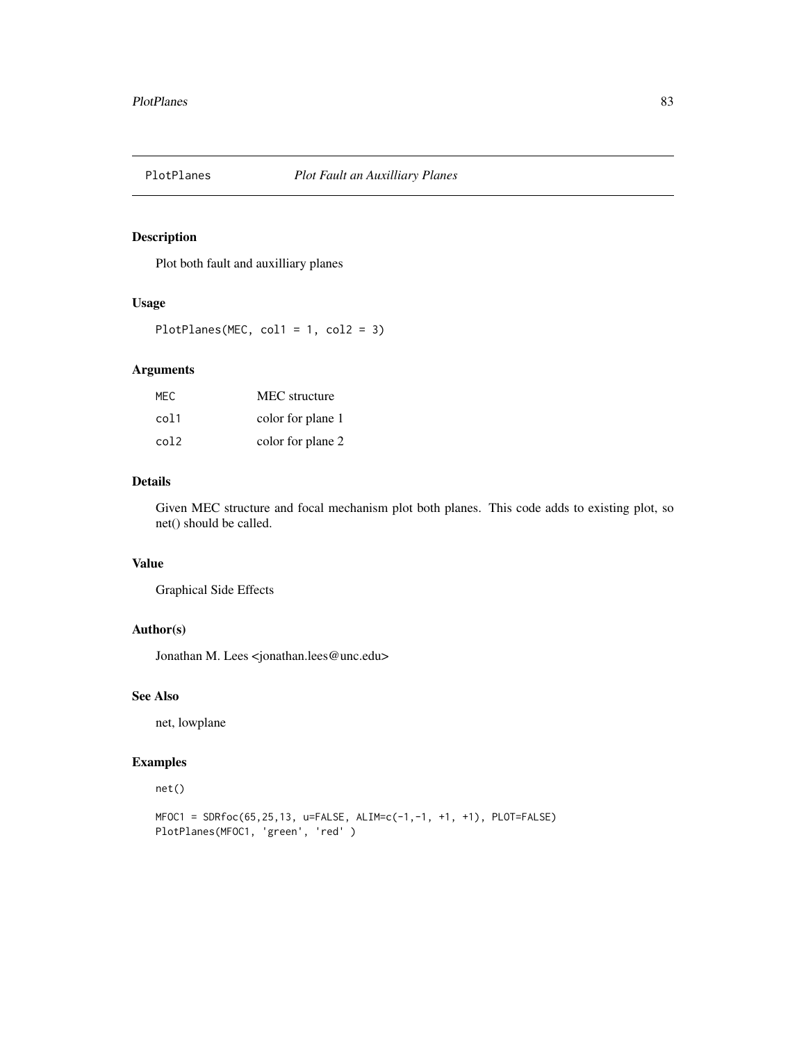## Description

Plot both fault and auxilliary planes

## Usage

PlotPlanes(MEC, col1 = 1, col2 = 3)

### Arguments

| MEC. | MEC structure     |
|------|-------------------|
| col1 | color for plane 1 |
| col2 | color for plane 2 |

# Details

Given MEC structure and focal mechanism plot both planes. This code adds to existing plot, so net() should be called.

# Value

Graphical Side Effects

## Author(s)

Jonathan M. Lees <jonathan.lees@unc.edu>

## See Also

net, lowplane

### Examples

### net()

```
MFOC1 = SDRfoc(65,25,13, u=FALSE, ALIM=c(-1,-1, +1, +1), PLOT=FALSE)
PlotPlanes(MFOC1, 'green', 'red' )
```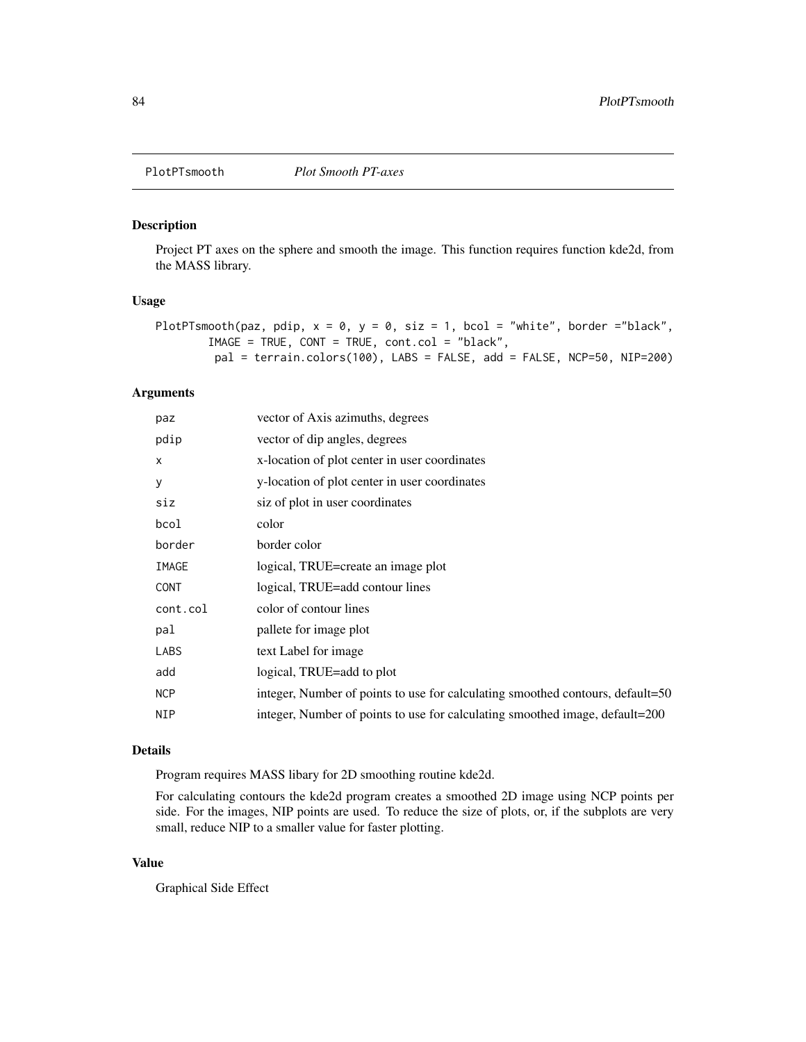### Description

Project PT axes on the sphere and smooth the image. This function requires function kde2d, from the MASS library.

#### Usage

```
PlotPTsmooth(paz, pdip, x = 0, y = 0, siz = 1, bcol = "white", border ="black",
        IMAGE = TRUE, CONT = TRUE, cont.col = "black",
        pal = terrain.colors(100), LABS = FALSE, add = FALSE, NCP=50, NIP=200)
```
## Arguments

| paz                       | vector of Axis azimuths, degrees                                               |
|---------------------------|--------------------------------------------------------------------------------|
| pdip                      | vector of dip angles, degrees                                                  |
| $\boldsymbol{\mathsf{x}}$ | x-location of plot center in user coordinates                                  |
| У                         | y-location of plot center in user coordinates                                  |
| siz                       | siz of plot in user coordinates                                                |
| bcol                      | color                                                                          |
| border                    | border color                                                                   |
| IMAGE                     | logical, TRUE=create an image plot                                             |
| <b>CONT</b>               | logical, TRUE=add contour lines                                                |
| cont.col                  | color of contour lines                                                         |
| pal                       | pallete for image plot                                                         |
| LABS                      | text Label for image                                                           |
| add                       | logical, TRUE=add to plot                                                      |
| <b>NCP</b>                | integer, Number of points to use for calculating smoothed contours, default=50 |
| NIP                       | integer, Number of points to use for calculating smoothed image, default=200   |
|                           |                                                                                |

#### Details

Program requires MASS libary for 2D smoothing routine kde2d.

For calculating contours the kde2d program creates a smoothed 2D image using NCP points per side. For the images, NIP points are used. To reduce the size of plots, or, if the subplots are very small, reduce NIP to a smaller value for faster plotting.

## Value

Graphical Side Effect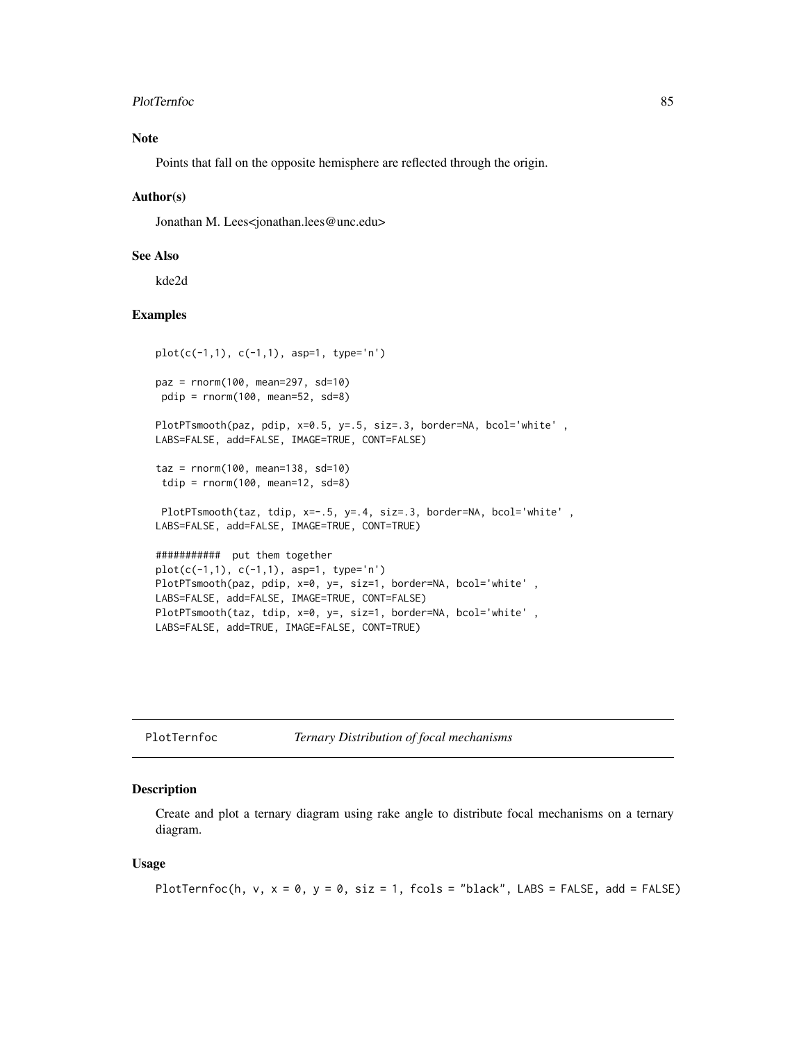#### PlotTernfoc 85

## Note

Points that fall on the opposite hemisphere are reflected through the origin.

### Author(s)

Jonathan M. Lees<jonathan.lees@unc.edu>

### See Also

kde2d

## Examples

```
plot(c(-1,1), c(-1,1), asp=1, type='n')
paz = rnorm(100, mean=297, sd=10)
pdip = rnorm(100, mean=52, sd=8)
PlotPTsmooth(paz, pdip, x=0.5, y=.5, siz=.3, border=NA, bcol='white',
LABS=FALSE, add=FALSE, IMAGE=TRUE, CONT=FALSE)
\text{taz} = \text{rnorm}(100, \text{ mean}=138, \text{ sd}=10)tdip = rnorm(100, mean=12, sd=8)PlotPTsmooth(taz, tdip, x=-.5, y=.4, siz=.3, border=NA, bcol='white',
LABS=FALSE, add=FALSE, IMAGE=TRUE, CONT=TRUE)
########### put them together
plot(c(-1,1), c(-1,1), asp=1, type='n')
PlotPTsmooth(paz, pdip, x=0, y=, siz=1, border=NA, bcol='white' ,
LABS=FALSE, add=FALSE, IMAGE=TRUE, CONT=FALSE)
PlotPTsmooth(taz, tdip, x=0, y=, siz=1, border=NA, bcol='white',
LABS=FALSE, add=TRUE, IMAGE=FALSE, CONT=TRUE)
```

|  |  | PlotTernfoc |  |  |
|--|--|-------------|--|--|
|--|--|-------------|--|--|

**Ternary Distribution of focal mechanisms** 

### Description

Create and plot a ternary diagram using rake angle to distribute focal mechanisms on a ternary diagram.

#### Usage

```
PlotTernfoc(h, v, x = 0, y = 0, siz = 1, fcols = "black", LABS = FALSE, add = FALSE)
```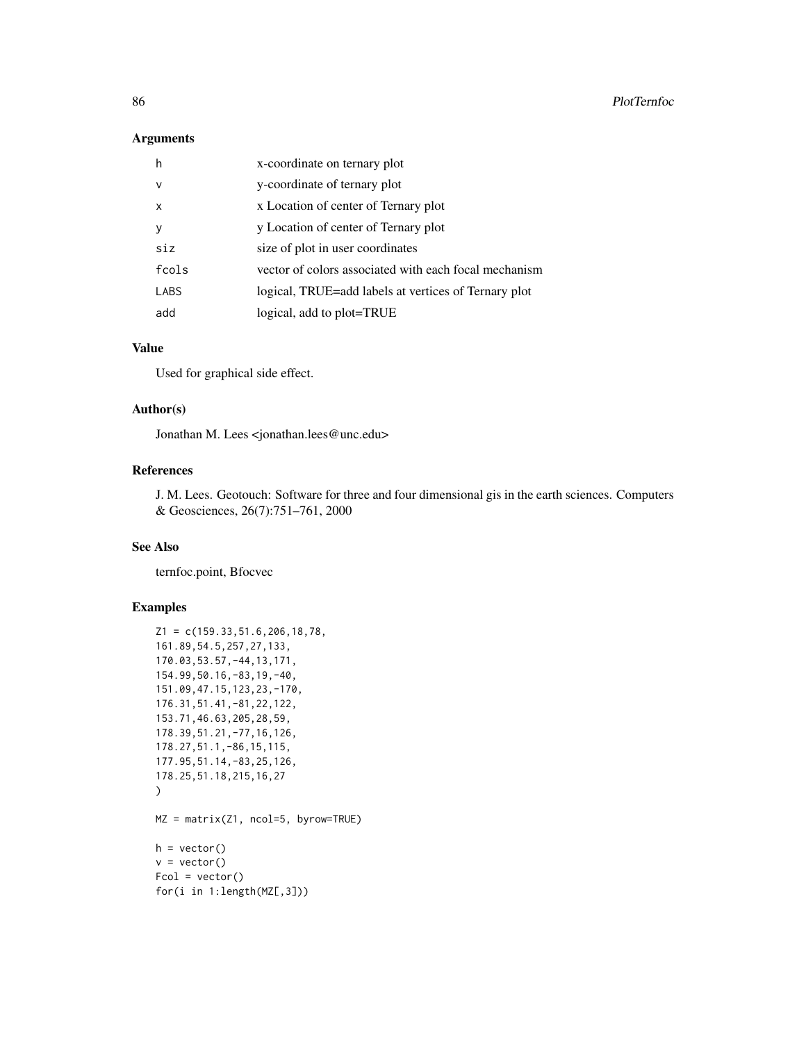## Arguments

| h            | x-coordinate on ternary plot                          |
|--------------|-------------------------------------------------------|
| $\vee$       | y-coordinate of ternary plot                          |
| $\mathsf{x}$ | x Location of center of Ternary plot                  |
| y            | y Location of center of Ternary plot                  |
| siz          | size of plot in user coordinates                      |
| fcols        | vector of colors associated with each focal mechanism |
| LABS         | logical, TRUE=add labels at vertices of Ternary plot  |
| add          | logical, add to plot=TRUE                             |

# Value

Used for graphical side effect.

#### Author(s)

Jonathan M. Lees <jonathan.lees@unc.edu>

## References

J. M. Lees. Geotouch: Software for three and four dimensional gis in the earth sciences. Computers & Geosciences, 26(7):751–761, 2000

### See Also

ternfoc.point, Bfocvec

```
Z1 = c(159.33, 51.6, 206, 18, 78,161.89,54.5,257,27,133,
170.03,53.57,-44,13,171,
154.99,50.16,-83,19,-40,
151.09,47.15,123,23,-170,
176.31,51.41,-81,22,122,
153.71,46.63,205,28,59,
178.39,51.21,-77,16,126,
178.27,51.1,-86,15,115,
177.95,51.14,-83,25,126,
178.25,51.18,215,16,27
)
MZ = matrix(Z1, ncol=5, byrow=TRUE)
h = vector()v = vector()Fcol = vector()for(i in 1:length(MZ[,3]))
```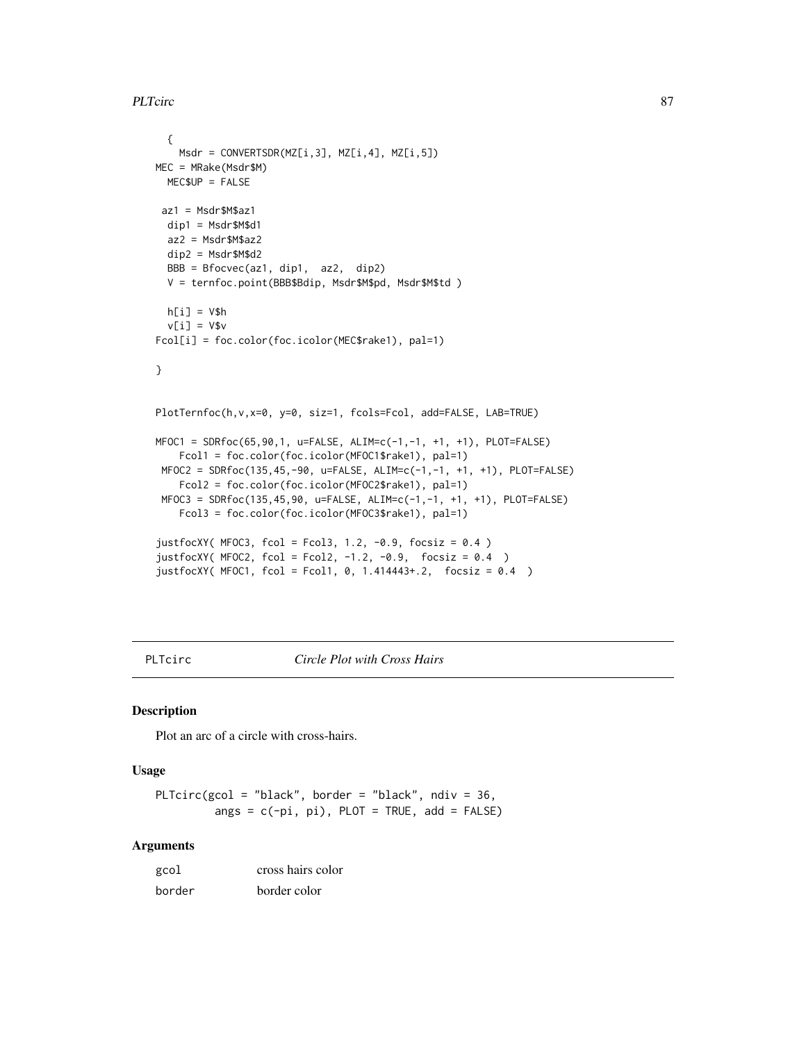```
PLTcirc 87
```

```
{
   Msdr = CONVERTSDR(MZ[i,3], MZ[i,4], MZ[i,5])
MEC = MRake(Msdr$M)
 MEC$UP = FALSE
 az1 = Msdr$M$az1
 dip1 = Msdr$M$d1
 az2 = Msdr$M$az2
 dip2 = Msdr$M$d2
 BBB = Bfocvec(az1, dip1, az2, dip2)
  V = ternfoc.point(BBB$Bdip, Msdr$M$pd, Msdr$M$td )
 h[i] = V$hv[i] = V$v
Fcol[i] = foc.color(foc.icolor(MEC$rake1), pal=1)
}
PlotTernfoc(h,v,x=0, y=0, siz=1, fcols=Fcol, add=FALSE, LAB=TRUE)
MFOC1 = SDRfoc(65, 90, 1, u=FALSE, ALIM=c(-1, -1, +1, +1), PLOT=FALSE)Fcol1 = foc.color(foc.icolor(MFOC1$rake1), pal=1)
 MFOC2 = SDRfoc(135,45,-90, u=FALSE, ALIM=c(-1,-1, +1, +1), PLOT=FALSE)
   Fcol2 = foc.color(foc.icolor(MFOC2$rake1), pal=1)
 MFOC3 = SDRfoc(135,45,90, u=FALSE, ALIM=c(-1,-1, +1, +1), PLOT=FALSE)
   Fcol3 = foc.color(foc.icolor(MFOC3$rake1), pal=1)
justfocXY( MFOC3, fcol = Fcol3, 1.2, -0.9, focsiz = 0.4 )
justfocXY( MFOC2, fcol = Fcol2, -1.2, -0.9, focsiz = 0.4 )
justfocXY( MFOC1, fcol = Fcol1, 0, 1.414443+.2, focsiz = 0.4 )
```
PLTcirc *Circle Plot with Cross Hairs*

#### Description

Plot an arc of a circle with cross-hairs.

#### Usage

PLTcirc(gcol = "black", border = "black", ndiv =  $36$ , angs =  $c(-pi, pi)$ , PLOT = TRUE, add = FALSE)

## Arguments

| gcol   | cross hairs color |
|--------|-------------------|
| border | border color      |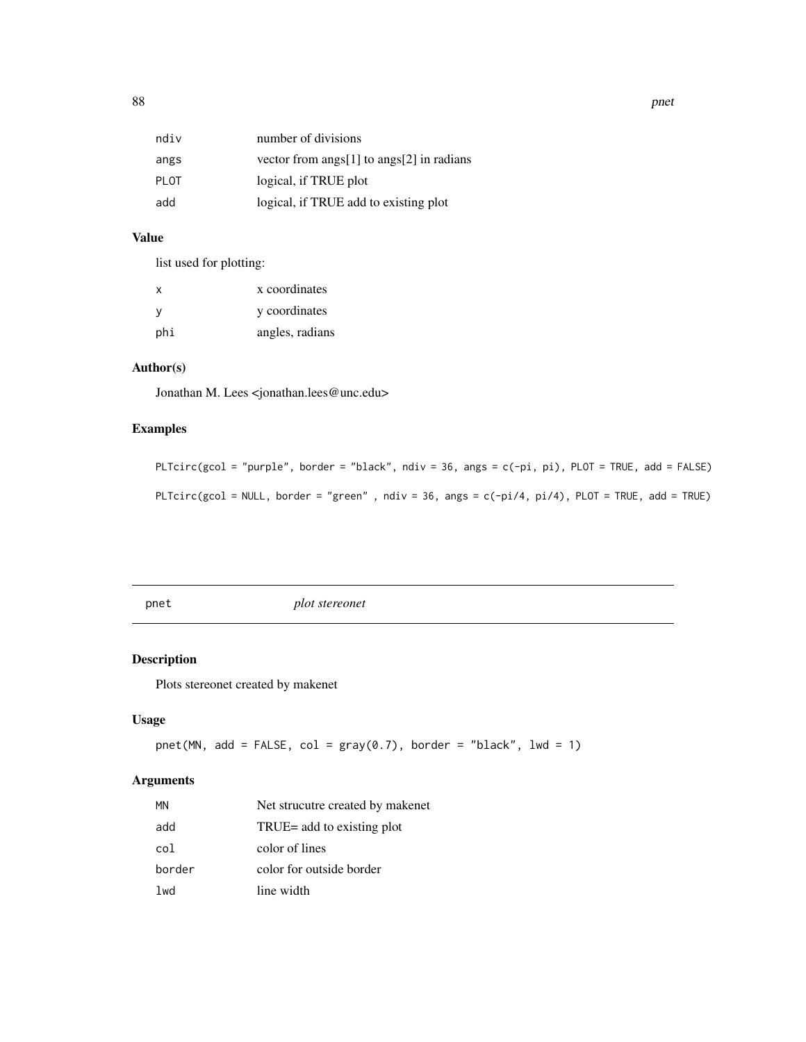| ndiv | number of divisions                       |
|------|-------------------------------------------|
| angs | vector from angs[1] to angs[2] in radians |
| PLOT | logical, if TRUE plot                     |
| add  | logical, if TRUE add to existing plot     |

## Value

list used for plotting:

| x   | x coordinates   |
|-----|-----------------|
| - V | y coordinates   |
| phi | angles, radians |

# Author(s)

Jonathan M. Lees <jonathan.lees@unc.edu>

# Examples

PLTcirc(gcol = "purple", border = "black", ndiv = 36, angs = c(-pi, pi), PLOT = TRUE, add = FALSE) PLTcirc(gcol = NULL, border = "green", ndiv = 36, angs =  $c(-pi/4, pi/4)$ , PLOT = TRUE, add = TRUE)

pnet *plot stereonet*

# Description

Plots stereonet created by makenet

## Usage

```
pnet(MN, add = FALSE, col = gray(0.7), border = "black", lwd = 1)
```
## Arguments

| ΜN     | Net strucutre created by makenet |
|--------|----------------------------------|
| add    | TRUE= add to existing plot       |
| col    | color of lines                   |
| border | color for outside border         |
| lwd    | line width                       |

88 **pnet** and the contract of the contract of the contract of the contract of the contract of the contract of the contract of the contract of the contract of the contract of the contract of the contract of the contract of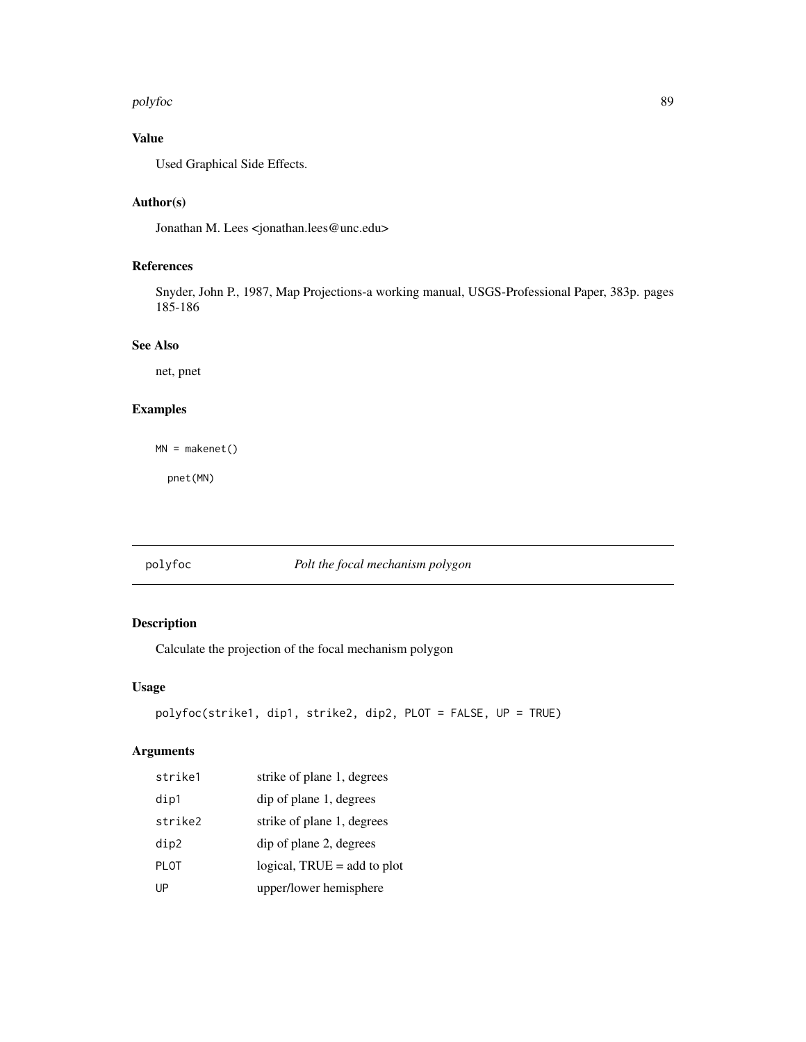#### polyfoc $\qquad \qquad \qquad 89$

# Value

Used Graphical Side Effects.

# Author(s)

Jonathan M. Lees <jonathan.lees@unc.edu>

## References

Snyder, John P., 1987, Map Projections-a working manual, USGS-Professional Paper, 383p. pages 185-186

## See Also

net, pnet

# Examples

MN = makenet()

pnet(MN)

# polyfoc *Polt the focal mechanism polygon*

# Description

Calculate the projection of the focal mechanism polygon

## Usage

```
polyfoc(strike1, dip1, strike2, dip2, PLOT = FALSE, UP = TRUE)
```
## Arguments

| strike1     | strike of plane 1, degrees    |
|-------------|-------------------------------|
| dip1        | dip of plane 1, degrees       |
| strike2     | strike of plane 1, degrees    |
| dip2        | dip of plane 2, degrees       |
| <b>PLOT</b> | logical, $TRUE = add$ to plot |
| UP          | upper/lower hemisphere        |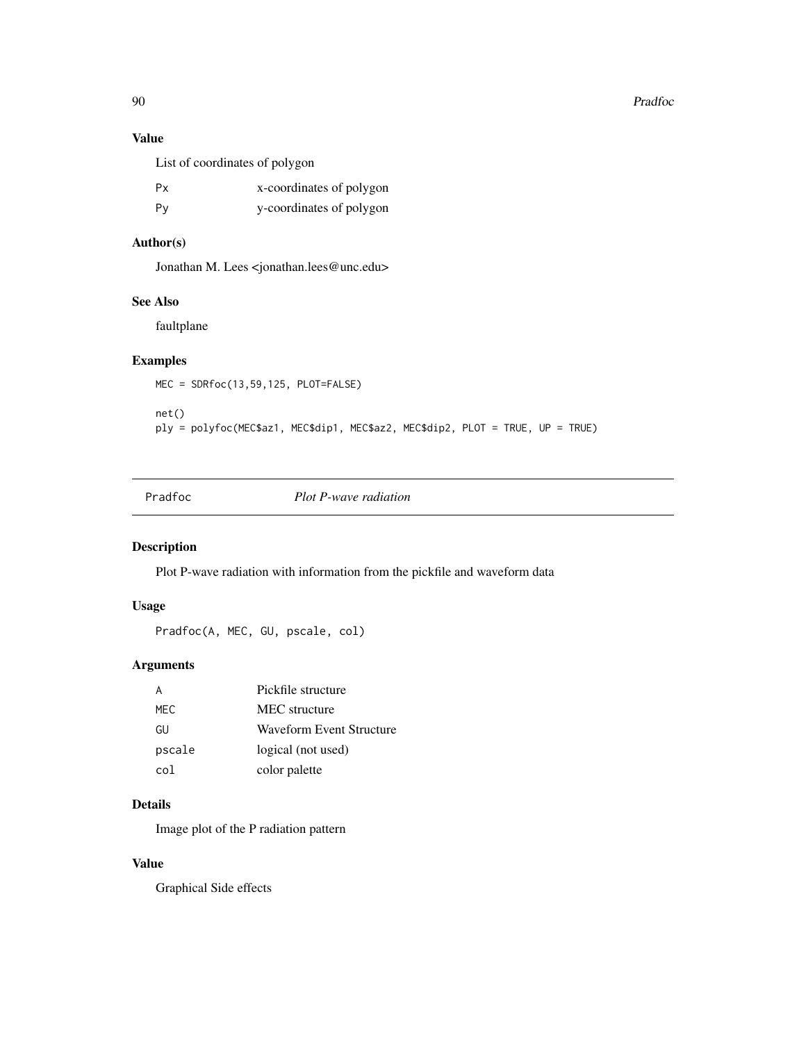90 Pradfoc

# Value

List of coordinates of polygon

| Px | x-coordinates of polygon |
|----|--------------------------|
| Py | y-coordinates of polygon |

# Author(s)

Jonathan M. Lees <jonathan.lees@unc.edu>

# See Also

faultplane

## Examples

```
MEC = SDRfoc(13,59,125, PLOT=FALSE)
net()
ply = polyfoc(MEC$az1, MEC$dip1, MEC$az2, MEC$dip2, PLOT = TRUE, UP = TRUE)
```
Pradfoc *Plot P-wave radiation*

## Description

Plot P-wave radiation with information from the pickfile and waveform data

## Usage

Pradfoc(A, MEC, GU, pscale, col)

# Arguments

|        | Pickfile structure              |
|--------|---------------------------------|
| MFC.   | MEC structure                   |
| GU     | <b>Waveform Event Structure</b> |
| pscale | logical (not used)              |
| co l   | color palette                   |

# Details

Image plot of the P radiation pattern

# Value

Graphical Side effects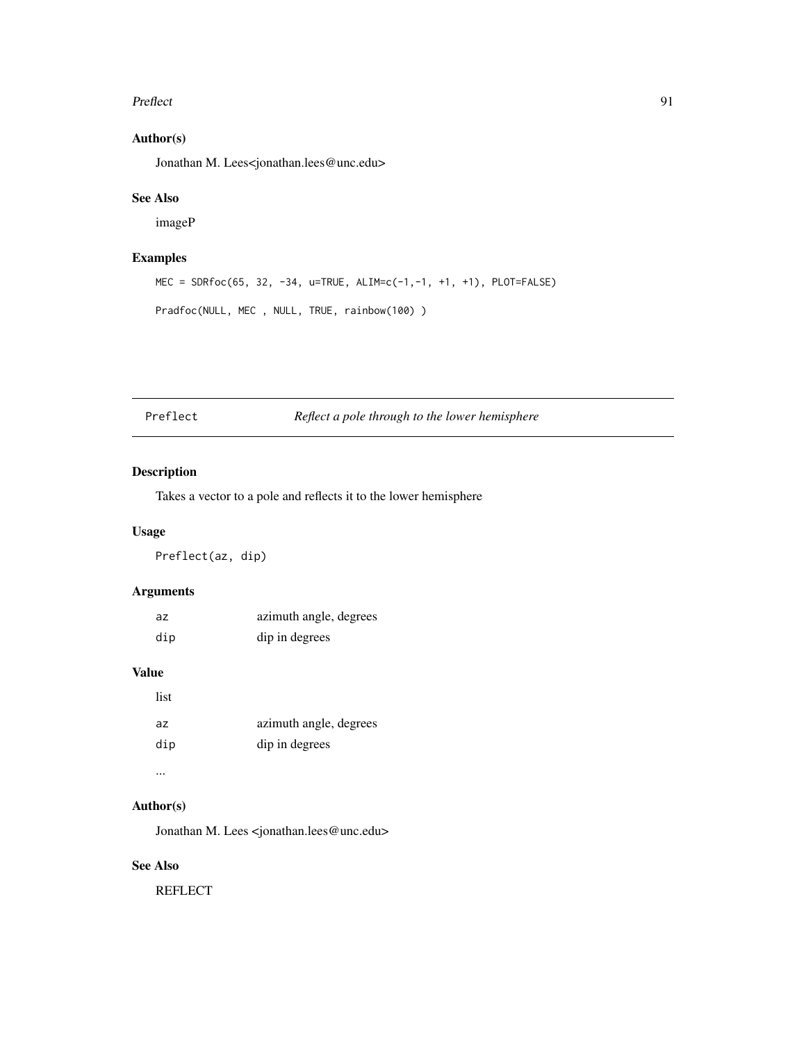#### Preflect 91

# Author(s)

Jonathan M. Lees<jonathan.lees@unc.edu>

### See Also

imageP

# Examples

MEC = SDRfoc(65, 32, -34, u=TRUE, ALIM=c(-1,-1, +1, +1), PLOT=FALSE) Pradfoc(NULL, MEC , NULL, TRUE, rainbow(100) )

Preflect *Reflect a pole through to the lower hemisphere*

## Description

Takes a vector to a pole and reflects it to the lower hemisphere

### Usage

Preflect(az, dip)

## Arguments

| az. | azimuth angle, degrees |
|-----|------------------------|
| dip | dip in degrees         |

# Value

| list |                        |
|------|------------------------|
| az   | azimuth angle, degrees |
| dip  | dip in degrees         |
|      |                        |

#### Author(s)

Jonathan M. Lees <jonathan.lees@unc.edu>

# See Also

**REFLECT**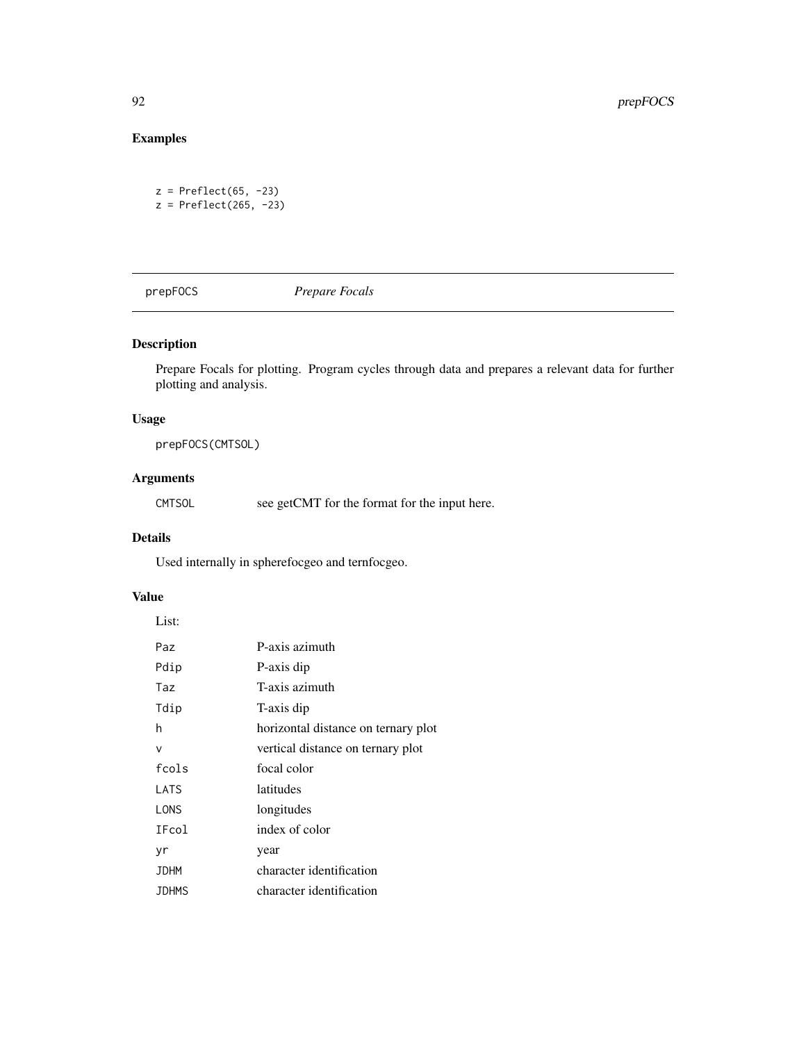# Examples

```
z = Preflect(65, -23)z = Preflect(265, -23)
```
prepFOCS *Prepare Focals*

## Description

Prepare Focals for plotting. Program cycles through data and prepares a relevant data for further plotting and analysis.

## Usage

prepFOCS(CMTSOL)

# Arguments

CMTSOL see getCMT for the format for the input here.

# Details

Used internally in spherefocgeo and ternfocgeo.

# Value

| List:        |                                     |
|--------------|-------------------------------------|
| Paz          | P-axis azimuth                      |
| Pdip         | P-axis dip                          |
| Taz          | T-axis azimuth                      |
| Tdip         | T-axis dip                          |
| h            | horizontal distance on ternary plot |
| v            | vertical distance on ternary plot   |
| fcols        | focal color                         |
| LATS         | latitudes                           |
| LONS         | longitudes                          |
| IFcol        | index of color                      |
| yr           | year                                |
| <b>JDHM</b>  | character identification            |
| <b>JDHMS</b> | character identification            |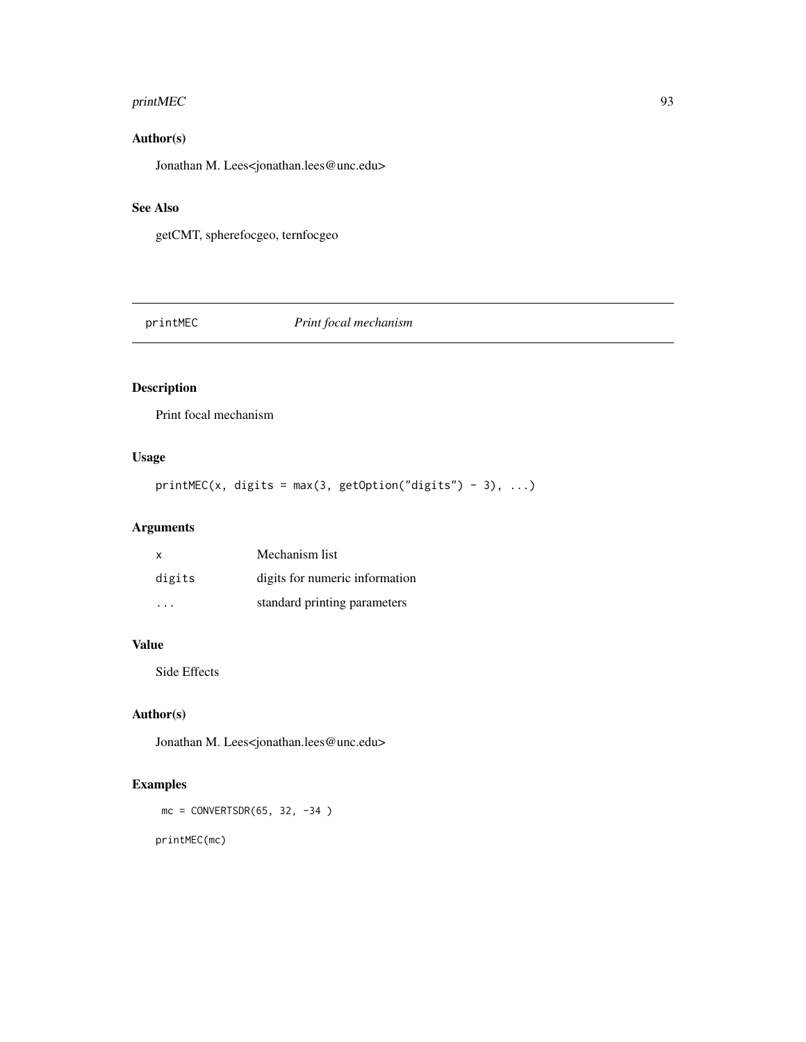# printMEC 93

# Author(s)

Jonathan M. Lees<jonathan.lees@unc.edu>

# See Also

getCMT, spherefocgeo, ternfocgeo

printMEC *Print focal mechanism*

# Description

Print focal mechanism

# Usage

 $printMEC(x, digits = max(3, getOption("digits") - 3), ...)$ 

# Arguments

| x      | Mechanism list                 |
|--------|--------------------------------|
| digits | digits for numeric information |
| .      | standard printing parameters   |

# Value

Side Effects

# Author(s)

Jonathan M. Lees<jonathan.lees@unc.edu>

# Examples

 $mc = CONVERTSDR(65, 32, -34)$ 

printMEC(mc)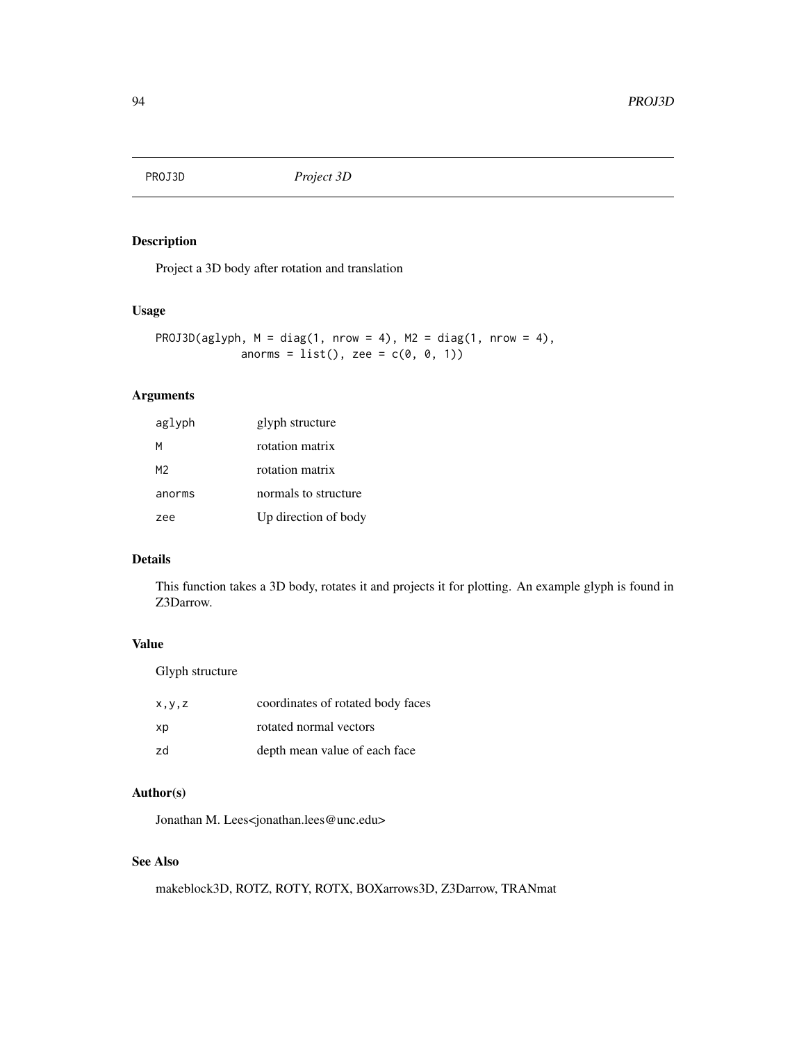# Description

Project a 3D body after rotation and translation

## Usage

```
PROJ3D(aglyph, M = diag(1, nrow = 4), M2 = diag(1, nrow = 4),
               anorms = list(), zee = c(\emptyset, \emptyset, 1))
```
# Arguments

| aglyph | glyph structure      |
|--------|----------------------|
| м      | rotation matrix      |
| M2     | rotation matrix      |
| anorms | normals to structure |
| zee    | Up direction of body |

#### Details

This function takes a 3D body, rotates it and projects it for plotting. An example glyph is found in Z3Darrow.

# Value

Glyph structure

| x, y, z | coordinates of rotated body faces |
|---------|-----------------------------------|
| xp      | rotated normal vectors            |
| zd      | depth mean value of each face     |

## Author(s)

Jonathan M. Lees<jonathan.lees@unc.edu>

# See Also

makeblock3D, ROTZ, ROTY, ROTX, BOXarrows3D, Z3Darrow, TRANmat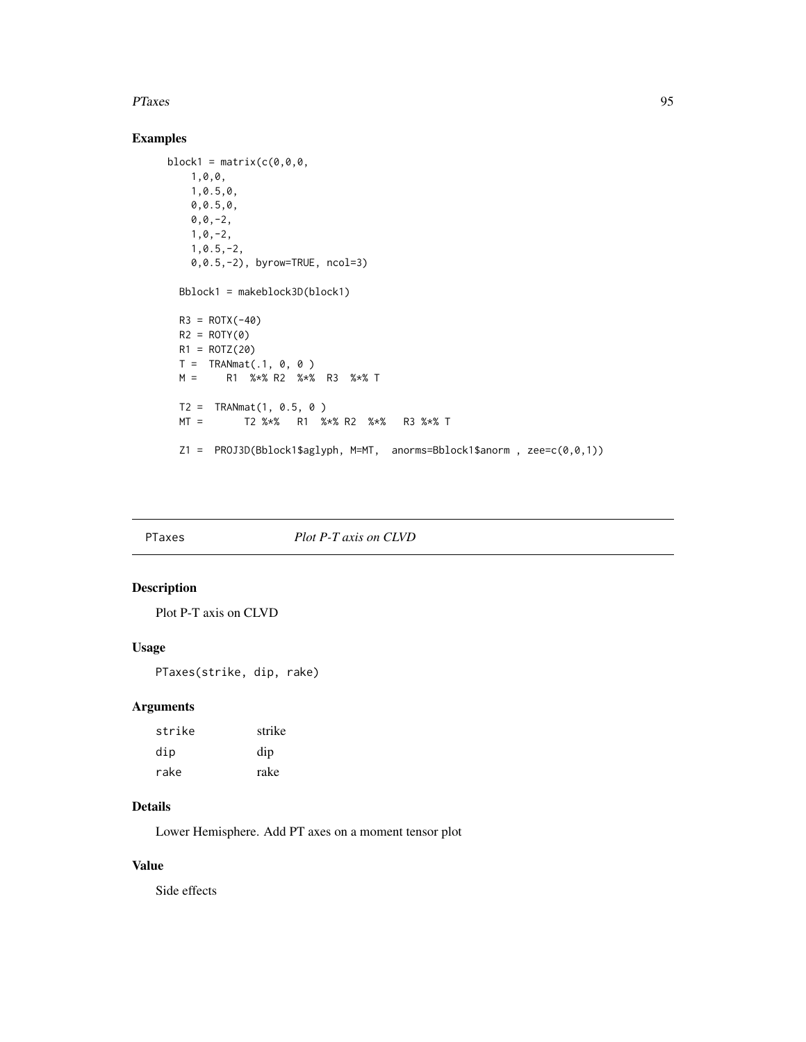#### PTaxes 95

# Examples

```
block1 = matrix(c(0,0,0,1,0,0,
   1,0.5,0,
   0,0.5,0,
   0,0,-2,
   1,0,-2,
   1,0.5,-2,
   0,0.5,-2), byrow=TRUE, ncol=3)
 Bblock1 = makeblock3D(block1)
 R3 = ROTX(-40)R2 = ROTY(0)R1 = ROTZ(20)T = TRANmat(.1, 0, 0)M = R1 %*% R2 %*% R3 %*% T
 T2 = TRANmat(1, 0.5, 0)MT = T2 %*% R1 %*% R2 %*% R3 %*% T
 Z1 = PROJ3D(Bblock1$aglyph, M=MT, anorms=Bblock1$anorm , zee=c(0,0,1))
```
### PTaxes *Plot P-T axis on CLVD*

## Description

Plot P-T axis on CLVD

## Usage

PTaxes(strike, dip, rake)

## Arguments

| strike | strike |
|--------|--------|
| dip    | dip    |
| rake   | rake   |

# Details

Lower Hemisphere. Add PT axes on a moment tensor plot

# Value

Side effects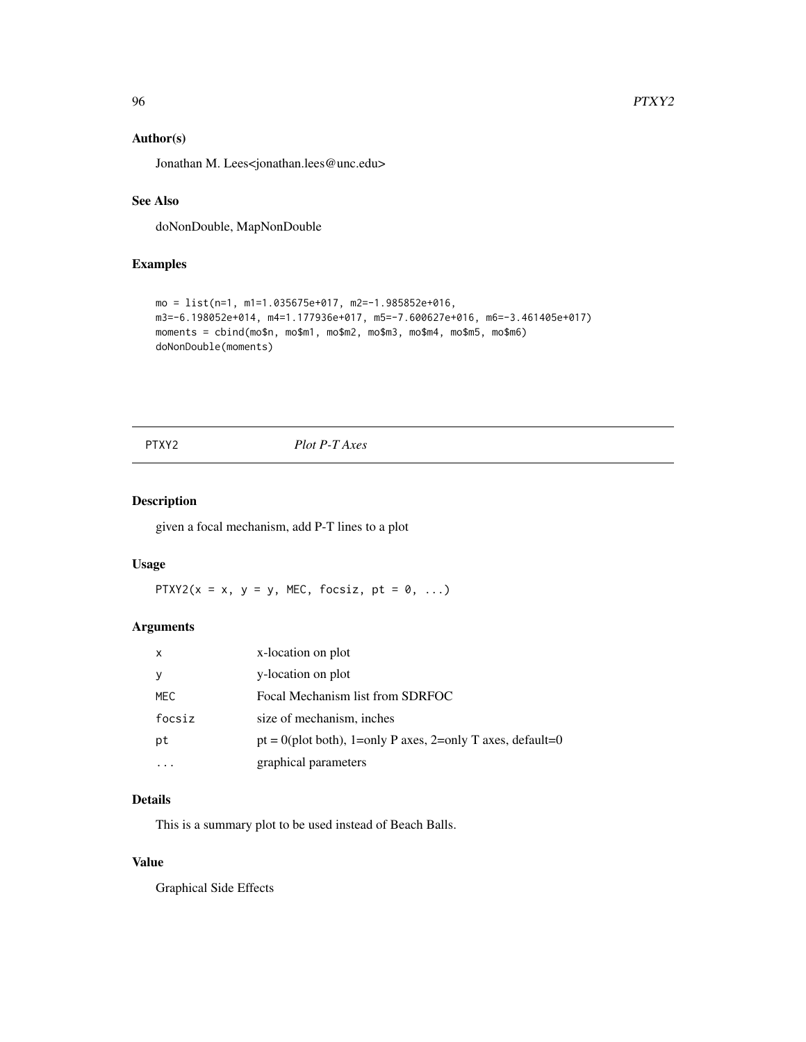## Author(s)

Jonathan M. Lees<jonathan.lees@unc.edu>

### See Also

doNonDouble, MapNonDouble

# Examples

```
mo = list(n=1, m1=1.035675e+017, m2=-1.985852e+016,
m3=-6.198052e+014, m4=1.177936e+017, m5=-7.600627e+016, m6=-3.461405e+017)
moments = cbind(mo$n, mo$m1, mo$m2, mo$m3, mo$m4, mo$m5, mo$m6)
doNonDouble(moments)
```
PTXY2 *Plot P-T Axes*

## Description

given a focal mechanism, add P-T lines to a plot

# Usage

PTXY2( $x = x$ ,  $y = y$ , MEC, focsiz,  $pt = 0$ , ...)

### Arguments

| x      | x-location on plot                                            |
|--------|---------------------------------------------------------------|
| У      | y-location on plot                                            |
| MEC    | Focal Mechanism list from SDRFOC                              |
| focsiz | size of mechanism, inches                                     |
| pt     | $pt = 0$ (plot both), 1=only P axes, 2=only T axes, default=0 |
|        | graphical parameters                                          |

# Details

This is a summary plot to be used instead of Beach Balls.

## Value

Graphical Side Effects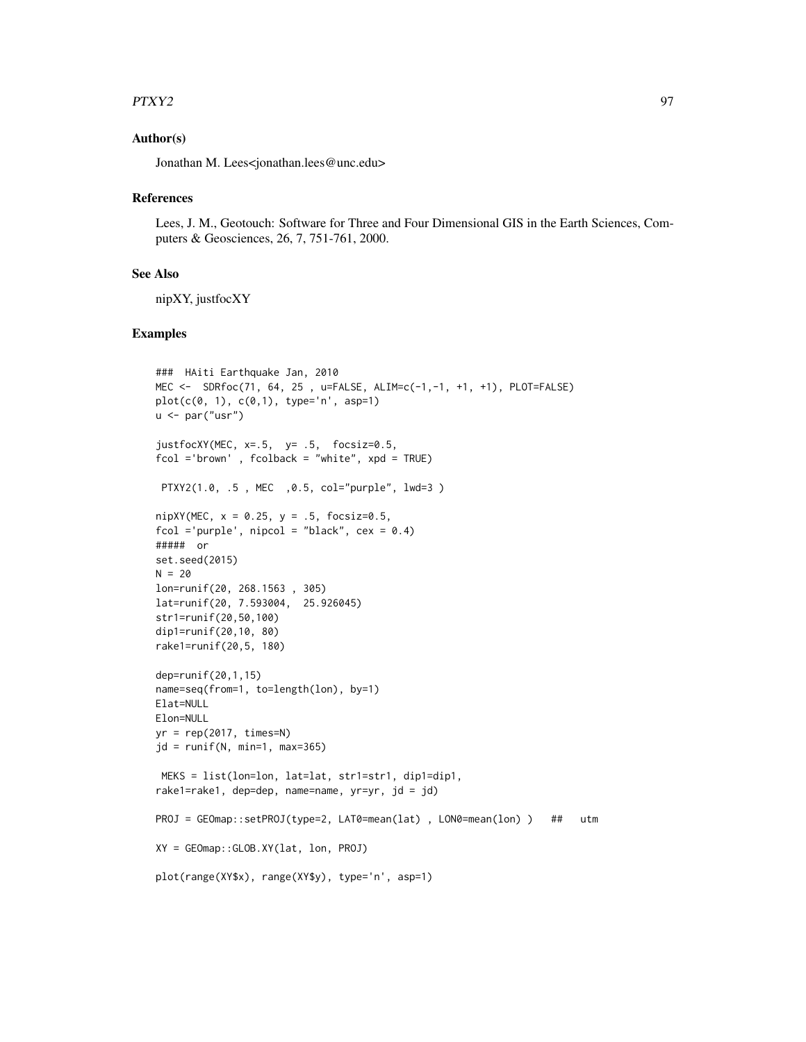#### $PTXY2$  97

### Author(s)

Jonathan M. Lees<jonathan.lees@unc.edu>

#### References

Lees, J. M., Geotouch: Software for Three and Four Dimensional GIS in the Earth Sciences, Computers & Geosciences, 26, 7, 751-761, 2000.

#### See Also

nipXY, justfocXY

```
### HAiti Earthquake Jan, 2010
MEC <- SDRfoc(71, 64, 25 , u=FALSE, ALIM=c(-1,-1, +1, +1), PLOT=FALSE)
plot(c(0, 1), c(0, 1), type='n', asp=1)u \leftarrow par("usr")justfocXY(MEC, x=.5, y= .5, focsiz=0.5,
fcol ='brown' , fcolback = "white", xpd = TRUE)
 PTXY2(1.0, .5 , MEC ,0.5, col="purple", lwd=3 )
nipXY(MEC, x = 0.25, y = .5, focsiz=0.5,fcol ='purple', nipcol = "black", cex = 0.4)
##### or
set.seed(2015)
N = 20lon=runif(20, 268.1563 , 305)
lat=runif(20, 7.593004, 25.926045)
str1=runif(20,50,100)
dip1=runif(20,10, 80)
rake1=runif(20,5, 180)
dep=runif(20,1,15)
name=seq(from=1, to=length(lon), by=1)
Elat=NULL
Elon=NULL
yr = rep(2017, times=N)jd = runif(N, min=1, max=365)MEKS = list(lon=lon, lat=lat, str1=str1, dip1=dip1,
rake1=rake1, dep=dep, name=name, yr=yr, jd = jd)
PROJ = GEOmap::setPROJ(type=2, LAT0=mean(lat) , LON0=mean(lon) ) ## utm
XY = GEOmap::GLOB.XY(lat, lon, PROJ)
plot(range(XY$x), range(XY$y), type='n', asp=1)
```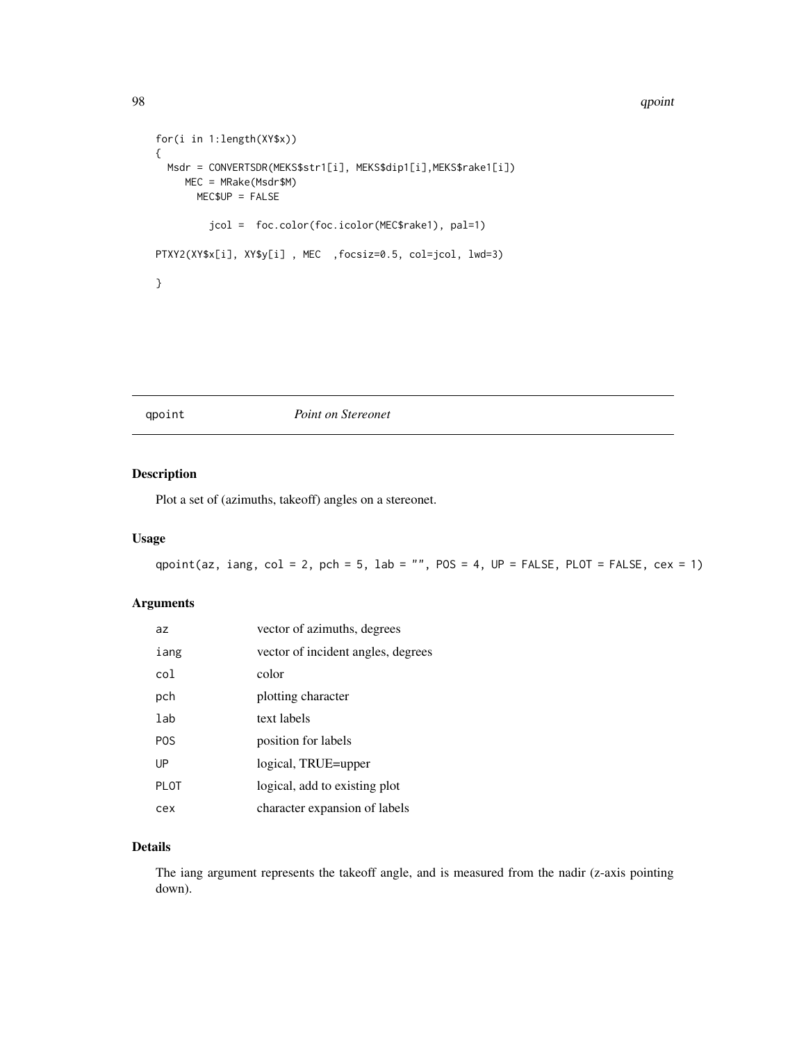#### 98 and 2008 and 2009 and 2009 and 2009 and 2009 and 2009 and 2009 and 2009 and 2009 and 2009 and 2009 and 2009

```
for(i in 1:length(XY$x))
{
 Msdr = CONVERTSDR(MEKS$str1[i], MEKS$dip1[i],MEKS$rake1[i])
    MEC = MRake(Msdr$M)
      MEC$UP = FALSE
        jcol = foc.color(foc.icolor(MEC$rake1), pal=1)
PTXY2(XY$x[i], XY$y[i] , MEC ,focsiz=0.5, col=jcol, lwd=3)
}
```
qpoint *Point on Stereonet*

## Description

Plot a set of (azimuths, takeoff) angles on a stereonet.

## Usage

qpoint(az, iang, col = 2, pch = 5, lab = "", POS = 4,  $UP = FALSE$ , PLOT = FALSE, cex = 1)

## Arguments

| az          | vector of azimuths, degrees        |
|-------------|------------------------------------|
| iang        | vector of incident angles, degrees |
| col         | color                              |
| pch         | plotting character                 |
| lab         | text labels                        |
| <b>POS</b>  | position for labels                |
| UP          | logical, TRUE=upper                |
| <b>PLOT</b> | logical, add to existing plot      |
| cex         | character expansion of labels      |

# Details

The iang argument represents the takeoff angle, and is measured from the nadir (z-axis pointing down).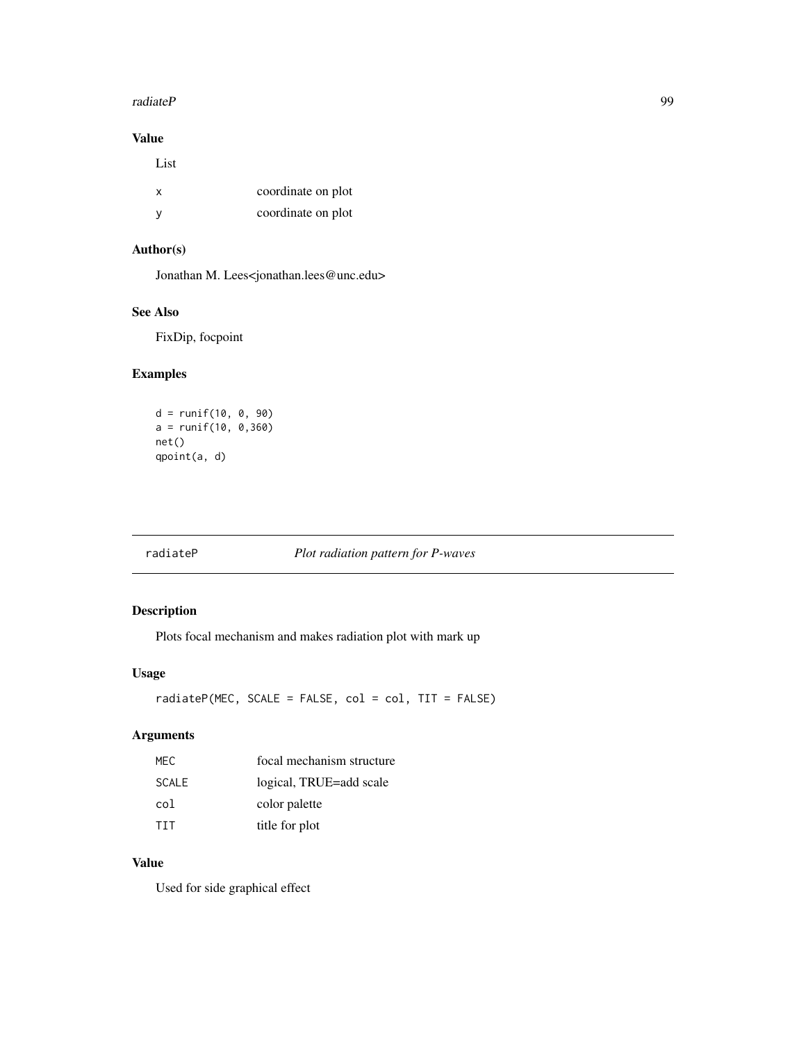#### radiateP 99

# Value

| List |                    |
|------|--------------------|
| x    | coordinate on plot |
| v    | coordinate on plot |

# Author(s)

Jonathan M. Lees<jonathan.lees@unc.edu>

## See Also

FixDip, focpoint

## Examples

```
d = runif(10, 0, 90)
a = runif(10, 0,360)
net()
qpoint(a, d)
```
## radiateP *Plot radiation pattern for P-waves*

## Description

Plots focal mechanism and makes radiation plot with mark up

## Usage

radiateP(MEC, SCALE = FALSE, col = col, TIT = FALSE)

## Arguments

| MEC.         | focal mechanism structure |
|--------------|---------------------------|
| <b>SCALE</b> | logical, TRUE=add scale   |
| col          | color palette             |
| <b>TTT</b>   | title for plot            |

# Value

Used for side graphical effect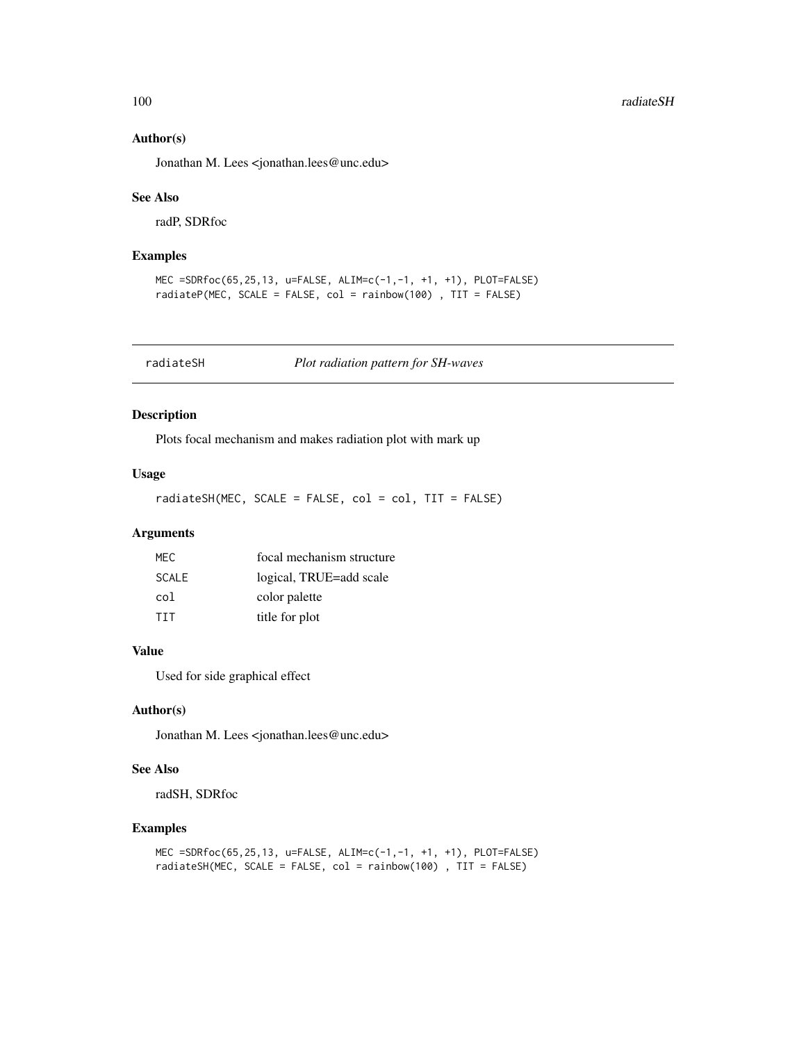### Author(s)

Jonathan M. Lees <jonathan.lees@unc.edu>

#### See Also

radP, SDRfoc

### Examples

```
MEC =SDRfoc(65,25,13, u=FALSE, ALIM=c(-1,-1, +1, +1), PLOT=FALSE)
radiateP(MEC, SCALE = FALSE, col = rainbow(100) , TIT = FALSE)
```
radiateSH *Plot radiation pattern for SH-waves*

#### Description

Plots focal mechanism and makes radiation plot with mark up

### Usage

radiateSH(MEC, SCALE = FALSE, col = col, TIT = FALSE)

# Arguments

| MFC.       | focal mechanism structure |
|------------|---------------------------|
| SCALE      | logical, TRUE=add scale   |
| col        | color palette             |
| <b>TTT</b> | title for plot            |

# Value

Used for side graphical effect

## Author(s)

Jonathan M. Lees <jonathan.lees@unc.edu>

# See Also

radSH, SDRfoc

```
MEC =SDRfoc(65,25,13, u=FALSE, ALIM=c(-1,-1, +1, +1), PLOT=FALSE)
radiateSH(MEC, SCALE = FALSE, col = rainbow(100) , TIT = FALSE)
```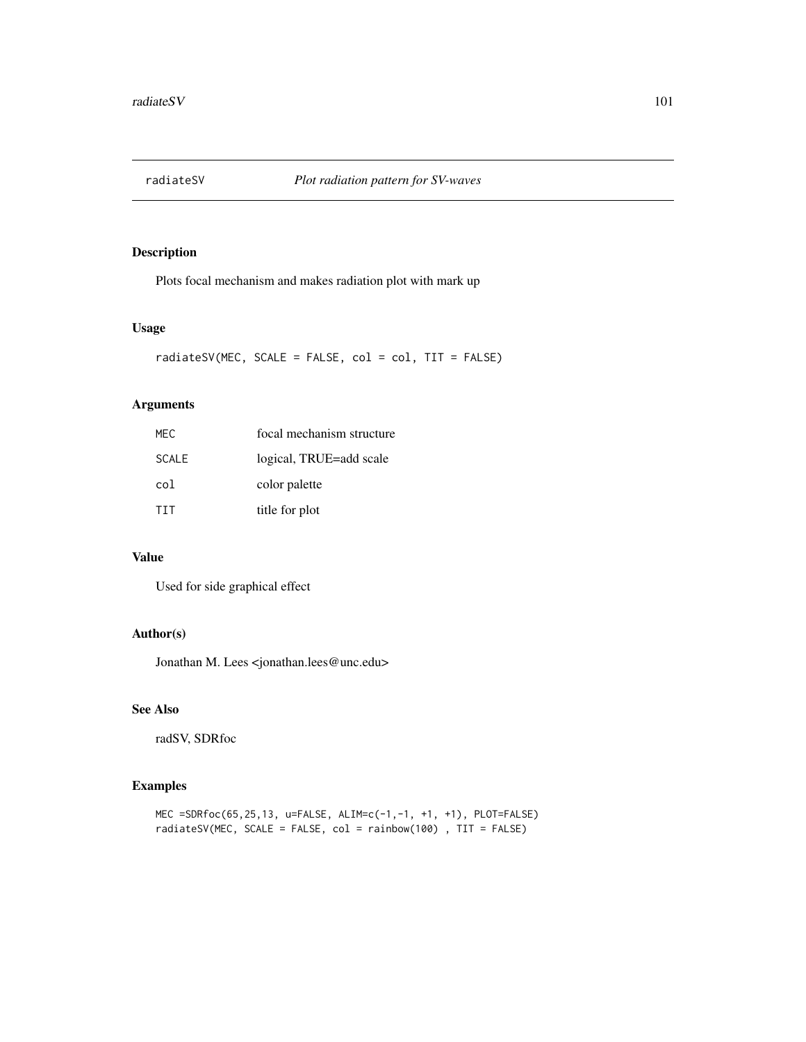## Description

Plots focal mechanism and makes radiation plot with mark up

### Usage

 $radiatesV(MEC, SCALE = FALSE, col = col, TIT = FALSE)$ 

## Arguments

| MFC.         | focal mechanism structure |
|--------------|---------------------------|
| <b>SCALE</b> | logical, TRUE=add scale   |
| col          | color palette             |
| <b>TIT</b>   | title for plot            |

# Value

Used for side graphical effect

## Author(s)

Jonathan M. Lees <jonathan.lees@unc.edu>

# See Also

radSV, SDRfoc

```
MEC =SDRfoc(65,25,13, u=FALSE, ALIM=c(-1,-1, +1, +1), PLOT=FALSE)
radiateSV(MEC, SCALE = FALSE, col = rainbow(100) , TIT = FALSE)
```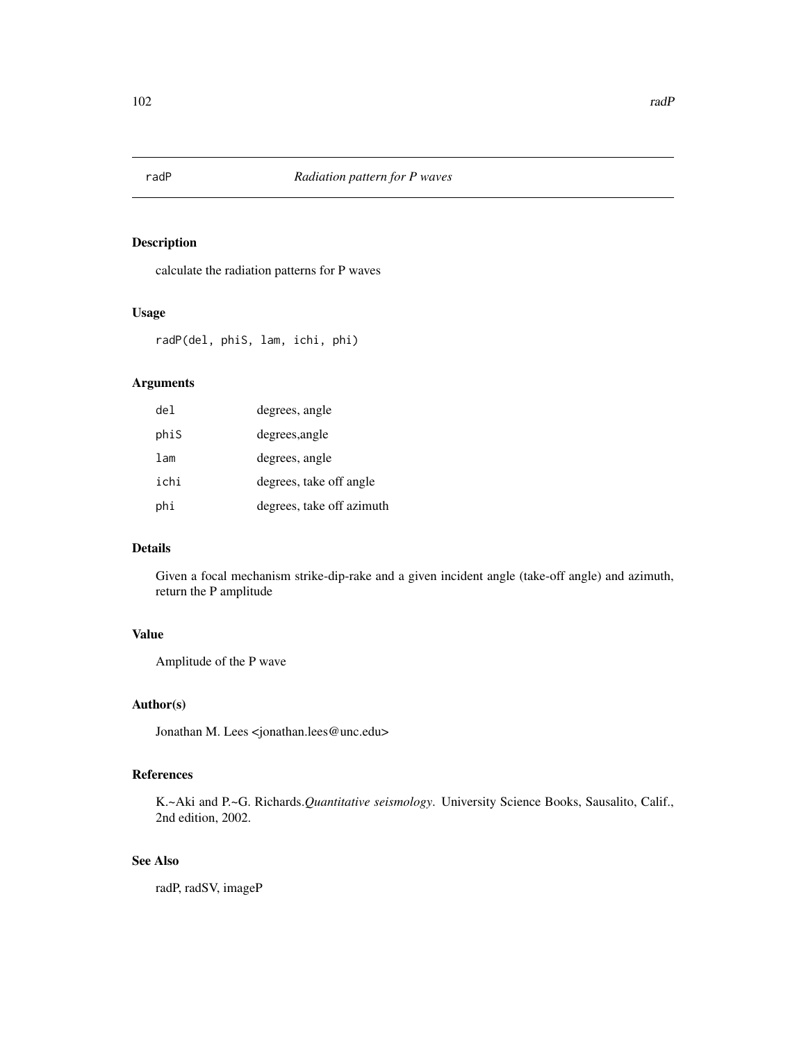## Description

calculate the radiation patterns for P waves

### Usage

radP(del, phiS, lam, ichi, phi)

# Arguments

| del  | degrees, angle            |
|------|---------------------------|
| phiS | degrees, angle            |
| lam  | degrees, angle            |
| ichi | degrees, take off angle   |
| phi  | degrees, take off azimuth |

## Details

Given a focal mechanism strike-dip-rake and a given incident angle (take-off angle) and azimuth, return the P amplitude

# Value

Amplitude of the P wave

### Author(s)

Jonathan M. Lees <jonathan.lees@unc.edu>

### References

K.~Aki and P.~G. Richards.*Quantitative seismology*. University Science Books, Sausalito, Calif., 2nd edition, 2002.

## See Also

radP, radSV, imageP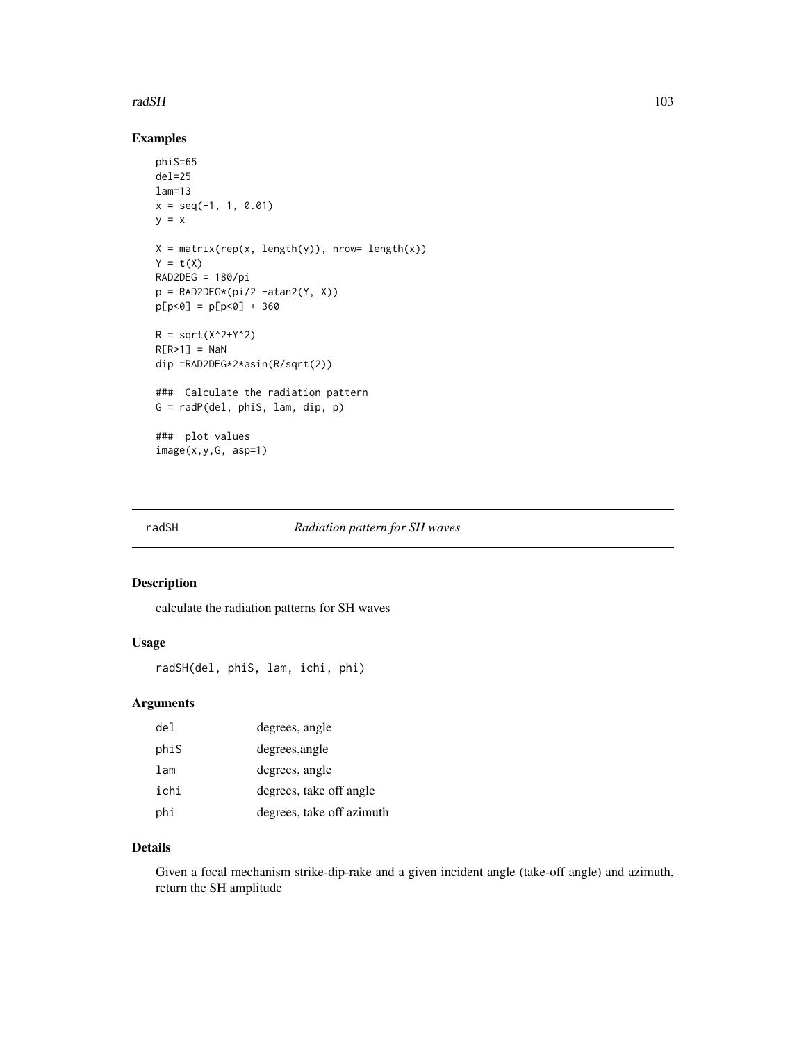#### radSH 103

## Examples

```
phiS=65
del=25
lam=13
x = seq(-1, 1, 0.01)y = xX = matrix(rep(x, length(y)), nrow= length(x))Y = t(X)RAD2DEG = 180/pip = RAD2DEG*(pi/2 -atan2(Y, X))
p[p<0] = p[p<0] + 360R = sqrt(X^2+Y^2)R[R>1] = NaN
dip =RAD2DEG*2*asin(R/sqrt(2))
### Calculate the radiation pattern
G = radP(del, phiS, lam, dip, p)
### plot values
image(x,y,G, asp=1)
```
## radSH *Radiation pattern for SH waves*

### Description

calculate the radiation patterns for SH waves

# Usage

```
radSH(del, phiS, lam, ichi, phi)
```
## Arguments

| del  | degrees, angle            |
|------|---------------------------|
| phiS | degrees, angle            |
| lam  | degrees, angle            |
| ichi | degrees, take off angle   |
| phi  | degrees, take off azimuth |

## Details

Given a focal mechanism strike-dip-rake and a given incident angle (take-off angle) and azimuth, return the SH amplitude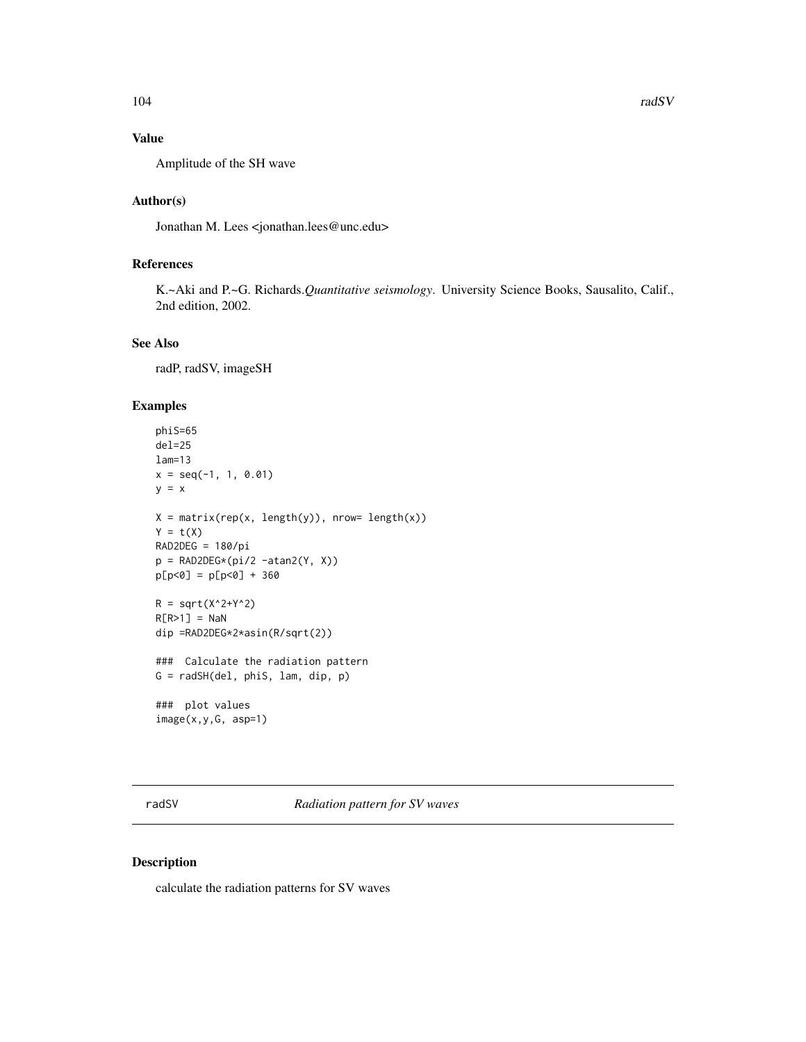## Value

Amplitude of the SH wave

### Author(s)

Jonathan M. Lees <jonathan.lees@unc.edu>

## References

K.~Aki and P.~G. Richards.*Quantitative seismology*. University Science Books, Sausalito, Calif., 2nd edition, 2002.

# See Also

radP, radSV, imageSH

## Examples

```
phiS=65
de1=25lam=13
x = seq(-1, 1, 0.01)y = xX = matrix(rep(x, length(y)), nrow= length(x))Y = t(X)RAD2DEG = 180/pip = RAD2DEG*(pi/2 -atan2(Y, X))p[p<0] = p[p<0] + 360R = sqrt(X^2+Y^2)R[R>1] = NaN
dip =RAD2DEG*2*asin(R/sqrt(2))
### Calculate the radiation pattern
G = radSH(del, phiS, lam, dip, p)
### plot values
image(x,y,G, asp=1)
```
radSV *Radiation pattern for SV waves*

## Description

calculate the radiation patterns for SV waves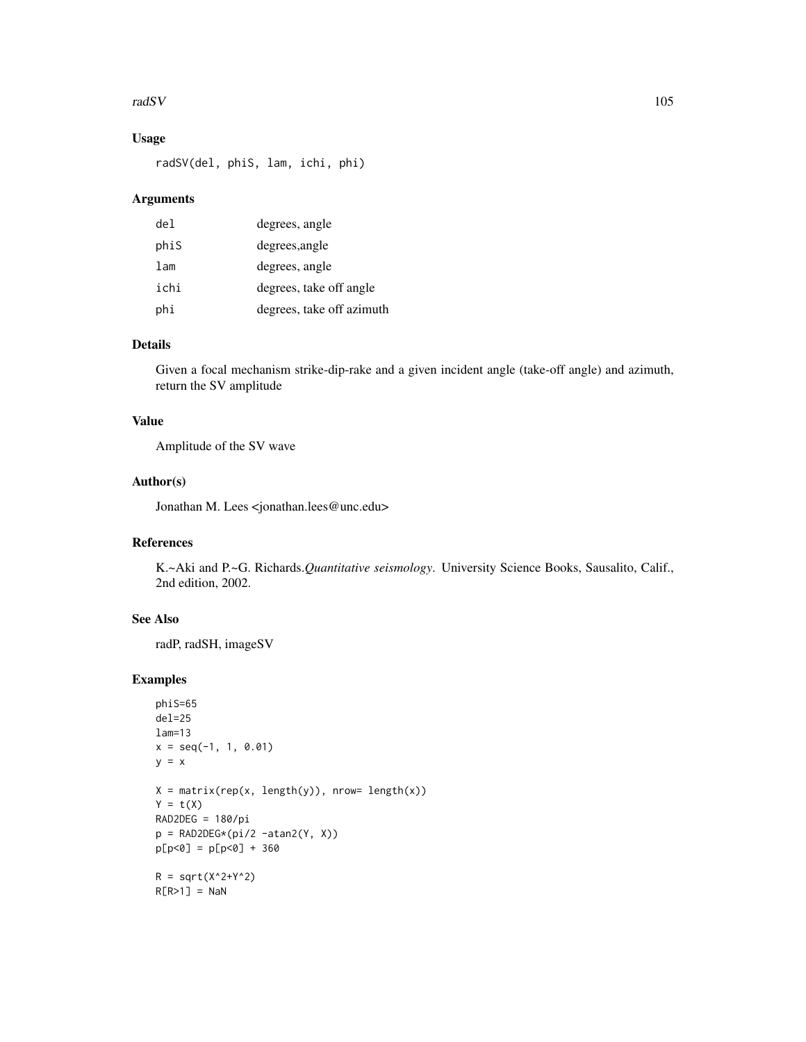#### radSV and the set of the set of the set of the set of the set of the set of the set of the set of the set of the set of the set of the set of the set of the set of the set of the set of the set of the set of the set of the

# Usage

radSV(del, phiS, lam, ichi, phi)

## Arguments

| del  | degrees, angle            |
|------|---------------------------|
| phiS | degrees, angle            |
| lam  | degrees, angle            |
| ichi | degrees, take off angle   |
| phi  | degrees, take off azimuth |

## Details

Given a focal mechanism strike-dip-rake and a given incident angle (take-off angle) and azimuth, return the SV amplitude

## Value

Amplitude of the SV wave

### Author(s)

Jonathan M. Lees <jonathan.lees@unc.edu>

## References

K.~Aki and P.~G. Richards.*Quantitative seismology*. University Science Books, Sausalito, Calif., 2nd edition, 2002.

## See Also

radP, radSH, imageSV

```
phiS=65
del=25
lam=13
x = seq(-1, 1, 0.01)y = xX = matrix(rep(x, length(y)), nrow= length(x))Y = t(X)RAD2DEG = 180/pip = RAD2DEG*(pi/2 -atan2(Y, X))p[p<0] = p[p<0] + 360R = sqrt(X^2+Y^2)R[R>1] = NaN
```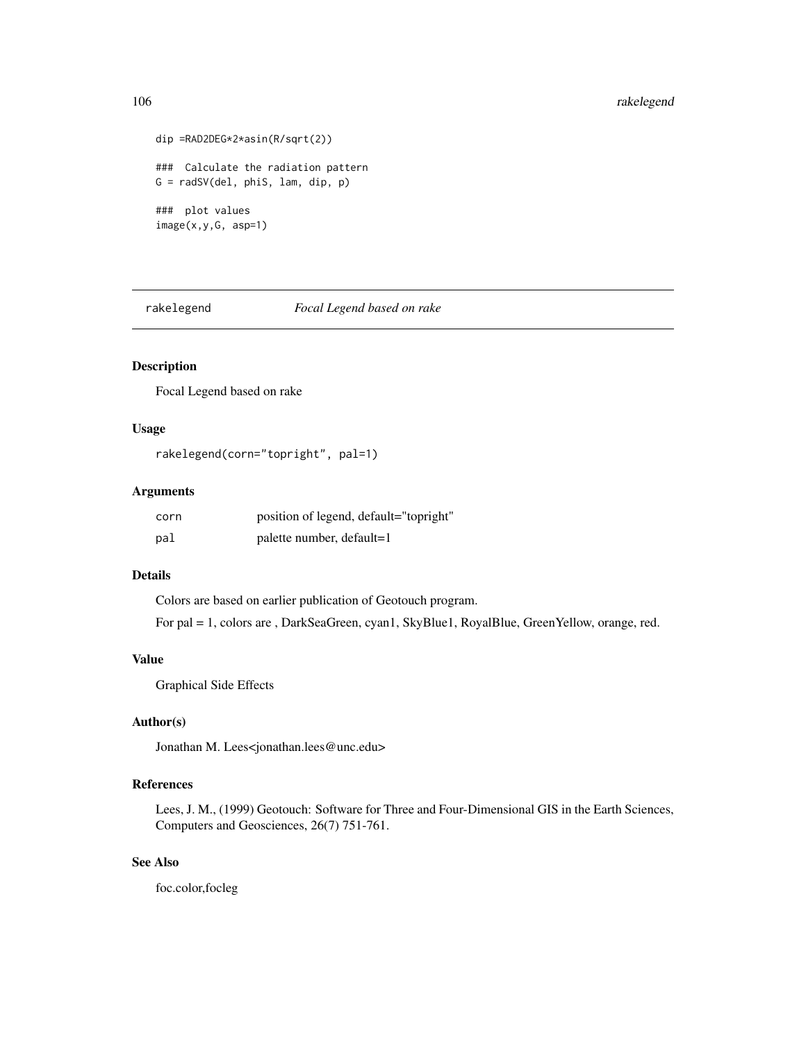## 106 rakelegend

```
dip =RAD2DEG*2*asin(R/sqrt(2))
### Calculate the radiation pattern
G = \text{radSV}(del, phiS, lam, dip, p)### plot values
image(x,y,G, asp=1)
```
rakelegend *Focal Legend based on rake*

# Description

Focal Legend based on rake

## Usage

```
rakelegend(corn="topright", pal=1)
```
## Arguments

| corn | position of legend, default="topright" |
|------|----------------------------------------|
| pal  | palette number, default=1              |

## Details

Colors are based on earlier publication of Geotouch program. For pal = 1, colors are , DarkSeaGreen, cyan1, SkyBlue1, RoyalBlue, GreenYellow, orange, red.

### Value

Graphical Side Effects

### Author(s)

Jonathan M. Lees<jonathan.lees@unc.edu>

# References

Lees, J. M., (1999) Geotouch: Software for Three and Four-Dimensional GIS in the Earth Sciences, Computers and Geosciences, 26(7) 751-761.

# See Also

foc.color,focleg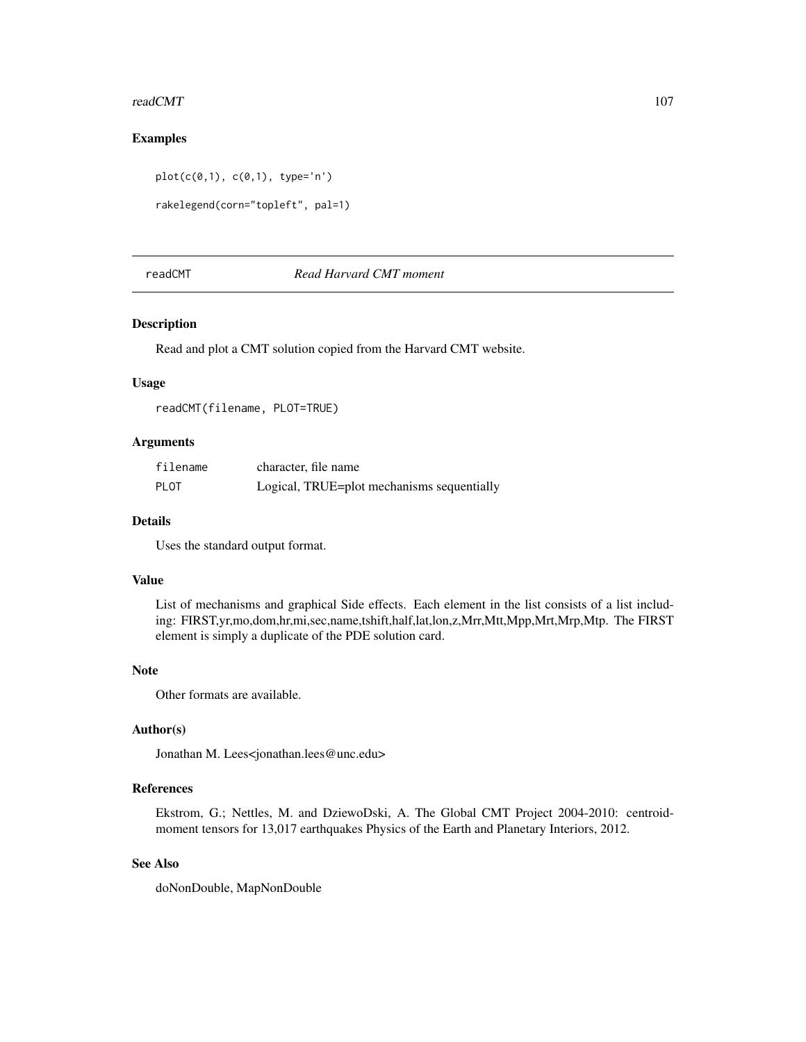#### readCMT and the state of the state of the state of the state of the state of the state of the state of the state of the state of the state of the state of the state of the state of the state of the state of the state of th

### Examples

```
plot(c(0,1), c(0,1), type='n')
```

```
rakelegend(corn="topleft", pal=1)
```
## readCMT *Read Harvard CMT moment*

## Description

Read and plot a CMT solution copied from the Harvard CMT website.

## Usage

readCMT(filename, PLOT=TRUE)

# Arguments

| filename    | character, file name                       |
|-------------|--------------------------------------------|
| <b>PLOT</b> | Logical, TRUE=plot mechanisms sequentially |

## Details

Uses the standard output format.

### Value

List of mechanisms and graphical Side effects. Each element in the list consists of a list including: FIRST,yr,mo,dom,hr,mi,sec,name,tshift,half,lat,lon,z,Mrr,Mtt,Mpp,Mrt,Mrp,Mtp. The FIRST element is simply a duplicate of the PDE solution card.

### Note

Other formats are available.

# Author(s)

Jonathan M. Lees<jonathan.lees@unc.edu>

### References

Ekstrom, G.; Nettles, M. and DziewoDski, A. The Global CMT Project 2004-2010: centroidmoment tensors for 13,017 earthquakes Physics of the Earth and Planetary Interiors, 2012.

# See Also

doNonDouble, MapNonDouble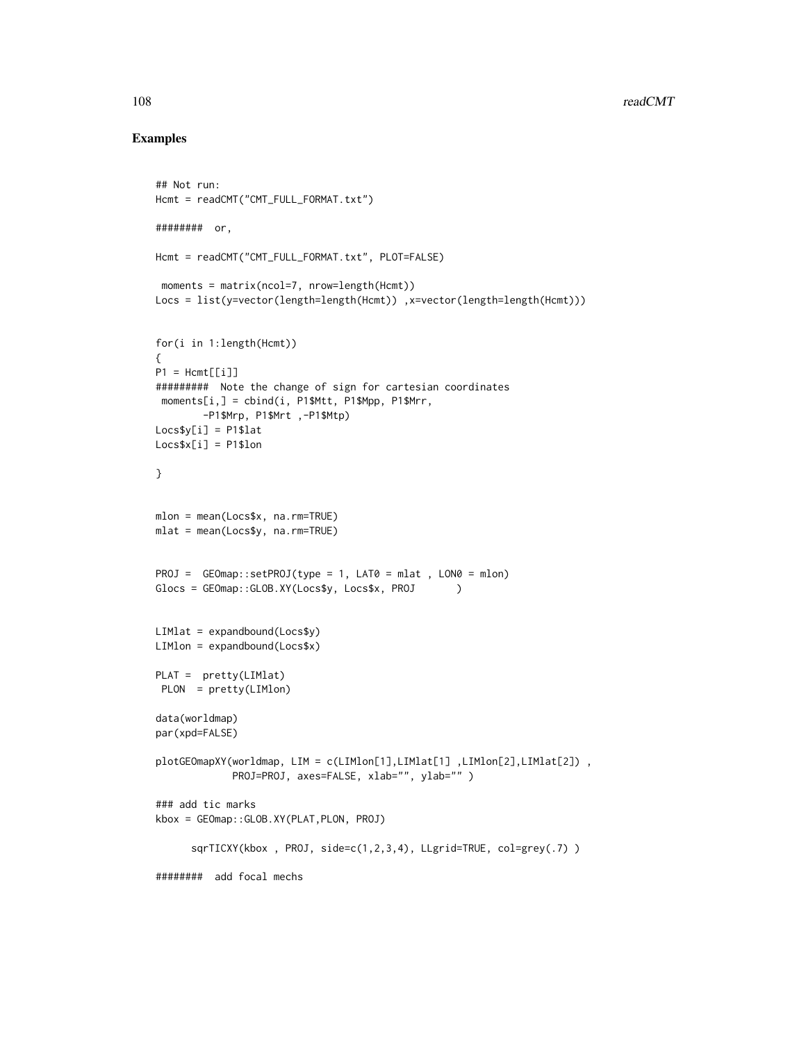```
## Not run:
Hcmt = readCMT("CMT_FULL_FORMAT.txt")
######## or,
Hcmt = readCMT("CMT_FULL_FORMAT.txt", PLOT=FALSE)
moments = matrix(ncol=7, nrow=length(Hcmt))
Locs = list(y=vector(length=length(Hcmt)) ,x=vector(length=length(Hcmt)))
for(i in 1:length(Hcmt))
{
P1 = Hermif[1]######### Note the change of sign for cartesian coordinates
moments[i, ] = child(i, P1$Mtt, P1$Mpp, P1$Mrr,-P1$Mrp, P1$Mrt ,-P1$Mtp)
Loss$y[i] = P1$latLossx[i] = P1$lon
}
mlon = mean(Locs$x, na.rm=TRUE)
mlat = mean(Locs$y, na.rm=TRUE)
PROJ = GEOmap::setPROJ(type = 1, LAT0 = mlat , LON0 = mlon)
Glocs = GEOmap::GLOB.XY(Locs$y, Locs$x, PROJ )
LIMlat = expandbound(LocsLIMlon = expandbound(Locs$x)
PLAT = pretty(LIMlat)
PLON = pretty(LIMlon)
data(worldmap)
par(xpd=FALSE)
plotGEOmapXY(worldmap, LIM = c(LIMlon[1],LIMlat[1] ,LIMlon[2],LIMlat[2]) ,
            PROJ=PROJ, axes=FALSE, xlab="", ylab="" )
### add tic marks
kbox = GEOmap::GLOB.XY(PLAT,PLON, PROJ)
     sqrTICXY(kbox , PROJ, side=c(1,2,3,4), LLgrid=TRUE, col=grey(.7) )
######## add focal mechs
```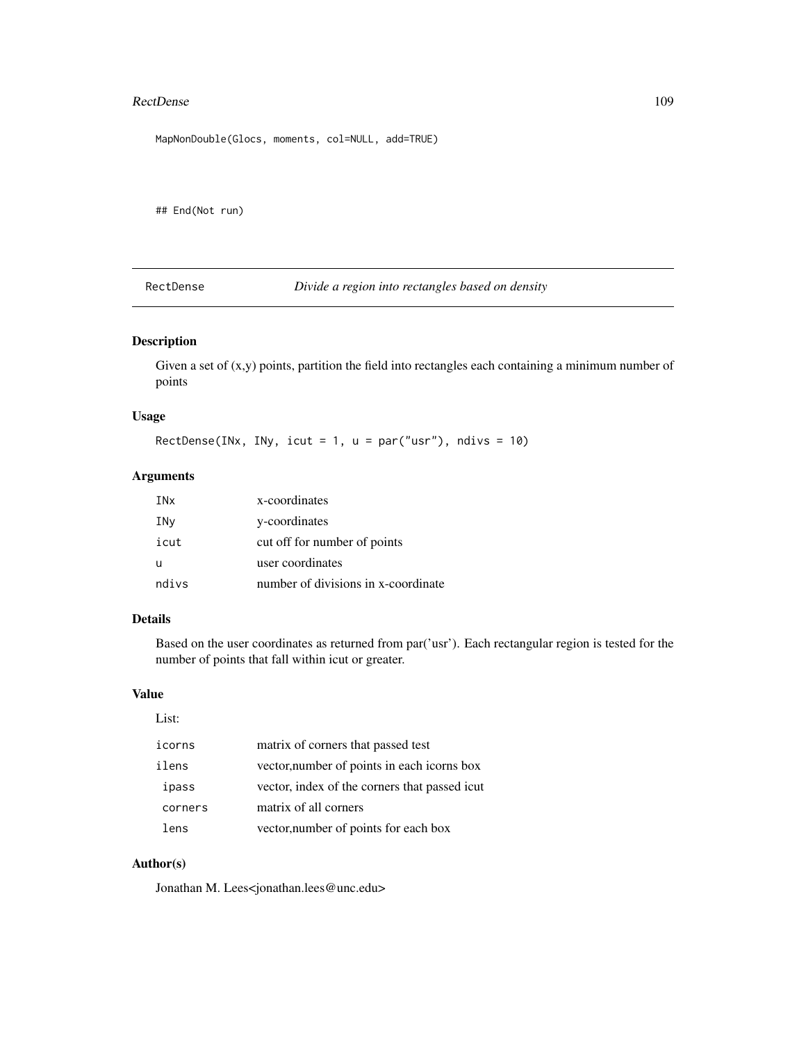#### RectDense 109

MapNonDouble(Glocs, moments, col=NULL, add=TRUE)

## End(Not run)

RectDense *Divide a region into rectangles based on density*

## Description

Given a set of  $(x,y)$  points, partition the field into rectangles each containing a minimum number of points

#### Usage

RectDense(INx, INy, icut = 1,  $u = par("usr")$ , ndivs = 10)

#### Arguments

| INx   | x-coordinates                       |
|-------|-------------------------------------|
| INy   | y-coordinates                       |
| icut  | cut off for number of points        |
| u     | user coordinates                    |
| ndivs | number of divisions in x-coordinate |

#### Details

Based on the user coordinates as returned from par('usr'). Each rectangular region is tested for the number of points that fall within icut or greater.

#### Value

| ۹<br>×<br>۰.<br>٠ |
|-------------------|
|-------------------|

| icorns  | matrix of corners that passed test            |
|---------|-----------------------------------------------|
| ilens   | vector, number of points in each icorns box   |
| ipass   | vector, index of the corners that passed icut |
| corners | matrix of all corners                         |
| lens    | vector, number of points for each box         |

### Author(s)

Jonathan M. Lees<jonathan.lees@unc.edu>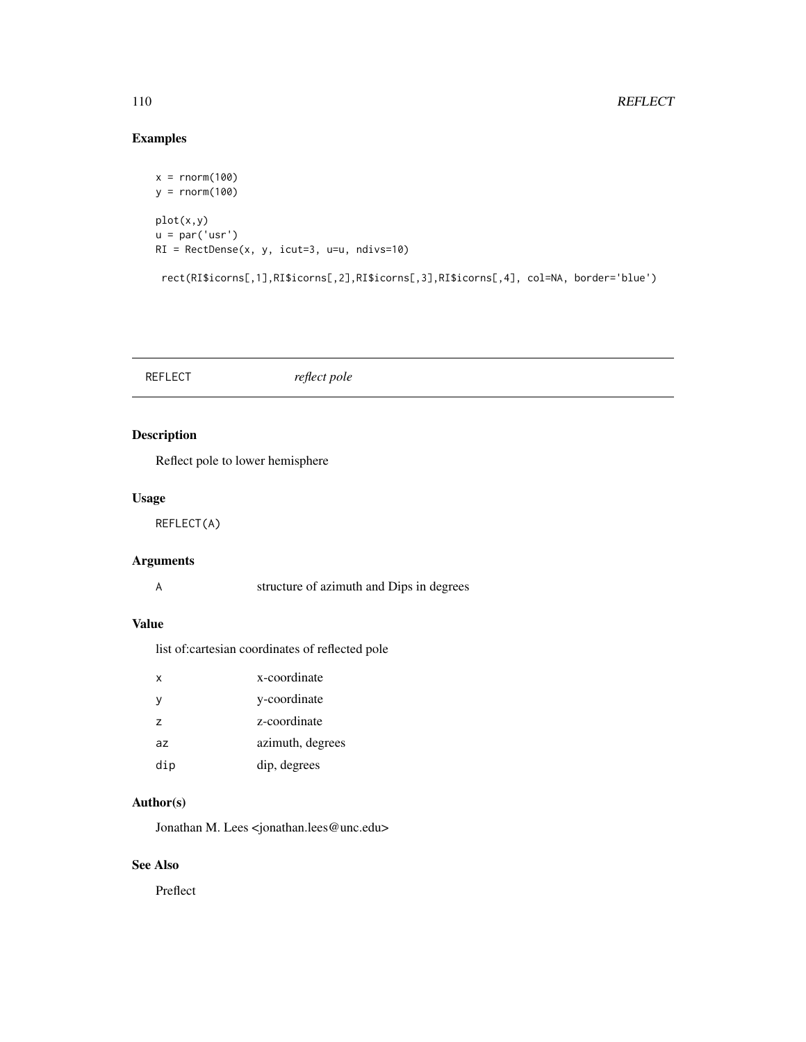## Examples

```
x = rnorm(100)y = rnorm(100)
plot(x,y)
u = par('usr')RI = RectDense(x, y, icut=3, u=u, ndivs=10)
 rect(RI$icorns[,1],RI$icorns[,2],RI$icorns[,3],RI$icorns[,4], col=NA, border='blue')
```
REFLECT *reflect pole*

## Description

Reflect pole to lower hemisphere

## Usage

REFLECT(A)

## Arguments

A structure of azimuth and Dips in degrees

## Value

list of:cartesian coordinates of reflected pole

| x              | x-coordinate     |
|----------------|------------------|
| v              | y-coordinate     |
| $\overline{z}$ | z-coordinate     |
| az             | azimuth, degrees |
| dip            | dip, degrees     |

## Author(s)

Jonathan M. Lees <jonathan.lees@unc.edu>

## See Also

Preflect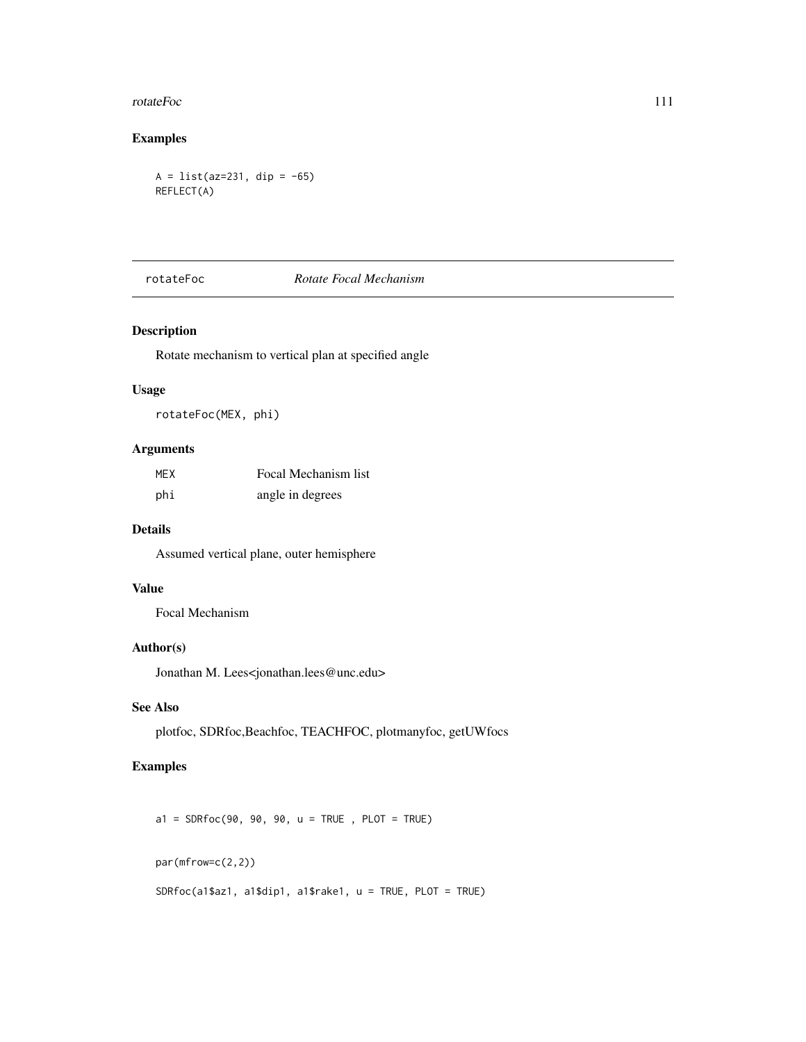#### rotateFoc 111

## Examples

```
A = list(az=231, dip = -65)REFLECT(A)
```
## rotateFoc *Rotate Focal Mechanism*

#### Description

Rotate mechanism to vertical plan at specified angle

## Usage

rotateFoc(MEX, phi)

## Arguments

| MEX | Focal Mechanism list |
|-----|----------------------|
| phi | angle in degrees     |

## Details

Assumed vertical plane, outer hemisphere

#### Value

Focal Mechanism

## Author(s)

Jonathan M. Lees<jonathan.lees@unc.edu>

## See Also

plotfoc, SDRfoc,Beachfoc, TEACHFOC, plotmanyfoc, getUWfocs

## Examples

 $a1 = SDRfoc(90, 90, 90, u = TRUE, PLOT = TRUE)$ 

par(mfrow=c(2,2))

```
SDRfoc(a1$az1, a1$dip1, a1$rake1, u = TRUE, PLOT = TRUE)
```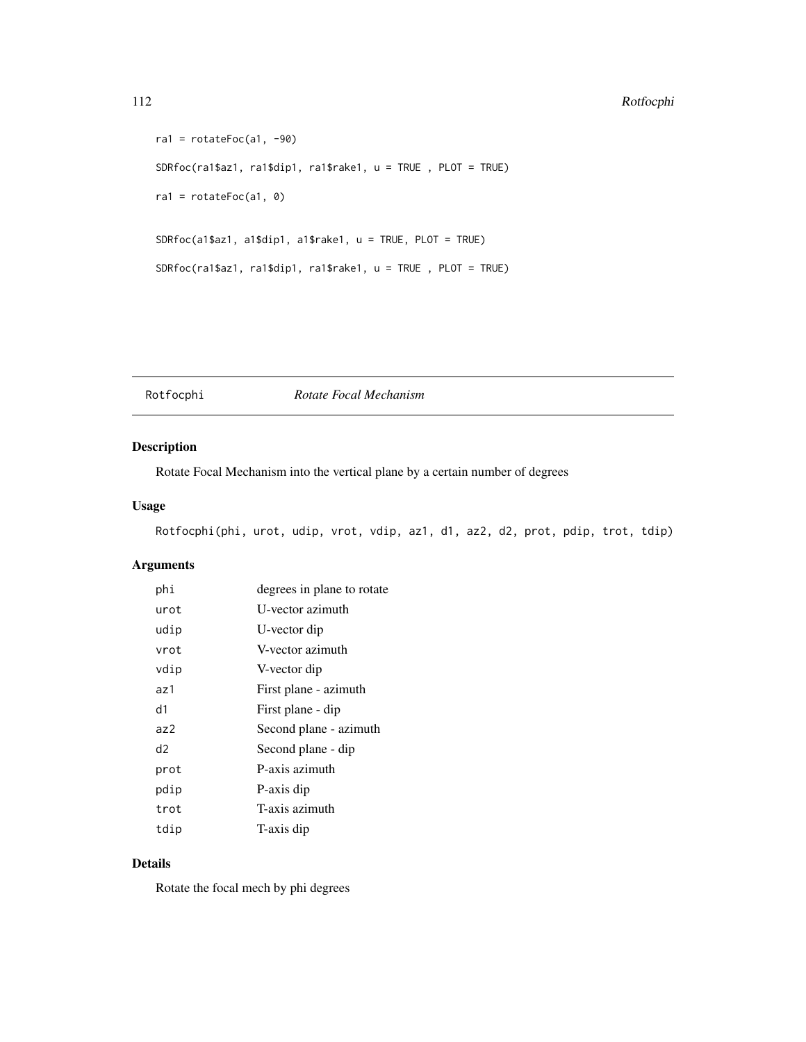#### 112 Rotfocphi

```
ral = rotateFoc(a1, -90)SDRfoc(ra1$az1, ra1$dip1, ra1$rake1, u = TRUE , PLOT = TRUE)
ral = rotateFoc(a1, 0)SDRfoc(a1$az1, a1$dip1, a1$rake1, u = TRUE, PLOT = TRUE)
SDRfoc(ra1$az1, ra1$dip1, ra1$rake1, u = TRUE , PLOT = TRUE)
```
Rotfocphi *Rotate Focal Mechanism*

## Description

Rotate Focal Mechanism into the vertical plane by a certain number of degrees

### Usage

Rotfocphi(phi, urot, udip, vrot, vdip, az1, d1, az2, d2, prot, pdip, trot, tdip)

## Arguments

| phi            | degrees in plane to rotate |
|----------------|----------------------------|
| urot           | U-vector azimuth           |
| udip           | U-vector dip               |
| vrot           | V-vector azimuth           |
| vdip           | V-vector dip               |
| az1            | First plane - azimuth      |
| d1             | First plane - dip          |
| a <sub>7</sub> | Second plane - azimuth     |
| d2             | Second plane - dip         |
| prot           | P-axis azimuth             |
| pdip           | P-axis dip                 |
| trot           | T-axis azimuth             |
| tdip           | T-axis dip                 |

## Details

Rotate the focal mech by phi degrees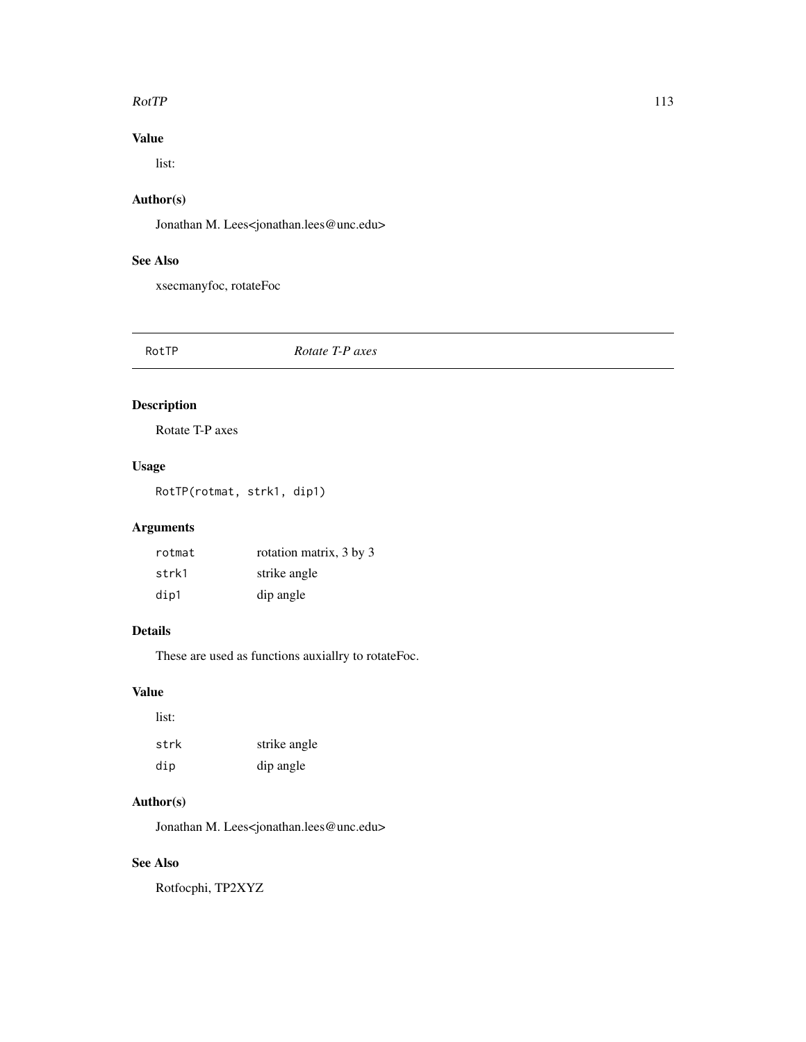#### $RotTP$  113

## Value

list:

## Author(s)

Jonathan M. Lees<jonathan.lees@unc.edu>

## See Also

xsecmanyfoc, rotateFoc

RotTP *Rotate T-P axes*

## Description

Rotate T-P axes

## Usage

RotTP(rotmat, strk1, dip1)

## Arguments

| rotmat | rotation matrix, 3 by 3 |
|--------|-------------------------|
| strk1  | strike angle            |
| dip1   | dip angle               |

## Details

These are used as functions auxiallry to rotateFoc.

#### Value

| list: |              |
|-------|--------------|
| strk  | strike angle |
| dip   | dip angle    |

## Author(s)

Jonathan M. Lees<jonathan.lees@unc.edu>

## See Also

Rotfocphi, TP2XYZ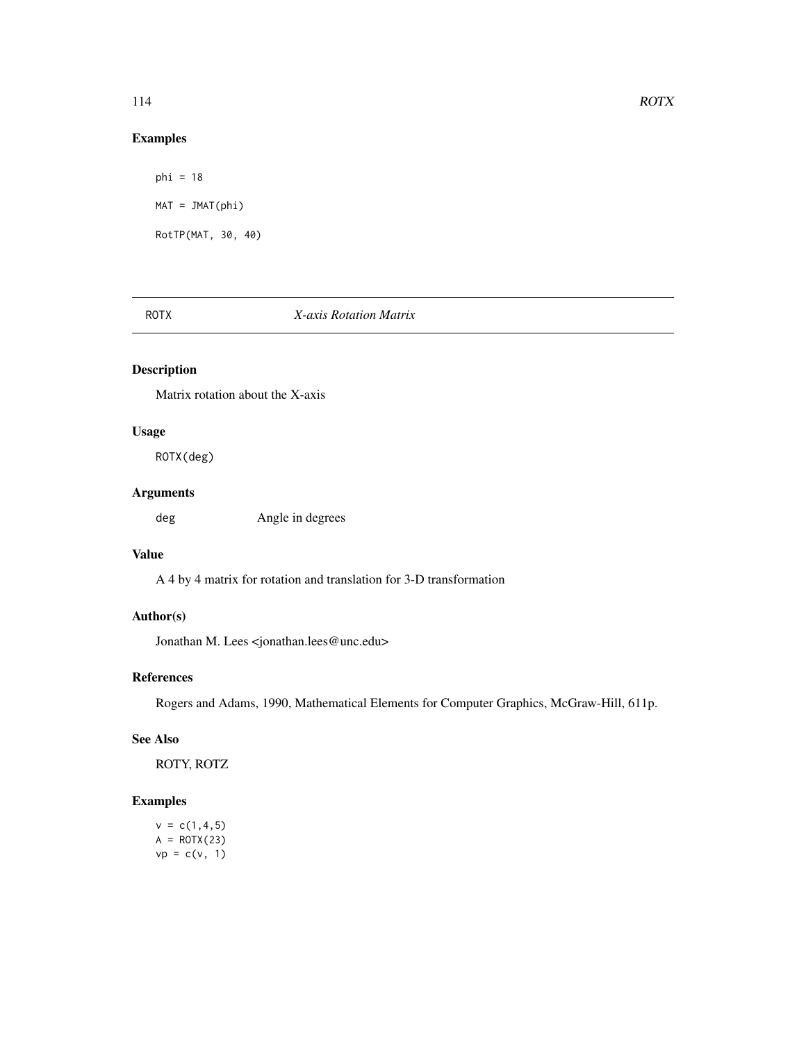## Examples

 $phi = 18$  $MAT = JMAT(phi)$ RotTP(MAT, 30, 40)

#### ROTX *X-axis Rotation Matrix*

## Description

Matrix rotation about the X-axis

## Usage

ROTX(deg)

## Arguments

deg Angle in degrees

## Value

A 4 by 4 matrix for rotation and translation for 3-D transformation

## Author(s)

Jonathan M. Lees <jonathan.lees@unc.edu>

## References

Rogers and Adams, 1990, Mathematical Elements for Computer Graphics, McGraw-Hill, 611p.

#### See Also

ROTY, ROTZ

## Examples

 $v = c(1, 4, 5)$  $A = ROTX(23)$  $vp = c(v, 1)$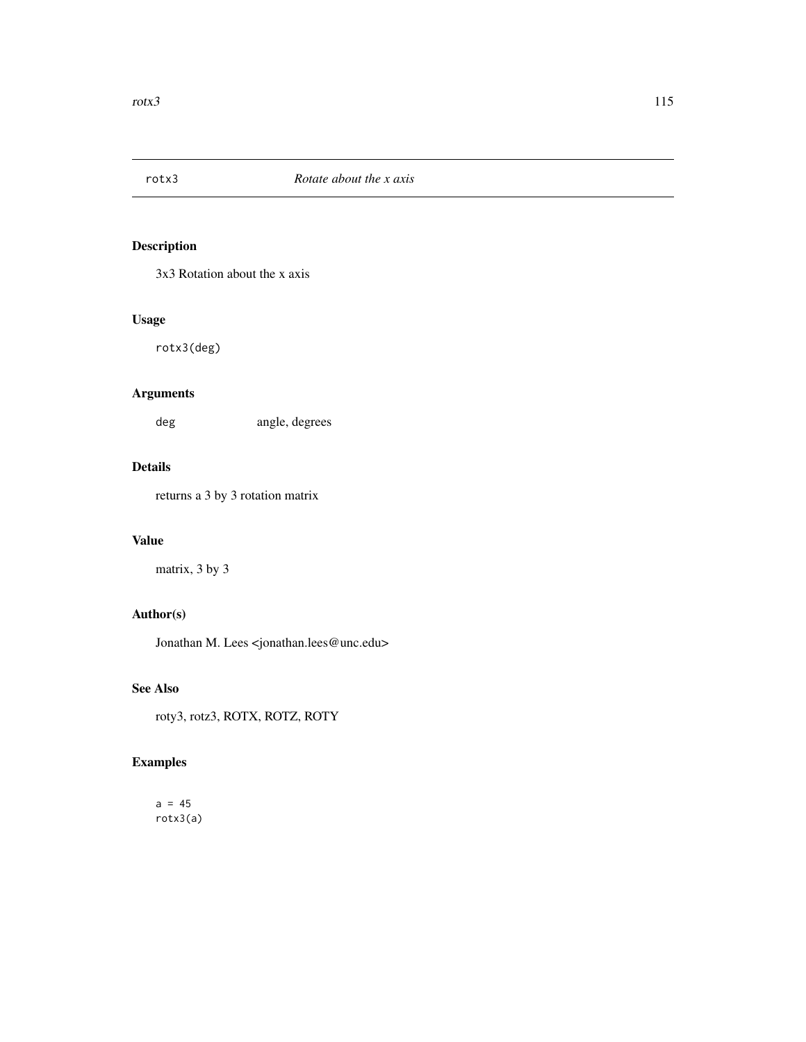3x3 Rotation about the x axis

## Usage

rotx3(deg)

## Arguments

deg angle, degrees

## Details

returns a 3 by 3 rotation matrix

## Value

matrix, 3 by 3

## Author(s)

Jonathan M. Lees <jonathan.lees@unc.edu>

## See Also

roty3, rotz3, ROTX, ROTZ, ROTY

## Examples

 $a = 45$ rotx3(a)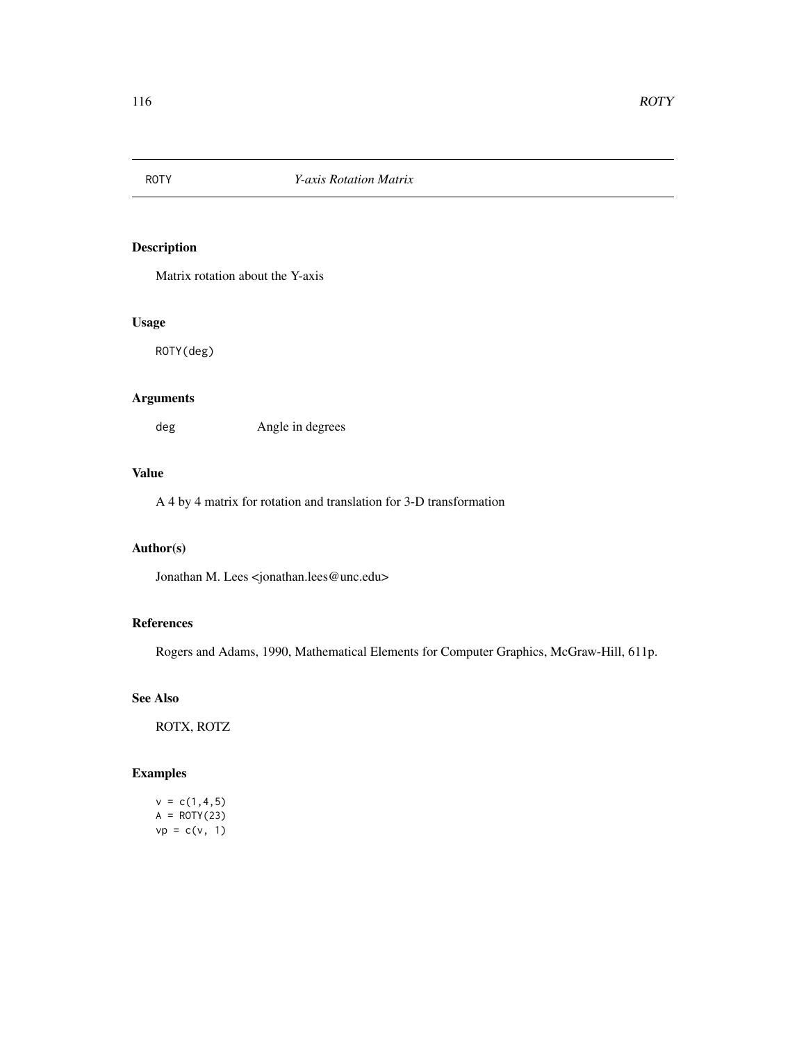Matrix rotation about the Y-axis

#### Usage

ROTY(deg)

## Arguments

deg Angle in degrees

### Value

A 4 by 4 matrix for rotation and translation for 3-D transformation

#### Author(s)

Jonathan M. Lees <jonathan.lees@unc.edu>

## References

Rogers and Adams, 1990, Mathematical Elements for Computer Graphics, McGraw-Hill, 611p.

#### See Also

ROTX, ROTZ

```
v = c(1, 4, 5)A = ROTY(23)vp = c(v, 1)
```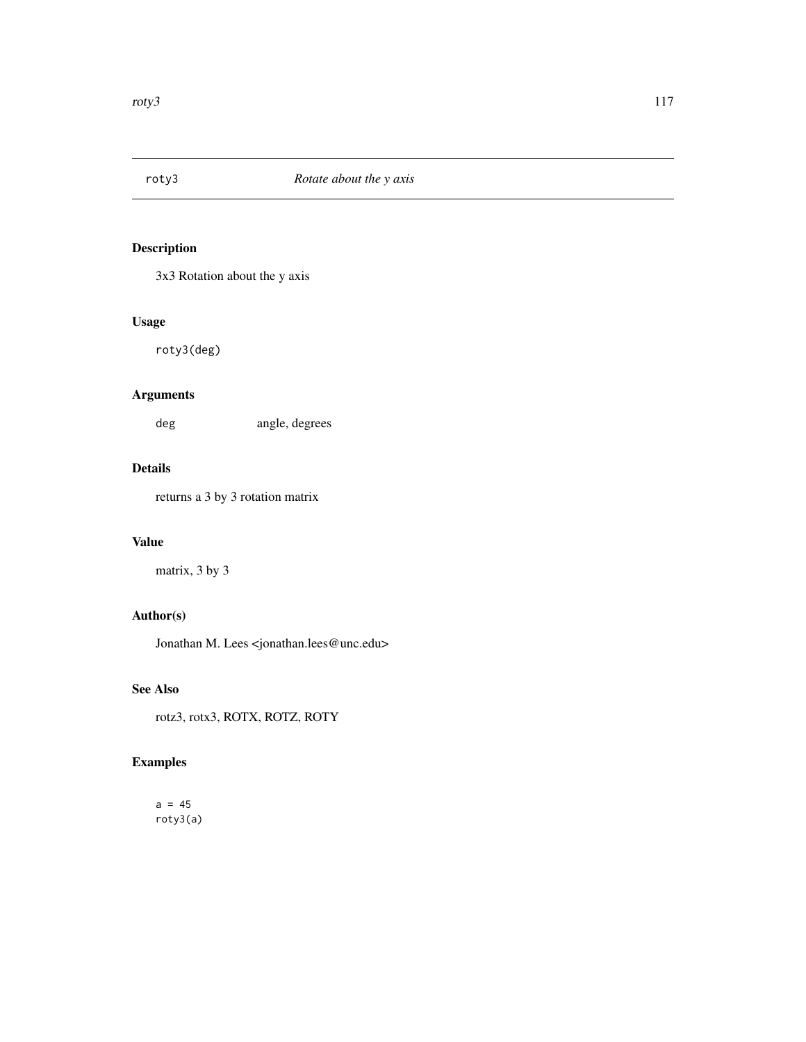3x3 Rotation about the y axis

## Usage

roty3(deg)

## Arguments

deg angle, degrees

## Details

returns a 3 by 3 rotation matrix

## Value

matrix, 3 by 3

## Author(s)

Jonathan M. Lees <jonathan.lees@unc.edu>

## See Also

rotz3, rotx3, ROTX, ROTZ, ROTY

## Examples

 $a = 45$ roty3(a)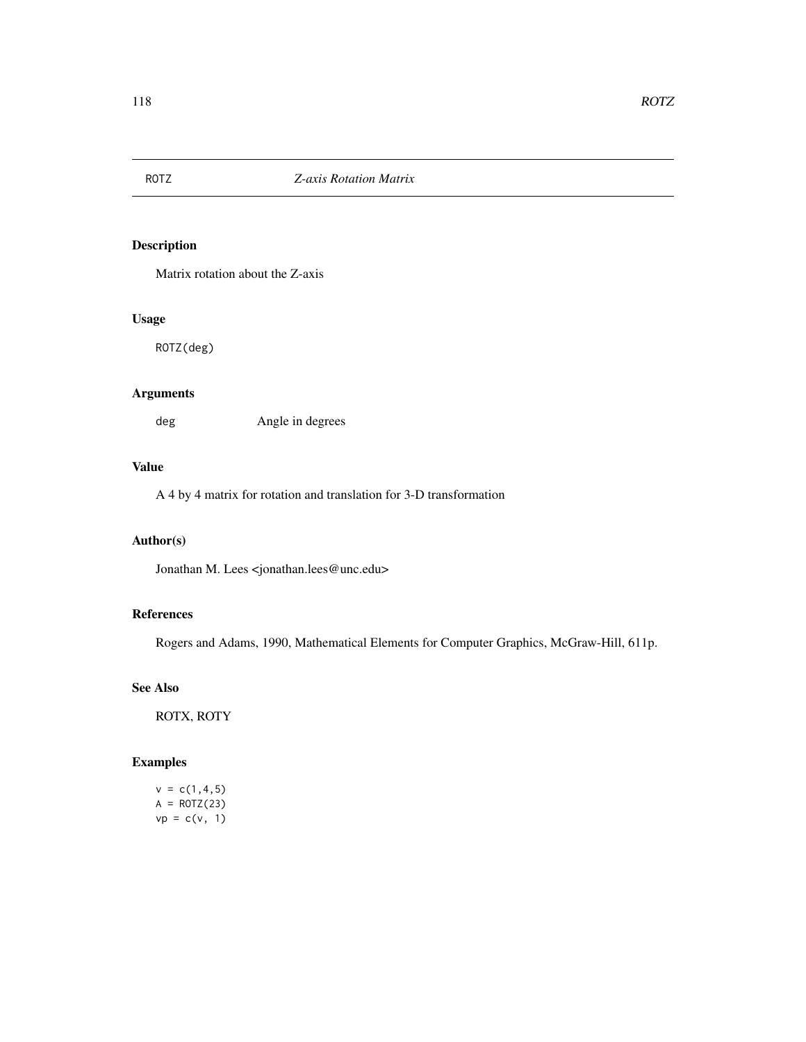Matrix rotation about the Z-axis

## Usage

ROTZ(deg)

## Arguments

deg Angle in degrees

## Value

A 4 by 4 matrix for rotation and translation for 3-D transformation

## Author(s)

Jonathan M. Lees <jonathan.lees@unc.edu>

## References

Rogers and Adams, 1990, Mathematical Elements for Computer Graphics, McGraw-Hill, 611p.

## See Also

ROTX, ROTY

```
v = c(1, 4, 5)A = ROTZ(23)vp = c(v, 1)
```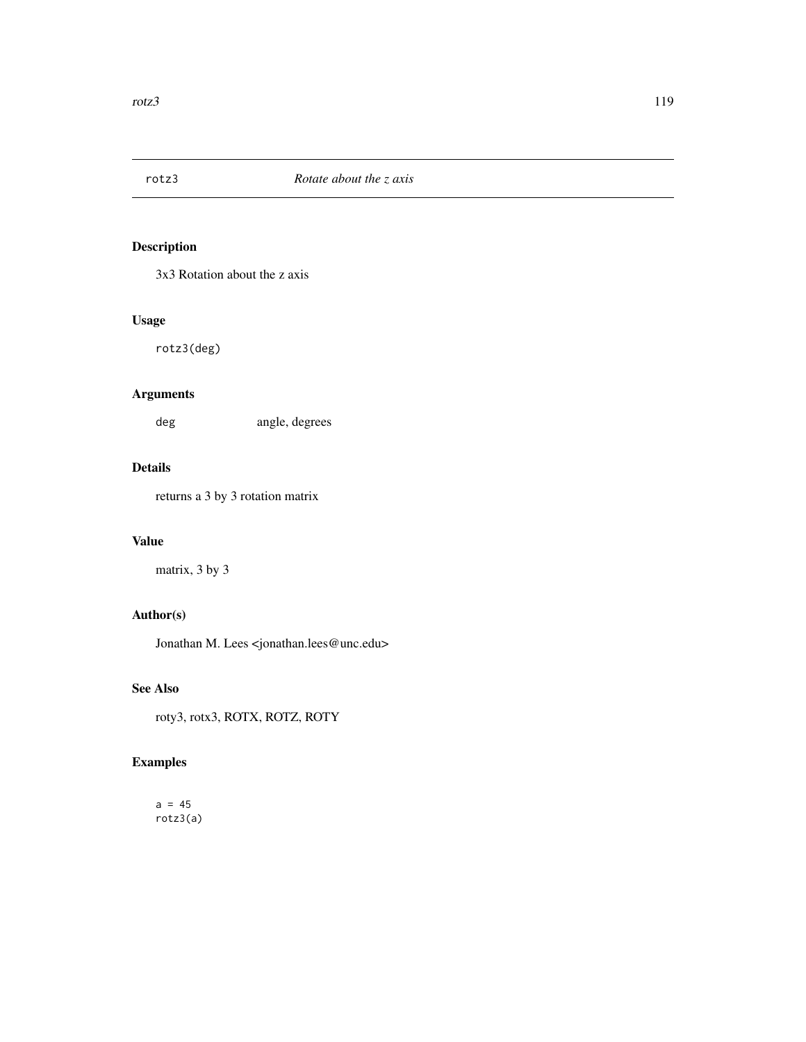3x3 Rotation about the z axis

## Usage

rotz3(deg)

## Arguments

deg angle, degrees

## Details

returns a 3 by 3 rotation matrix

#### Value

matrix, 3 by 3

## Author(s)

Jonathan M. Lees <jonathan.lees@unc.edu>

## See Also

roty3, rotx3, ROTX, ROTZ, ROTY

## Examples

 $a = 45$ rotz3(a)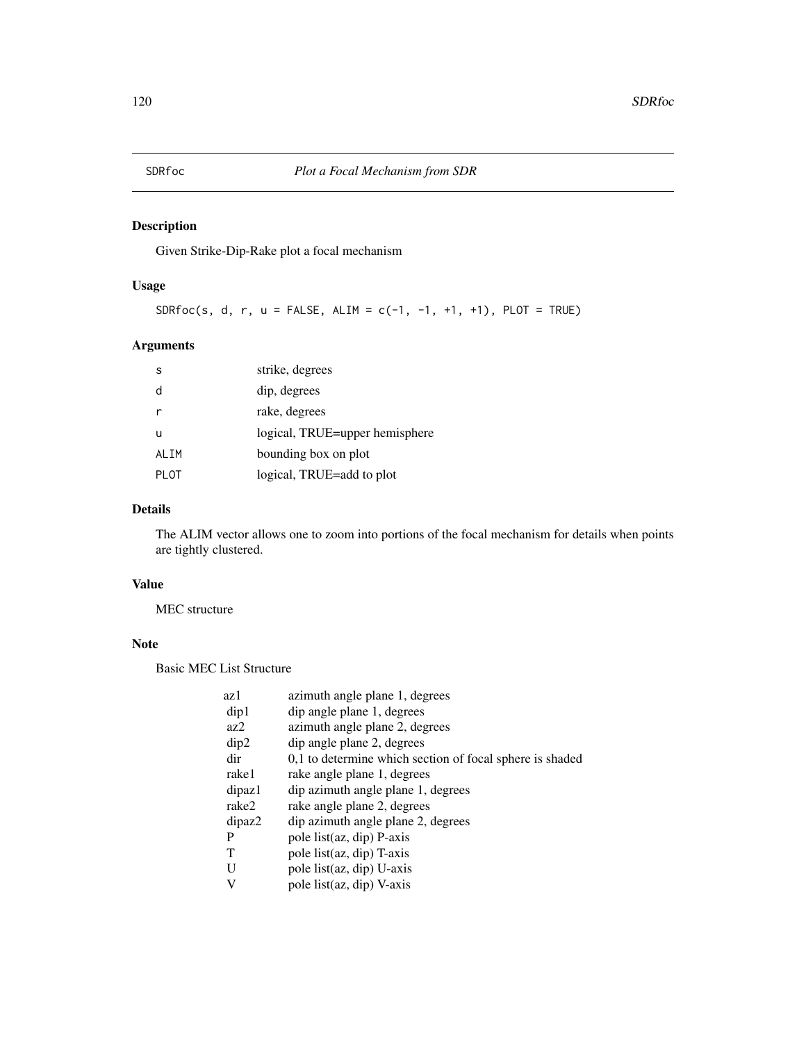Given Strike-Dip-Rake plot a focal mechanism

## Usage

SDRfoc(s, d, r,  $u =$  FALSE, ALIM = c(-1, -1, +1, +1), PLOT = TRUE)

## Arguments

| S     | strike, degrees                |
|-------|--------------------------------|
| d     | dip, degrees                   |
|       | rake, degrees                  |
| u     | logical, TRUE=upper hemisphere |
| ALIM  | bounding box on plot           |
| PI OT | logical, TRUE=add to plot      |

## Details

The ALIM vector allows one to zoom into portions of the focal mechanism for details when points are tightly clustered.

#### Value

MEC structure

## Note

Basic MEC List Structure

| azimuth angle plane 1, degrees                           |
|----------------------------------------------------------|
| dip angle plane 1, degrees                               |
| azimuth angle plane 2, degrees                           |
| dip angle plane 2, degrees                               |
| 0,1 to determine which section of focal sphere is shaded |
| rake angle plane 1, degrees                              |
| dip azimuth angle plane 1, degrees                       |
| rake angle plane 2, degrees                              |
| dip azimuth angle plane 2, degrees                       |
| pole list(az, dip) P-axis                                |
| pole list(az, dip) T-axis                                |
| pole list(az, dip) U-axis                                |
| pole list(az, dip) V-axis                                |
|                                                          |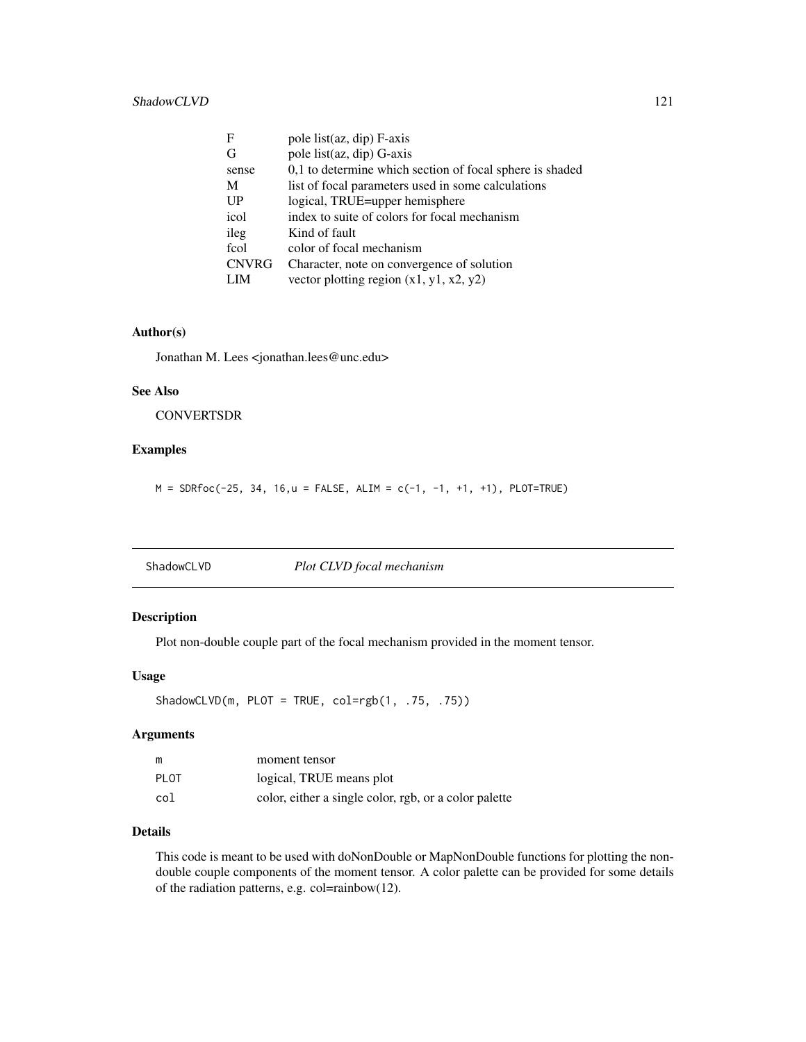| F            | pole list(az, dip) F-axis                                |
|--------------|----------------------------------------------------------|
| G            | pole list(az, dip) G-axis                                |
| sense        | 0,1 to determine which section of focal sphere is shaded |
| M            | list of focal parameters used in some calculations       |
| UP           | logical, TRUE=upper hemisphere                           |
| icol         | index to suite of colors for focal mechanism             |
| ileg         | Kind of fault                                            |
| fcol         | color of focal mechanism                                 |
| <b>CNVRG</b> | Character, note on convergence of solution               |
| <b>LIM</b>   | vector plotting region $(x1, y1, x2, y2)$                |
|              |                                                          |

#### Author(s)

Jonathan M. Lees <jonathan.lees@unc.edu>

#### See Also

**CONVERTSDR** 

## Examples

 $M = SDRfoc(-25, 34, 16, u = FALSE, ALIM = c(-1, -1, +1, +1), PLOT=True)$ 

| ShadowCLVD | Plot CLVD focal mechanism |
|------------|---------------------------|
|------------|---------------------------|

## Description

Plot non-double couple part of the focal mechanism provided in the moment tensor.

#### Usage

```
ShadowCLVD(m, PLOT = TRUE, col=rgb(1, .75, .75))
```
## Arguments

| m           | moment tensor                                         |
|-------------|-------------------------------------------------------|
| <b>PLOT</b> | logical, TRUE means plot                              |
| col         | color, either a single color, rgb, or a color palette |

## Details

This code is meant to be used with doNonDouble or MapNonDouble functions for plotting the nondouble couple components of the moment tensor. A color palette can be provided for some details of the radiation patterns, e.g. col=rainbow(12).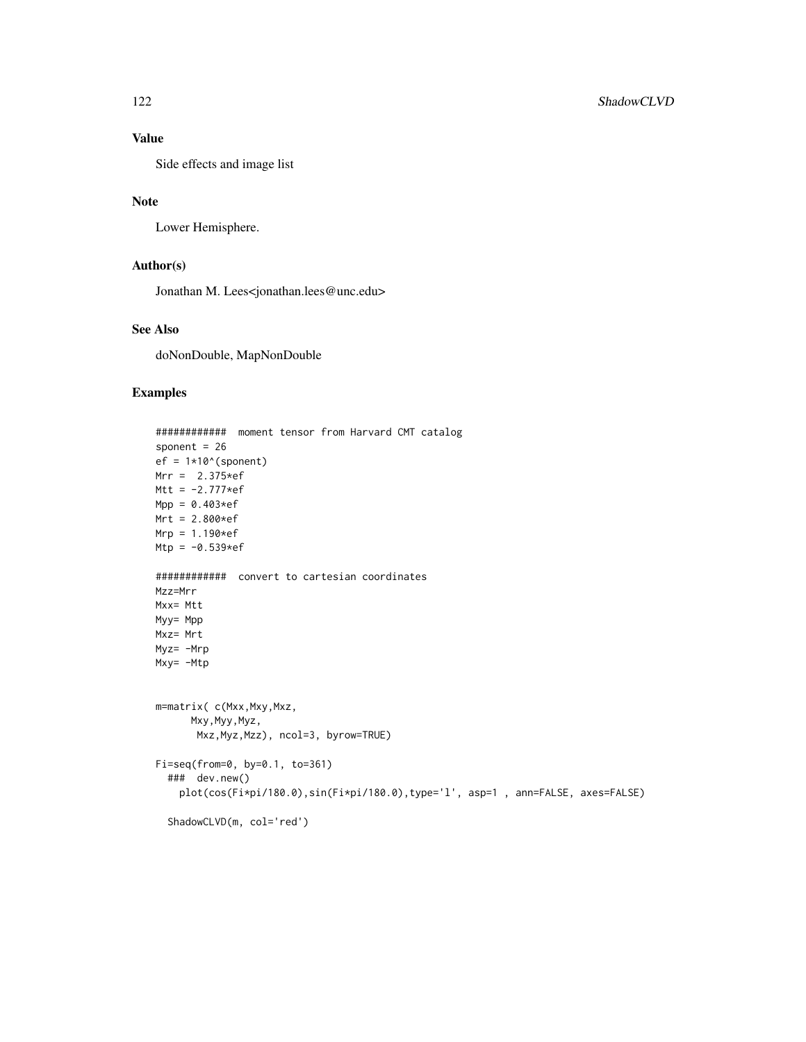## Value

Side effects and image list

## Note

Lower Hemisphere.

## Author(s)

Jonathan M. Lees<jonathan.lees@unc.edu>

## See Also

doNonDouble, MapNonDouble

```
############ moment tensor from Harvard CMT catalog
sponent = 26
ef = 1*10^(sponent)Mrr = 2.375*efMtt = -2.777*efMpp = 0.403*efMrt = 2.800*efMrp = 1.190*efMtp = -0.539*ef############ convert to cartesian coordinates
Mzz=Mrr
Mxx= Mtt
Myy= Mpp
Mxz= Mrt
Myz= -Mrp
Mxy= -Mtp
m=matrix( c(Mxx,Mxy,Mxz,
     Mxy,Myy,Myz,
      Mxz,Myz,Mzz), ncol=3, byrow=TRUE)
Fi=seq(from=0, by=0.1, to=361)
  ### dev.new()
   plot(cos(Fi*pi/180.0),sin(Fi*pi/180.0),type='l', asp=1 , ann=FALSE, axes=FALSE)
  ShadowCLVD(m, col='red')
```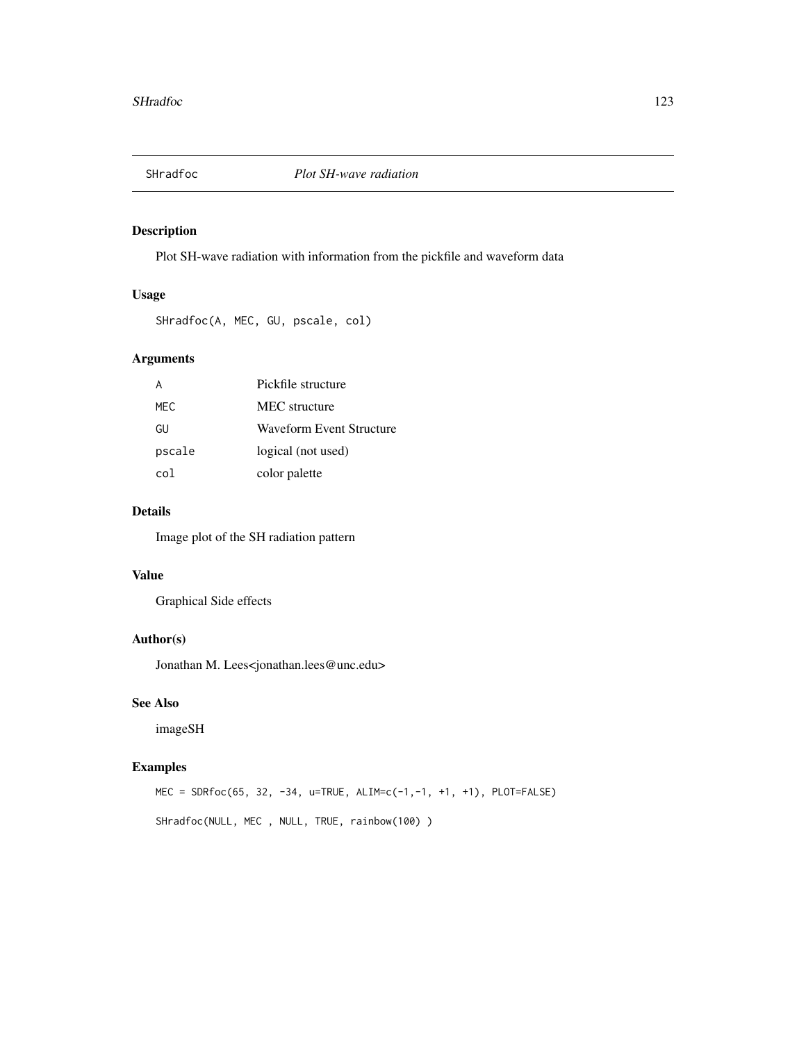Plot SH-wave radiation with information from the pickfile and waveform data

#### Usage

SHradfoc(A, MEC, GU, pscale, col)

## Arguments

|        | Pickfile structure       |
|--------|--------------------------|
| MFC.   | MEC structure            |
| GU     | Waveform Event Structure |
| pscale | logical (not used)       |
| co l   | color palette            |

#### Details

Image plot of the SH radiation pattern

#### Value

Graphical Side effects

## Author(s)

Jonathan M. Lees<jonathan.lees@unc.edu>

## See Also

imageSH

## Examples

MEC = SDRfoc(65, 32, -34, u=TRUE, ALIM=c(-1,-1, +1, +1), PLOT=FALSE) SHradfoc(NULL, MEC , NULL, TRUE, rainbow(100) )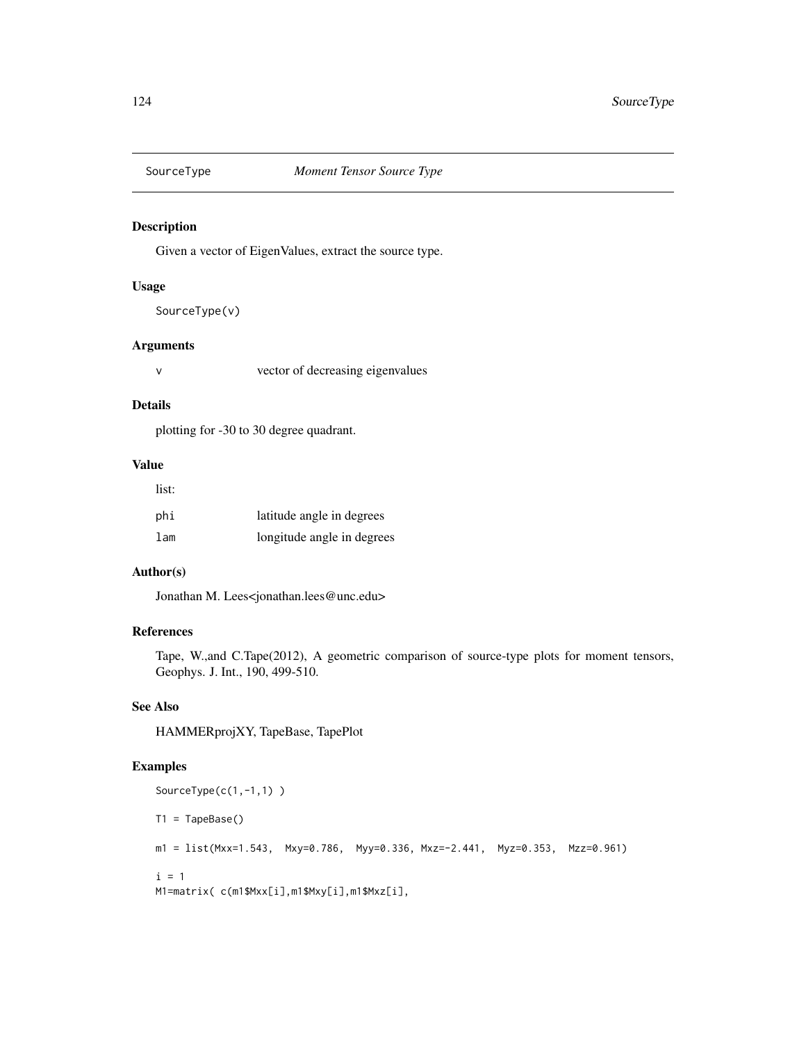Given a vector of EigenValues, extract the source type.

#### Usage

SourceType(v)

#### Arguments

v vector of decreasing eigenvalues

## Details

plotting for -30 to 30 degree quadrant.

#### Value

| list: |                            |
|-------|----------------------------|
| phi   | latitude angle in degrees  |
| lam   | longitude angle in degrees |

## Author(s)

Jonathan M. Lees<jonathan.lees@unc.edu>

#### References

Tape, W.,and C.Tape(2012), A geometric comparison of source-type plots for moment tensors, Geophys. J. Int., 190, 499-510.

## See Also

HAMMERprojXY, TapeBase, TapePlot

```
SourceType(c(1,-1,1))
T1 = TapeBase()
m1 = list(Mxx=1.543, Mxy=0.786, Myy=0.336, Mxz=-2.441, Myz=0.353, Mzz=0.961)
i = 1M1=matrix( c(m1$Mxx[i],m1$Mxy[i],m1$Mxz[i],
```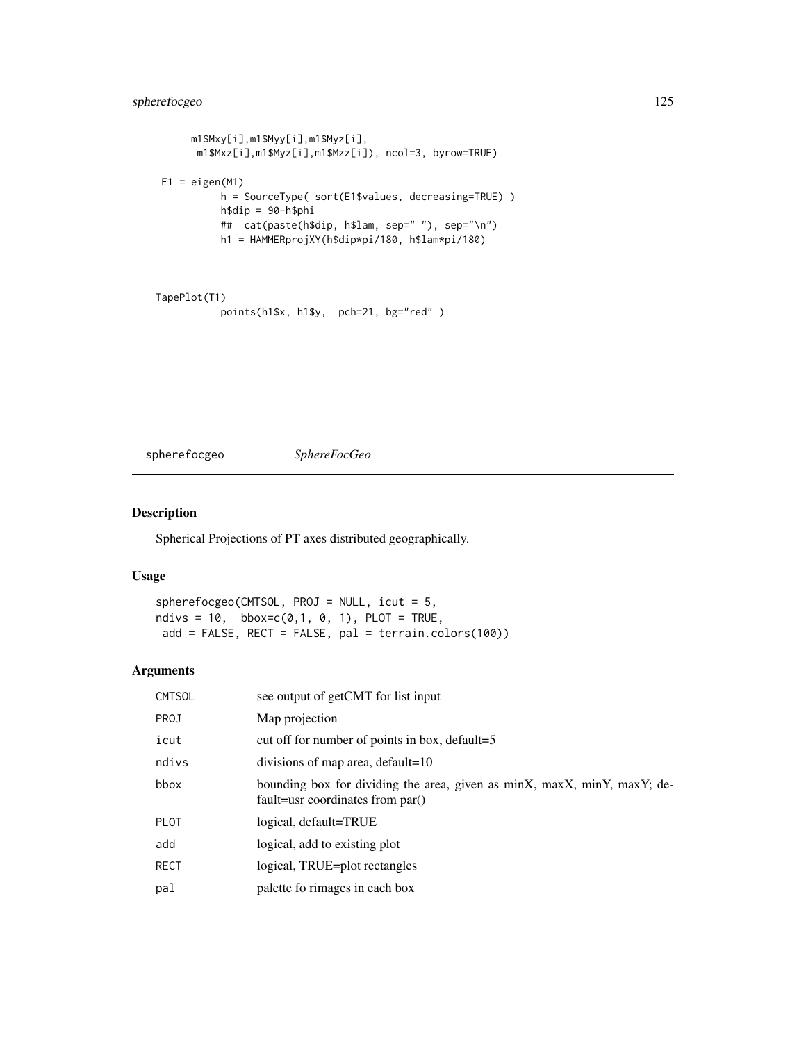## spherefocgeo 125

```
m1$Mxy[i],m1$Myy[i],m1$Myz[i],
     m1$Mxz[i],m1$Myz[i],m1$Mzz[i]), ncol=3, byrow=TRUE)
E1 = eigenv(M1)h = SourceType( sort(E1$values, decreasing=TRUE) )
         h$dip = 90-h$phi
         ## cat(paste(h$dip, h$lam, sep=" "), sep="\n")
         h1 = HAMMERprojXY(h$dip*pi/180, h$lam*pi/180)
```

```
TapePlot(T1)
          points(h1$x, h1$y, pch=21, bg="red" )
```
spherefocgeo *SphereFocGeo*

#### Description

Spherical Projections of PT axes distributed geographically.

#### Usage

spherefocgeo(CMTSOL, PROJ = NULL, icut = 5, ndivs =  $10$ , bbox=c(0,1, 0, 1), PLOT = TRUE, add = FALSE, RECT = FALSE, pal = terrain.colors(100))

#### Arguments

| CMTSOL | see output of getCMT for list input                                                                          |
|--------|--------------------------------------------------------------------------------------------------------------|
| PROJ   | Map projection                                                                                               |
| icut   | cut off for number of points in box, default=5                                                               |
| ndivs  | divisions of map area, default=10                                                                            |
| bbox   | bounding box for dividing the area, given as minX, maxX, minY, maxY; de-<br>fault=usr coordinates from par() |
| PLOT   | logical, default=TRUE                                                                                        |
| add    | logical, add to existing plot                                                                                |
| RECT   | logical, TRUE=plot rectangles                                                                                |
| pal    | palette fo rimages in each box                                                                               |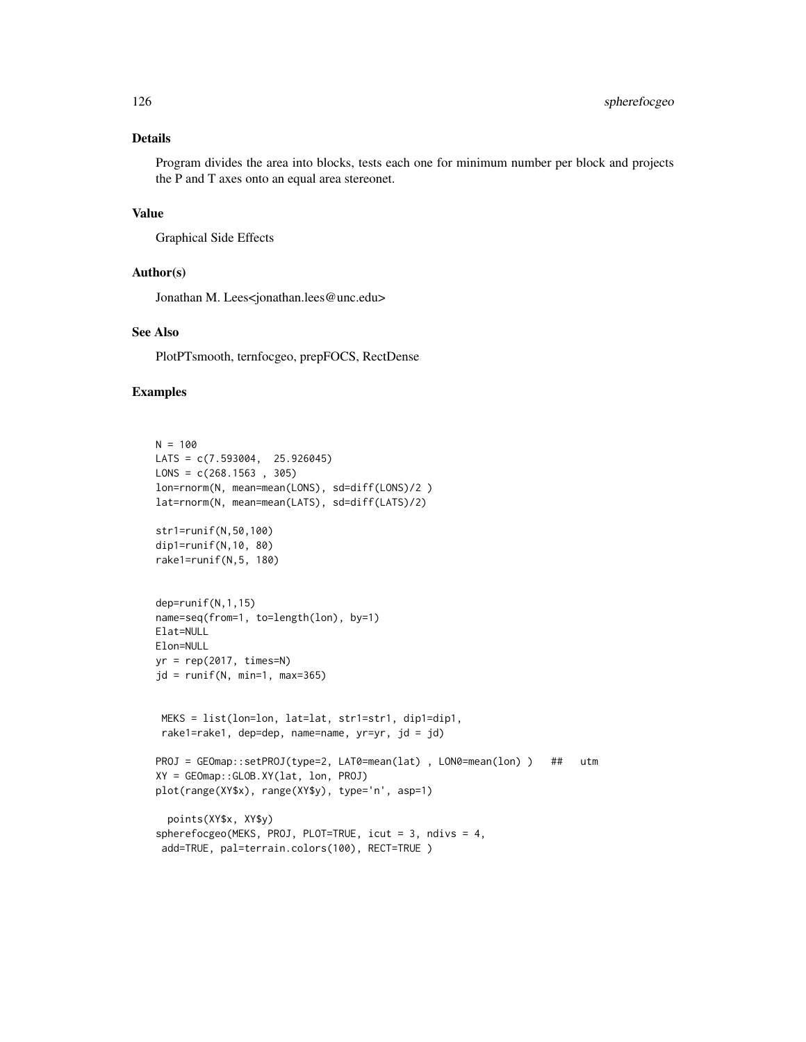### Details

Program divides the area into blocks, tests each one for minimum number per block and projects the P and T axes onto an equal area stereonet.

#### Value

Graphical Side Effects

#### Author(s)

Jonathan M. Lees<jonathan.lees@unc.edu>

## See Also

PlotPTsmooth, ternfocgeo, prepFOCS, RectDense

```
N = 100LATS = c(7.593004, 25.926045)
LONS = c(268.1563, 305)lon=rnorm(N, mean=mean(LONS), sd=diff(LONS)/2 )
lat=rnorm(N, mean=mean(LATS), sd=diff(LATS)/2)
str1=runif(N,50,100)
dip1=runif(N,10, 80)
rake1=runif(N,5, 180)
dep=runif(N,1,15)
name=seq(from=1, to=length(lon), by=1)
Elat=NULL
Elon=NULL
yr = rep(2017, times=N)jd = runif(N, min=1, max=365)MEKS = list(lon=lon, lat=lat, str1=str1, dip1=dip1,
 rake1=rake1, dep=dep, name=name, yr=yr, jd = jd)
PROJ = GEOmap::setPROJ(type=2, LAT0=mean(lat) , LON0=mean(lon) ) ## utm
XY = GEOmap::GLOB.XY(lat, lon, PROJ)
plot(range(XY$x), range(XY$y), type='n', asp=1)
  points(XY$x, XY$y)
spherefocgeo(MEKS, PROJ, PLOT=TRUE, icut = 3, ndivs = 4,
 add=TRUE, pal=terrain.colors(100), RECT=TRUE )
```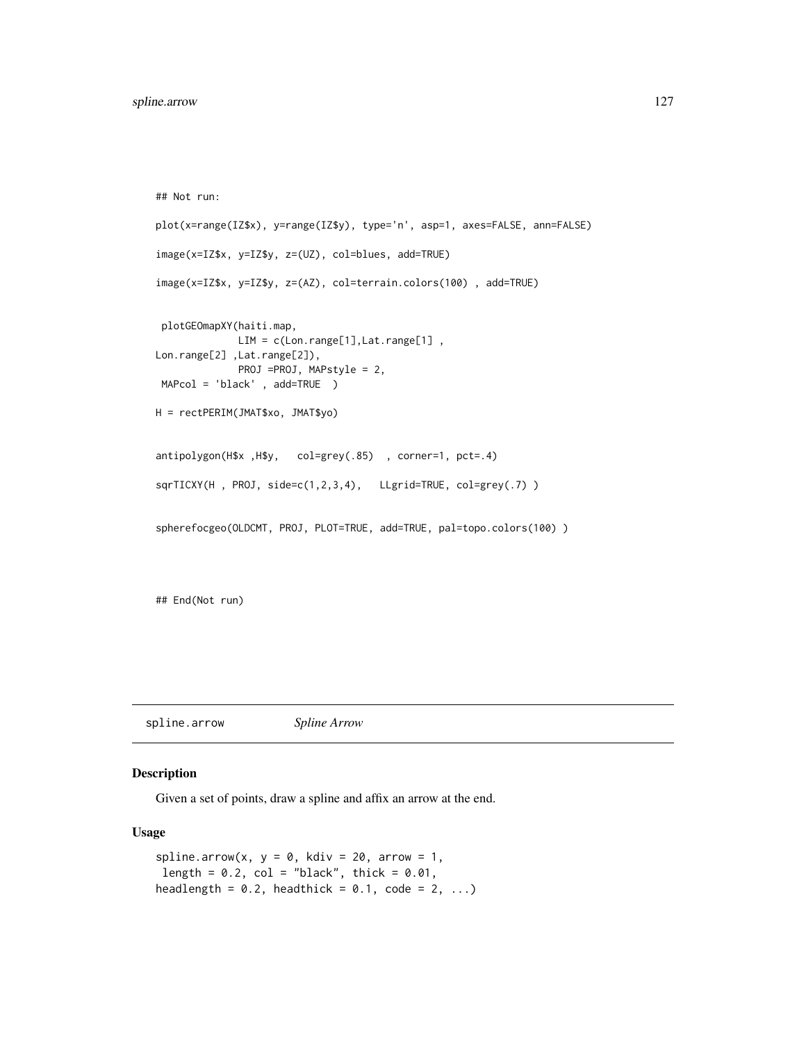```
## Not run:
plot(x=range(IZ$x), y=range(IZ$y), type='n', asp=1, axes=FALSE, ann=FALSE)
image(x=IZ$x, y=IZ$y, z=(UZ), col=blues, add=TRUE)
image(x=IZ$x, y=IZ$y, z=(AZ), col=terrain.colors(100) , add=TRUE)
plotGEOmapXY(haiti.map,
             LIM = c(Lon.range[1],Lat.range[1],
Lon.range[2] ,Lat.range[2]),
             PROJ =PROJ, MAPstyle = 2,
MAPcol = 'black' , add=TRUE )
H = rectPERIM(JMAT$xo, JMAT$yo)
antipolygon(H$x ,H$y, col=grey(.85) , corner=1, pct=.4)
sqrTICXY(H , PROJ, side=c(1,2,3,4), LLgrid=TRUE, col=grey(.7) )
spherefocgeo(OLDCMT, PROJ, PLOT=TRUE, add=TRUE, pal=topo.colors(100) )
```
## End(Not run)

spline.arrow *Spline Arrow*

#### Description

Given a set of points, draw a spline and affix an arrow at the end.

## Usage

```
spline.arrow(x, y = 0, kdiv = 20, arrow = 1,
length = 0.2, col = "black", thick = 0.01,
headlength = 0.2, headthick = 0.1, code = 2, ...)
```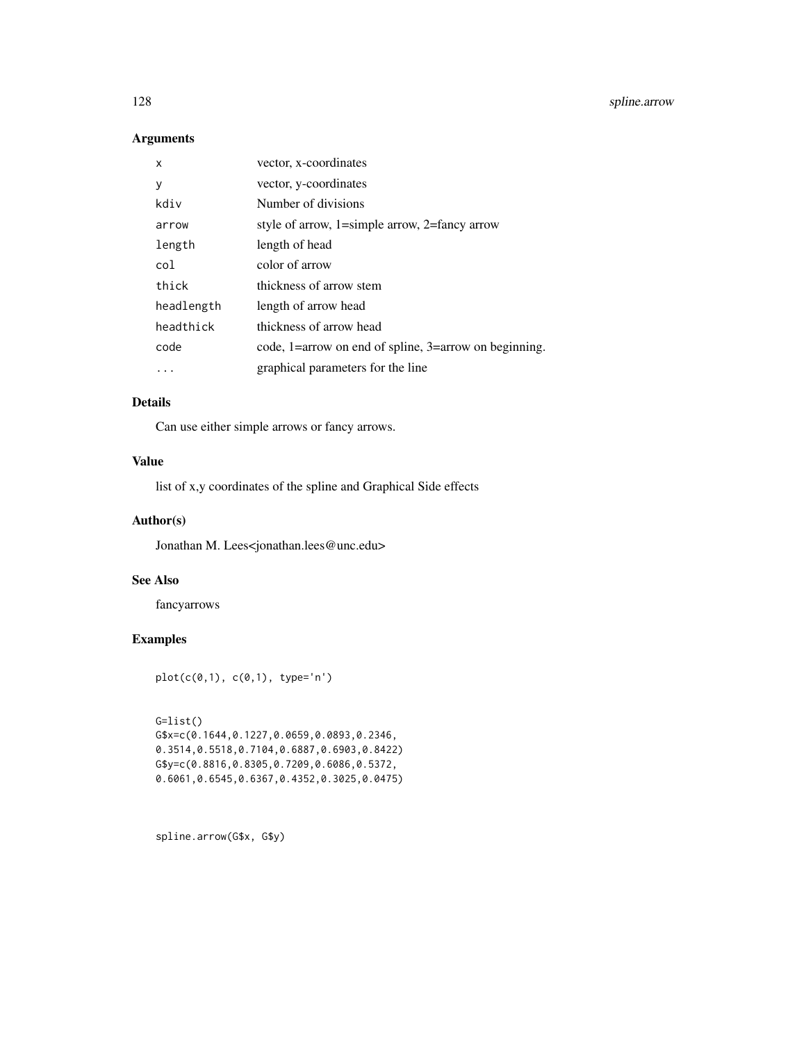128 spline.arrow spline.arrow

## Arguments

| x          | vector, x-coordinates                                 |
|------------|-------------------------------------------------------|
| у          | vector, y-coordinates                                 |
| kdiv       | Number of divisions                                   |
| arrow      | style of arrow, $1$ =simple arrow, $2$ =fancy arrow   |
| length     | length of head                                        |
| col        | color of arrow                                        |
| thick      | thickness of arrow stem                               |
| headlength | length of arrow head                                  |
| headthick  | thickness of arrow head                               |
| code       | code, 1=arrow on end of spline, 3=arrow on beginning. |
|            | graphical parameters for the line                     |

## Details

Can use either simple arrows or fancy arrows.

## Value

list of x,y coordinates of the spline and Graphical Side effects

## Author(s)

Jonathan M. Lees<jonathan.lees@unc.edu>

## See Also

fancyarrows

## Examples

plot(c(0,1), c(0,1), type='n')

G=list()

```
G$x=c(0.1644,0.1227,0.0659,0.0893,0.2346,
0.3514,0.5518,0.7104,0.6887,0.6903,0.8422)
G$y=c(0.8816,0.8305,0.7209,0.6086,0.5372,
0.6061,0.6545,0.6367,0.4352,0.3025,0.0475)
```
spline.arrow(G\$x, G\$y)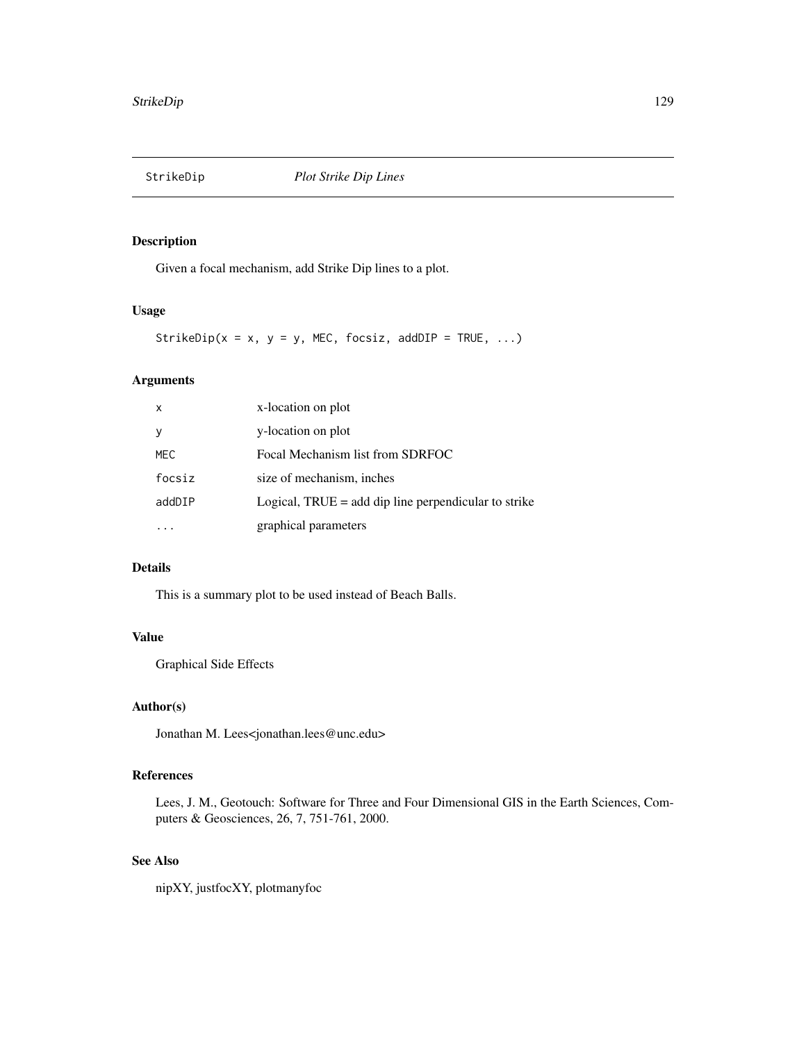Given a focal mechanism, add Strike Dip lines to a plot.

## Usage

StrikeDip( $x = x$ ,  $y = y$ , MEC, focsiz, addDIP = TRUE, ...)

## Arguments

| x      | x-location on plot                                     |
|--------|--------------------------------------------------------|
| У      | y-location on plot                                     |
| MEC    | Focal Mechanism list from SDRFOC                       |
| focsiz | size of mechanism, inches                              |
| addDIP | Logical, $TRUE = add dip$ line perpendicular to strike |
|        | graphical parameters                                   |

## Details

This is a summary plot to be used instead of Beach Balls.

## Value

Graphical Side Effects

## Author(s)

Jonathan M. Lees<jonathan.lees@unc.edu>

## References

Lees, J. M., Geotouch: Software for Three and Four Dimensional GIS in the Earth Sciences, Computers & Geosciences, 26, 7, 751-761, 2000.

#### See Also

nipXY, justfocXY, plotmanyfoc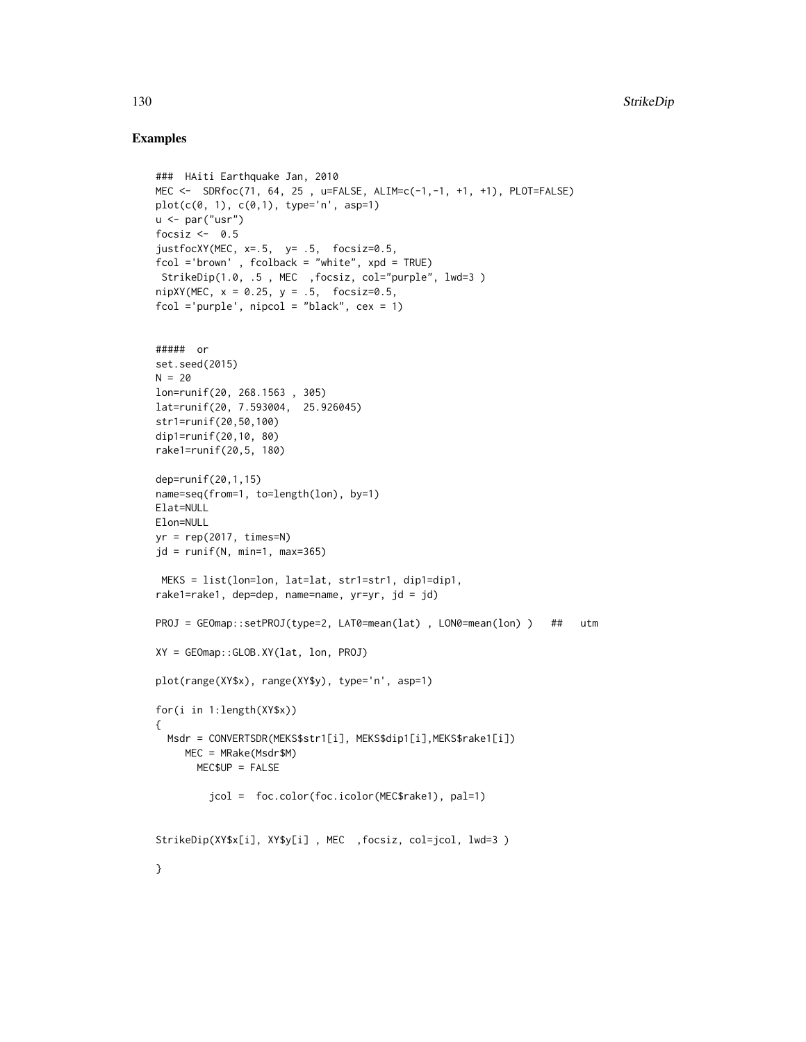```
### HAiti Earthquake Jan, 2010
MEC <- SDRfoc(71, 64, 25 , u=FALSE, ALIM=c(-1,-1, +1, +1), PLOT=FALSE)
plot(c(0, 1), c(0, 1), type='n', asp=1)u \leq par("usr")
focsiz <-0.5justfocXY(MEC, x=.5, y= .5, focsiz=0.5,
fcol ='brown' , fcolback = "white", xpd = TRUE)
StrikeDip(1.0, .5 , MEC ,focsiz, col="purple", lwd=3 )
nipXY(MEC, x = 0.25, y = .5, focsiz=0.5,fcol ='purple', nipcol = "black", cex = 1)
##### or
set.seed(2015)
N = 20lon=runif(20, 268.1563 , 305)
lat=runif(20, 7.593004, 25.926045)
str1=runif(20,50,100)
dip1=runif(20,10, 80)
rake1=runif(20,5, 180)
dep=runif(20,1,15)
name=seq(from=1, to=length(lon), by=1)
Elat=NULL
Elon=NULL
yr = rep(2017, times=N)jd = runif(N, min=1, max=365)MEKS = list(lon=lon, lat=lat, str1=str1, dip1=dip1,
rake1=rake1, dep=dep, name=name, yr=yr, jd = jd)
PROJ = GEOmap::setPROJ(type=2, LAT0=mean(lat) , LON0=mean(lon) ) ## utm
XY = GEOmap::GLOB.XY(lat, lon, PROJ)
plot(range(XY$x), range(XY$y), type='n', asp=1)
for(i in 1:length(XY$x))
{
  Msdr = CONVERTSDR(MEKS$str1[i], MEKS$dip1[i],MEKS$rake1[i])
     MEC = MRake(Msdr$M)
       MEC$UP = FALSE
         jcol = foc.color(foc.icolor(MEC$rake1), pal=1)
StrikeDip(XY$x[i], XY$y[i] , MEC ,focsiz, col=jcol, lwd=3 )
}
```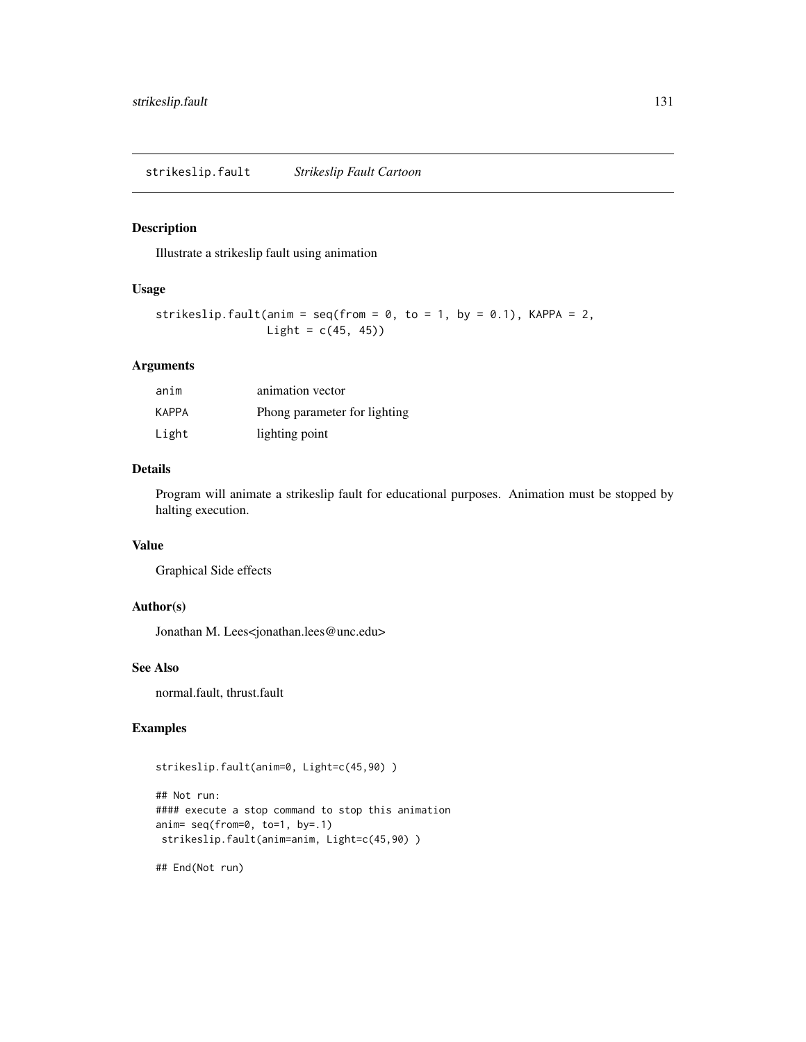Illustrate a strikeslip fault using animation

## Usage

```
strikeslip.fault(anim = seq(from = 0, to = 1, by = 0.1), KAPPA = 2,
                Light = c(45, 45))
```
## Arguments

| anim  | animation vector             |
|-------|------------------------------|
| KAPPA | Phong parameter for lighting |
| Light | lighting point               |

#### Details

Program will animate a strikeslip fault for educational purposes. Animation must be stopped by halting execution.

#### Value

Graphical Side effects

## Author(s)

Jonathan M. Lees<jonathan.lees@unc.edu>

### See Also

normal.fault, thrust.fault

#### Examples

```
strikeslip.fault(anim=0, Light=c(45,90) )
```

```
## Not run:
#### execute a stop command to stop this animation
anim= seq(from=0, to=1, by=.1)
strikeslip.fault(anim=anim, Light=c(45,90) )
```
## End(Not run)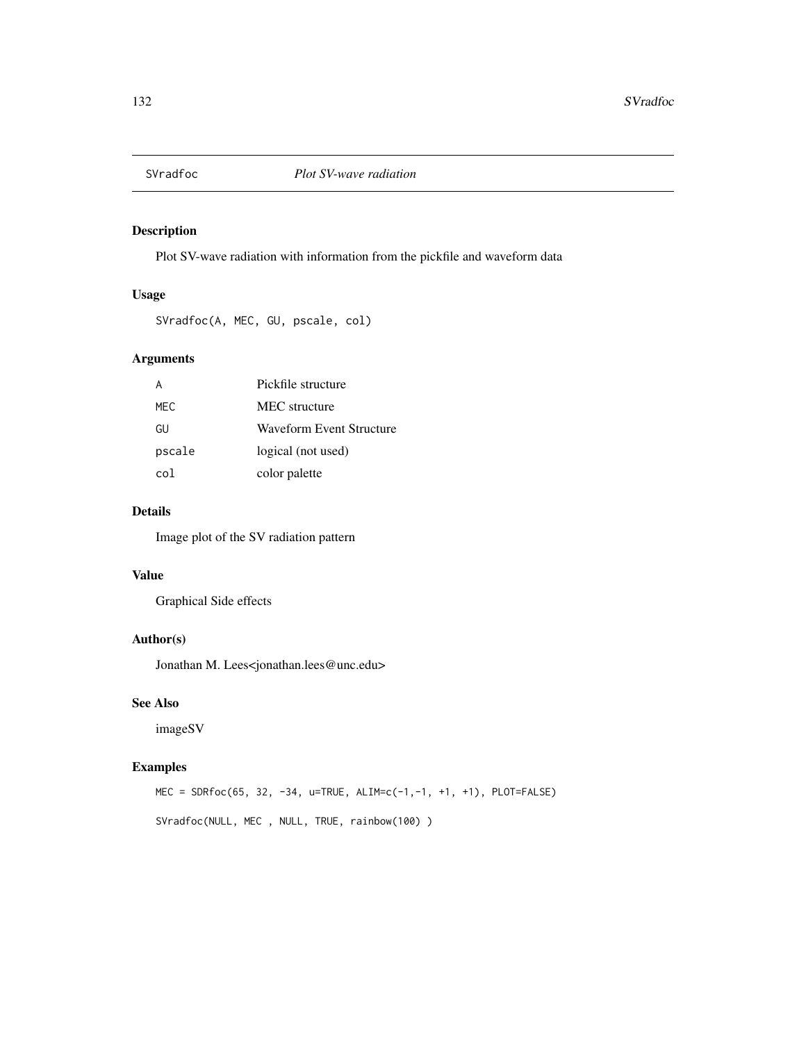Plot SV-wave radiation with information from the pickfile and waveform data

#### Usage

```
SVradfoc(A, MEC, GU, pscale, col)
```
## Arguments

|        | Pickfile structure       |
|--------|--------------------------|
| MFC.   | MEC structure            |
| GU     | Waveform Event Structure |
| pscale | logical (not used)       |
| co1.   | color palette            |

#### Details

Image plot of the SV radiation pattern

#### Value

Graphical Side effects

## Author(s)

Jonathan M. Lees<jonathan.lees@unc.edu>

## See Also

imageSV

## Examples

MEC = SDRfoc(65, 32, -34, u=TRUE, ALIM=c(-1,-1, +1, +1), PLOT=FALSE) SVradfoc(NULL, MEC , NULL, TRUE, rainbow(100) )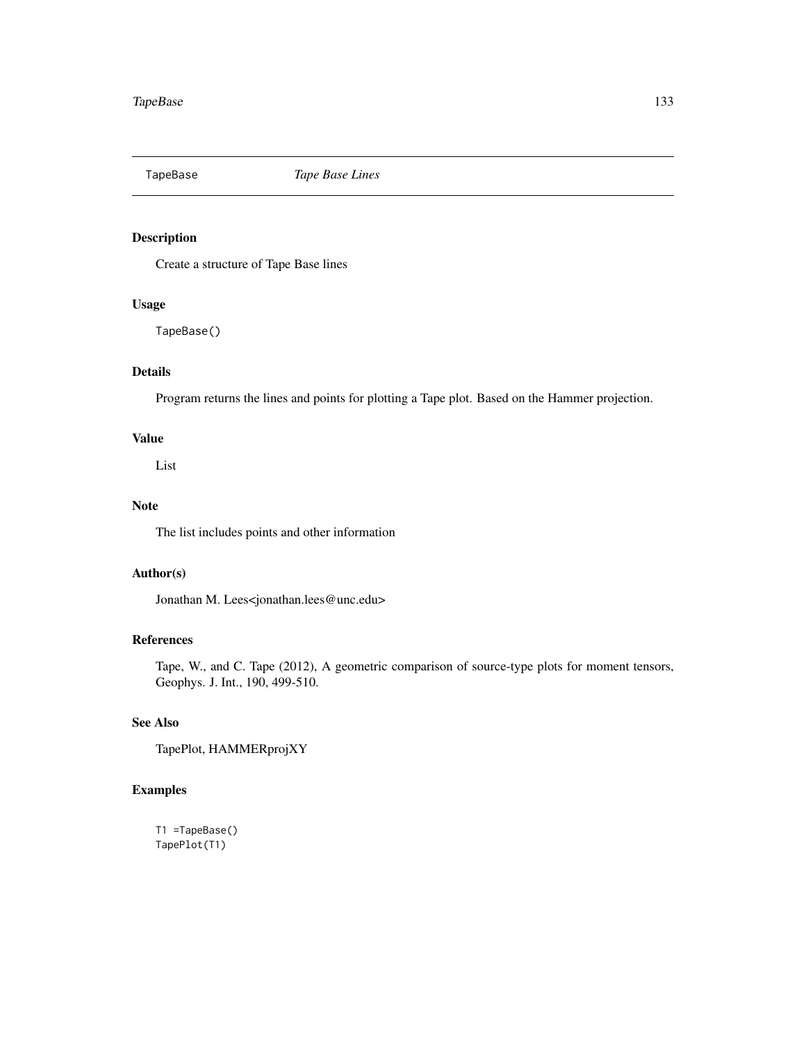TapeBase *Tape Base Lines*

## Description

Create a structure of Tape Base lines

## Usage

TapeBase()

## Details

Program returns the lines and points for plotting a Tape plot. Based on the Hammer projection.

## Value

List

## Note

The list includes points and other information

## Author(s)

Jonathan M. Lees<jonathan.lees@unc.edu>

## References

Tape, W., and C. Tape (2012), A geometric comparison of source-type plots for moment tensors, Geophys. J. Int., 190, 499-510.

## See Also

TapePlot, HAMMERprojXY

## Examples

T1 =TapeBase() TapePlot(T1)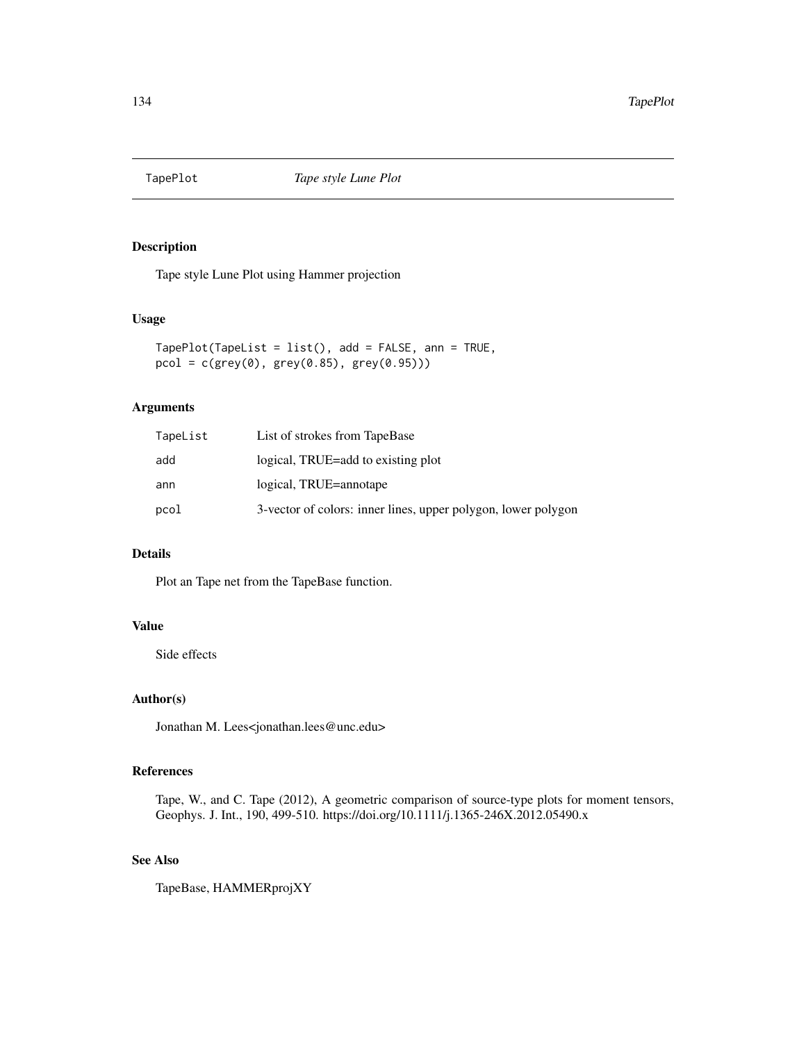Tape style Lune Plot using Hammer projection

## Usage

```
TapePlot(TapeList = list(), add = FALSE, ann = TRUE,
pcol = c(grey(0), grey(0.85), grey(0.95)))
```
## Arguments

| TapeList | List of strokes from TapeBase                                 |
|----------|---------------------------------------------------------------|
| add      | logical, TRUE=add to existing plot                            |
| ann      | logical, TRUE=annotape                                        |
| pcol     | 3-vector of colors: inner lines, upper polygon, lower polygon |

## Details

Plot an Tape net from the TapeBase function.

## Value

Side effects

## Author(s)

Jonathan M. Lees<jonathan.lees@unc.edu>

## References

Tape, W., and C. Tape (2012), A geometric comparison of source-type plots for moment tensors, Geophys. J. Int., 190, 499-510. https://doi.org/10.1111/j.1365-246X.2012.05490.x

## See Also

TapeBase, HAMMERprojXY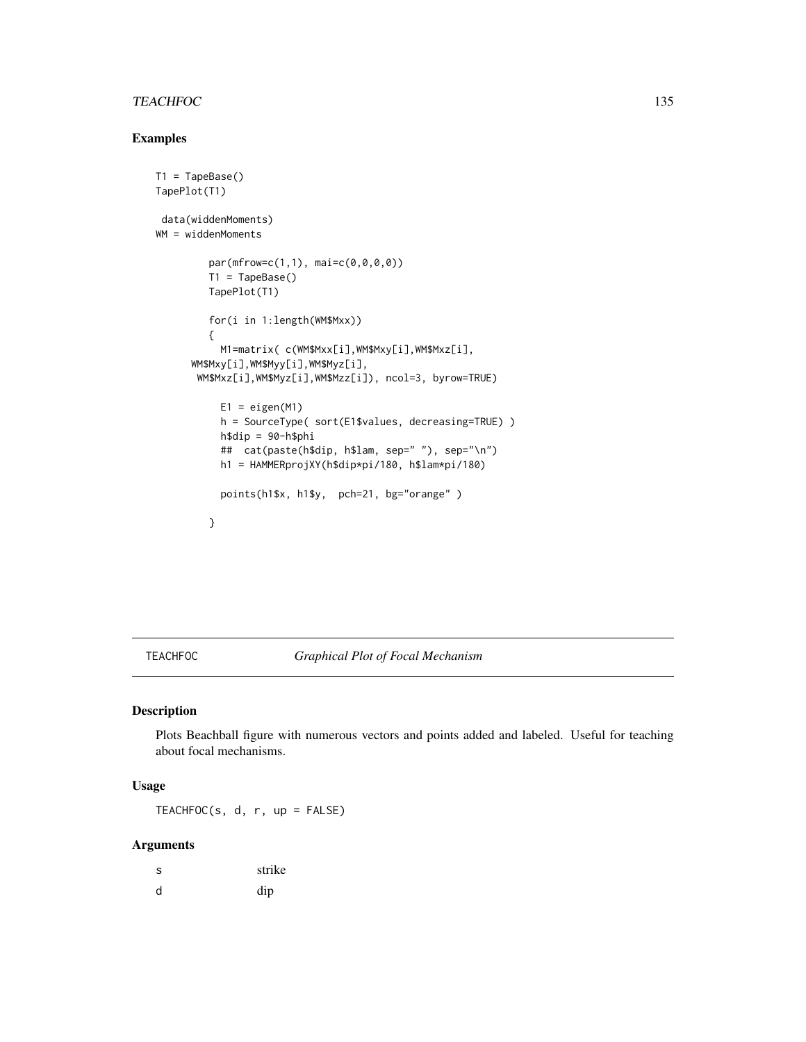## TEACHFOC 135

## Examples

```
T1 = TapeBase()TapePlot(T1)
data(widdenMoments)
WM = widdenMoments
        par(mfrow=c(1,1), mai=c(0,0,0,0))T1 = TapeBase()
        TapePlot(T1)
        for(i in 1:length(WM$Mxx))
         {
          M1=matrix( c(WM$Mxx[i],WM$Mxy[i],WM$Mxz[i],
     WM$Mxy[i],WM$Myy[i],WM$Myz[i],
      WM$Mxz[i],WM$Myz[i],WM$Mzz[i]), ncol=3, byrow=TRUE)
          E1 = eigenv(M1)h = SourceType( sort(E1$values, decreasing=TRUE) )
          h$dip = 90-h$phi
          ## cat(paste(h$dip, h$lam, sep=" "), sep="\n")
          h1 = HAMMERprojXY(h$dip*pi/180, h$lam*pi/180)
          points(h1$x, h1$y, pch=21, bg="orange" )
        }
```
#### TEACHFOC *Graphical Plot of Focal Mechanism*

#### Description

Plots Beachball figure with numerous vectors and points added and labeled. Useful for teaching about focal mechanisms.

## Usage

TEACHFOC(s, d, r, up = FALSE)

#### Arguments

| -S | strike |
|----|--------|
| d  | dip    |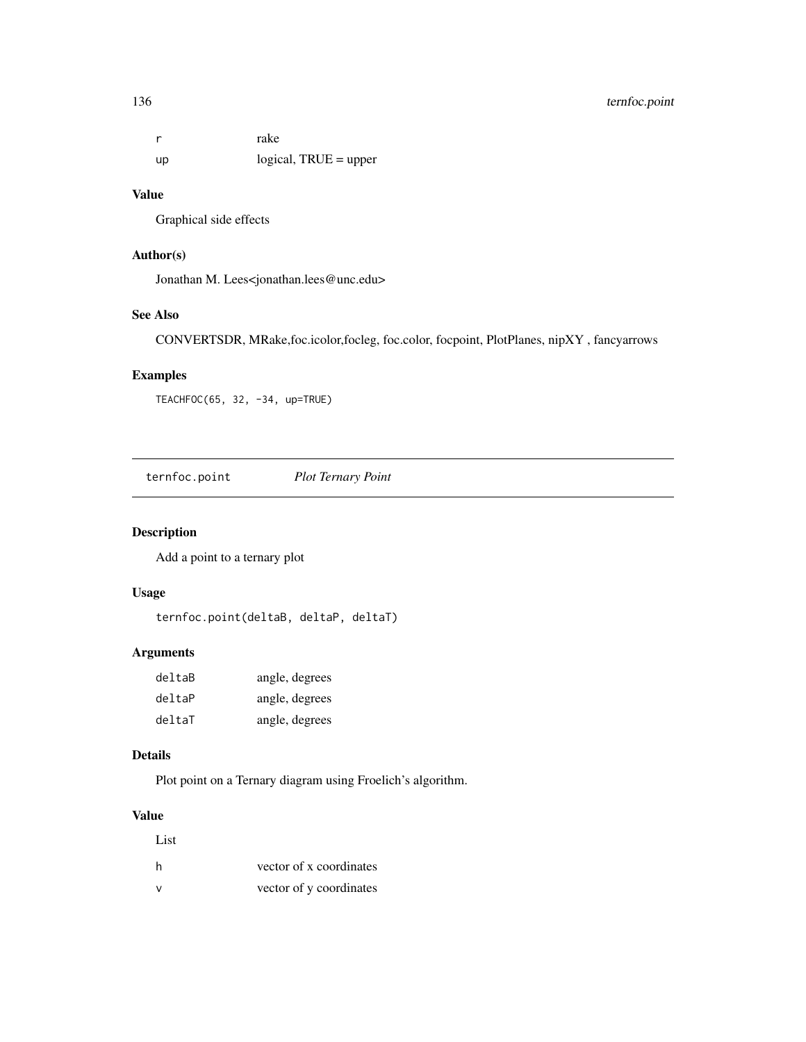## 136 ternfoc.point

r rake up logical, TRUE = upper

## Value

Graphical side effects

## Author(s)

Jonathan M. Lees<jonathan.lees@unc.edu>

## See Also

CONVERTSDR, MRake,foc.icolor,focleg, foc.color, focpoint, PlotPlanes, nipXY , fancyarrows

## Examples

TEACHFOC(65, 32, -34, up=TRUE)

ternfoc.point *Plot Ternary Point*

## Description

Add a point to a ternary plot

## Usage

ternfoc.point(deltaB, deltaP, deltaT)

## Arguments

| deltaB | angle, degrees |
|--------|----------------|
| deltaP | angle, degrees |
| deltaT | angle, degrees |

## Details

Plot point on a Ternary diagram using Froelich's algorithm.

#### Value

| List |                         |
|------|-------------------------|
| h    | vector of x coordinates |
| v    | vector of y coordinates |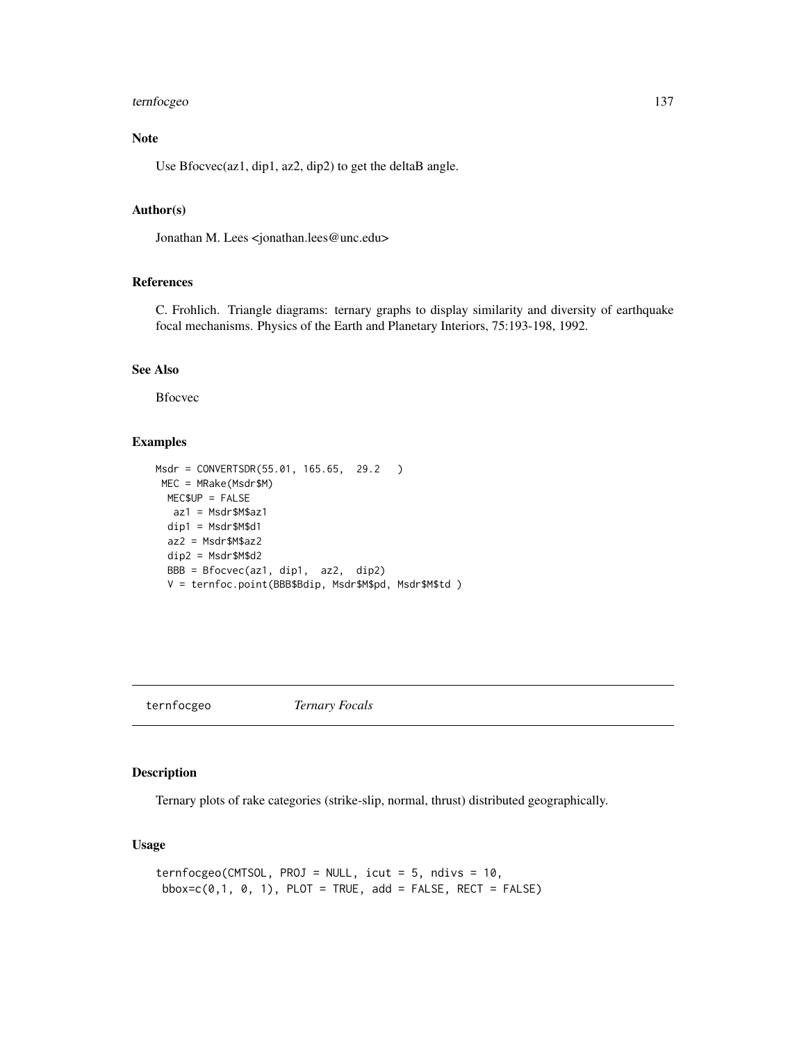## ternfocgeo 137

## Note

Use Bfocvec(az1, dip1, az2, dip2) to get the deltaB angle.

## Author(s)

Jonathan M. Lees <jonathan.lees@unc.edu>

#### References

C. Frohlich. Triangle diagrams: ternary graphs to display similarity and diversity of earthquake focal mechanisms. Physics of the Earth and Planetary Interiors, 75:193-198, 1992.

## See Also

Bfocvec

## Examples

```
Msdr = CONVERTSDR(55.01, 165.65, 29.2 )
MEC = MRake(Msdr$M)
 MEC$UP = FALSE
  az1 = Msdr$M$az1
 dip1 = Msdr$M$d1
 az2 = Msdr$M$az2
 dip2 = Msdr$M$d2
 BBB = Bfocvec(az1, dip1, az2, dip2)
 V = ternfoc.point(BBB$Bdip, Msdr$M$pd, Msdr$M$td )
```
ternfocgeo *Ternary Focals*

## Description

Ternary plots of rake categories (strike-slip, normal, thrust) distributed geographically.

#### Usage

```
ternfocgeo(CMTSOL, PROJ = NULL, icut = 5, ndivs = 10,
bbox=c(0,1, 0, 1), PLOT = TRUE, add = FALSE, RECT = FALSE)
```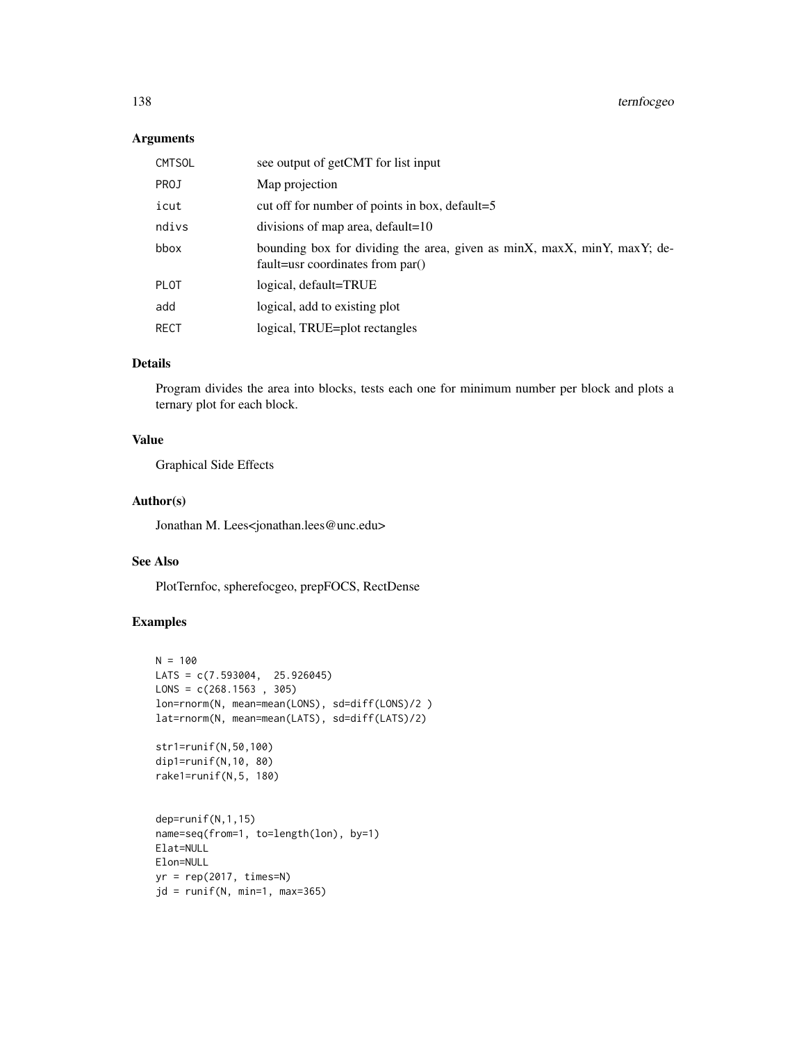### Arguments

| <b>CMTSOL</b> | see output of getCMT for list input                                                                          |
|---------------|--------------------------------------------------------------------------------------------------------------|
| PROJ          | Map projection                                                                                               |
| icut          | cut off for number of points in box, default=5                                                               |
| ndivs         | divisions of map area, default=10                                                                            |
| bbox          | bounding box for dividing the area, given as minX, maxX, minY, maxY; de-<br>fault=usr coordinates from par() |
| <b>PLOT</b>   | logical, default=TRUE                                                                                        |
| add           | logical, add to existing plot                                                                                |
| <b>RECT</b>   | logical, TRUE=plot rectangles                                                                                |

## Details

Program divides the area into blocks, tests each one for minimum number per block and plots a ternary plot for each block.

## Value

Graphical Side Effects

## Author(s)

Jonathan M. Lees<jonathan.lees@unc.edu>

## See Also

PlotTernfoc, spherefocgeo, prepFOCS, RectDense

```
N = 100LATS = c(7.593004, 25.926045)
LONS = c(268.1563, 305)lon=rnorm(N, mean=mean(LONS), sd=diff(LONS)/2 )
lat=rnorm(N, mean=mean(LATS), sd=diff(LATS)/2)
str1=runif(N,50,100)
dip1=runif(N,10, 80)
rake1=runif(N,5, 180)
dep=runif(N,1,15)
name=seq(from=1, to=length(lon), by=1)
Elat=NULL
Elon=NULL
yr = rep(2017, times=N)jd = runif(N, min=1, max=365)
```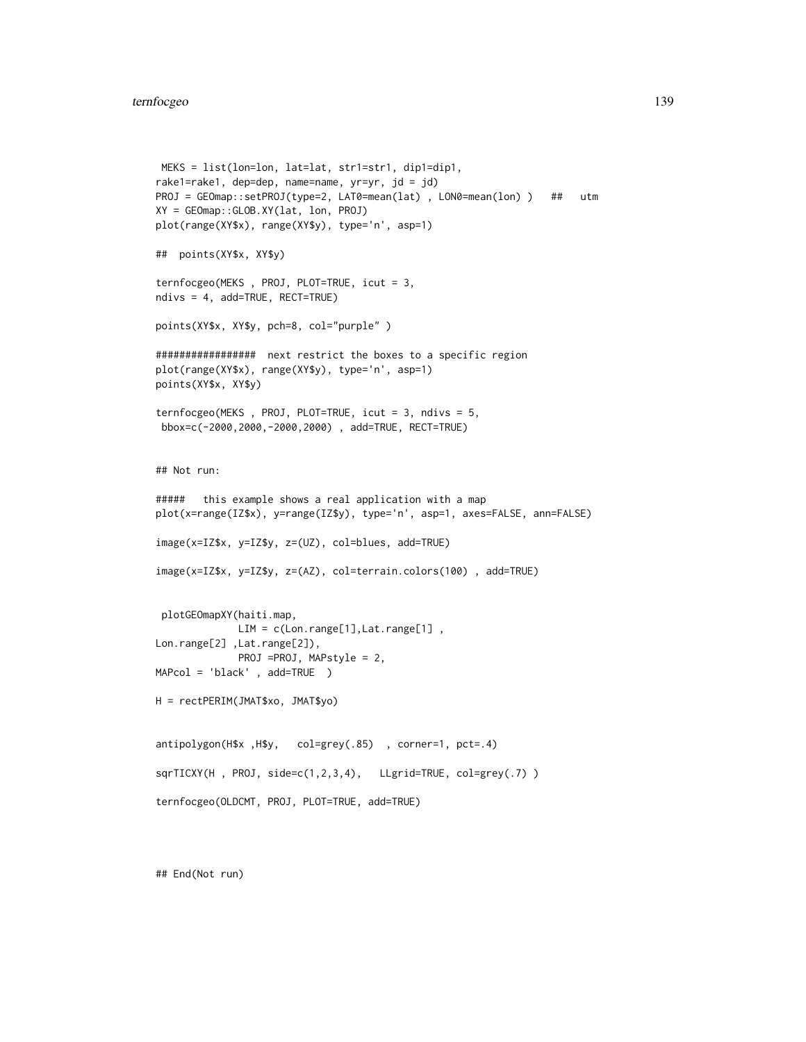#### ternfocgeo 139

```
MEKS = list(lon=lon, lat=lat, str1=str1, dip1=dip1,
rake1=rake1, dep=dep, name=name, yr=yr, jd = jd)
PROJ = GEOmap::setPROJ(type=2, LAT0=mean(lat) , LON0=mean(lon) ) ## utm
XY = GEOmap::GLOB.XY(lat, lon, PROJ)
plot(range(XY$x), range(XY$y), type='n', asp=1)
## points(XY$x, XY$y)
ternfocgeo(MEKS , PROJ, PLOT=TRUE, icut = 3,
ndivs = 4, add=TRUE, RECT=TRUE)
points(XY$x, XY$y, pch=8, col="purple" )
################# next restrict the boxes to a specific region
plot(range(XY$x), range(XY$y), type='n', asp=1)
points(XY$x, XY$y)
ternfocgeo(MEKS , PROJ, PLOT=TRUE, icut = 3, ndivs = 5,
bbox=c(-2000,2000,-2000,2000) , add=TRUE, RECT=TRUE)
## Not run:
##### this example shows a real application with a map
plot(x=range(IZ$x), y=range(IZ$y), type='n', asp=1, axes=FALSE, ann=FALSE)
image(x=IZ$x, y=IZ$y, z=(UZ), col=blues, add=TRUE)
image(x=IZ$x, y=IZ$y, z=(AZ), col=terrain.colors(100) , add=TRUE)
 plotGEOmapXY(haiti.map,
             LIM = c(Lon.range[1], Lat.range[1],
Lon.range[2] ,Lat.range[2]),
             PROJ =PROJ, MAPstyle = 2,
MAPcol = 'black' , add=TRUE )
H = rectPERIM(JMAT$xo, JMAT$yo)
antipolygon(H$x ,H$y, col=grey(.85) , corner=1, pct=.4)
sqrTICXY(H, PROJ, side=c(1,2,3,4), LLgrid=TRUE, col=grey(.7))
ternfocgeo(OLDCMT, PROJ, PLOT=TRUE, add=TRUE)
```
## End(Not run)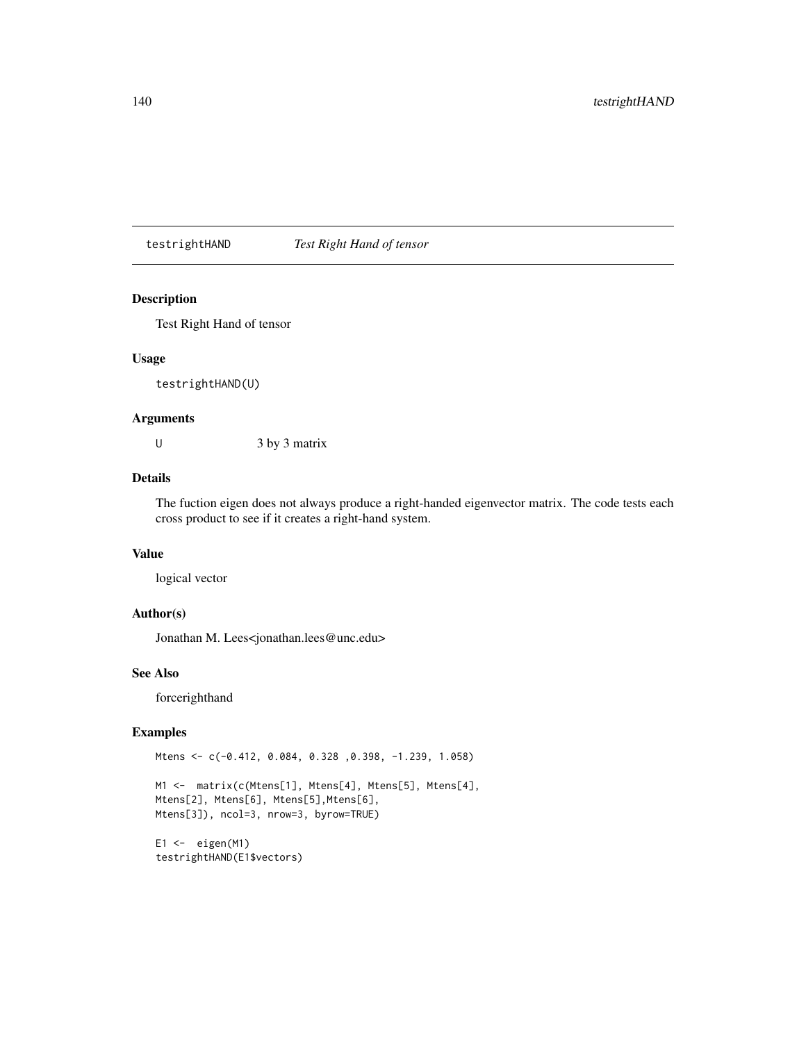testrightHAND *Test Right Hand of tensor*

#### Description

Test Right Hand of tensor

#### Usage

testrightHAND(U)

#### Arguments

U  $3$  by  $3$  matrix

## Details

The fuction eigen does not always produce a right-handed eigenvector matrix. The code tests each cross product to see if it creates a right-hand system.

## Value

logical vector

#### Author(s)

Jonathan M. Lees<jonathan.lees@unc.edu>

## See Also

forcerighthand

```
Mtens <- c(-0.412, 0.084, 0.328 ,0.398, -1.239, 1.058)
```

```
M1 <- matrix(c(Mtens[1], Mtens[4], Mtens[5], Mtens[4],
Mtens[2], Mtens[6], Mtens[5],Mtens[6],
Mtens[3]), ncol=3, nrow=3, byrow=TRUE)
```

```
E1 \leftarrow eigen(M1)testrightHAND(E1$vectors)
```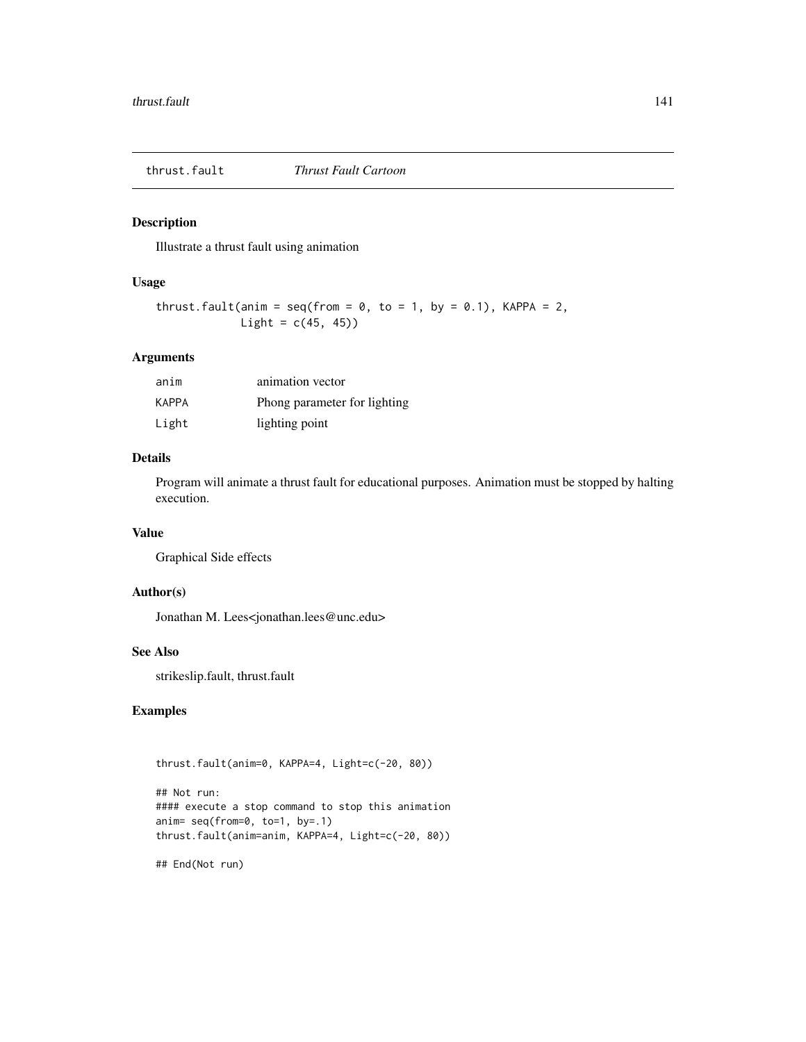Illustrate a thrust fault using animation

## Usage

```
thrust.fault(anim = seq(from = 0, to = 1, by = 0.1), KAPPA = 2,
            Light = c(45, 45))
```
#### Arguments

| anim  | animation vector             |
|-------|------------------------------|
| KAPPA | Phong parameter for lighting |
| Light | lighting point               |

## Details

Program will animate a thrust fault for educational purposes. Animation must be stopped by halting execution.

#### Value

Graphical Side effects

## Author(s)

Jonathan M. Lees<jonathan.lees@unc.edu>

## See Also

strikeslip.fault, thrust.fault

## Examples

```
thrust.fault(anim=0, KAPPA=4, Light=c(-20, 80))
```

```
## Not run:
#### execute a stop command to stop this animation
anim= seq(from=0, to=1, by=.1)
thrust.fault(anim=anim, KAPPA=4, Light=c(-20, 80))
```
## End(Not run)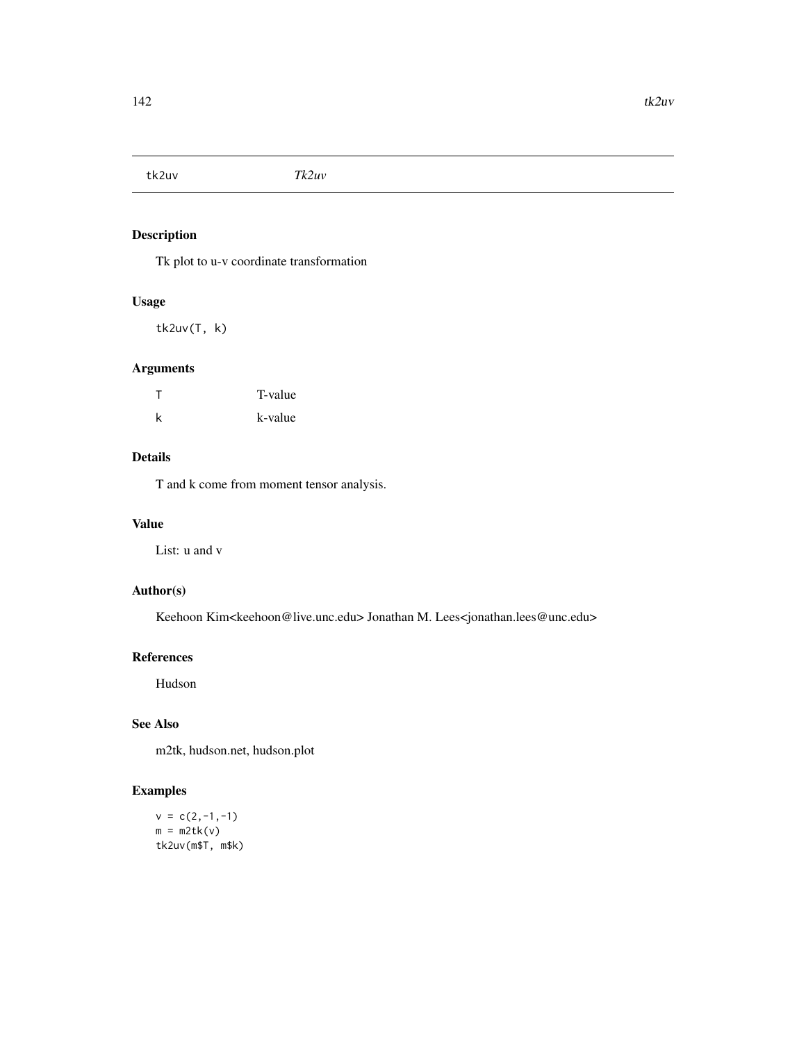tk2uv *Tk2uv*

## Description

Tk plot to u-v coordinate transformation

#### Usage

tk2uv(T, k)

## Arguments

| $\top$ | T-value |
|--------|---------|
| k      | k-value |

## Details

T and k come from moment tensor analysis.

#### Value

List: u and v

## Author(s)

Keehoon Kim<keehoon@live.unc.edu> Jonathan M. Lees<jonathan.lees@unc.edu>

## References

Hudson

## See Also

m2tk, hudson.net, hudson.plot

## Examples

 $v = c(2,-1,-1)$  $m = m2tk(v)$ tk2uv(m\$T, m\$k)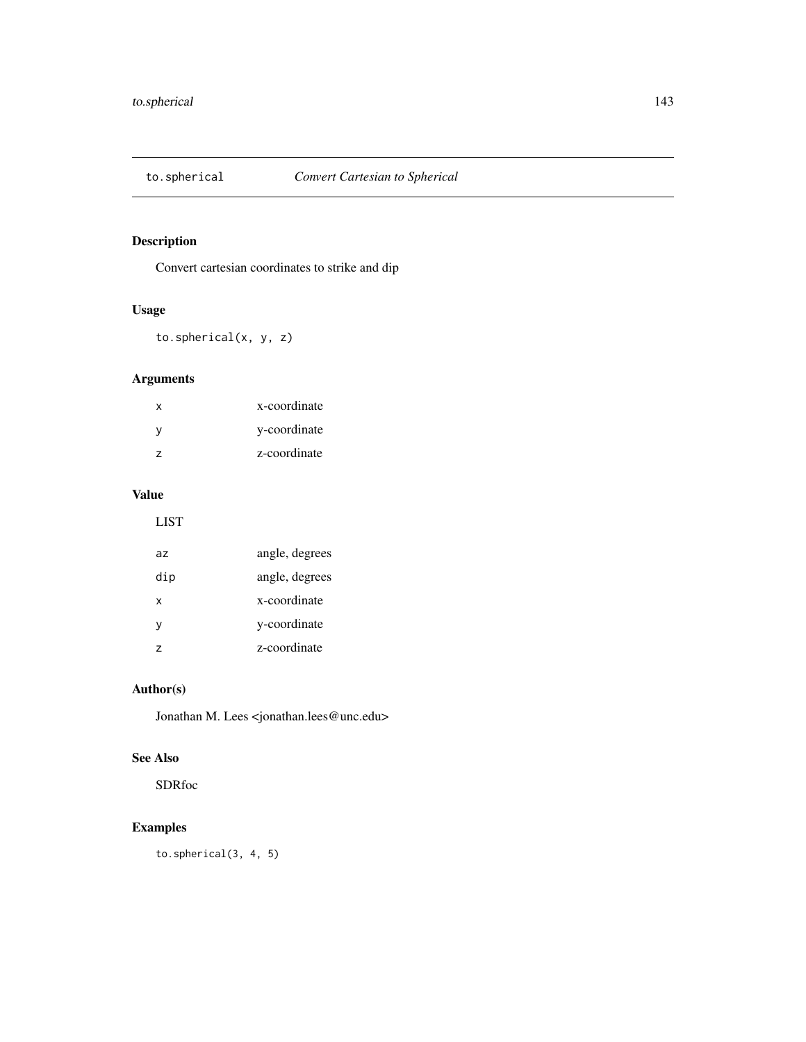Convert cartesian coordinates to strike and dip

## Usage

to.spherical(x, y, z)

## Arguments

| x              | x-coordinate |
|----------------|--------------|
| v              | y-coordinate |
| $\overline{ }$ | z-coordinate |

## Value

LIST

| az  | angle, degrees |
|-----|----------------|
| dip | angle, degrees |
| x   | x-coordinate   |
| v   | y-coordinate   |
| 7   | z-coordinate   |

## Author(s)

Jonathan M. Lees <jonathan.lees@unc.edu>

#### See Also

SDRfoc

## Examples

to.spherical(3, 4, 5)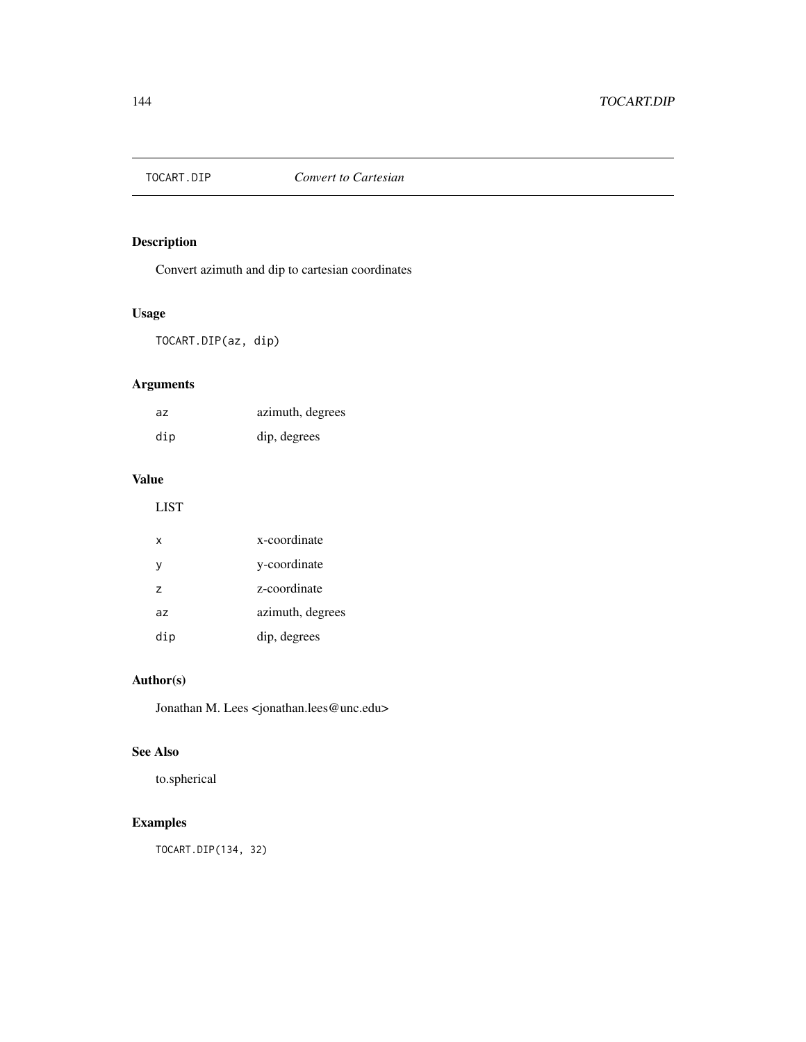Convert azimuth and dip to cartesian coordinates

## Usage

TOCART.DIP(az, dip)

## Arguments

| az  | azimuth, degrees |
|-----|------------------|
| dip | dip, degrees     |

## Value

LIST

| х              | x-coordinate     |
|----------------|------------------|
| y              | y-coordinate     |
| $\overline{z}$ | z-coordinate     |
| az             | azimuth, degrees |
| dip            | dip, degrees     |

## Author(s)

Jonathan M. Lees <jonathan.lees@unc.edu>

## See Also

to.spherical

## Examples

TOCART.DIP(134, 32)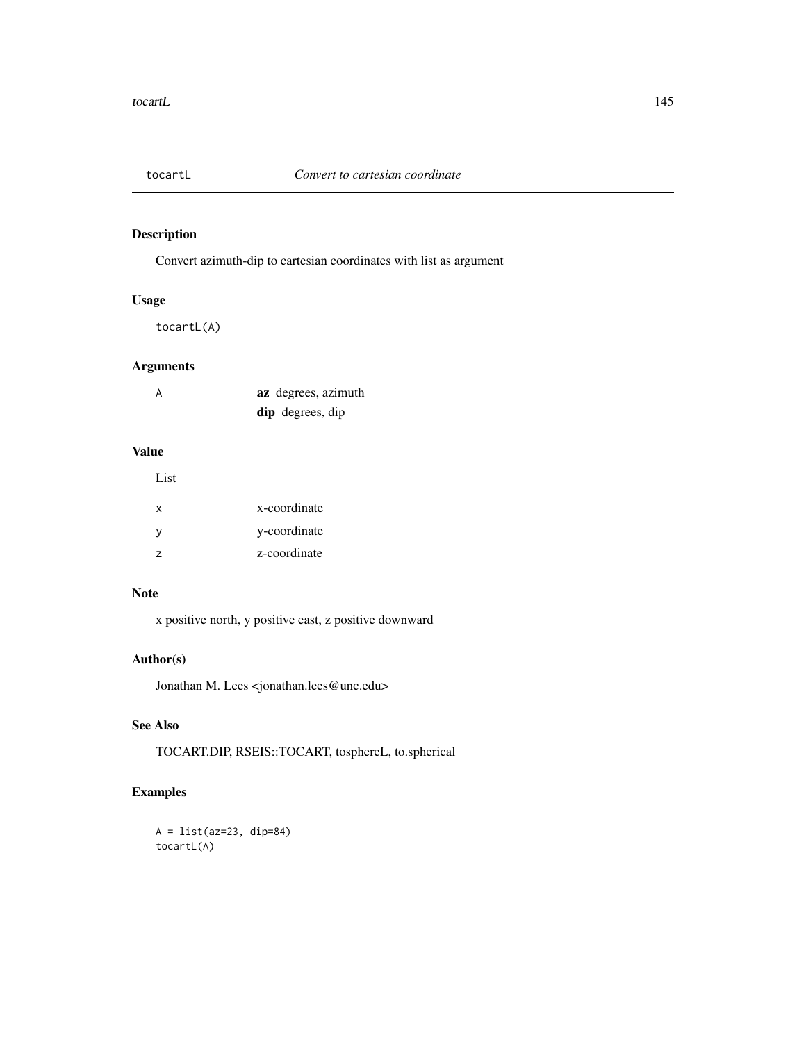<span id="page-144-0"></span>

Convert azimuth-dip to cartesian coordinates with list as argument

#### Usage

tocartL(A)

#### Arguments

| A | az degrees, azimuth |
|---|---------------------|
|   | dip degrees, dip    |

#### Value

List

| $\mathsf{x}$   | x-coordinate |
|----------------|--------------|
| V              | y-coordinate |
| $\overline{z}$ | z-coordinate |

#### Note

x positive north, y positive east, z positive downward

#### Author(s)

Jonathan M. Lees <jonathan.lees@unc.edu>

#### See Also

TOCART.DIP, RSEIS::TOCART, tosphereL, to.spherical

#### Examples

```
A = list(az=23, dip=84)
tocartL(A)
```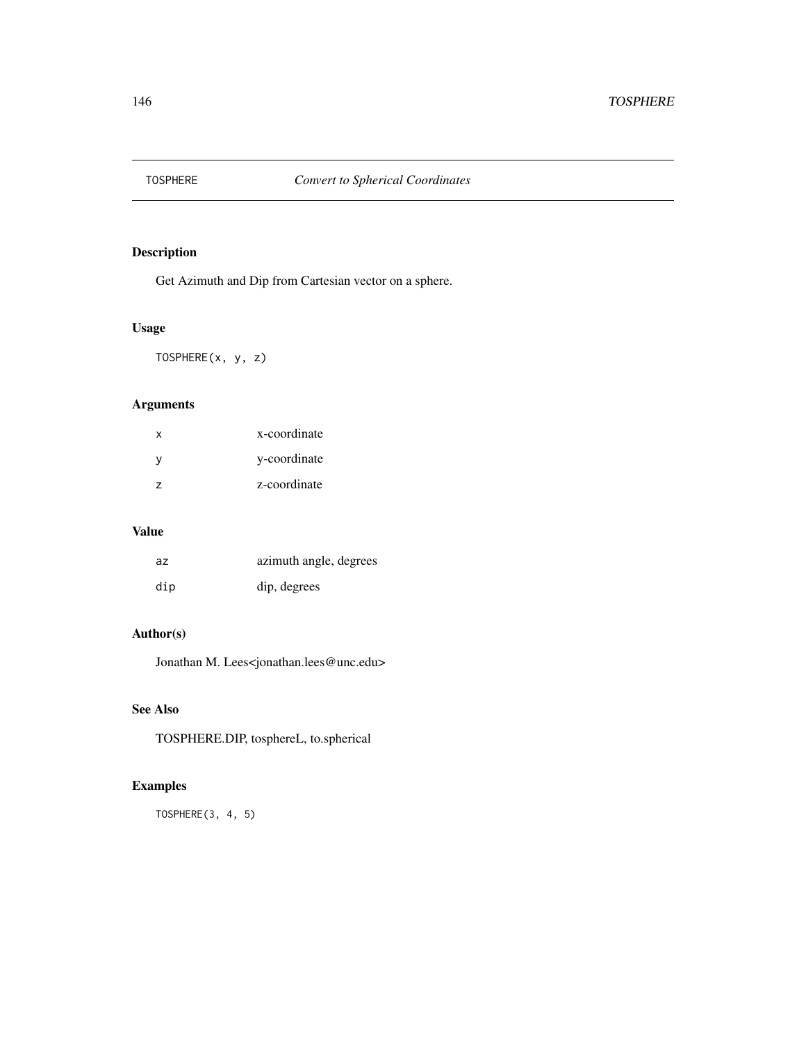<span id="page-145-0"></span>

Get Azimuth and Dip from Cartesian vector on a sphere.

# Usage

TOSPHERE(x, y, z)

#### Arguments

| x             | x-coordinate |
|---------------|--------------|
| v             | y-coordinate |
| $\mathcal{L}$ | z-coordinate |

#### Value

| az  | azimuth angle, degrees |
|-----|------------------------|
| dip | dip, degrees           |

#### Author(s)

Jonathan M. Lees<jonathan.lees@unc.edu>

# See Also

TOSPHERE.DIP, tosphereL, to.spherical

# Examples

TOSPHERE(3, 4, 5)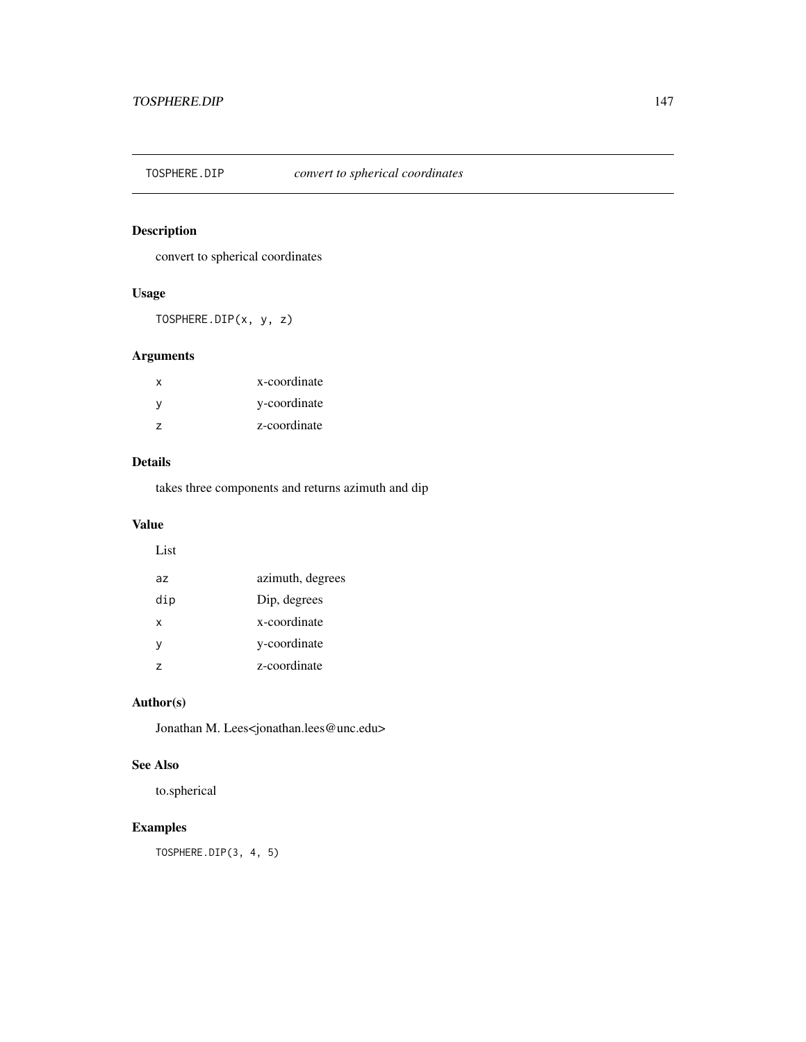<span id="page-146-0"></span>

convert to spherical coordinates

#### Usage

TOSPHERE.DIP(x, y, z)

# Arguments

| x              | x-coordinate |
|----------------|--------------|
| v              | y-coordinate |
| $\overline{ }$ | z-coordinate |

#### Details

takes three components and returns azimuth and dip

#### Value

List

| az             | azimuth, degrees |
|----------------|------------------|
| dip            | Dip, degrees     |
| x              | x-coordinate     |
| V              | y-coordinate     |
| $\overline{z}$ | z-coordinate     |

#### Author(s)

Jonathan M. Lees<jonathan.lees@unc.edu>

#### See Also

to.spherical

# Examples

TOSPHERE.DIP(3, 4, 5)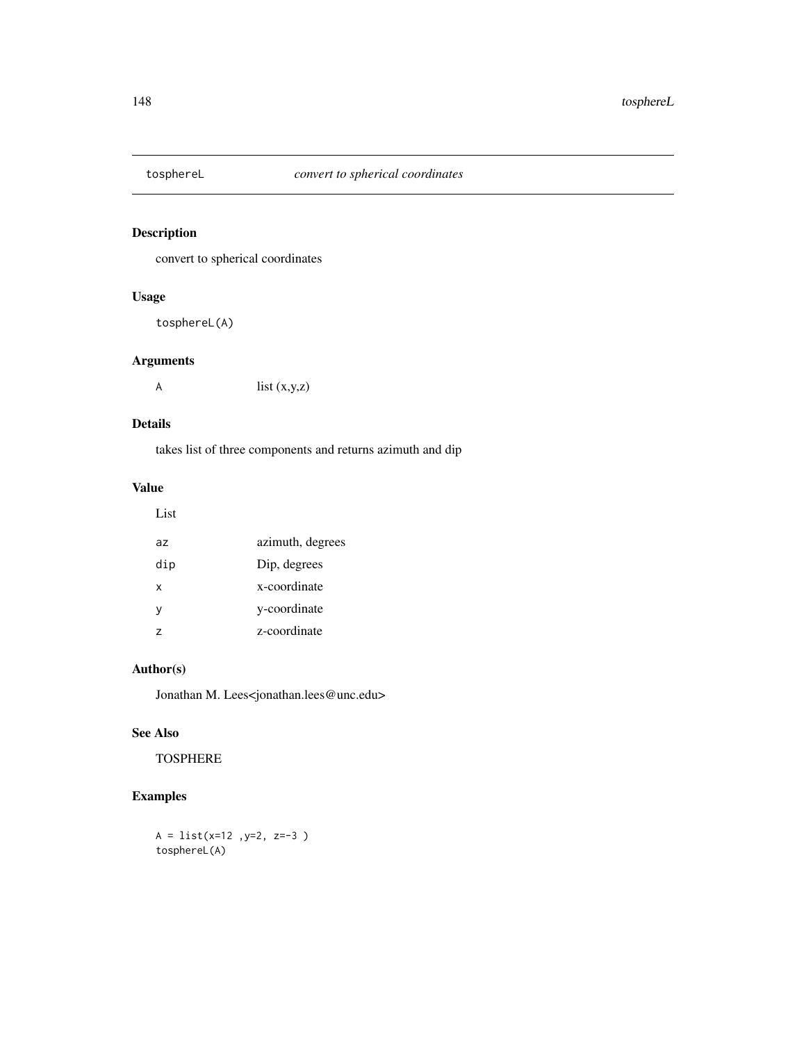<span id="page-147-0"></span>

convert to spherical coordinates

#### Usage

tosphereL(A)

#### Arguments

A list  $(x,y,z)$ 

#### Details

takes list of three components and returns azimuth and dip

#### Value

| I<br>×<br>۹ | control of |
|-------------|------------|

| az            | azimuth, degrees |
|---------------|------------------|
| dip           | Dip, degrees     |
| x             | x-coordinate     |
| y             | y-coordinate     |
| $\mathcal{L}$ | z-coordinate     |

# Author(s)

Jonathan M. Lees<jonathan.lees@unc.edu>

# See Also

TOSPHERE

# Examples

 $A = list(x=12, y=2, z=-3)$ tosphereL(A)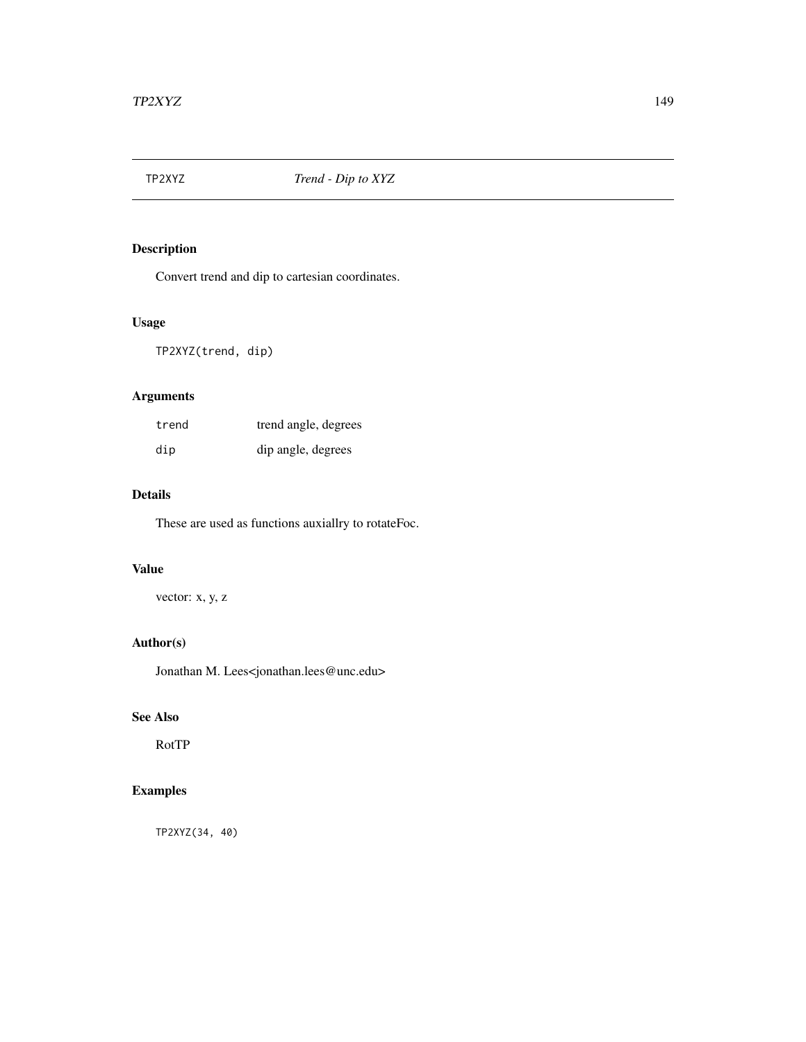<span id="page-148-0"></span>

Convert trend and dip to cartesian coordinates.

#### Usage

TP2XYZ(trend, dip)

# Arguments

| trend | trend angle, degrees |
|-------|----------------------|
| dip   | dip angle, degrees   |

#### Details

These are used as functions auxiallry to rotateFoc.

#### Value

vector: x, y, z

#### Author(s)

Jonathan M. Lees<jonathan.lees@unc.edu>

#### See Also

RotTP

# Examples

TP2XYZ(34, 40)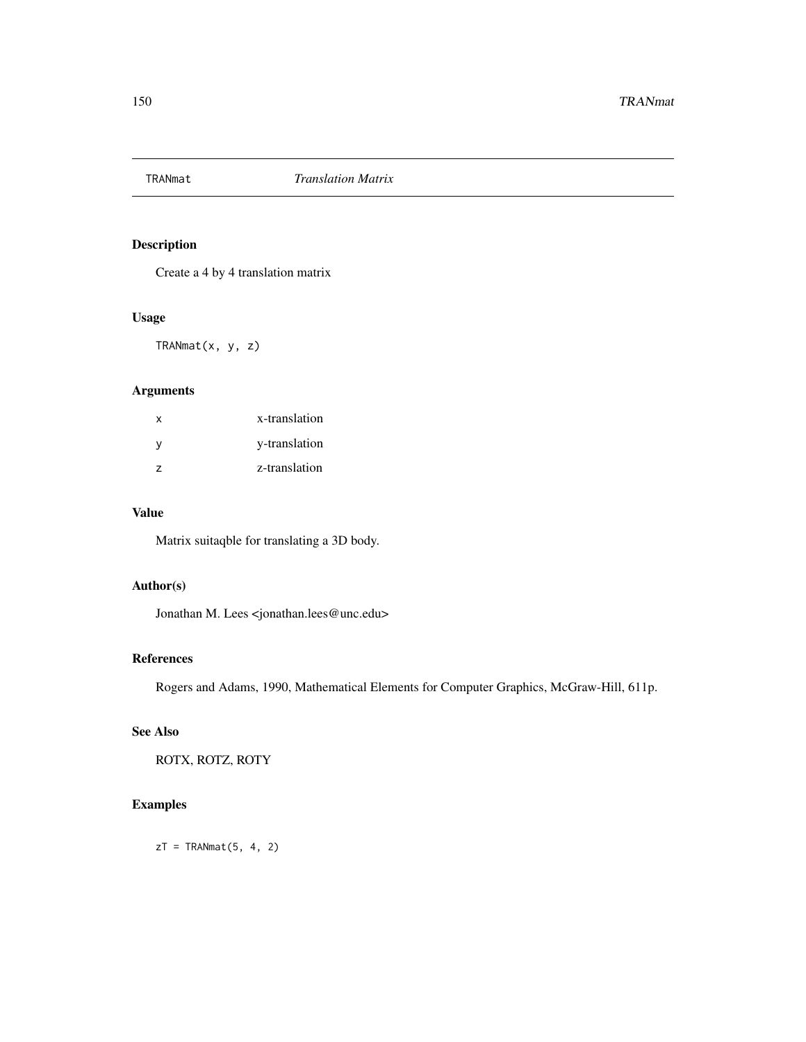<span id="page-149-0"></span>

Create a 4 by 4 translation matrix

#### Usage

TRANmat(x, y, z)

# Arguments

| $\mathsf{x}$   | x-translation |
|----------------|---------------|
| - V            | y-translation |
| $\overline{z}$ | z-translation |

#### Value

Matrix suitaqble for translating a 3D body.

# Author(s)

Jonathan M. Lees <jonathan.lees@unc.edu>

#### References

Rogers and Adams, 1990, Mathematical Elements for Computer Graphics, McGraw-Hill, 611p.

# See Also

ROTX, ROTZ, ROTY

# Examples

 $zT = TRANmat(5, 4, 2)$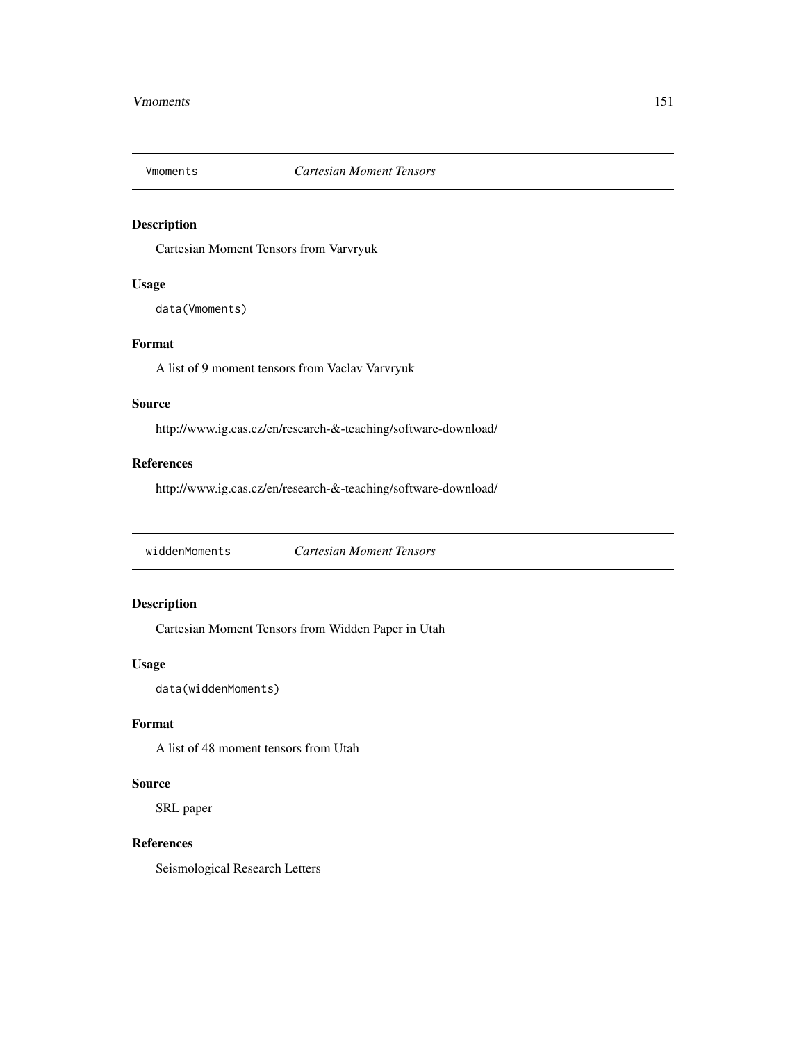<span id="page-150-0"></span>

Cartesian Moment Tensors from Varvryuk

#### Usage

data(Vmoments)

#### Format

A list of 9 moment tensors from Vaclav Varvryuk

#### Source

http://www.ig.cas.cz/en/research-&-teaching/software-download/

#### References

http://www.ig.cas.cz/en/research-&-teaching/software-download/

widdenMoments *Cartesian Moment Tensors*

#### Description

Cartesian Moment Tensors from Widden Paper in Utah

#### Usage

data(widdenMoments)

# Format

A list of 48 moment tensors from Utah

#### Source

SRL paper

#### References

Seismological Research Letters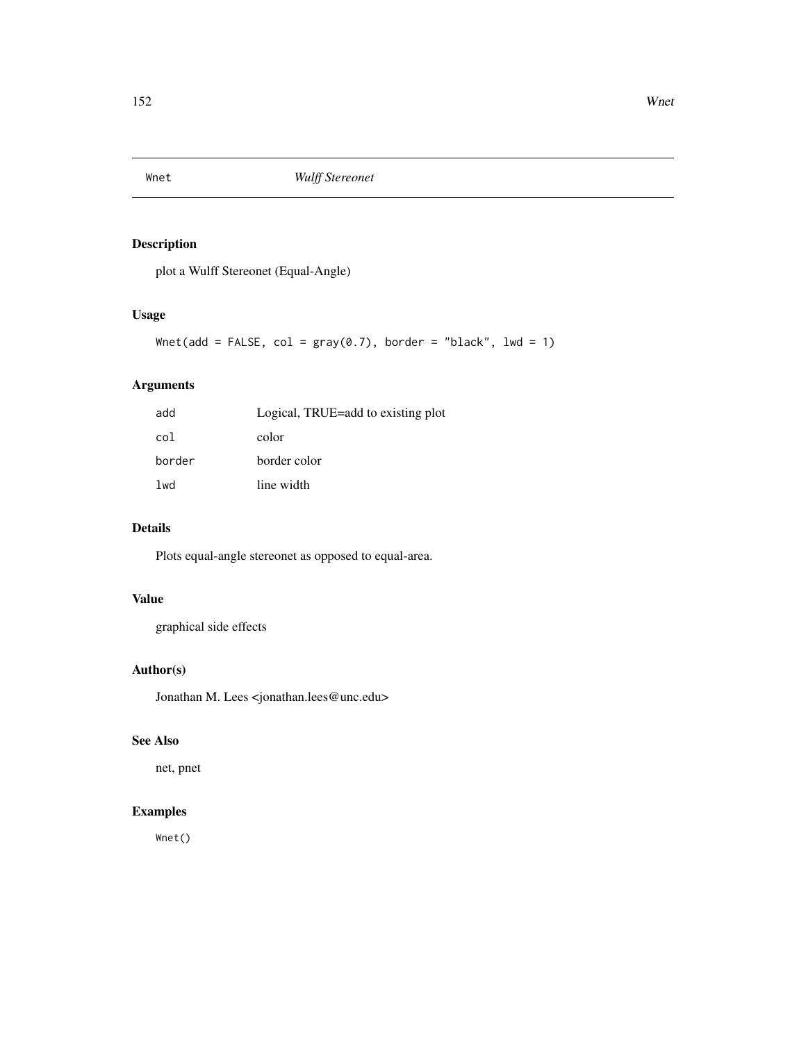<span id="page-151-0"></span>

plot a Wulff Stereonet (Equal-Angle)

#### Usage

```
Wnet(add = FALSE, col = gray(0.7), border = "black", lwd = 1)
```
# Arguments

| add    | Logical, TRUE=add to existing plot |
|--------|------------------------------------|
| col    | color                              |
| border | border color                       |
| lwd    | line width                         |

# Details

Plots equal-angle stereonet as opposed to equal-area.

#### Value

graphical side effects

#### Author(s)

Jonathan M. Lees <jonathan.lees@unc.edu>

#### See Also

net, pnet

# Examples

Wnet()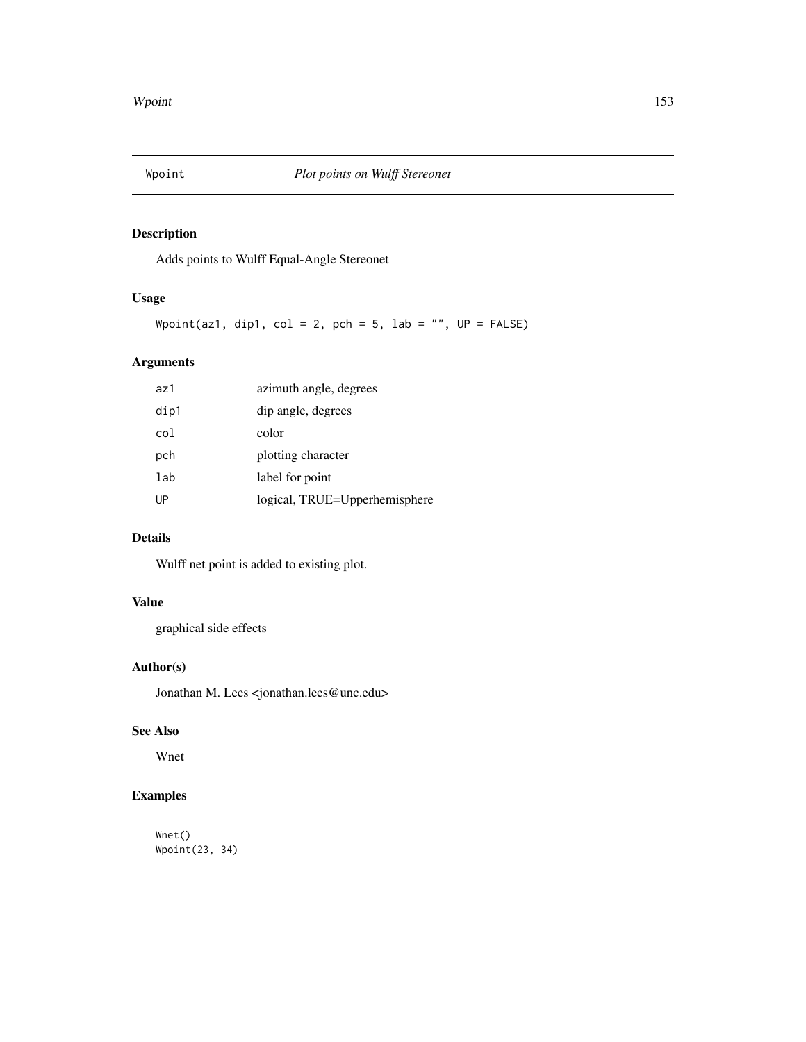<span id="page-152-0"></span>

Adds points to Wulff Equal-Angle Stereonet

#### Usage

Wpoint(az1, dip1, col = 2, pch = 5, lab = "",  $UP = FALSE$ )

# Arguments

| az1  | azimuth angle, degrees        |
|------|-------------------------------|
| dip1 | dip angle, degrees            |
| col  | color                         |
| pch  | plotting character            |
| lab  | label for point               |
| UP   | logical, TRUE=Upperhemisphere |
|      |                               |

#### Details

Wulff net point is added to existing plot.

# Value

graphical side effects

#### Author(s)

Jonathan M. Lees <jonathan.lees@unc.edu>

# See Also

Wnet

# Examples

Wnet() Wpoint(23, 34)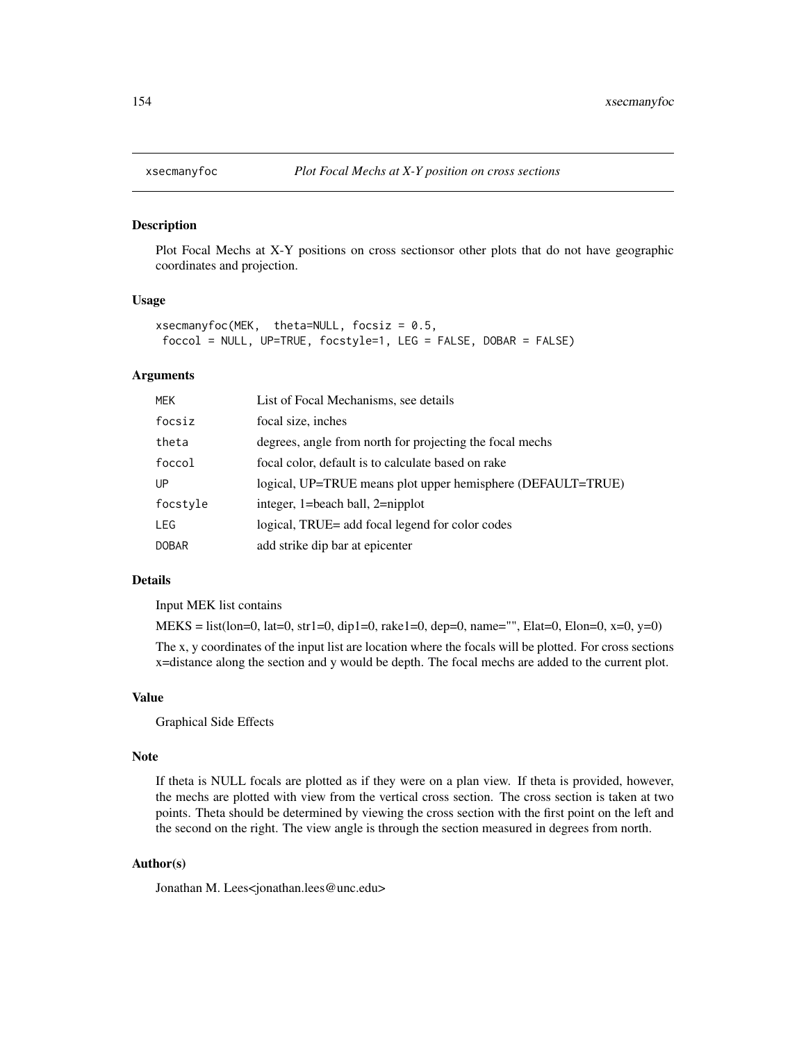<span id="page-153-0"></span>

Plot Focal Mechs at X-Y positions on cross sectionsor other plots that do not have geographic coordinates and projection.

#### Usage

```
xsecmanyfoc(MEK, theta=NULL, focsiz = 0.5,
foccol = NULL, UP=TRUE, focstyle=1, LEG = FALSE, DOBAR = FALSE)
```
#### Arguments

| MEK      | List of Focal Mechanisms, see details                       |
|----------|-------------------------------------------------------------|
| focsiz   | focal size, inches                                          |
| theta    | degrees, angle from north for projecting the focal mechs    |
| foccol   | focal color, default is to calculate based on rake          |
| UР       | logical, UP=TRUE means plot upper hemisphere (DEFAULT=TRUE) |
| focstyle | integer, 1=beach ball, 2=nipplot                            |
| LEG      | logical, TRUE= add focal legend for color codes             |
| DOBAR    | add strike dip bar at epicenter                             |

#### Details

Input MEK list contains

 $MEKS = list(long=0, \text{lat}=0, \text{str1}=0, \text{di}p1=0, \text{rake1}=0, \text{dep}=0, \text{name}="R}.$  Elat=0, Elon=0, x=0, y=0)

The x, y coordinates of the input list are location where the focals will be plotted. For cross sections x=distance along the section and y would be depth. The focal mechs are added to the current plot.

#### Value

Graphical Side Effects

#### Note

If theta is NULL focals are plotted as if they were on a plan view. If theta is provided, however, the mechs are plotted with view from the vertical cross section. The cross section is taken at two points. Theta should be determined by viewing the cross section with the first point on the left and the second on the right. The view angle is through the section measured in degrees from north.

#### Author(s)

Jonathan M. Lees<jonathan.lees@unc.edu>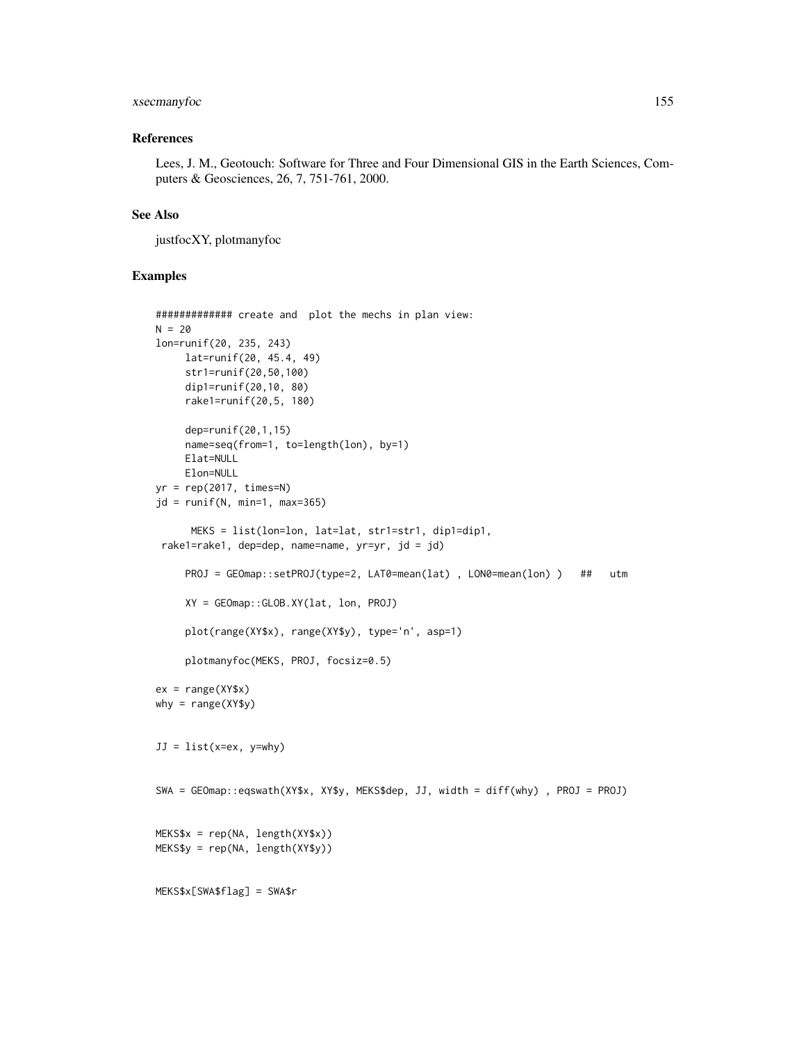#### xsecmanyfoc 155

#### References

Lees, J. M., Geotouch: Software for Three and Four Dimensional GIS in the Earth Sciences, Computers & Geosciences, 26, 7, 751-761, 2000.

#### See Also

justfocXY, plotmanyfoc

#### Examples

```
############# create and plot the mechs in plan view:
N = 20lon=runif(20, 235, 243)
     lat=runif(20, 45.4, 49)
     str1=runif(20,50,100)
     dip1=runif(20,10, 80)
     rake1=runif(20,5, 180)
     dep=runif(20,1,15)
     name=seq(from=1, to=length(lon), by=1)
     Elat=NULL
     Elon=NULL
yr = rep(2017, times=N)jd = runif(N, min=1, max=365)MEKS = list(lon=lon, lat=lat, str1=str1, dip1=dip1,
 rake1=rake1, dep=dep, name=name, yr=yr, jd = jd)
     PROJ = GEOmap::setPROJ(type=2, LAT0=mean(lat) , LON0=mean(lon) ) ## utm
     XY = GEOmap::GLOB.XY(lat, lon, PROJ)
     plot(range(XY$x), range(XY$y), type='n', asp=1)
     plotmanyfoc(MEKS, PROJ, focsiz=0.5)
ex = range(XY$x)why = range(XY$y)JJ = list(x=ex, y=why)
SWA = GEOmap::eqswath(XY$x, XY$y, MEKS$dep, JJ, width = diff(why) , PROJ = PROJ)
MEKS$x = rep(NA, length(XY$x))
MEKS$y = rep(NA, length(XY$y))
MEKS$x[SWA$flag] = SWA$r
```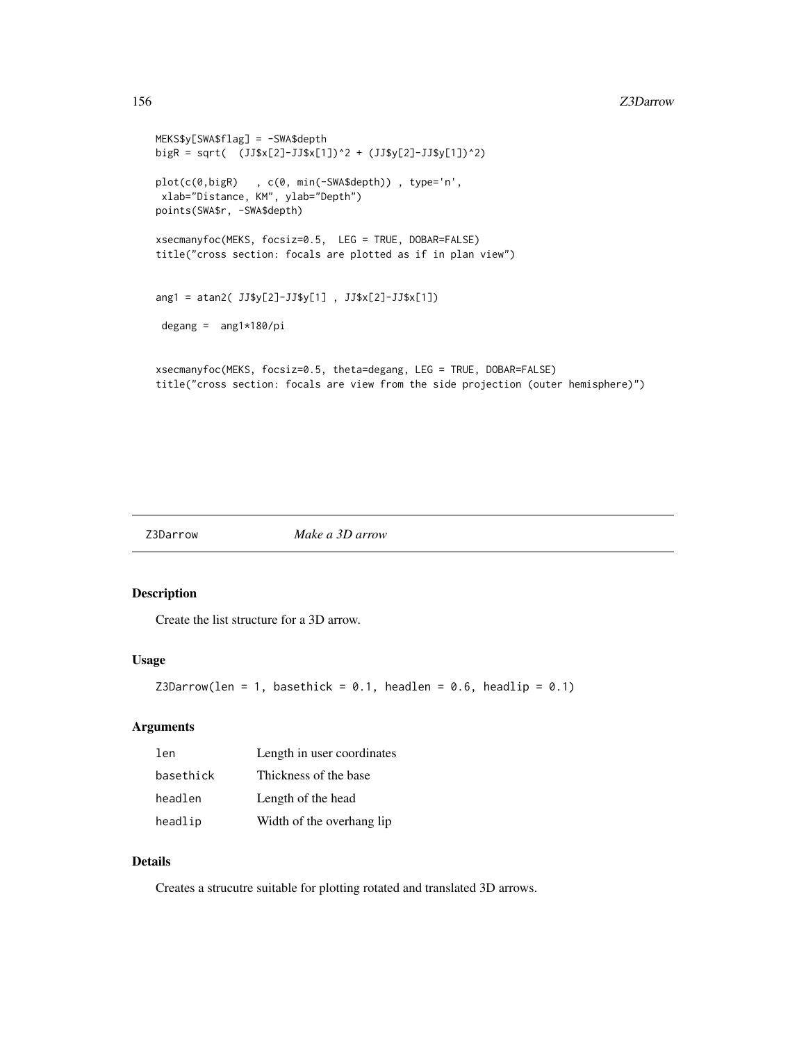```
MEKS$y[SWA$flag] = -SWA$depth
bigR = sqrt( (JJ$x[2]-JJ$x[1])^2 + (JJ$y[2]-JJ$y[1])^2)
plot(c(0,bigR) , c(0, min(-SWA$depth)) , type='n',
xlab="Distance, KM", ylab="Depth")
points(SWA$r, -SWA$depth)
xsecmanyfoc(MEKS, focsiz=0.5, LEG = TRUE, DOBAR=FALSE)
title("cross section: focals are plotted as if in plan view")
ang1 = atan2( JJ$y[2]-JJ$y[1] , JJ$x[2]-JJ$x[1])
 degang = ang1*180/pixsecmanyfoc(MEKS, focsiz=0.5, theta=degang, LEG = TRUE, DOBAR=FALSE)
title("cross section: focals are view from the side projection (outer hemisphere)")
```
Z3Darrow *Make a 3D arrow*

#### Description

Create the list structure for a 3D arrow.

#### Usage

```
Z3Darrow(len = 1, basethick = 0.1, headlen = 0.6, headlip = 0.1)
```
#### Arguments

| len       | Length in user coordinates |
|-----------|----------------------------|
| basethick | Thickness of the base      |
| headlen   | Length of the head         |
| headlip   | Width of the overhang lip  |

#### Details

Creates a strucutre suitable for plotting rotated and translated 3D arrows.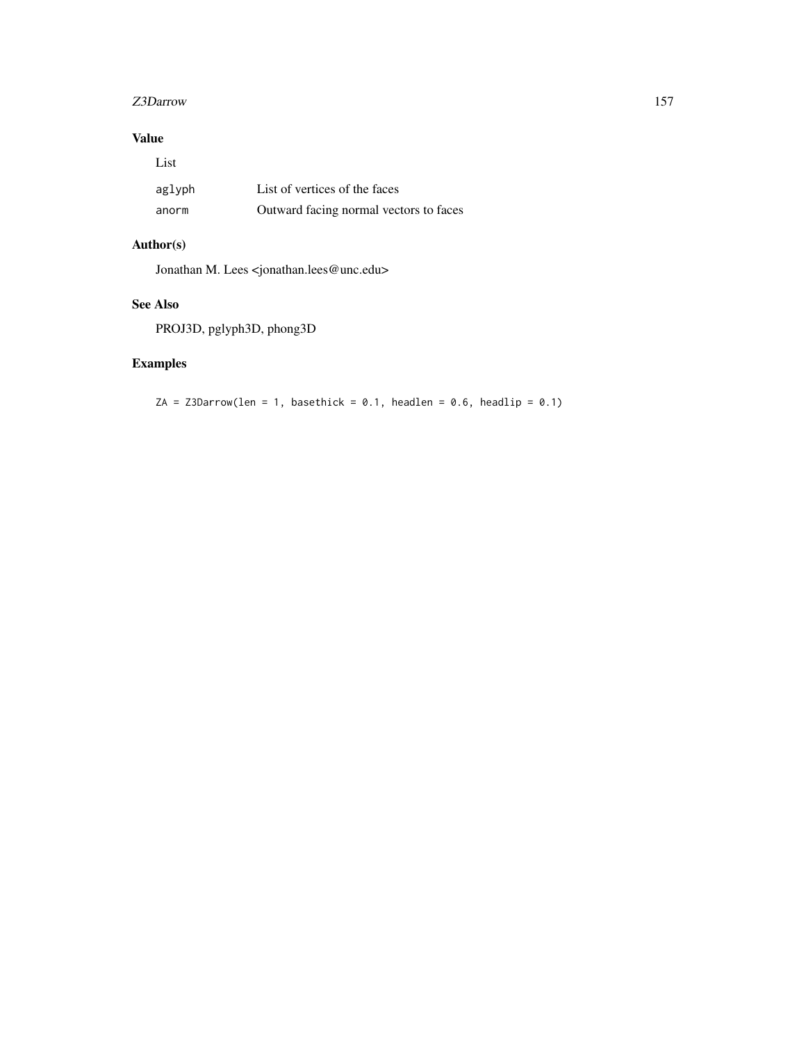#### z3Darrow 157

# Value

| List   |                                        |
|--------|----------------------------------------|
| aglyph | List of vertices of the faces          |
| anorm  | Outward facing normal vectors to faces |

# Author(s)

Jonathan M. Lees <jonathan.lees@unc.edu>

# See Also

PROJ3D, pglyph3D, phong3D

# Examples

 $ZA = Z3Darrow(len = 1, basethick = 0.1, headlen = 0.6, headlip = 0.1)$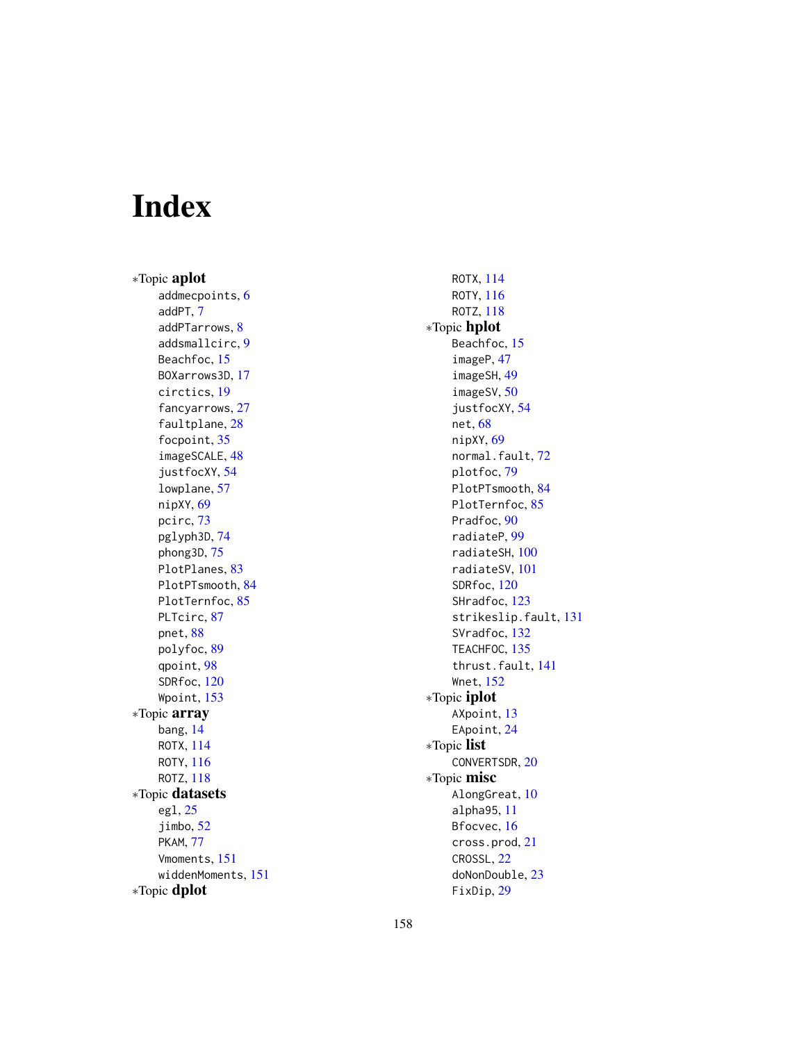# Index

∗Topic aplot addmecpoints, [6](#page-5-0) addPT, [7](#page-6-0) addPTarrows, [8](#page-7-0) addsmallcirc, [9](#page-8-0) Beachfoc, [15](#page-14-0) BOXarrows3D, [17](#page-16-0) circtics, [19](#page-18-0) fancyarrows, [27](#page-26-0) faultplane, [28](#page-27-0) focpoint, [35](#page-34-0) imageSCALE, [48](#page-47-0) justfocXY, [54](#page-53-0) lowplane, [57](#page-56-0) nipXY, [69](#page-68-0) pcirc, [73](#page-72-0) pglyph3D, [74](#page-73-0) phong3D, [75](#page-74-0) PlotPlanes, [83](#page-82-0) PlotPTsmooth, [84](#page-83-0) PlotTernfoc, [85](#page-84-0) PLTcirc, [87](#page-86-0) pnet, [88](#page-87-0) polyfoc, [89](#page-88-0) qpoint, [98](#page-97-0) SDRfoc, [120](#page-119-0) Wpoint, [153](#page-152-0) ∗Topic array bang, [14](#page-13-0) ROTX, [114](#page-113-0) ROTY, [116](#page-115-0) ROTZ, [118](#page-117-0) ∗Topic datasets egl, [25](#page-24-0) jimbo, [52](#page-51-0) PKAM, [77](#page-76-0) Vmoments, [151](#page-150-0) widdenMoments, [151](#page-150-0) ∗Topic dplot

ROTX, [114](#page-113-0) ROTY, [116](#page-115-0) ROTZ, [118](#page-117-0) ∗Topic hplot Beachfoc, [15](#page-14-0) imageP, [47](#page-46-0) imageSH, [49](#page-48-0) imageSV, [50](#page-49-0) justfocXY, [54](#page-53-0) net, [68](#page-67-0) nipXY, [69](#page-68-0) normal.fault, [72](#page-71-0) plotfoc, [79](#page-78-0) PlotPTsmooth, [84](#page-83-0) PlotTernfoc, [85](#page-84-0) Pradfoc, [90](#page-89-0) radiateP, [99](#page-98-0) radiateSH, [100](#page-99-0) radiateSV, [101](#page-100-0) SDRfoc, [120](#page-119-0) SHradfoc, [123](#page-122-0) strikeslip.fault, [131](#page-130-0) SVradfoc, [132](#page-131-0) TEACHFOC, [135](#page-134-0) thrust.fault, [141](#page-140-0) Wnet, [152](#page-151-0) ∗Topic iplot AXpoint, [13](#page-12-0) EApoint, [24](#page-23-0) ∗Topic list CONVERTSDR, [20](#page-19-0) ∗Topic misc AlongGreat, [10](#page-9-0) alpha95, [11](#page-10-0) Bfocvec, [16](#page-15-0) cross.prod, [21](#page-20-0) CROSSL, [22](#page-21-0) doNonDouble, [23](#page-22-0) FixDip, [29](#page-28-0)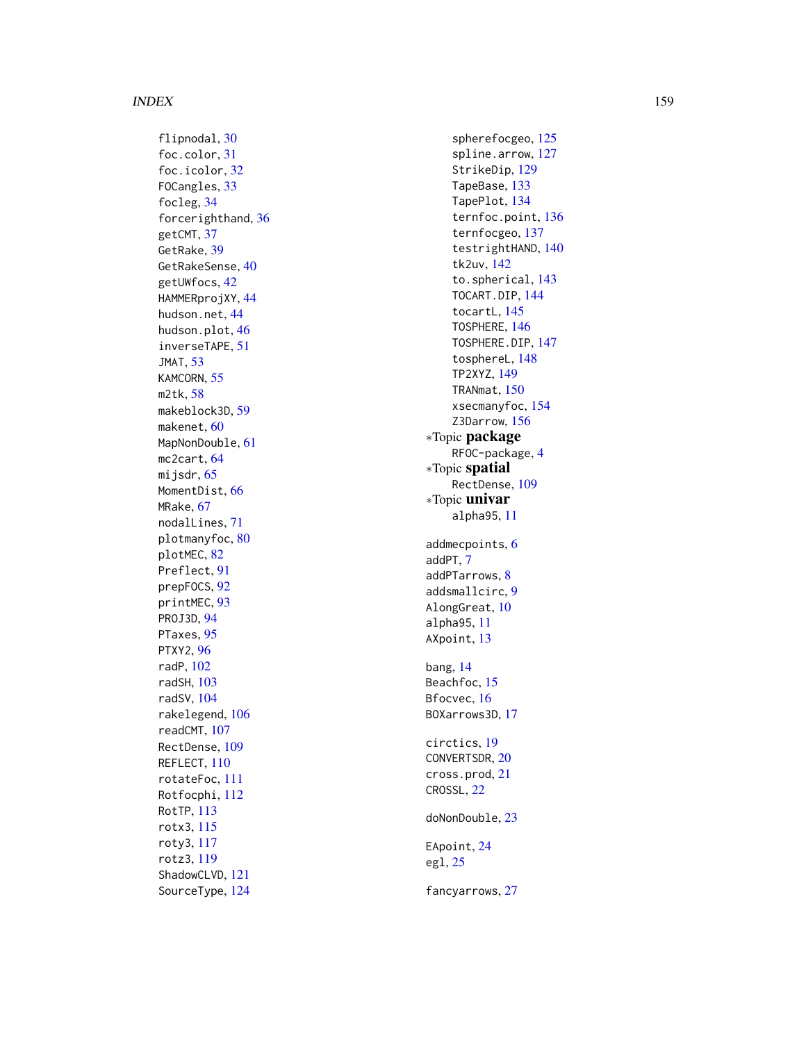#### INDEX 159

flipnodal, [30](#page-29-0) foc.color , [31](#page-30-0) foc.icolor , [32](#page-31-0) FOCangles , [33](#page-32-0) focleg , [34](#page-33-0) forcerighthand , [36](#page-35-0) getCMT , [37](#page-36-0) GetRake , [39](#page-38-0) GetRakeSense , [40](#page-39-0) getUWfocs , [42](#page-41-0) HAMMERprojXY, [44](#page-43-0) hudson.net, [44](#page-43-0) hudson.plot, [46](#page-45-0) inverseTAPE , [51](#page-50-0) JMAT , [53](#page-52-0) KAMCORN, [55](#page-54-0) m2tk , [58](#page-57-0) makeblock3D, [59](#page-58-0) makenet, <mark>6</mark>0 MapNonDouble, [61](#page-60-0) mc2cart, [64](#page-63-0) mijsdr , [65](#page-64-0) MomentDist, [66](#page-65-0) MRake , [67](#page-66-0) nodalLines , [71](#page-70-0) plotmanyfoc, [80](#page-79-0) plotMEC, [82](#page-81-0) Preflect , [91](#page-90-0) prepFOCS , [92](#page-91-0) printMEC , [93](#page-92-0) PROJ3D , [94](#page-93-0) PTaxes, [95](#page-94-0) PTXY2 , [96](#page-95-0) radP , [102](#page-101-0) radSH , [103](#page-102-0) radSV , [104](#page-103-0) rakelegend , [106](#page-105-0) readCMT , [107](#page-106-0) RectDense , [109](#page-108-0) REFLECT , [110](#page-109-0) rotateFoc , [111](#page-110-0) Rotfocphi , [112](#page-111-0) RotTP , [113](#page-112-0) rotx3 , [115](#page-114-0) roty3 , [117](#page-116-0) rotz3 , [119](#page-118-0) ShadowCLVD , [121](#page-120-0) SourceType , [124](#page-123-0)

spherefocgeo, [125](#page-124-0) spline.arrow , [127](#page-126-0) StrikeDip , [129](#page-128-0) TapeBase , [133](#page-132-0) TapePlot , [134](#page-133-0) ternfoc.point , [136](#page-135-0) ternfocgeo , [137](#page-136-0) testrightHAND , [140](#page-139-0) tk2uv , [142](#page-141-0) to.spherical , [143](#page-142-0) TOCART.DIP, [144](#page-143-0) tocartL , [145](#page-144-0) TOSPHERE , [146](#page-145-0) TOSPHERE.DIP , [147](#page-146-0) tosphereL , [148](#page-147-0) TP2XYZ , [149](#page-148-0) TRANmat , [150](#page-149-0) xsecmanyfoc , [154](#page-153-0) Z3Darrow, [156](#page-155-0) ∗Topic package RFOC-package, [4](#page-3-0) ∗Topic spatial RectDense , [109](#page-108-0) ∗Topic univar alpha95 , [11](#page-10-0) addmecpoints , [6](#page-5-0) addPT , [7](#page-6-0) addPTarrows , [8](#page-7-0) addsmallcirc , [9](#page-8-0) AlongGreat,  $10\,$  $10\,$ alpha95 , [11](#page-10-0) AXpoint, [13](#page-12-0) bang , [14](#page-13-0) Beachfoc, [15](#page-14-0) Bfocvec, [16](#page-15-0) BOXarrows3D , [17](#page-16-0) circtics , [19](#page-18-0) CONVERTSDR , [20](#page-19-0) cross.prod , [21](#page-20-0) CROSSL , [22](#page-21-0) doNonDouble , [23](#page-22-0) EApoint, [24](#page-23-0) egl , [25](#page-24-0) fancyarrows , [27](#page-26-0)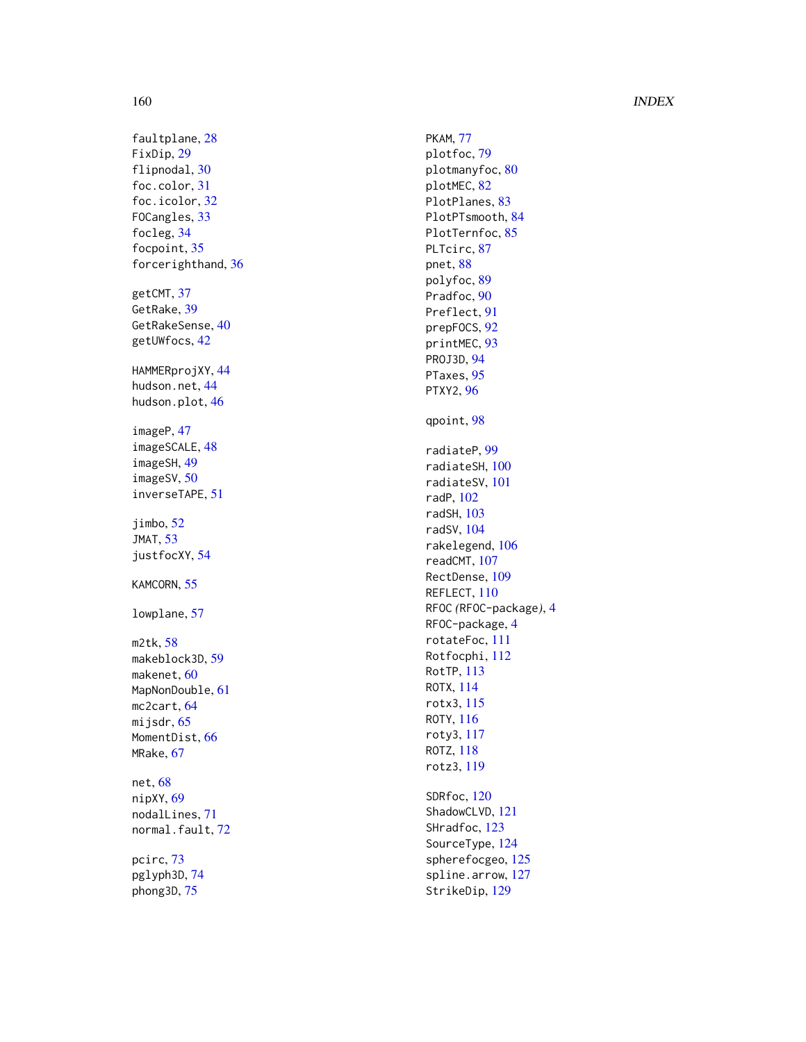#### 160 INDEX

faultplane, [28](#page-27-0) FixDip , [29](#page-28-0) flipnodal, [30](#page-29-0) foc.color , [31](#page-30-0) foc.icolor , [32](#page-31-0) FOCangles, [33](#page-32-0) focleg , [34](#page-33-0) focpoint, [35](#page-34-0) forcerighthand , [36](#page-35-0) getCMT, [37](#page-36-0) GetRake, [39](#page-38-0) GetRakeSense , [40](#page-39-0) getUWfocs , [42](#page-41-0) HAMMERprojXY, [44](#page-43-0) hudson.net , [44](#page-43-0) hudson.plot, [46](#page-45-0) imageP , [47](#page-46-0) imageSCALE , [48](#page-47-0) imageSH , [49](#page-48-0) imageSV , [50](#page-49-0) inverseTAPE , [51](#page-50-0) jimbo , [52](#page-51-0) JMAT , [53](#page-52-0) justfocXY , [54](#page-53-0) KAMCORN, [55](#page-54-0) lowplane , [57](#page-56-0) m2tk , [58](#page-57-0) makeblock3D , [59](#page-58-0) makenet, <mark>6</mark>0 MapNonDouble, [61](#page-60-0) mc2cart, [64](#page-63-0) mijsdr , [65](#page-64-0) MomentDist, [66](#page-65-0) MRake , [67](#page-66-0) net , [68](#page-67-0) nipXY , [69](#page-68-0) nodalLines , [71](#page-70-0) normal.fault,[72](#page-71-0) pcirc , [73](#page-72-0) pglyph3D , [74](#page-73-0)

phong3D , [75](#page-74-0)

PKAM , [77](#page-76-0) plotfoc , [79](#page-78-0) plotmanyfoc, [80](#page-79-0) plotMEC, [82](#page-81-0) PlotPlanes, [83](#page-82-0) PlotPTsmooth, [84](#page-83-0) PlotTernfoc, [85](#page-84-0) PLTcirc, [87](#page-86-0) pnet , [88](#page-87-0) polyfoc, <mark>[89](#page-88-0)</mark> Pradfoc, [90](#page-89-0) Preflect , [91](#page-90-0) prepFOCS , [92](#page-91-0) printMEC , [93](#page-92-0) PROJ3D , [94](#page-93-0) PTaxes, [95](#page-94-0) PTXY2, [96](#page-95-0) qpoint , [98](#page-97-0) radiateP , [99](#page-98-0) radiateSH , [100](#page-99-0) radiateSV , [101](#page-100-0) radP , [102](#page-101-0) radSH , [103](#page-102-0) radSV , [104](#page-103-0) rakelegend , [106](#page-105-0) readCMT , [107](#page-106-0) RectDense , [109](#page-108-0) REFLECT, [110](#page-109-0) RFOC *(*RFOC-package *)* , [4](#page-3-0) RFOC-package, [4](#page-3-0) rotateFoc , [111](#page-110-0) Rotfocphi , [112](#page-111-0) RotTP, [113](#page-112-0) ROTX , [114](#page-113-0) rotx3 , [115](#page-114-0) ROTY , [116](#page-115-0) roty3 , [117](#page-116-0) ROTZ , [118](#page-117-0) rotz3 , [119](#page-118-0) SDRfoc, [120](#page-119-0) ShadowCLVD , [121](#page-120-0) SHradfoc, [123](#page-122-0) SourceType, [124](#page-123-0) spherefocgeo, [125](#page-124-0)

spline.arrow , [127](#page-126-0) StrikeDip , [129](#page-128-0)